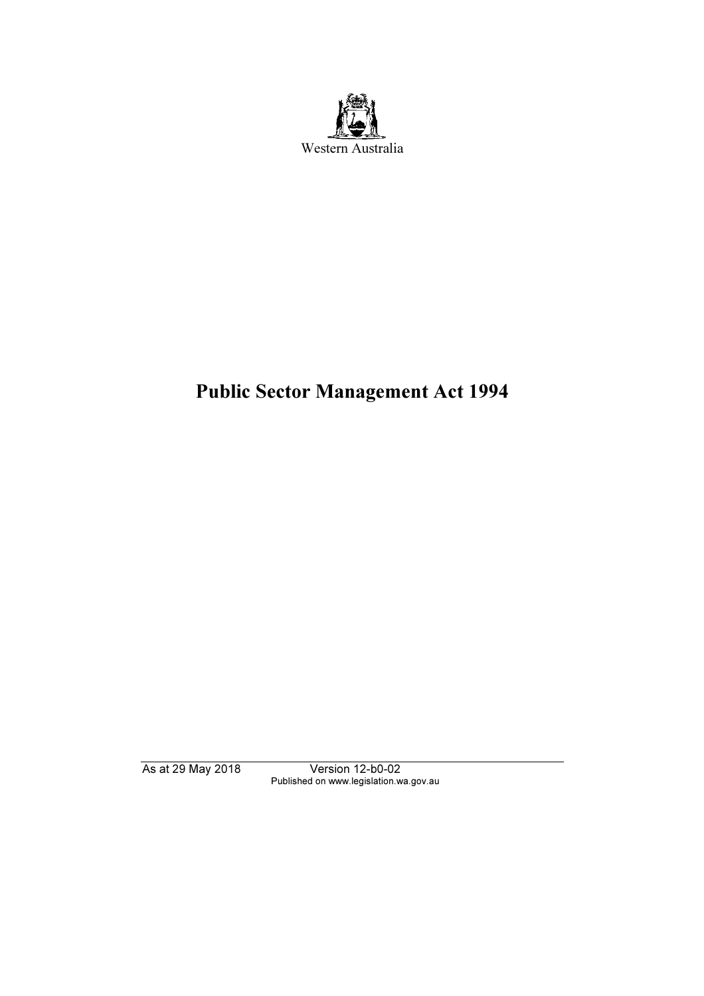

# Public Sector Management Act 1994

As at 29 May 2018 Version 12-b0-02 Published on www.legislation.wa.gov.au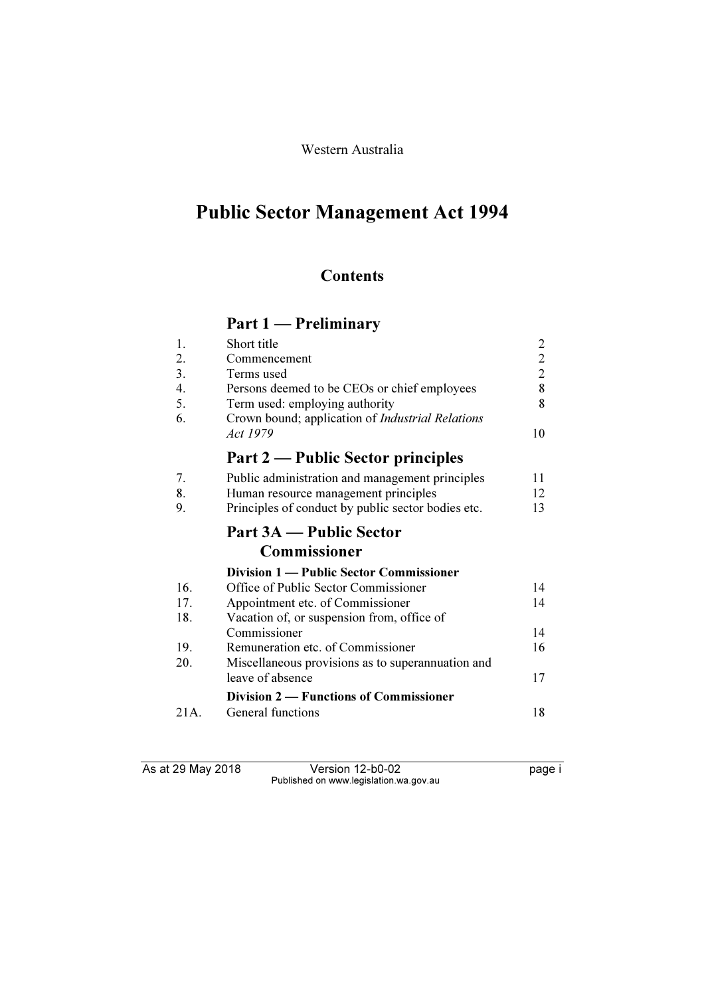## Western Australia

# Public Sector Management Act 1994

# **Contents**

# Part 1 — Preliminary

| 1.   | Short title                                             | $\overline{c}$ |
|------|---------------------------------------------------------|----------------|
| 2.   | Commencement                                            | $\overline{c}$ |
| 3.   | Terms used                                              | $\overline{2}$ |
| 4.   | Persons deemed to be CEOs or chief employees            | 8              |
| 5.   | Term used: employing authority                          | 8              |
| 6.   | Crown bound; application of <i>Industrial Relations</i> |                |
|      | Act 1979                                                | 10             |
|      | Part 2 — Public Sector principles                       |                |
| 7.   | Public administration and management principles         | 11             |
| 8.   | Human resource management principles                    | 12             |
| 9.   | Principles of conduct by public sector bodies etc.      | 13             |
|      | Part 3A — Public Sector                                 |                |
|      | Commissioner                                            |                |
|      | Division 1 — Public Sector Commissioner                 |                |
| 16.  | Office of Public Sector Commissioner                    | 14             |
| 17.  | Appointment etc. of Commissioner                        | 14             |
| 18.  | Vacation of, or suspension from, office of              |                |
|      | Commissioner                                            | 14             |
| 19.  | Remuneration etc. of Commissioner                       | 16             |
| 20.  | Miscellaneous provisions as to superannuation and       |                |
|      | leave of absence                                        | 17             |
|      | Division 2 – Functions of Commissioner                  |                |
| 21A. | General functions                                       | 18             |

As at 29 May 2018 Version 12-b0-02 page i Published on www.legislation.wa.gov.au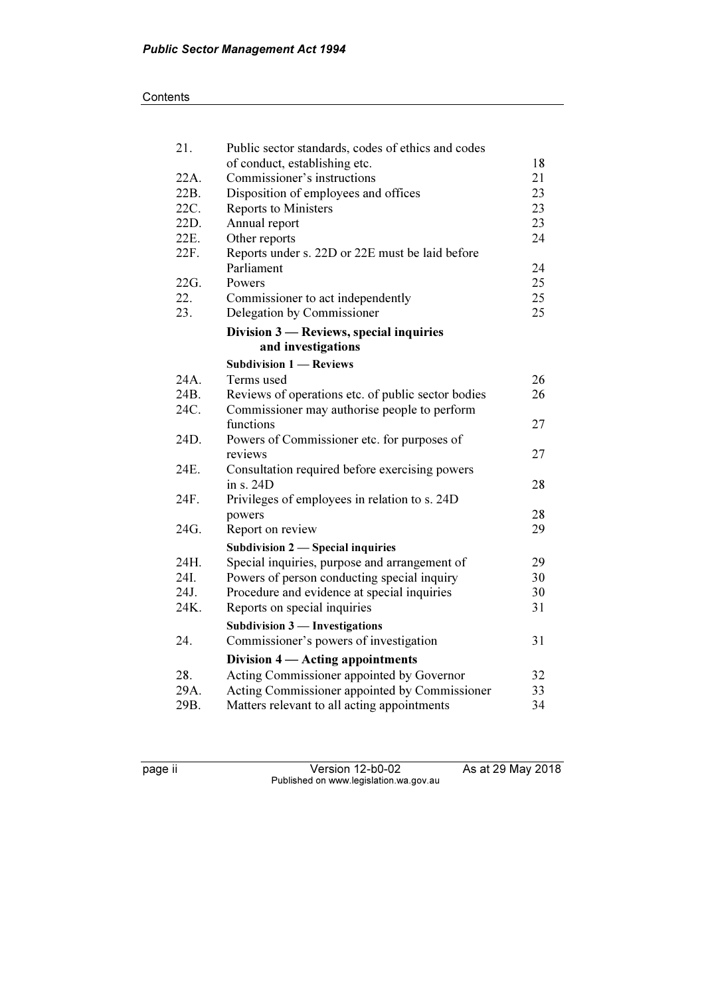| 21.  | Public sector standards, codes of ethics and codes |    |
|------|----------------------------------------------------|----|
|      | of conduct, establishing etc.                      | 18 |
| 22A. | Commissioner's instructions                        | 21 |
| 22B. | Disposition of employees and offices               | 23 |
| 22C. | <b>Reports to Ministers</b>                        | 23 |
| 22D. | Annual report                                      | 23 |
| 22E. | Other reports                                      | 24 |
| 22F. | Reports under s. 22D or 22E must be laid before    |    |
|      | Parliament                                         | 24 |
| 22G. | Powers                                             | 25 |
| 22.  | Commissioner to act independently                  | 25 |
| 23.  | Delegation by Commissioner                         | 25 |
|      | Division 3 — Reviews, special inquiries            |    |
|      | and investigations                                 |    |
|      | <b>Subdivision 1 - Reviews</b>                     |    |
| 24A. | Terms used                                         | 26 |
| 24B. | Reviews of operations etc. of public sector bodies | 26 |
| 24C. | Commissioner may authorise people to perform       |    |
|      | functions                                          | 27 |
| 24D. | Powers of Commissioner etc. for purposes of        |    |
|      | reviews                                            | 27 |
| 24E. | Consultation required before exercising powers     |    |
|      | in s. 24D                                          | 28 |
| 24F. | Privileges of employees in relation to s. 24D      |    |
|      | powers                                             | 28 |
| 24G. | Report on review                                   | 29 |
|      | Subdivision 2 - Special inquiries                  |    |
| 24H. | Special inquiries, purpose and arrangement of      | 29 |
| 24I. | Powers of person conducting special inquiry        | 30 |
| 24J. | Procedure and evidence at special inquiries        | 30 |
| 24K. | Reports on special inquiries                       | 31 |
|      | Subdivision $3$ — Investigations                   |    |
| 24.  | Commissioner's powers of investigation             | 31 |
|      | Division 4 — Acting appointments                   |    |
| 28.  | Acting Commissioner appointed by Governor          | 32 |
| 29A. | Acting Commissioner appointed by Commissioner      | 33 |
| 29B. | Matters relevant to all acting appointments        | 34 |

page ii Version 12-b0-02 As at 29 May 2018 Published on www.legislation.wa.gov.au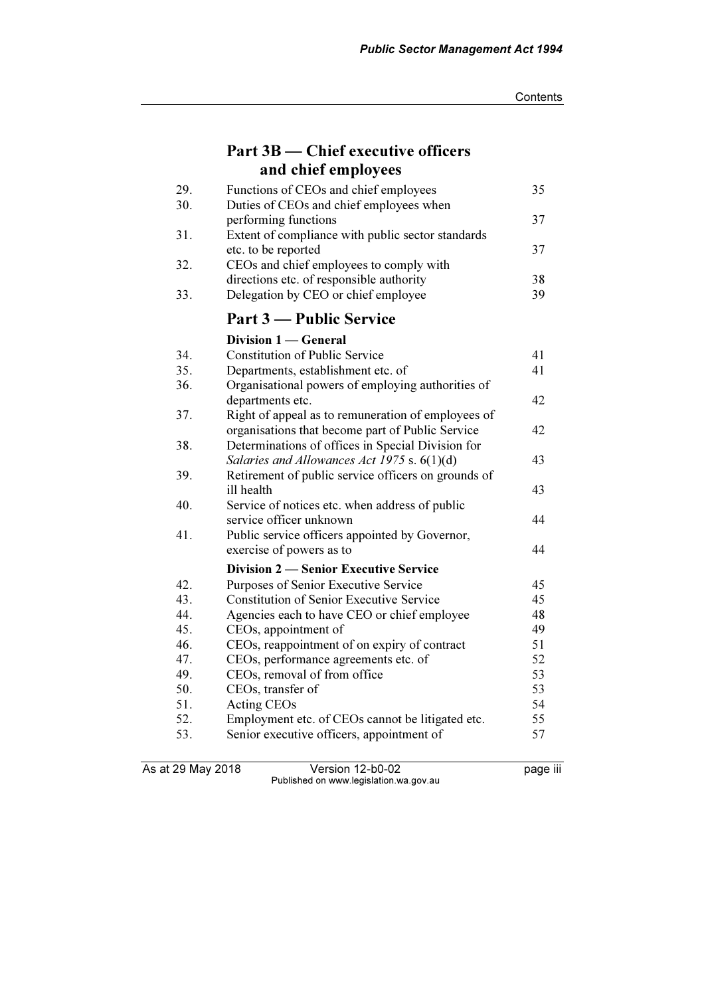| Part 3B — Chief executive officers              |
|-------------------------------------------------|
| and chief employees                             |
| $E$ motions of $CFA$ and shirt smaller $\alpha$ |

| 29. | Functions of CEOs and chief employees               | 35 |
|-----|-----------------------------------------------------|----|
| 30. | Duties of CEOs and chief employees when             |    |
|     | performing functions                                | 37 |
| 31. | Extent of compliance with public sector standards   |    |
|     | etc. to be reported                                 | 37 |
| 32. | CEOs and chief employees to comply with             |    |
|     | directions etc. of responsible authority            | 38 |
| 33. | Delegation by CEO or chief employee                 | 39 |
|     | Part 3 — Public Service                             |    |
|     | Division 1 - General                                |    |
| 34. | <b>Constitution of Public Service</b>               | 41 |
| 35. | Departments, establishment etc. of                  | 41 |
| 36. | Organisational powers of employing authorities of   |    |
|     | departments etc.                                    | 42 |
| 37. | Right of appeal as to remuneration of employees of  |    |
|     | organisations that become part of Public Service    | 42 |
| 38. | Determinations of offices in Special Division for   |    |
|     | Salaries and Allowances Act 1975 s. $6(1)(d)$       | 43 |
| 39. | Retirement of public service officers on grounds of |    |
|     | ill health                                          | 43 |
| 40. | Service of notices etc. when address of public      |    |
|     | service officer unknown                             | 44 |
| 41. | Public service officers appointed by Governor,      |    |
|     | exercise of powers as to                            | 44 |
|     | <b>Division 2 – Senior Executive Service</b>        |    |
| 42. | Purposes of Senior Executive Service                | 45 |
| 43. | <b>Constitution of Senior Executive Service</b>     | 45 |
| 44. | Agencies each to have CEO or chief employee         | 48 |
| 45. | CEOs, appointment of                                | 49 |
| 46. | CEOs, reappointment of on expiry of contract        | 51 |
| 47. | CEOs, performance agreements etc. of                | 52 |
| 49. | CEOs, removal of from office                        | 53 |
| 50. | CEOs, transfer of                                   | 53 |
| 51. | <b>Acting CEOs</b>                                  | 54 |
| 52. | Employment etc. of CEOs cannot be litigated etc.    | 55 |
| 53. | Senior executive officers, appointment of           | 57 |
|     |                                                     |    |

As at 29 May 2018 Version 12-b0-02 page iii Published on www.legislation.wa.gov.au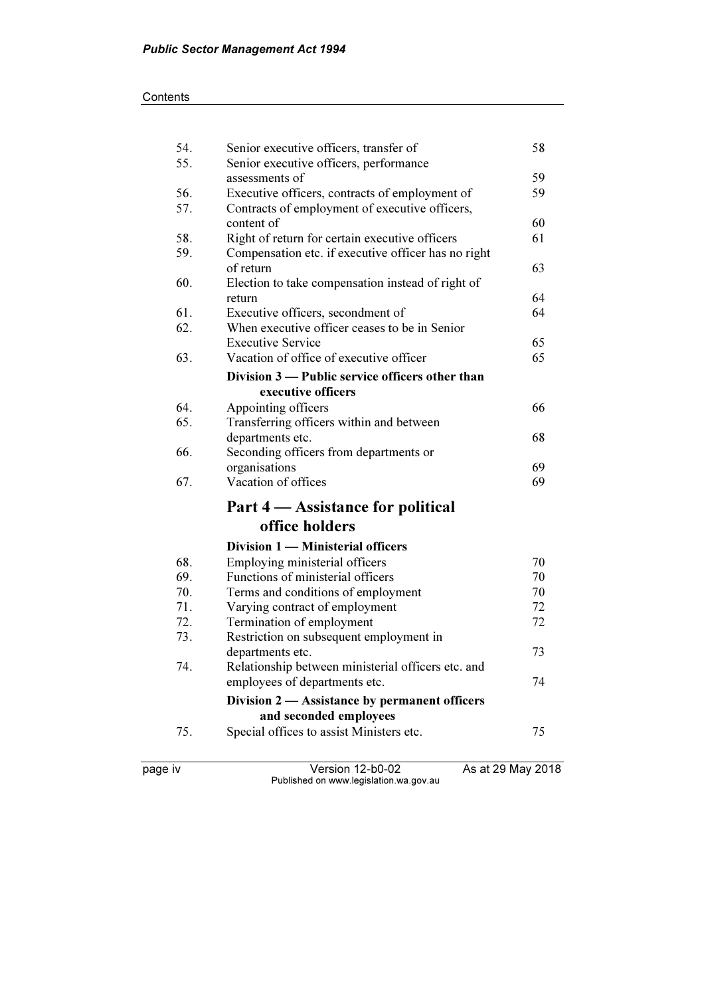| 54. | Senior executive officers, transfer of              | 58 |
|-----|-----------------------------------------------------|----|
| 55. | Senior executive officers, performance              |    |
|     | assessments of                                      | 59 |
| 56. | Executive officers, contracts of employment of      | 59 |
| 57. | Contracts of employment of executive officers,      |    |
|     | content of                                          | 60 |
| 58. | Right of return for certain executive officers      | 61 |
| 59. | Compensation etc. if executive officer has no right |    |
|     | of return                                           | 63 |
| 60. | Election to take compensation instead of right of   |    |
|     | return                                              | 64 |
| 61. | Executive officers, secondment of                   | 64 |
| 62. | When executive officer ceases to be in Senior       |    |
|     | <b>Executive Service</b>                            | 65 |
| 63. | Vacation of office of executive officer             | 65 |
|     | Division 3 — Public service officers other than     |    |
|     | executive officers                                  |    |
| 64. | Appointing officers                                 | 66 |
| 65. | Transferring officers within and between            |    |
|     | departments etc.                                    | 68 |
| 66. | Seconding officers from departments or              |    |
|     | organisations                                       | 69 |
| 67. | Vacation of offices                                 | 69 |
|     | Part 4 - Assistance for political                   |    |
|     | office holders                                      |    |
|     | Division 1 - Ministerial officers                   |    |
| 68. | Employing ministerial officers                      | 70 |
| 69. | Functions of ministerial officers                   | 70 |
| 70. | Terms and conditions of employment                  | 70 |
| 71. | Varying contract of employment                      | 72 |
| 72. | Termination of employment                           | 72 |
| 73. | Restriction on subsequent employment in             |    |
|     | departments etc.                                    | 73 |
| 74. | Relationship between ministerial officers etc. and  |    |
|     | employees of departments etc.                       | 74 |
|     | Division 2 — Assistance by permanent officers       |    |
|     | and seconded employees                              |    |
| 75. | Special offices to assist Ministers etc.            | 75 |
|     |                                                     |    |
|     |                                                     |    |

page iv Version 12-b0-02 As at 29 May 2018 Published on www.legislation.wa.gov.au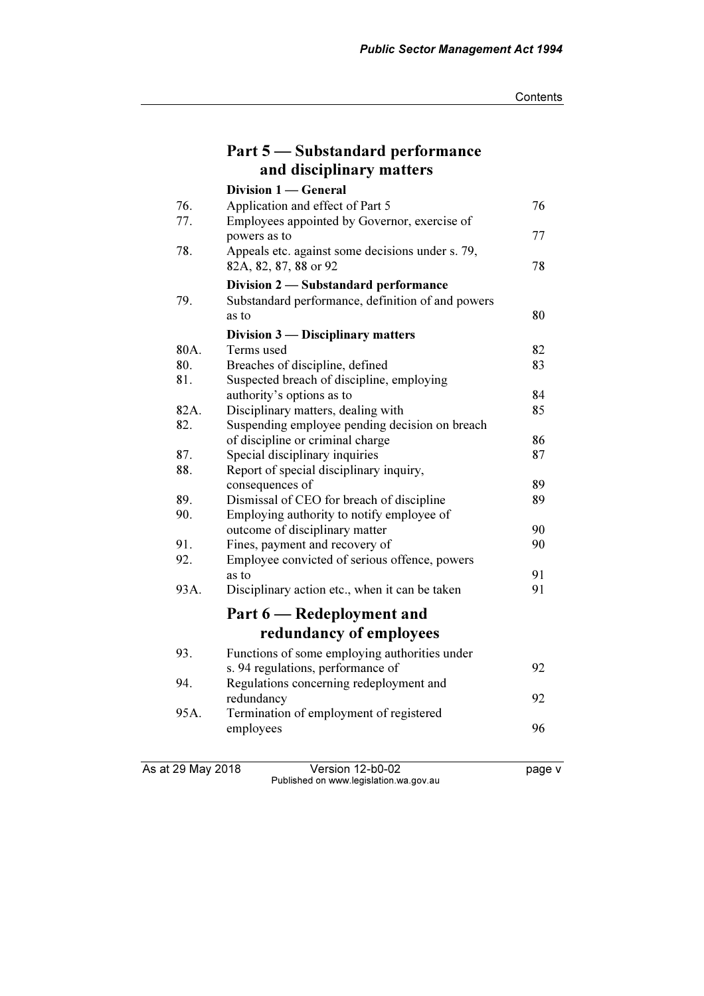|      | Part 5 — Substandard performance                                                     |          |
|------|--------------------------------------------------------------------------------------|----------|
|      | and disciplinary matters                                                             |          |
|      | Division 1 - General                                                                 |          |
| 76.  | Application and effect of Part 5                                                     | 76       |
| 77.  | Employees appointed by Governor, exercise of                                         |          |
|      | powers as to                                                                         | 77       |
| 78.  | Appeals etc. against some decisions under s. 79,<br>82A, 82, 87, 88 or 92            | 78       |
|      | Division 2 - Substandard performance                                                 |          |
| 79.  | Substandard performance, definition of and powers                                    |          |
|      | as to                                                                                | 80       |
|      | Division 3 — Disciplinary matters                                                    |          |
| 80A. | Terms used                                                                           | 82       |
| 80.  | Breaches of discipline, defined                                                      | 83       |
| 81.  | Suspected breach of discipline, employing                                            |          |
| 82A. | authority's options as to                                                            | 84<br>85 |
| 82.  | Disciplinary matters, dealing with<br>Suspending employee pending decision on breach |          |
|      | of discipline or criminal charge                                                     | 86       |
| 87.  | Special disciplinary inquiries                                                       | 87       |
| 88.  | Report of special disciplinary inquiry,                                              |          |
|      | consequences of                                                                      | 89       |
| 89.  | Dismissal of CEO for breach of discipline                                            | 89       |
| 90.  | Employing authority to notify employee of                                            |          |
|      | outcome of disciplinary matter                                                       | 90       |
| 91.  | Fines, payment and recovery of                                                       | 90       |
| 92.  | Employee convicted of serious offence, powers                                        |          |
|      | as to                                                                                | 91       |
| 93A. | Disciplinary action etc., when it can be taken                                       | 91       |
|      | Part 6 — Redeployment and                                                            |          |
|      | redundancy of employees                                                              |          |
| 93.  | Functions of some employing authorities under                                        |          |
|      | s. 94 regulations, performance of                                                    | 92       |
| 94.  | Regulations concerning redeployment and                                              |          |
|      | redundancy                                                                           | 92       |
| 95A. | Termination of employment of registered                                              |          |
|      | employees                                                                            | 96       |
|      |                                                                                      |          |

As at 29 May 2018 Version 12-b0-02 page v Published on www.legislation.wa.gov.au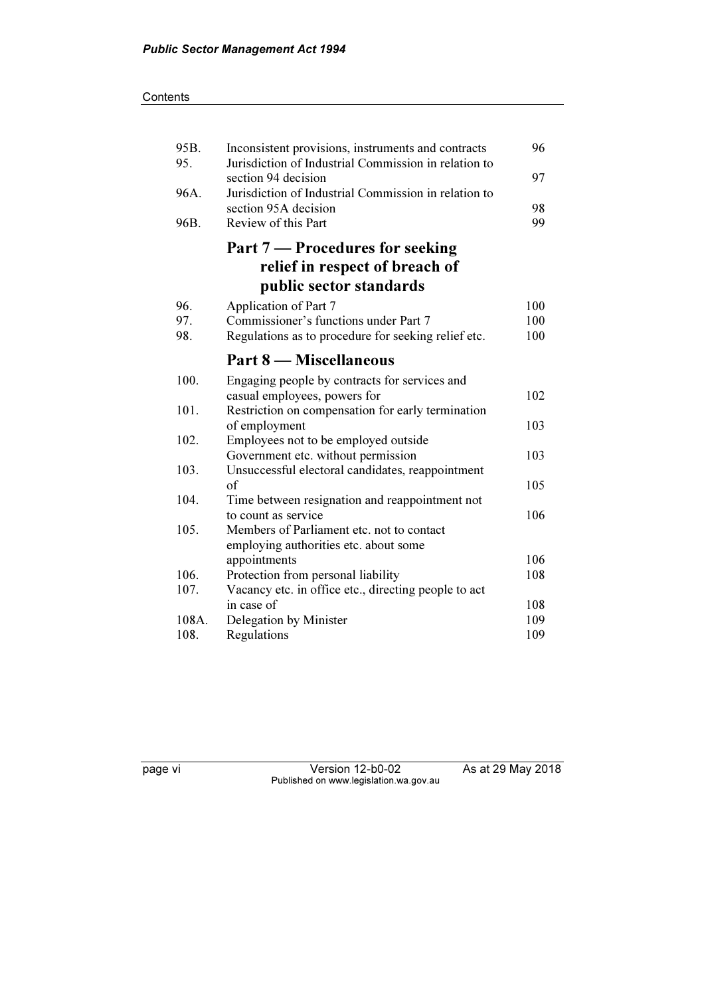| 95B.<br>95. | Inconsistent provisions, instruments and contracts<br>Jurisdiction of Industrial Commission in relation to | 96  |
|-------------|------------------------------------------------------------------------------------------------------------|-----|
|             | section 94 decision                                                                                        | 97  |
| 96A.        | Jurisdiction of Industrial Commission in relation to                                                       |     |
|             | section 95A decision                                                                                       | 98  |
| 96B.        | Review of this Part                                                                                        | 99  |
|             | Part 7 – Procedures for seeking                                                                            |     |
|             | relief in respect of breach of                                                                             |     |
|             | public sector standards                                                                                    |     |
| 96.         | Application of Part 7                                                                                      | 100 |
| 97.         | Commissioner's functions under Part 7                                                                      | 100 |
| 98.         | Regulations as to procedure for seeking relief etc.                                                        | 100 |
|             | <b>Part 8 – Miscellaneous</b>                                                                              |     |
| 100.        | Engaging people by contracts for services and                                                              |     |
|             | casual employees, powers for                                                                               | 102 |
| 101.        | Restriction on compensation for early termination                                                          |     |
|             | of employment                                                                                              | 103 |
| 102.        | Employees not to be employed outside                                                                       |     |
|             | Government etc. without permission                                                                         | 103 |
| 103.        | Unsuccessful electoral candidates, reappointment                                                           |     |
|             | of                                                                                                         | 105 |
| 104.        | Time between resignation and reappointment not                                                             |     |
|             | to count as service                                                                                        | 106 |
| 105.        | Members of Parliament etc. not to contact                                                                  |     |
|             | employing authorities etc. about some                                                                      |     |
|             | appointments                                                                                               | 106 |
| 106.        | Protection from personal liability                                                                         | 108 |
| 107.        | Vacancy etc. in office etc., directing people to act                                                       |     |
|             | in case of                                                                                                 | 108 |
| 108A.       | Delegation by Minister                                                                                     | 109 |
| 108.        | Regulations                                                                                                | 109 |

page vi Version 12-b0-02 As at 29 May 2018 Published on www.legislation.wa.gov.au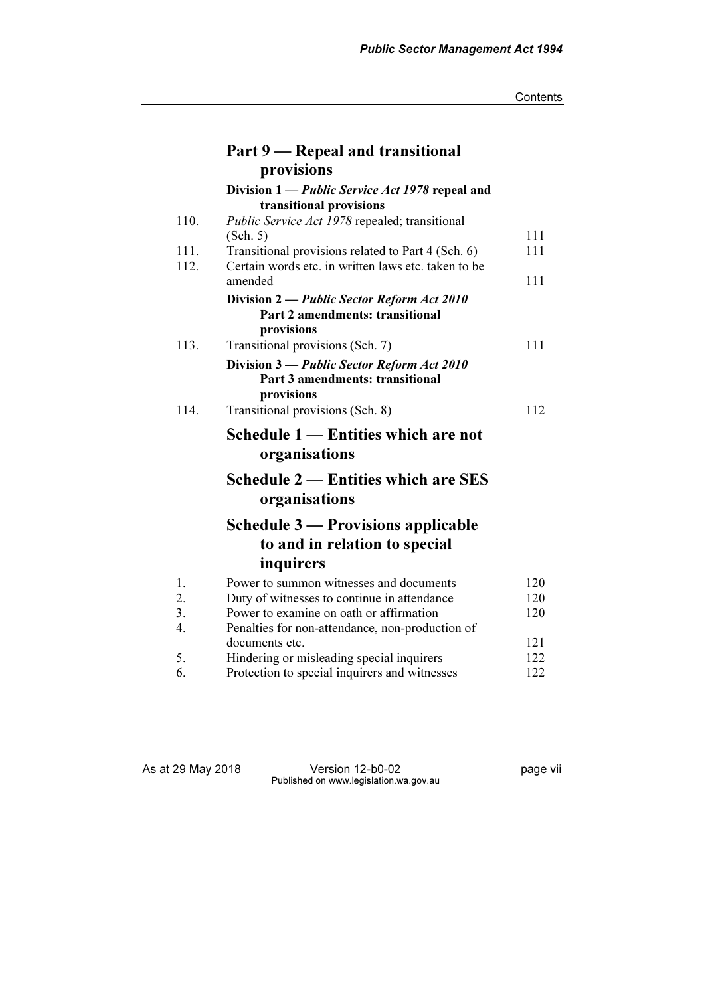|                  | Part 9 – Repeal and transitional                                                                          |     |
|------------------|-----------------------------------------------------------------------------------------------------------|-----|
|                  | provisions                                                                                                |     |
|                  | Division 1 — <i>Public Service Act 1978</i> repeal and                                                    |     |
|                  | transitional provisions                                                                                   |     |
| 110.             | <i>Public Service Act 1978</i> repealed; transitional                                                     |     |
| 111.             | (Sch. 5)                                                                                                  | 111 |
| 112.             | Transitional provisions related to Part 4 (Sch. 6)<br>Certain words etc. in written laws etc. taken to be | 111 |
|                  | amended                                                                                                   | 111 |
|                  | Division 2 — Public Sector Reform Act 2010                                                                |     |
|                  | Part 2 amendments: transitional                                                                           |     |
|                  | provisions                                                                                                |     |
| 113.             | Transitional provisions (Sch. 7)                                                                          | 111 |
|                  | Division 3 — Public Sector Reform Act 2010                                                                |     |
|                  | Part 3 amendments: transitional<br>provisions                                                             |     |
| 114.             | Transitional provisions (Sch. 8)                                                                          | 112 |
|                  |                                                                                                           |     |
|                  | Schedule 1 – Entities which are not                                                                       |     |
|                  | organisations                                                                                             |     |
|                  | <b>Schedule 2 – Entities which are SES</b>                                                                |     |
|                  | organisations                                                                                             |     |
|                  | Schedule 3 — Provisions applicable                                                                        |     |
|                  | to and in relation to special                                                                             |     |
|                  | inquirers                                                                                                 |     |
| 1.               | Power to summon witnesses and documents                                                                   | 120 |
| 2.               | Duty of witnesses to continue in attendance                                                               | 120 |
| $\overline{3}$ . | Power to examine on oath or affirmation                                                                   | 120 |
| $\overline{4}$ . | Penalties for non-attendance, non-production of                                                           |     |
|                  | documents etc.                                                                                            | 121 |
| 5.               | Hindering or misleading special inquirers                                                                 | 122 |
| 6.               | Protection to special inquirers and witnesses                                                             | 122 |

As at 29 May 2018 Version 12-b0-02 page vii Published on www.legislation.wa.gov.au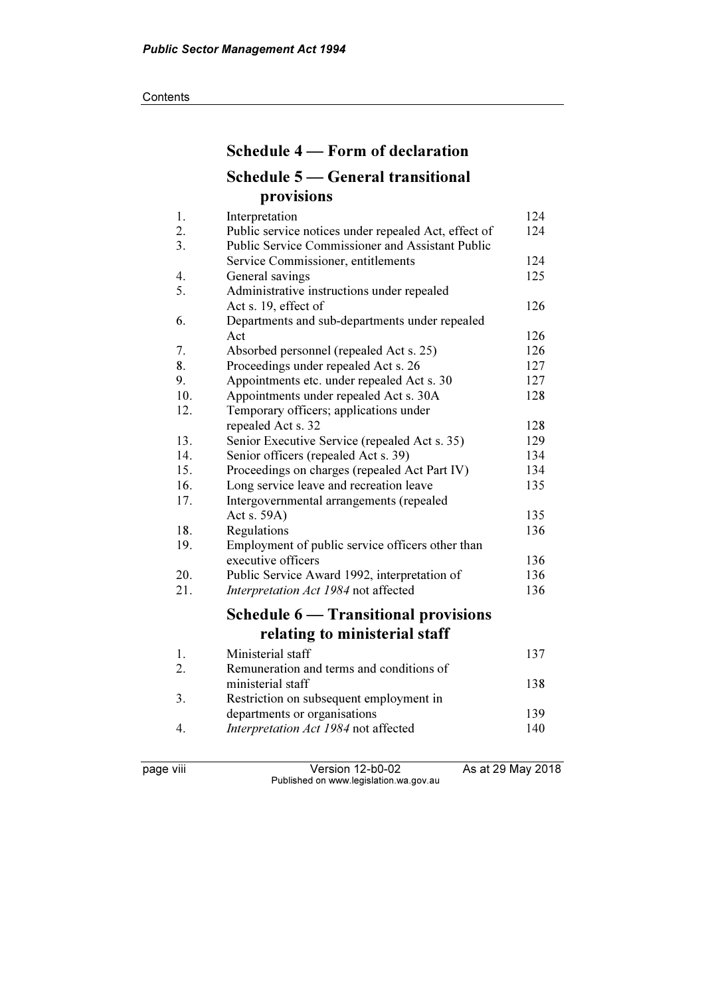# Schedule 4 — Form of declaration Schedule 5 — General transitional provisions

| 1.  | Interpretation                                          | 124 |
|-----|---------------------------------------------------------|-----|
| 2.  | Public service notices under repealed Act, effect of    | 124 |
| 3.  | <b>Public Service Commissioner and Assistant Public</b> |     |
|     | Service Commissioner, entitlements                      | 124 |
| 4.  | General savings                                         | 125 |
| 5.  | Administrative instructions under repealed              |     |
|     | Act s. 19, effect of                                    | 126 |
| 6.  | Departments and sub-departments under repealed          |     |
|     | Act                                                     | 126 |
| 7.  | Absorbed personnel (repealed Act s. 25)                 | 126 |
| 8.  | Proceedings under repealed Act s. 26                    | 127 |
| 9.  | Appointments etc. under repealed Act s. 30              | 127 |
| 10. | Appointments under repealed Act s. 30A                  | 128 |
| 12. | Temporary officers; applications under                  |     |
|     | repealed Act s. 32                                      | 128 |
| 13. | Senior Executive Service (repealed Act s. 35)           | 129 |
| 14. | Senior officers (repealed Act s. 39)                    | 134 |
| 15. | Proceedings on charges (repealed Act Part IV)           | 134 |
| 16. | Long service leave and recreation leave                 | 135 |
| 17. | Intergovernmental arrangements (repealed                |     |
|     | Act s. 59A)                                             | 135 |
| 18. | Regulations                                             | 136 |
| 19. | Employment of public service officers other than        |     |
|     | executive officers                                      | 136 |
| 20. | Public Service Award 1992, interpretation of            | 136 |
| 21. | Interpretation Act 1984 not affected                    | 136 |
|     | <b>Schedule 6 — Transitional provisions</b>             |     |
|     | relating to ministerial staff                           |     |
| 1.  | Ministerial staff                                       | 137 |
|     | Remuneration and terms and conditions of                |     |
| 2.  | ministerial staff                                       | 138 |
|     |                                                         |     |
| 3.  | Restriction on subsequent employment in                 | 139 |
| 4.  | departments or organisations                            | 140 |
|     | Interpretation Act 1984 not affected                    |     |

page viii Version 12-b0-02 As at 29 May 2018 Published on www.legislation.wa.gov.au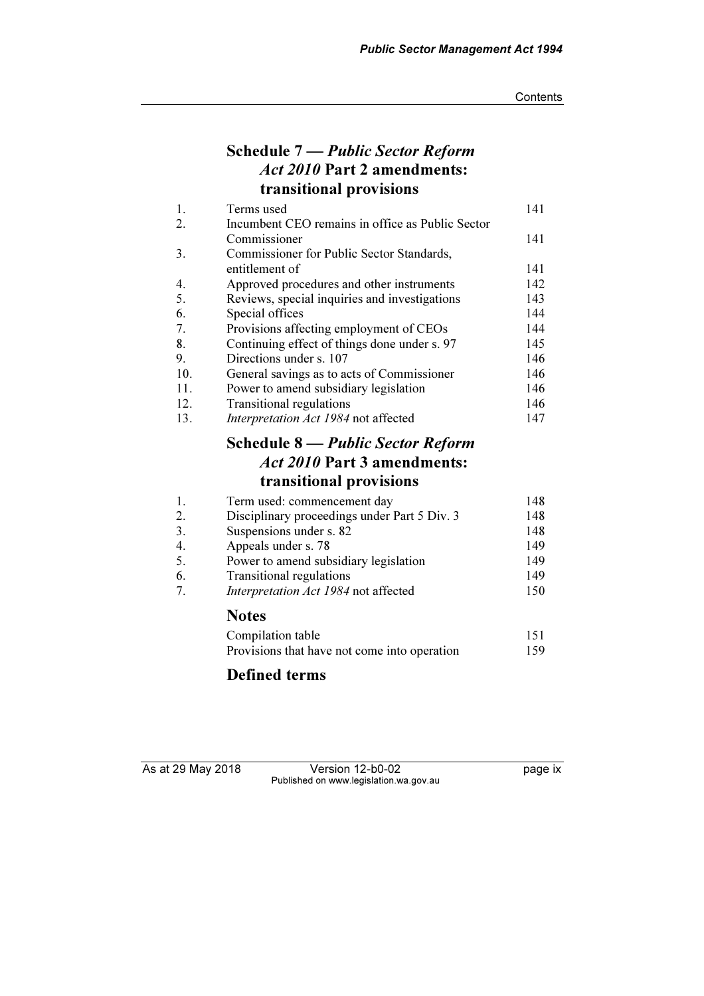## Schedule 7 — Public Sector Reform Act 2010 Part 2 amendments: transitional provisions

| 1.  | Terms used                                       | 141 |
|-----|--------------------------------------------------|-----|
| 2.  | Incumbent CEO remains in office as Public Sector |     |
|     | Commissioner                                     | 141 |
| 3.  | Commissioner for Public Sector Standards,        |     |
|     | entitlement of                                   | 141 |
| 4.  | Approved procedures and other instruments        | 142 |
| 5.  | Reviews, special inquiries and investigations    | 143 |
| 6.  | Special offices                                  | 144 |
| 7.  | Provisions affecting employment of CEOs          | 144 |
| 8.  | Continuing effect of things done under s. 97     | 145 |
| 9.  | Directions under s. 107                          | 146 |
| 10. | General savings as to acts of Commissioner       | 146 |
| 11. | Power to amend subsidiary legislation            | 146 |
| 12. | <b>Transitional regulations</b>                  | 146 |
| 13. | Interpretation Act 1984 not affected             | 147 |

## Schedule 8 — Public Sector Reform Act 2010 Part 3 amendments: transitional provisions

| 1. | Term used: commencement day                  | 148 |
|----|----------------------------------------------|-----|
| 2. | Disciplinary proceedings under Part 5 Div. 3 | 148 |
| 3. | Suspensions under s. 82                      | 148 |
| 4. | Appeals under s. 78                          | 149 |
| 5. | Power to amend subsidiary legislation        | 149 |
| 6. | <b>Transitional regulations</b>              | 149 |
| 7. | Interpretation Act 1984 not affected         | 150 |
|    | <b>Notes</b>                                 |     |
|    | Compilation table                            | 151 |
|    | Provisions that have not come into operation | 159 |

## Defined terms

As at 29 May 2018 Version 12-b0-02 Page ix Published on www.legislation.wa.gov.au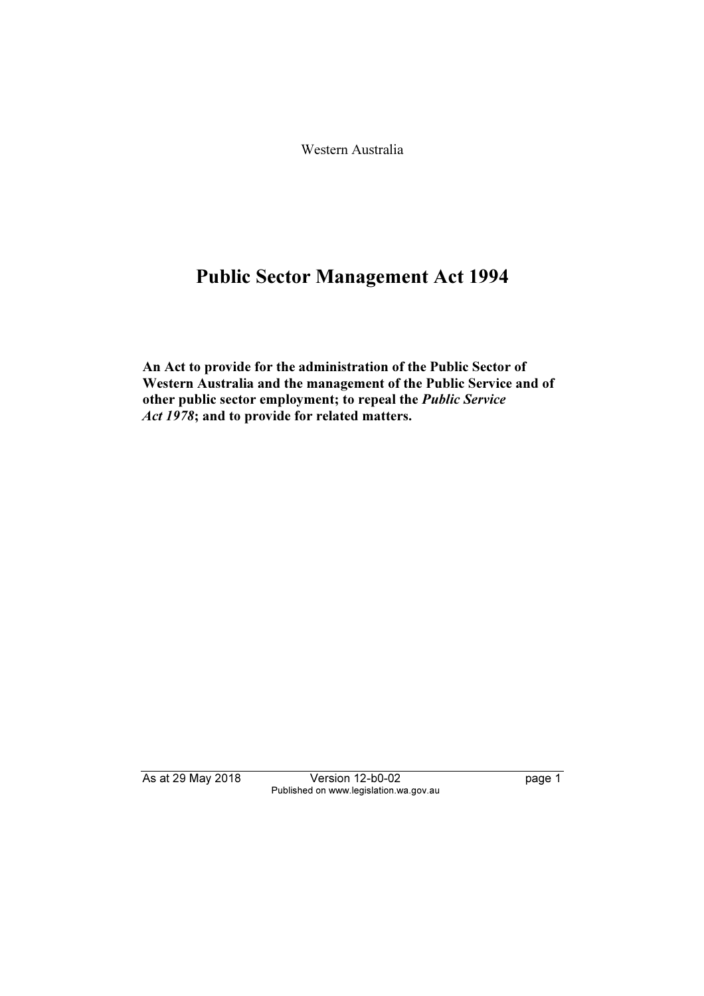Western Australia

# Public Sector Management Act 1994

An Act to provide for the administration of the Public Sector of Western Australia and the management of the Public Service and of other public sector employment; to repeal the Public Service Act 1978; and to provide for related matters.

As at 29 May 2018 Version 12-b0-02 page 1 Published on www.legislation.wa.gov.au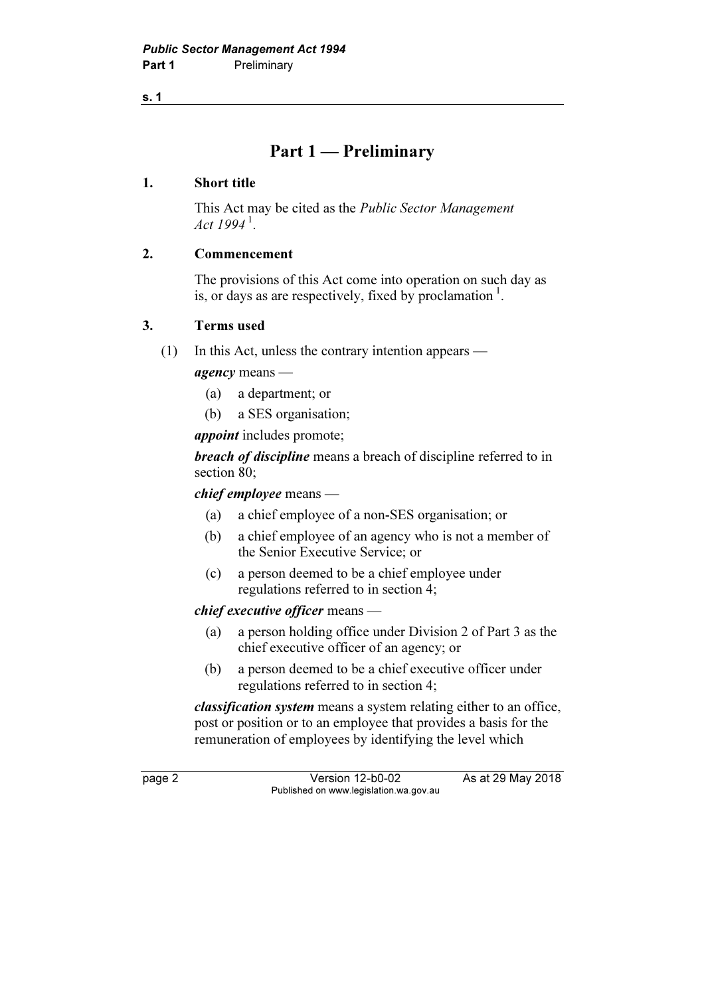s. 1

## Part 1 — Preliminary

#### 1. Short title

 This Act may be cited as the Public Sector Management Act  $1994^{\text{1}}$ .

## 2. Commencement

 The provisions of this Act come into operation on such day as is, or days as are respectively, fixed by proclamation<sup>1</sup>.

### 3. Terms used

(1) In this Act, unless the contrary intention appears —

agency means —

- (a) a department; or
- (b) a SES organisation;

*appoint* includes promote;

breach of discipline means a breach of discipline referred to in section 80;

chief employee means —

- (a) a chief employee of a non-SES organisation; or
- (b) a chief employee of an agency who is not a member of the Senior Executive Service; or
- (c) a person deemed to be a chief employee under regulations referred to in section 4;

#### chief executive officer means —

- (a) a person holding office under Division 2 of Part 3 as the chief executive officer of an agency; or
- (b) a person deemed to be a chief executive officer under regulations referred to in section 4;

classification system means a system relating either to an office, post or position or to an employee that provides a basis for the remuneration of employees by identifying the level which

page 2 Version 12-b0-02 As at 29 May 2018 Published on www.legislation.wa.gov.au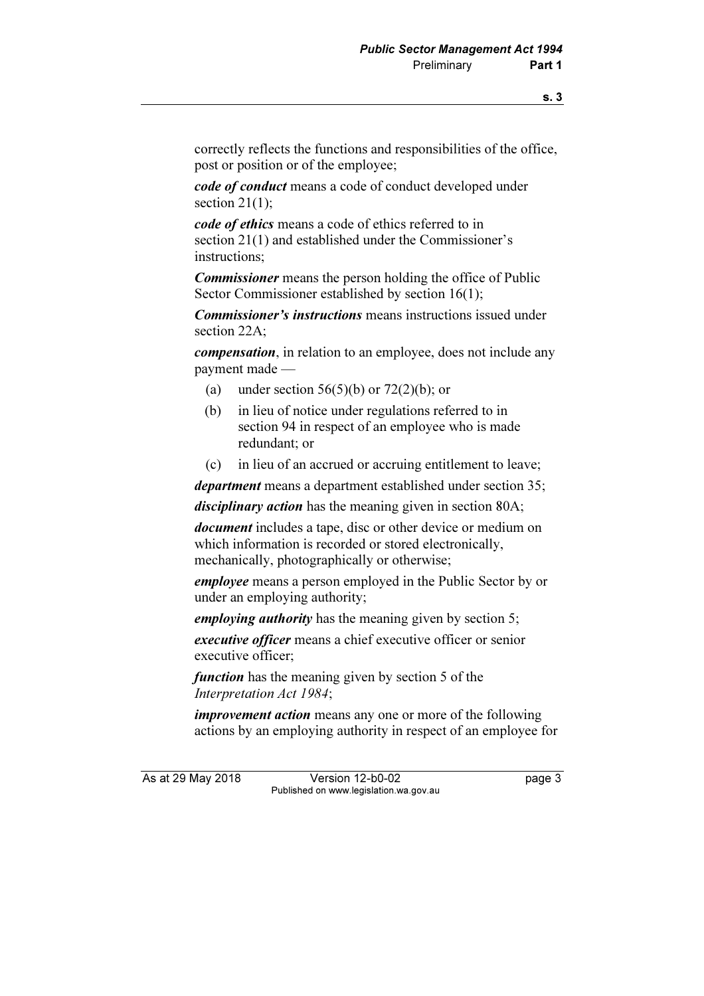correctly reflects the functions and responsibilities of the office, post or position or of the employee;

code of conduct means a code of conduct developed under section 21(1):

code of ethics means a code of ethics referred to in section 21(1) and established under the Commissioner's instructions;

**Commissioner** means the person holding the office of Public Sector Commissioner established by section 16(1);

Commissioner's instructions means instructions issued under section 22A;

compensation, in relation to an employee, does not include any payment made —

- (a) under section  $56(5)(b)$  or  $72(2)(b)$ ; or
- (b) in lieu of notice under regulations referred to in section 94 in respect of an employee who is made redundant; or
- (c) in lieu of an accrued or accruing entitlement to leave;

department means a department established under section 35;

disciplinary action has the meaning given in section 80A;

document includes a tape, disc or other device or medium on which information is recorded or stored electronically, mechanically, photographically or otherwise;

employee means a person employed in the Public Sector by or under an employing authority;

employing *authority* has the meaning given by section 5;

executive officer means a chief executive officer or senior executive officer;

function has the meaning given by section 5 of the Interpretation Act 1984;

improvement action means any one or more of the following actions by an employing authority in respect of an employee for

As at 29 May 2018 Version 12-b0-02 page 3 Published on www.legislation.wa.gov.au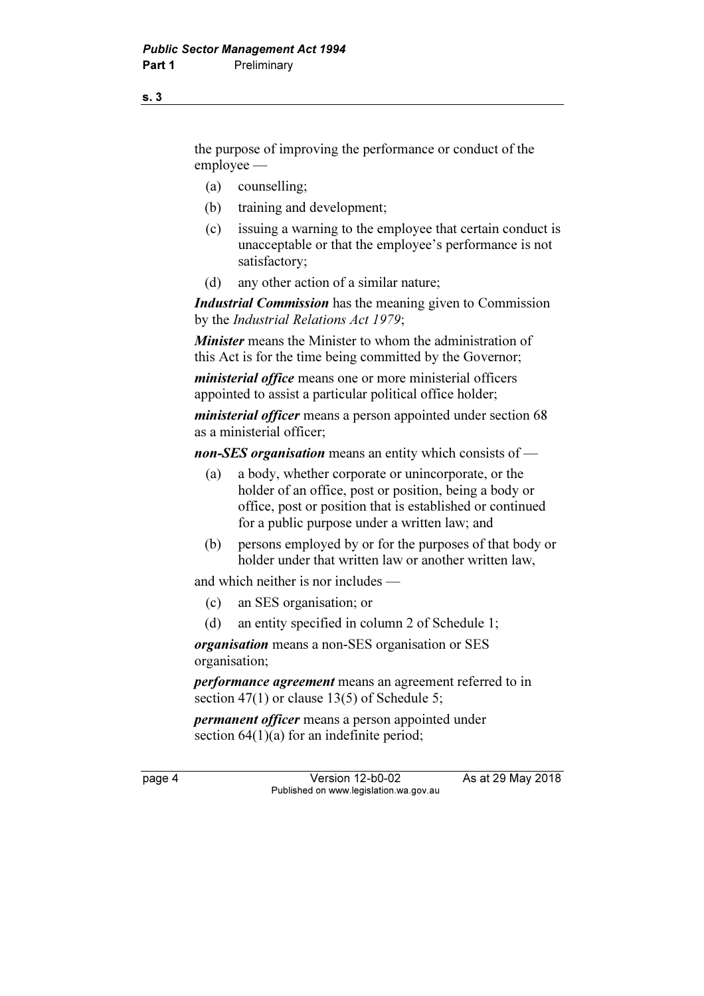the purpose of improving the performance or conduct of the employee —

- (a) counselling;
- (b) training and development;
- (c) issuing a warning to the employee that certain conduct is unacceptable or that the employee's performance is not satisfactory;
- (d) any other action of a similar nature;

**Industrial Commission** has the meaning given to Commission by the Industrial Relations Act 1979;

Minister means the Minister to whom the administration of this Act is for the time being committed by the Governor;

ministerial office means one or more ministerial officers appointed to assist a particular political office holder;

*ministerial officer* means a person appointed under section 68 as a ministerial officer;

non-SES organisation means an entity which consists of  $-$ 

- (a) a body, whether corporate or unincorporate, or the holder of an office, post or position, being a body or office, post or position that is established or continued for a public purpose under a written law; and
- (b) persons employed by or for the purposes of that body or holder under that written law or another written law,

and which neither is nor includes —

- (c) an SES organisation; or
- (d) an entity specified in column 2 of Schedule 1;

organisation means a non-SES organisation or SES organisation;

performance agreement means an agreement referred to in section 47(1) or clause 13(5) of Schedule 5;

permanent officer means a person appointed under section  $64(1)(a)$  for an indefinite period;

page 4 Version 12-b0-02 As at 29 May 2018 Published on www.legislation.wa.gov.au

s. 3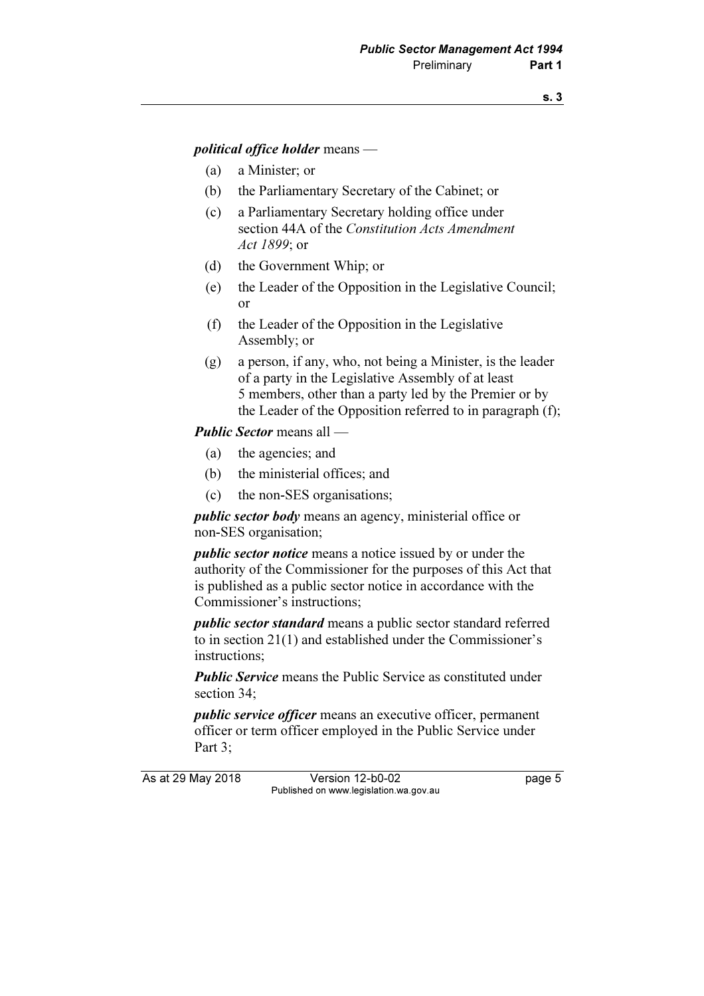#### political office holder means —

- (a) a Minister; or
- (b) the Parliamentary Secretary of the Cabinet; or
- (c) a Parliamentary Secretary holding office under section 44A of the Constitution Acts Amendment Act 1899; or
- (d) the Government Whip; or
- (e) the Leader of the Opposition in the Legislative Council; or
- (f) the Leader of the Opposition in the Legislative Assembly; or
- (g) a person, if any, who, not being a Minister, is the leader of a party in the Legislative Assembly of at least 5 members, other than a party led by the Premier or by the Leader of the Opposition referred to in paragraph (f);

#### Public Sector means all —

- (a) the agencies; and
- (b) the ministerial offices; and
- (c) the non-SES organisations;

public sector body means an agency, ministerial office or non-SES organisation;

public sector notice means a notice issued by or under the authority of the Commissioner for the purposes of this Act that is published as a public sector notice in accordance with the Commissioner's instructions;

public sector standard means a public sector standard referred to in section 21(1) and established under the Commissioner's instructions;

**Public Service** means the Public Service as constituted under section 34;

public service officer means an executive officer, permanent officer or term officer employed in the Public Service under Part 3:

As at 29 May 2018 Version 12-b0-02 page 5 Published on www.legislation.wa.gov.au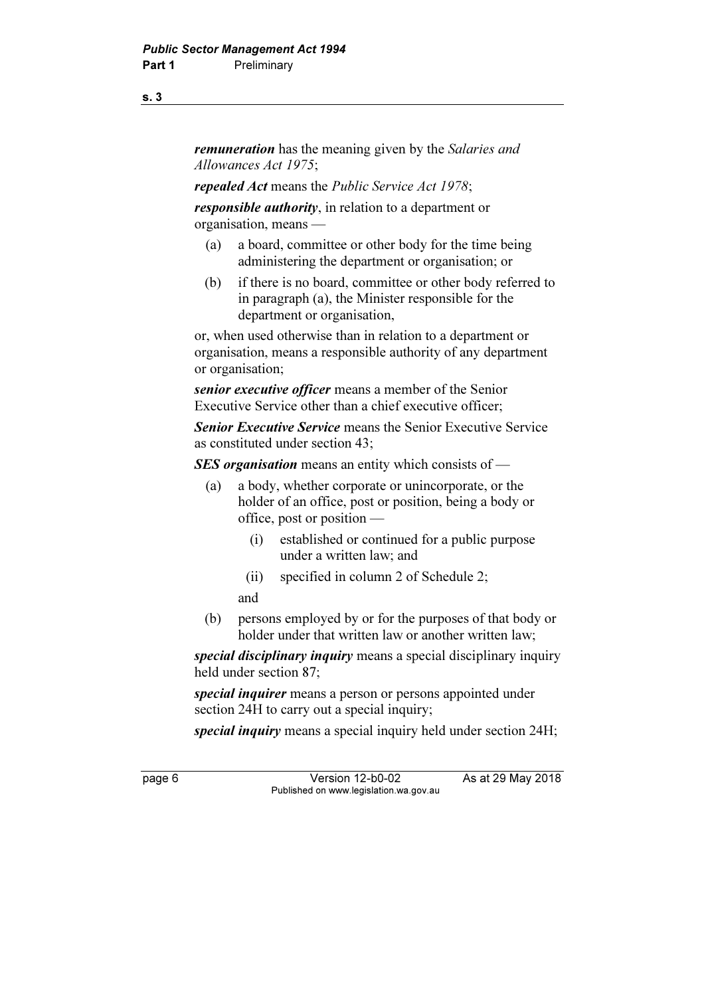remuneration has the meaning given by the Salaries and Allowances Act 1975;

repealed Act means the Public Service Act 1978;

responsible *authority*, in relation to a department or organisation, means —

- (a) a board, committee or other body for the time being administering the department or organisation; or
- (b) if there is no board, committee or other body referred to in paragraph (a), the Minister responsible for the department or organisation,

 or, when used otherwise than in relation to a department or organisation, means a responsible authority of any department or organisation;

senior executive officer means a member of the Senior Executive Service other than a chief executive officer;

Senior Executive Service means the Senior Executive Service as constituted under section 43;

SES organisation means an entity which consists of —

- (a) a body, whether corporate or unincorporate, or the holder of an office, post or position, being a body or office, post or position —
	- (i) established or continued for a public purpose under a written law; and
	- (ii) specified in column 2 of Schedule 2;

and

 (b) persons employed by or for the purposes of that body or holder under that written law or another written law;

special disciplinary inquiry means a special disciplinary inquiry held under section 87;

special inquirer means a person or persons appointed under section 24H to carry out a special inquiry;

special inquiry means a special inquiry held under section 24H;

page 6 Version 12-b0-02 As at 29 May 2018 Published on www.legislation.wa.gov.au

s. 3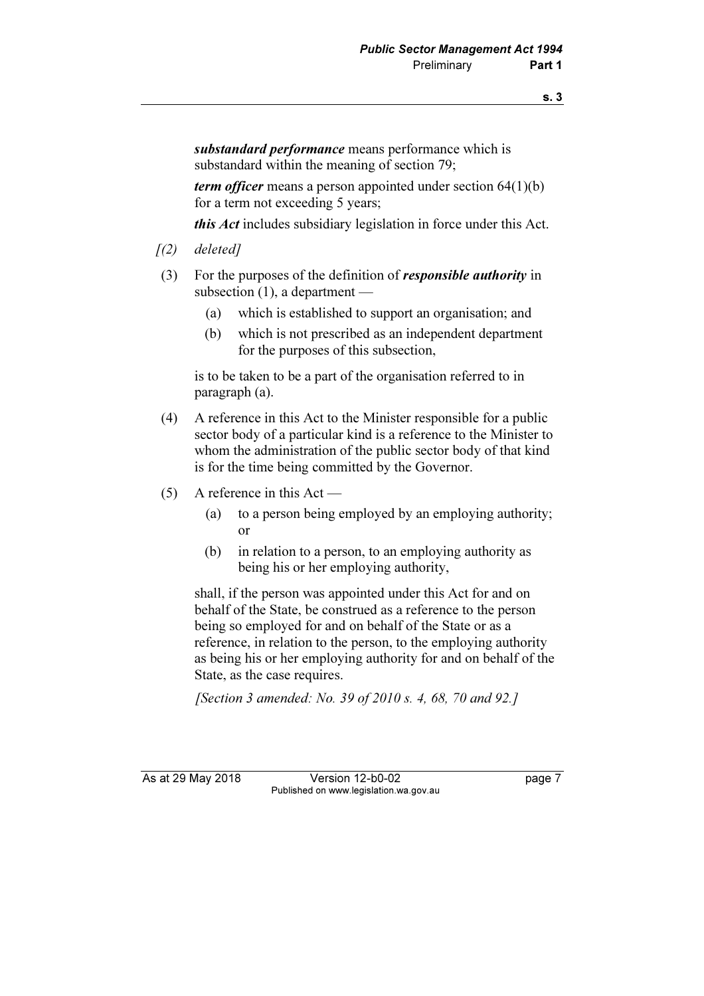substandard performance means performance which is substandard within the meaning of section 79;

term officer means a person appointed under section  $64(1)(b)$ for a term not exceeding 5 years;

this Act includes subsidiary legislation in force under this Act.

- $(2)$  deleted]
- (3) For the purposes of the definition of responsible authority in subsection (1), a department —
	- (a) which is established to support an organisation; and
	- (b) which is not prescribed as an independent department for the purposes of this subsection,

 is to be taken to be a part of the organisation referred to in paragraph (a).

- (4) A reference in this Act to the Minister responsible for a public sector body of a particular kind is a reference to the Minister to whom the administration of the public sector body of that kind is for the time being committed by the Governor.
- (5) A reference in this Act
	- (a) to a person being employed by an employing authority; or
	- (b) in relation to a person, to an employing authority as being his or her employing authority,

 shall, if the person was appointed under this Act for and on behalf of the State, be construed as a reference to the person being so employed for and on behalf of the State or as a reference, in relation to the person, to the employing authority as being his or her employing authority for and on behalf of the State, as the case requires.

[Section 3 amended: No. 39 of 2010 s. 4, 68, 70 and 92.]

As at 29 May 2018 Version 12-b0-02 Page 7 Published on www.legislation.wa.gov.au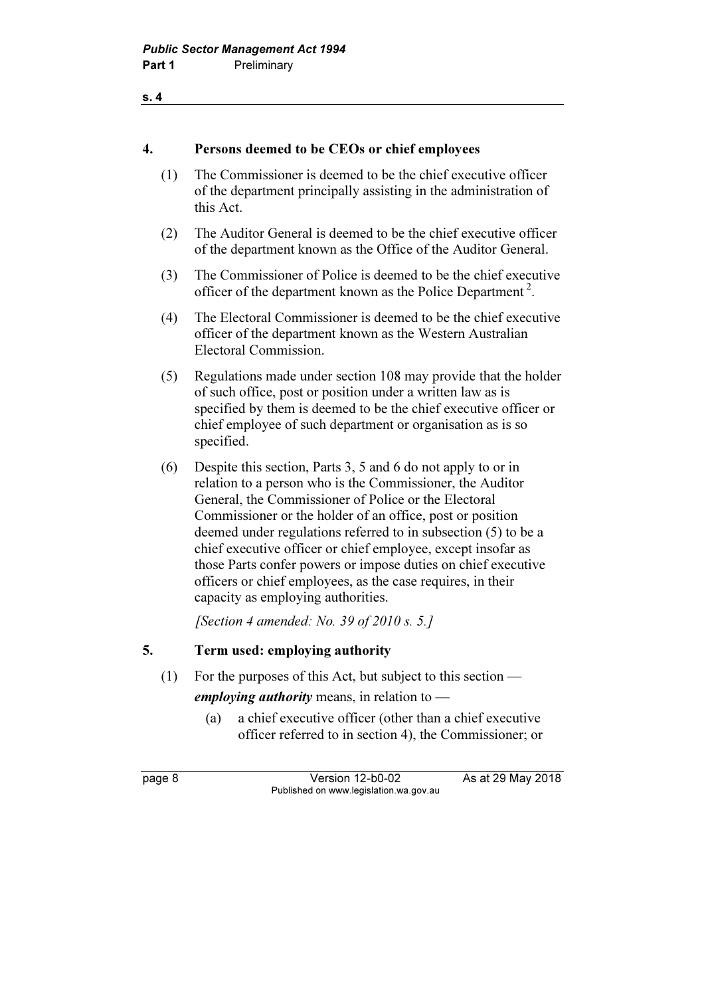#### s. 4

## 4. Persons deemed to be CEOs or chief employees

- (1) The Commissioner is deemed to be the chief executive officer of the department principally assisting in the administration of this Act.
- (2) The Auditor General is deemed to be the chief executive officer of the department known as the Office of the Auditor General.
- (3) The Commissioner of Police is deemed to be the chief executive officer of the department known as the Police Department<sup>2</sup>.
- (4) The Electoral Commissioner is deemed to be the chief executive officer of the department known as the Western Australian Electoral Commission.
- (5) Regulations made under section 108 may provide that the holder of such office, post or position under a written law as is specified by them is deemed to be the chief executive officer or chief employee of such department or organisation as is so specified.
- (6) Despite this section, Parts 3, 5 and 6 do not apply to or in relation to a person who is the Commissioner, the Auditor General, the Commissioner of Police or the Electoral Commissioner or the holder of an office, post or position deemed under regulations referred to in subsection (5) to be a chief executive officer or chief employee, except insofar as those Parts confer powers or impose duties on chief executive officers or chief employees, as the case requires, in their capacity as employing authorities.

[Section 4 amended: No. 39 of 2010 s. 5.]

## 5. Term used: employing authority

(1) For the purposes of this Act, but subject to this section —

emploving *authority* means, in relation to  $\rightarrow$ 

 (a) a chief executive officer (other than a chief executive officer referred to in section 4), the Commissioner; or

page 8 Version 12-b0-02 As at 29 May 2018 Published on www.legislation.wa.gov.au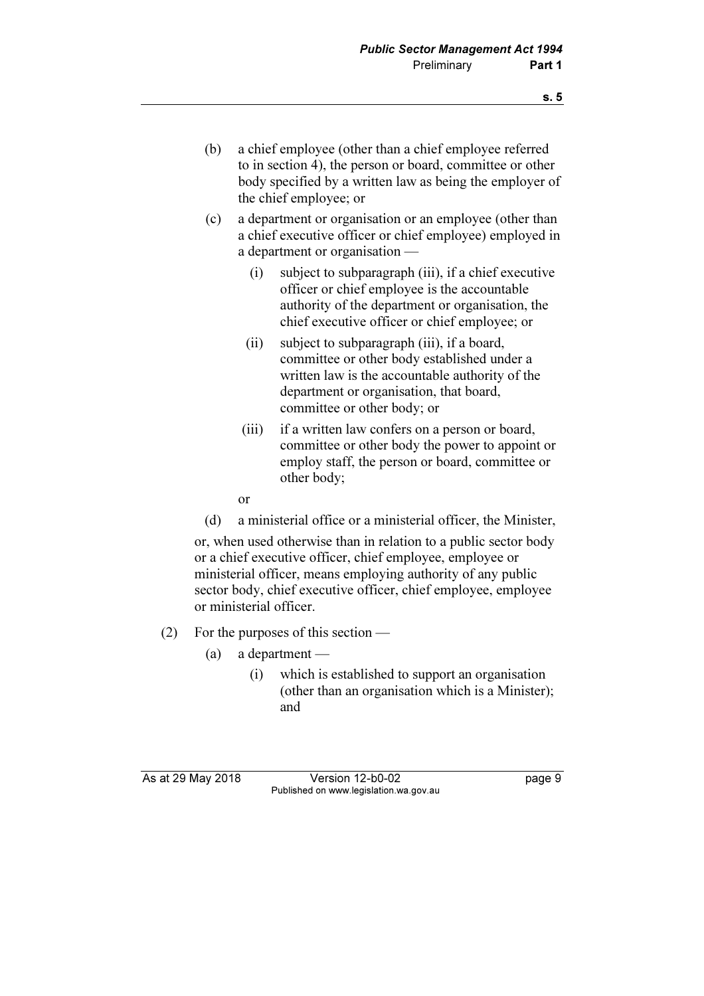- (b) a chief employee (other than a chief employee referred to in section 4), the person or board, committee or other body specified by a written law as being the employer of the chief employee; or
- (c) a department or organisation or an employee (other than a chief executive officer or chief employee) employed in a department or organisation —
	- (i) subject to subparagraph (iii), if a chief executive officer or chief employee is the accountable authority of the department or organisation, the chief executive officer or chief employee; or
	- (ii) subject to subparagraph (iii), if a board, committee or other body established under a written law is the accountable authority of the department or organisation, that board, committee or other body; or
	- (iii) if a written law confers on a person or board, committee or other body the power to appoint or employ staff, the person or board, committee or other body;

or

(d) a ministerial office or a ministerial officer, the Minister,

 or, when used otherwise than in relation to a public sector body or a chief executive officer, chief employee, employee or ministerial officer, means employing authority of any public sector body, chief executive officer, chief employee, employee or ministerial officer.

- (2) For the purposes of this section
	- (a) a department
		- (i) which is established to support an organisation (other than an organisation which is a Minister); and

As at 29 May 2018 **Version 12-b0-02** page 9 Published on www.legislation.wa.gov.au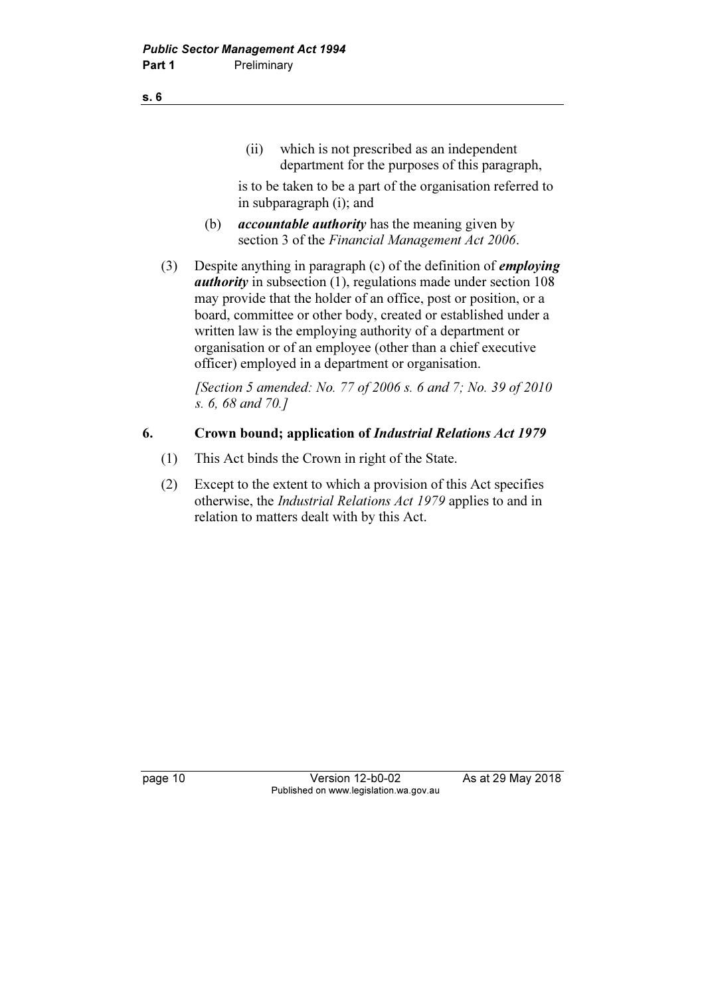(ii) which is not prescribed as an independent department for the purposes of this paragraph,

 is to be taken to be a part of the organisation referred to in subparagraph (i); and

- (b)  $$ section 3 of the Financial Management Act 2006.
- (3) Despite anything in paragraph (c) of the definition of *employing authority* in subsection  $(1)$ , regulations made under section  $108$ may provide that the holder of an office, post or position, or a board, committee or other body, created or established under a written law is the employing authority of a department or organisation or of an employee (other than a chief executive officer) employed in a department or organisation.

[Section 5 amended: No. 77 of 2006 s. 6 and 7; No. 39 of 2010] s. 6, 68 and 70.]

## 6. Crown bound; application of Industrial Relations Act 1979

- (1) This Act binds the Crown in right of the State.
- (2) Except to the extent to which a provision of this Act specifies otherwise, the Industrial Relations Act 1979 applies to and in relation to matters dealt with by this Act.

page 10 Version 12-b0-02 As at 29 May 2018 Published on www.legislation.wa.gov.au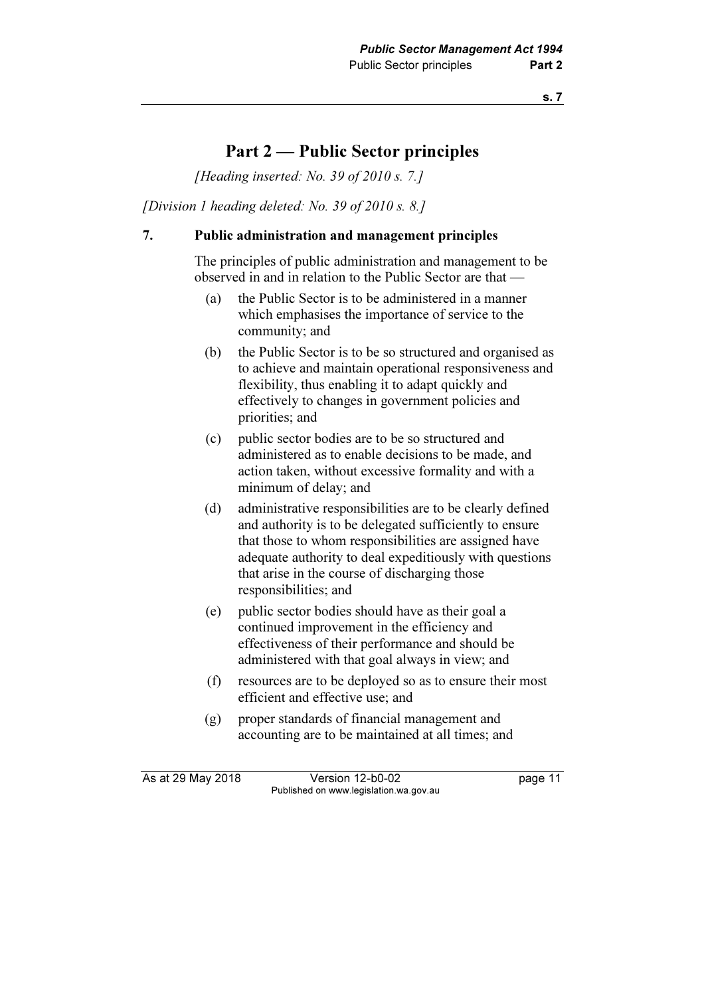## Part 2 — Public Sector principles

[Heading inserted: No. 39 of 2010 s. 7.]

[Division 1 heading deleted: No. 39 of 2010 s. 8.]

#### 7. Public administration and management principles

 The principles of public administration and management to be observed in and in relation to the Public Sector are that —

- (a) the Public Sector is to be administered in a manner which emphasises the importance of service to the community; and
- (b) the Public Sector is to be so structured and organised as to achieve and maintain operational responsiveness and flexibility, thus enabling it to adapt quickly and effectively to changes in government policies and priorities; and
- (c) public sector bodies are to be so structured and administered as to enable decisions to be made, and action taken, without excessive formality and with a minimum of delay; and
- (d) administrative responsibilities are to be clearly defined and authority is to be delegated sufficiently to ensure that those to whom responsibilities are assigned have adequate authority to deal expeditiously with questions that arise in the course of discharging those responsibilities; and
- (e) public sector bodies should have as their goal a continued improvement in the efficiency and effectiveness of their performance and should be administered with that goal always in view; and
- (f) resources are to be deployed so as to ensure their most efficient and effective use; and
- (g) proper standards of financial management and accounting are to be maintained at all times; and

As at 29 May 2018 Version 12-b0-02 page 11 Published on www.legislation.wa.gov.au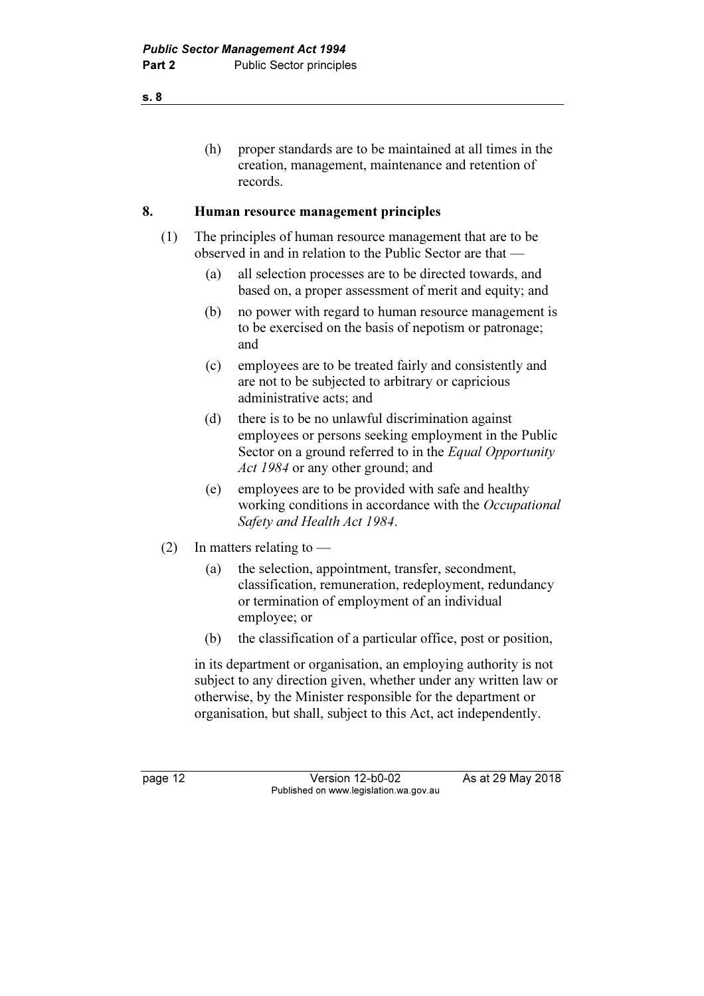(h) proper standards are to be maintained at all times in the creation, management, maintenance and retention of records.

### 8. Human resource management principles

- (1) The principles of human resource management that are to be observed in and in relation to the Public Sector are that —
	- (a) all selection processes are to be directed towards, and based on, a proper assessment of merit and equity; and
	- (b) no power with regard to human resource management is to be exercised on the basis of nepotism or patronage; and
	- (c) employees are to be treated fairly and consistently and are not to be subjected to arbitrary or capricious administrative acts; and
	- (d) there is to be no unlawful discrimination against employees or persons seeking employment in the Public Sector on a ground referred to in the *Equal Opportunity* Act 1984 or any other ground; and
	- (e) employees are to be provided with safe and healthy working conditions in accordance with the *Occupational* Safety and Health Act 1984.
- (2) In matters relating to
	- (a) the selection, appointment, transfer, secondment, classification, remuneration, redeployment, redundancy or termination of employment of an individual employee; or
	- (b) the classification of a particular office, post or position,

 in its department or organisation, an employing authority is not subject to any direction given, whether under any written law or otherwise, by the Minister responsible for the department or organisation, but shall, subject to this Act, act independently.

page 12 Version 12-b0-02 As at 29 May 2018 Published on www.legislation.wa.gov.au

s. 8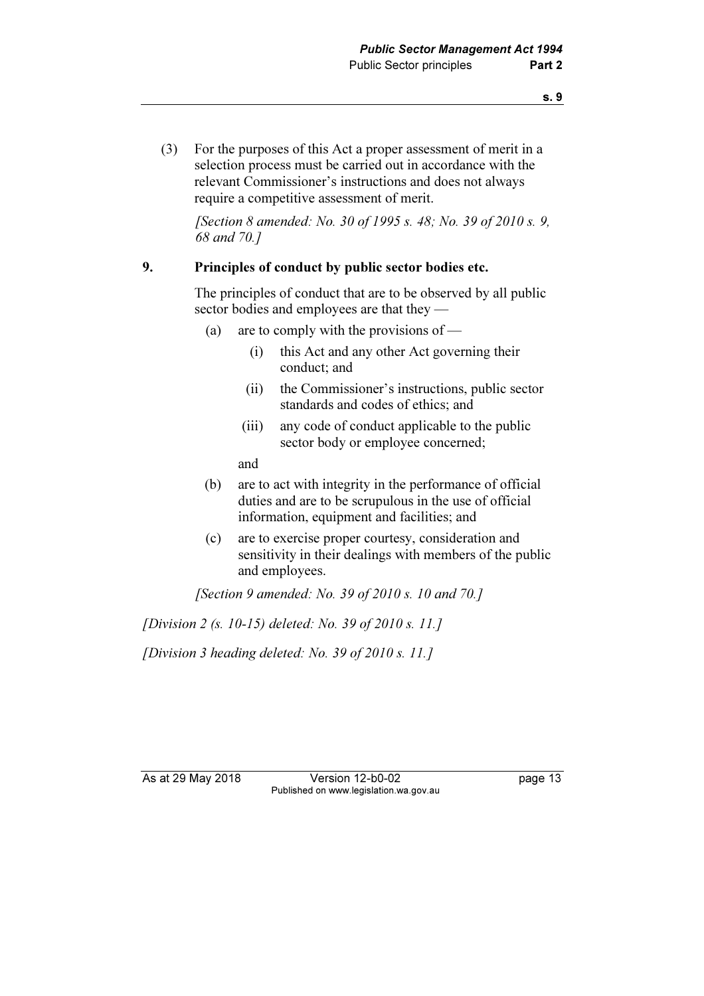(3) For the purposes of this Act a proper assessment of merit in a selection process must be carried out in accordance with the relevant Commissioner's instructions and does not always require a competitive assessment of merit.

[Section 8 amended: No. 30 of 1995 s. 48; No. 39 of 2010 s. 9, 68 and 70.]

### 9. Principles of conduct by public sector bodies etc.

 The principles of conduct that are to be observed by all public sector bodies and employees are that they —

- (a) are to comply with the provisions of
	- (i) this Act and any other Act governing their conduct; and
	- (ii) the Commissioner's instructions, public sector standards and codes of ethics; and
	- (iii) any code of conduct applicable to the public sector body or employee concerned;

and

- (b) are to act with integrity in the performance of official duties and are to be scrupulous in the use of official information, equipment and facilities; and
- (c) are to exercise proper courtesy, consideration and sensitivity in their dealings with members of the public and employees.

[Section 9 amended: No. 39 of 2010 s. 10 and 70.]

[Division 2 (s. 10-15) deleted: No. 39 of 2010 s. 11.]

[Division 3 heading deleted: No. 39 of 2010 s. 11.]

As at 29 May 2018 Version 12-b0-02 page 13 Published on www.legislation.wa.gov.au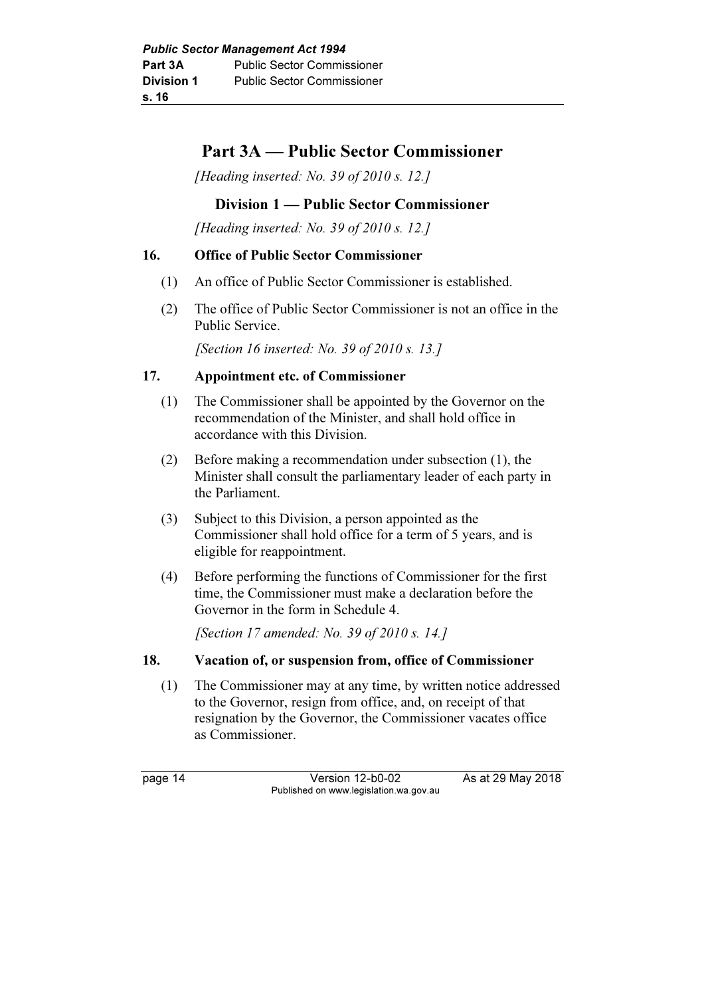# Part 3A — Public Sector Commissioner

[Heading inserted: No. 39 of 2010 s. 12.]

## Division 1 — Public Sector Commissioner

[Heading inserted: No. 39 of 2010 s. 12.]

## 16. Office of Public Sector Commissioner

- (1) An office of Public Sector Commissioner is established.
- (2) The office of Public Sector Commissioner is not an office in the Public Service.

[Section 16 inserted: No. 39 of 2010 s. 13.]

## 17. Appointment etc. of Commissioner

- (1) The Commissioner shall be appointed by the Governor on the recommendation of the Minister, and shall hold office in accordance with this Division.
- (2) Before making a recommendation under subsection (1), the Minister shall consult the parliamentary leader of each party in the Parliament.
- (3) Subject to this Division, a person appointed as the Commissioner shall hold office for a term of 5 years, and is eligible for reappointment.
- (4) Before performing the functions of Commissioner for the first time, the Commissioner must make a declaration before the Governor in the form in Schedule 4.

[Section 17 amended: No. 39 of 2010 s. 14.]

## 18. Vacation of, or suspension from, office of Commissioner

 (1) The Commissioner may at any time, by written notice addressed to the Governor, resign from office, and, on receipt of that resignation by the Governor, the Commissioner vacates office as Commissioner.

page 14 Version 12-b0-02 As at 29 May 2018 Published on www.legislation.wa.gov.au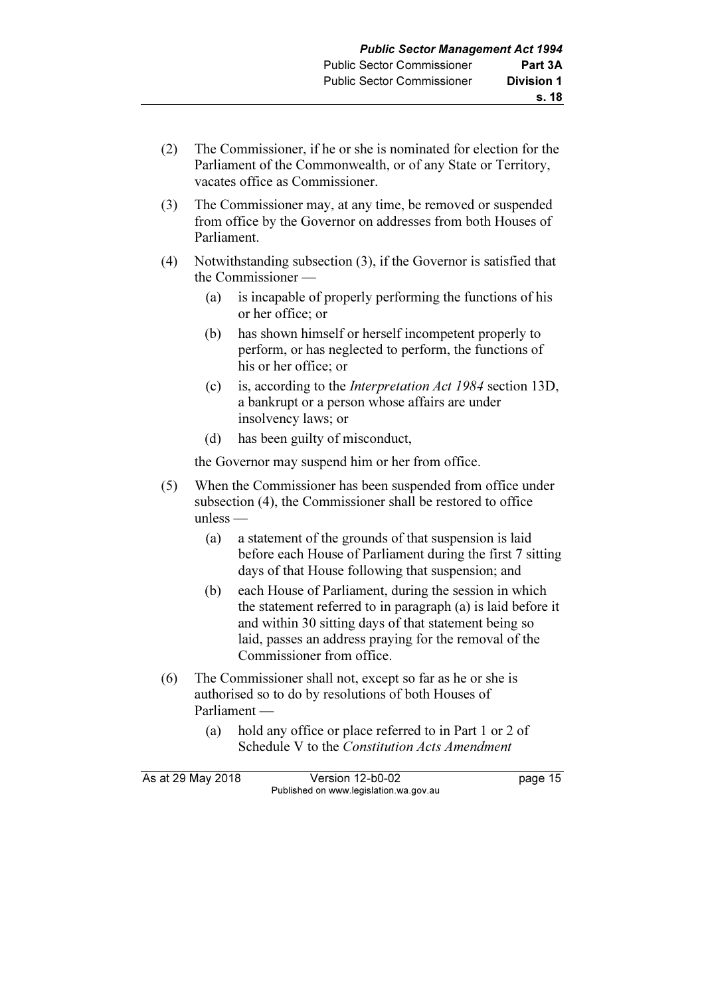- (2) The Commissioner, if he or she is nominated for election for the Parliament of the Commonwealth, or of any State or Territory, vacates office as Commissioner.
- (3) The Commissioner may, at any time, be removed or suspended from office by the Governor on addresses from both Houses of Parliament.
- (4) Notwithstanding subsection (3), if the Governor is satisfied that the Commissioner —
	- (a) is incapable of properly performing the functions of his or her office; or
	- (b) has shown himself or herself incompetent properly to perform, or has neglected to perform, the functions of his or her office; or
	- (c) is, according to the Interpretation Act 1984 section 13D, a bankrupt or a person whose affairs are under insolvency laws; or
	- (d) has been guilty of misconduct,

the Governor may suspend him or her from office.

- (5) When the Commissioner has been suspended from office under subsection (4), the Commissioner shall be restored to office unless —
	- (a) a statement of the grounds of that suspension is laid before each House of Parliament during the first 7 sitting days of that House following that suspension; and
	- (b) each House of Parliament, during the session in which the statement referred to in paragraph (a) is laid before it and within 30 sitting days of that statement being so laid, passes an address praying for the removal of the Commissioner from office.
- (6) The Commissioner shall not, except so far as he or she is authorised so to do by resolutions of both Houses of Parliament —
	- (a) hold any office or place referred to in Part 1 or 2 of Schedule V to the Constitution Acts Amendment

As at 29 May 2018 Version 12-b0-02 page 15 Published on www.legislation.wa.gov.au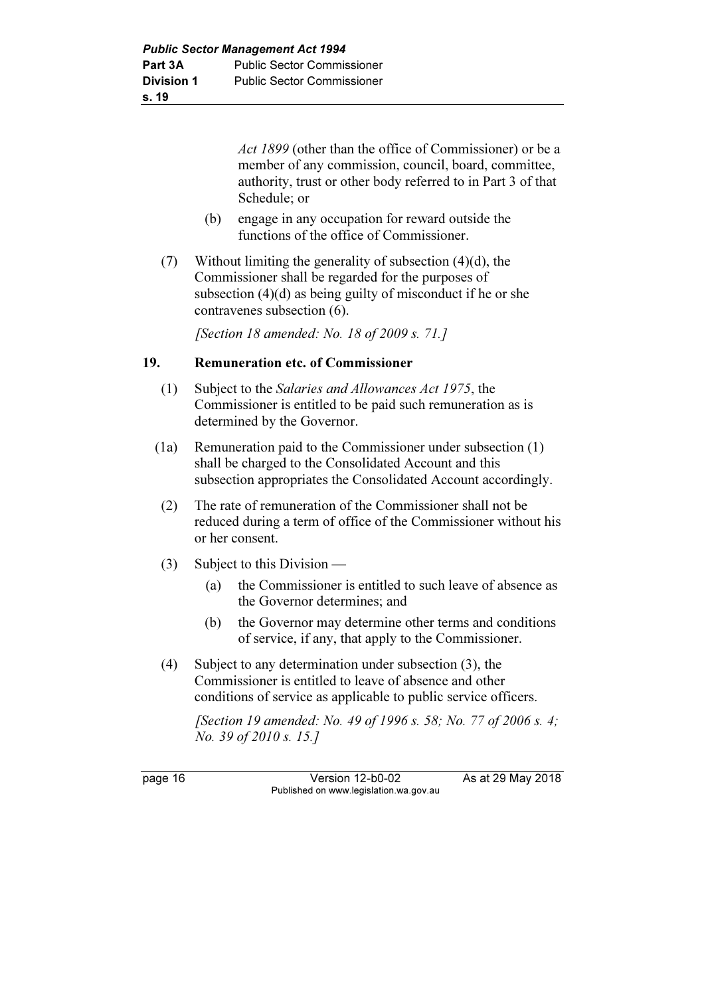Act 1899 (other than the office of Commissioner) or be a member of any commission, council, board, committee, authority, trust or other body referred to in Part 3 of that Schedule; or

- (b) engage in any occupation for reward outside the functions of the office of Commissioner.
- (7) Without limiting the generality of subsection  $(4)(d)$ , the Commissioner shall be regarded for the purposes of subsection (4)(d) as being guilty of misconduct if he or she contravenes subsection (6).

[Section 18 amended: No. 18 of 2009 s. 71.]

### 19. Remuneration etc. of Commissioner

- (1) Subject to the Salaries and Allowances Act 1975, the Commissioner is entitled to be paid such remuneration as is determined by the Governor.
- (1a) Remuneration paid to the Commissioner under subsection (1) shall be charged to the Consolidated Account and this subsection appropriates the Consolidated Account accordingly.
- (2) The rate of remuneration of the Commissioner shall not be reduced during a term of office of the Commissioner without his or her consent.
- (3) Subject to this Division
	- (a) the Commissioner is entitled to such leave of absence as the Governor determines; and
	- (b) the Governor may determine other terms and conditions of service, if any, that apply to the Commissioner.
- (4) Subject to any determination under subsection (3), the Commissioner is entitled to leave of absence and other conditions of service as applicable to public service officers.

[Section 19 amended: No. 49 of 1996 s. 58; No. 77 of 2006 s. 4; No. 39 of 2010 s. 15.]

page 16 Version 12-b0-02 As at 29 May 2018 Published on www.legislation.wa.gov.au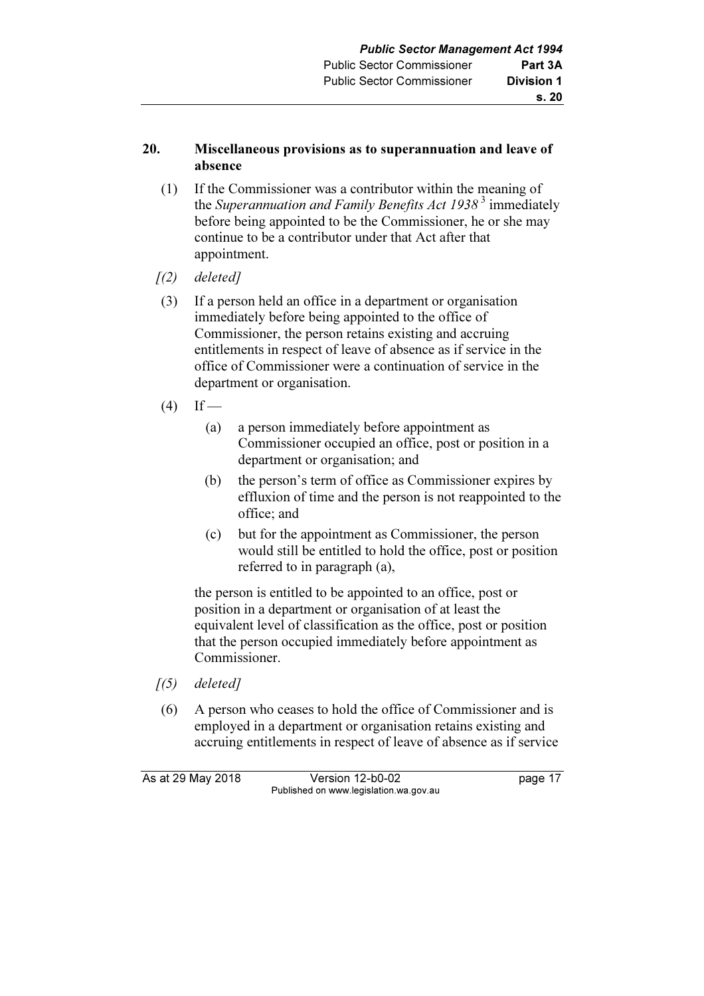## 20. Miscellaneous provisions as to superannuation and leave of absence

- (1) If the Commissioner was a contributor within the meaning of the Superannuation and Family Benefits Act  $1938^3$  immediately before being appointed to be the Commissioner, he or she may continue to be a contributor under that Act after that appointment.
- $(2)$  deleted]
- (3) If a person held an office in a department or organisation immediately before being appointed to the office of Commissioner, the person retains existing and accruing entitlements in respect of leave of absence as if service in the office of Commissioner were a continuation of service in the department or organisation.
- $(4)$  If
	- (a) a person immediately before appointment as Commissioner occupied an office, post or position in a department or organisation; and
	- (b) the person's term of office as Commissioner expires by effluxion of time and the person is not reappointed to the office; and
	- (c) but for the appointment as Commissioner, the person would still be entitled to hold the office, post or position referred to in paragraph (a),

 the person is entitled to be appointed to an office, post or position in a department or organisation of at least the equivalent level of classification as the office, post or position that the person occupied immediately before appointment as Commissioner.

- $(5)$  deleted]
- (6) A person who ceases to hold the office of Commissioner and is employed in a department or organisation retains existing and accruing entitlements in respect of leave of absence as if service

As at 29 May 2018 Version 12-b0-02 page 17 Published on www.legislation.wa.gov.au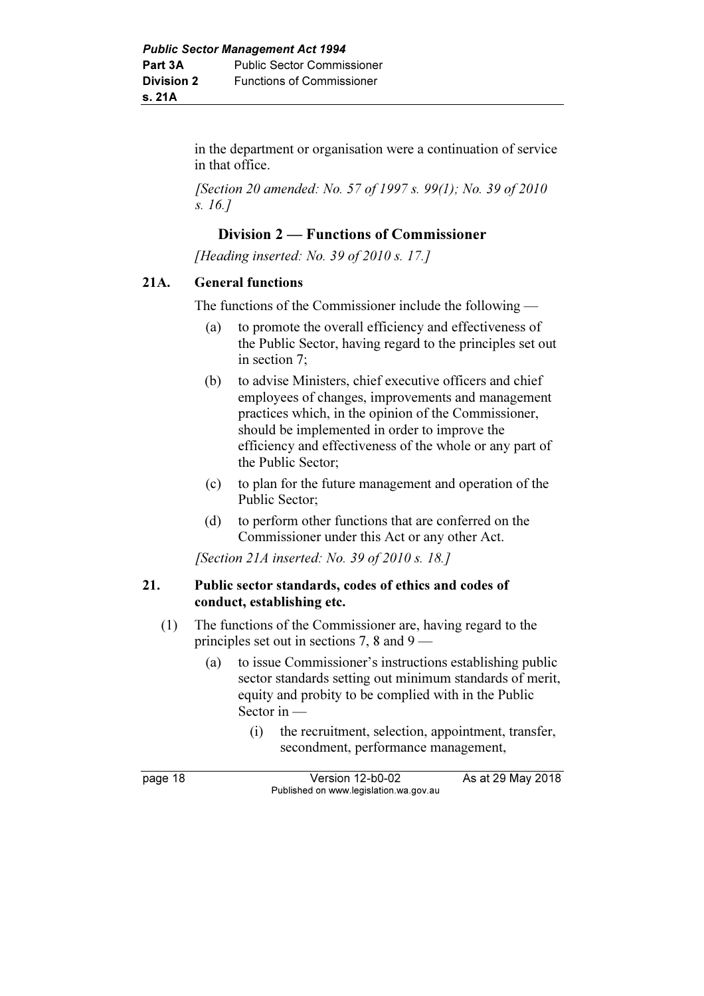in the department or organisation were a continuation of service in that office.

[Section 20 amended: No. 57 of 1997 s. 99(1); No. 39 of 2010 s. 16.]

## Division 2 — Functions of Commissioner

[Heading inserted: No. 39 of 2010 s. 17.]

### 21A. General functions

The functions of the Commissioner include the following —

- (a) to promote the overall efficiency and effectiveness of the Public Sector, having regard to the principles set out in section 7;
- (b) to advise Ministers, chief executive officers and chief employees of changes, improvements and management practices which, in the opinion of the Commissioner, should be implemented in order to improve the efficiency and effectiveness of the whole or any part of the Public Sector;
- (c) to plan for the future management and operation of the Public Sector;
- (d) to perform other functions that are conferred on the Commissioner under this Act or any other Act.

[Section 21A inserted: No. 39 of 2010 s. 18.]

#### 21. Public sector standards, codes of ethics and codes of conduct, establishing etc.

- (1) The functions of the Commissioner are, having regard to the principles set out in sections 7, 8 and 9 —
	- (a) to issue Commissioner's instructions establishing public sector standards setting out minimum standards of merit, equity and probity to be complied with in the Public Sector in —
		- (i) the recruitment, selection, appointment, transfer, secondment, performance management,

page 18 **Version 12-b0-02** As at 29 May 2018 Published on www.legislation.wa.gov.au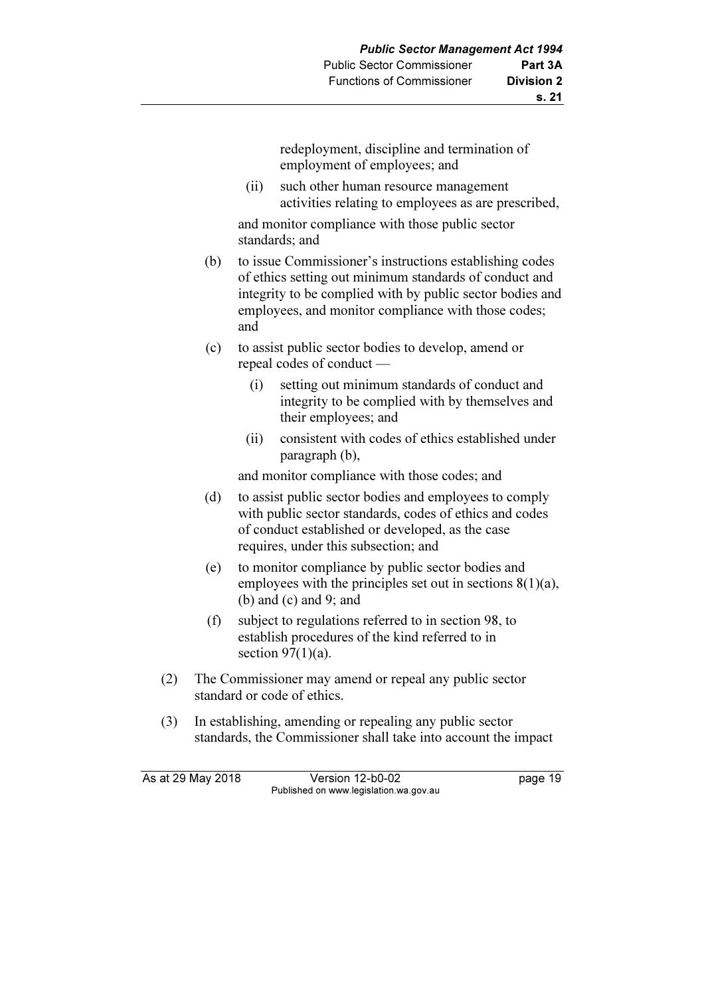redeployment, discipline and termination of employment of employees; and

 (ii) such other human resource management activities relating to employees as are prescribed,

 and monitor compliance with those public sector standards; and

- (b) to issue Commissioner's instructions establishing codes of ethics setting out minimum standards of conduct and integrity to be complied with by public sector bodies and employees, and monitor compliance with those codes; and
- (c) to assist public sector bodies to develop, amend or repeal codes of conduct —
	- (i) setting out minimum standards of conduct and integrity to be complied with by themselves and their employees; and
	- (ii) consistent with codes of ethics established under paragraph (b),

and monitor compliance with those codes; and

- (d) to assist public sector bodies and employees to comply with public sector standards, codes of ethics and codes of conduct established or developed, as the case requires, under this subsection; and
- (e) to monitor compliance by public sector bodies and employees with the principles set out in sections 8(1)(a), (b) and (c) and 9; and
- (f) subject to regulations referred to in section 98, to establish procedures of the kind referred to in section  $97(1)(a)$ .
- (2) The Commissioner may amend or repeal any public sector standard or code of ethics.
- (3) In establishing, amending or repealing any public sector standards, the Commissioner shall take into account the impact

As at 29 May 2018 Version 12-b0-02 page 19 Published on www.legislation.wa.gov.au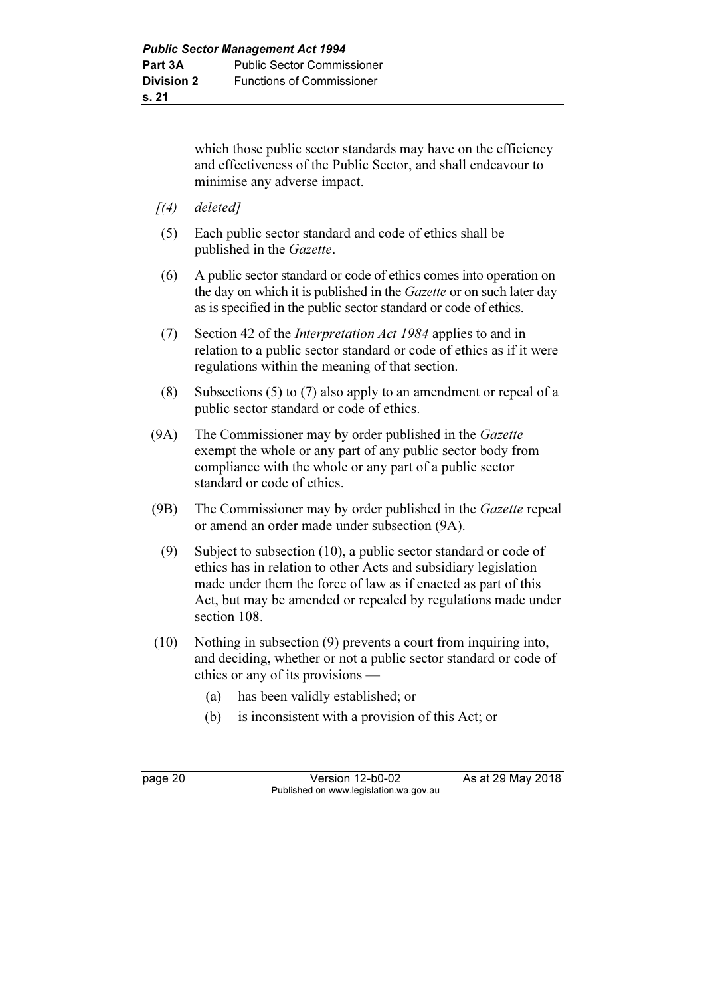which those public sector standards may have on the efficiency and effectiveness of the Public Sector, and shall endeavour to minimise any adverse impact.

- $(4)$  deleted]
- (5) Each public sector standard and code of ethics shall be published in the Gazette.
- (6) A public sector standard or code of ethics comes into operation on the day on which it is published in the *Gazette* or on such later day as is specified in the public sector standard or code of ethics.
- (7) Section 42 of the Interpretation Act 1984 applies to and in relation to a public sector standard or code of ethics as if it were regulations within the meaning of that section.
- (8) Subsections (5) to (7) also apply to an amendment or repeal of a public sector standard or code of ethics.
- (9A) The Commissioner may by order published in the Gazette exempt the whole or any part of any public sector body from compliance with the whole or any part of a public sector standard or code of ethics.
- (9B) The Commissioner may by order published in the Gazette repeal or amend an order made under subsection (9A).
	- (9) Subject to subsection (10), a public sector standard or code of ethics has in relation to other Acts and subsidiary legislation made under them the force of law as if enacted as part of this Act, but may be amended or repealed by regulations made under section 108.
- (10) Nothing in subsection (9) prevents a court from inquiring into, and deciding, whether or not a public sector standard or code of ethics or any of its provisions —
	- (a) has been validly established; or
	- (b) is inconsistent with a provision of this Act; or

page 20 Version 12-b0-02 As at 29 May 2018 Published on www.legislation.wa.gov.au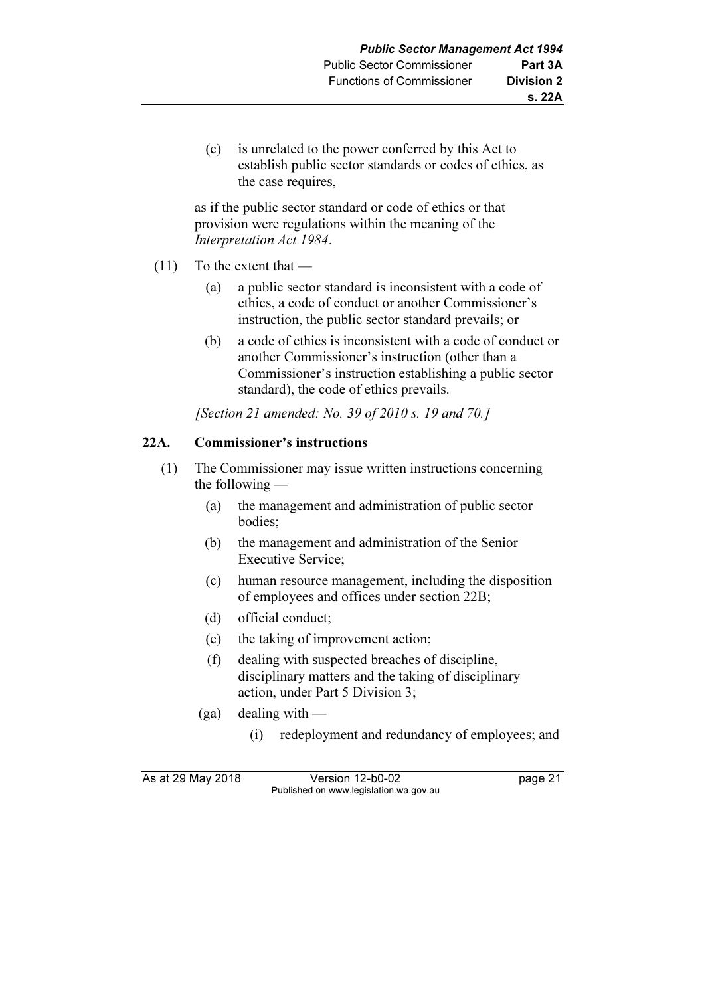(c) is unrelated to the power conferred by this Act to establish public sector standards or codes of ethics, as the case requires,

 as if the public sector standard or code of ethics or that provision were regulations within the meaning of the Interpretation Act 1984.

- (11) To the extent that
	- (a) a public sector standard is inconsistent with a code of ethics, a code of conduct or another Commissioner's instruction, the public sector standard prevails; or
	- (b) a code of ethics is inconsistent with a code of conduct or another Commissioner's instruction (other than a Commissioner's instruction establishing a public sector standard), the code of ethics prevails.

[Section 21 amended: No. 39 of 2010 s. 19 and 70.]

## 22A. Commissioner's instructions

- (1) The Commissioner may issue written instructions concerning the following —
	- (a) the management and administration of public sector bodies;
	- (b) the management and administration of the Senior Executive Service;
	- (c) human resource management, including the disposition of employees and offices under section 22B;
	- (d) official conduct;
	- (e) the taking of improvement action;
	- (f) dealing with suspected breaches of discipline, disciplinary matters and the taking of disciplinary action, under Part 5 Division 3;
	- $(ga)$  dealing with
		- (i) redeployment and redundancy of employees; and

As at 29 May 2018 Version 12-b0-02 page 21 Published on www.legislation.wa.gov.au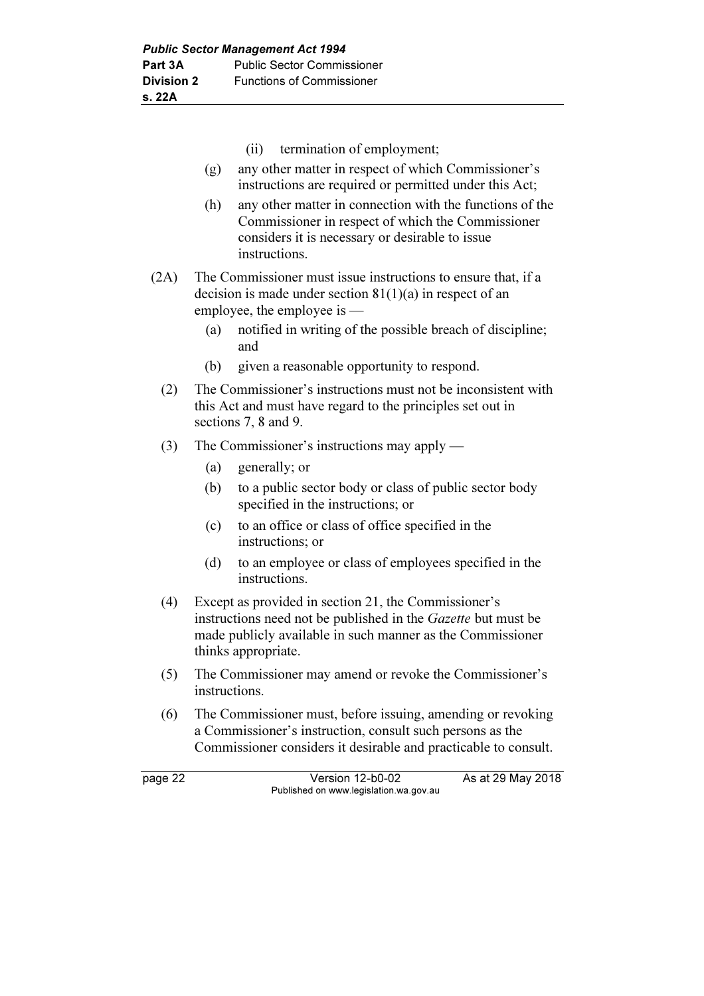- (ii) termination of employment;
- (g) any other matter in respect of which Commissioner's instructions are required or permitted under this Act;
- (h) any other matter in connection with the functions of the Commissioner in respect of which the Commissioner considers it is necessary or desirable to issue instructions.
- (2A) The Commissioner must issue instructions to ensure that, if a decision is made under section  $81(1)(a)$  in respect of an employee, the employee is —
	- (a) notified in writing of the possible breach of discipline; and
	- (b) given a reasonable opportunity to respond.
	- (2) The Commissioner's instructions must not be inconsistent with this Act and must have regard to the principles set out in sections 7, 8 and 9.
	- (3) The Commissioner's instructions may apply
		- (a) generally; or
		- (b) to a public sector body or class of public sector body specified in the instructions; or
		- (c) to an office or class of office specified in the instructions; or
		- (d) to an employee or class of employees specified in the instructions.
	- (4) Except as provided in section 21, the Commissioner's instructions need not be published in the Gazette but must be made publicly available in such manner as the Commissioner thinks appropriate.
	- (5) The Commissioner may amend or revoke the Commissioner's instructions.
	- (6) The Commissioner must, before issuing, amending or revoking a Commissioner's instruction, consult such persons as the Commissioner considers it desirable and practicable to consult.

page 22 Version 12-b0-02 As at 29 May 2018 Published on www.legislation.wa.gov.au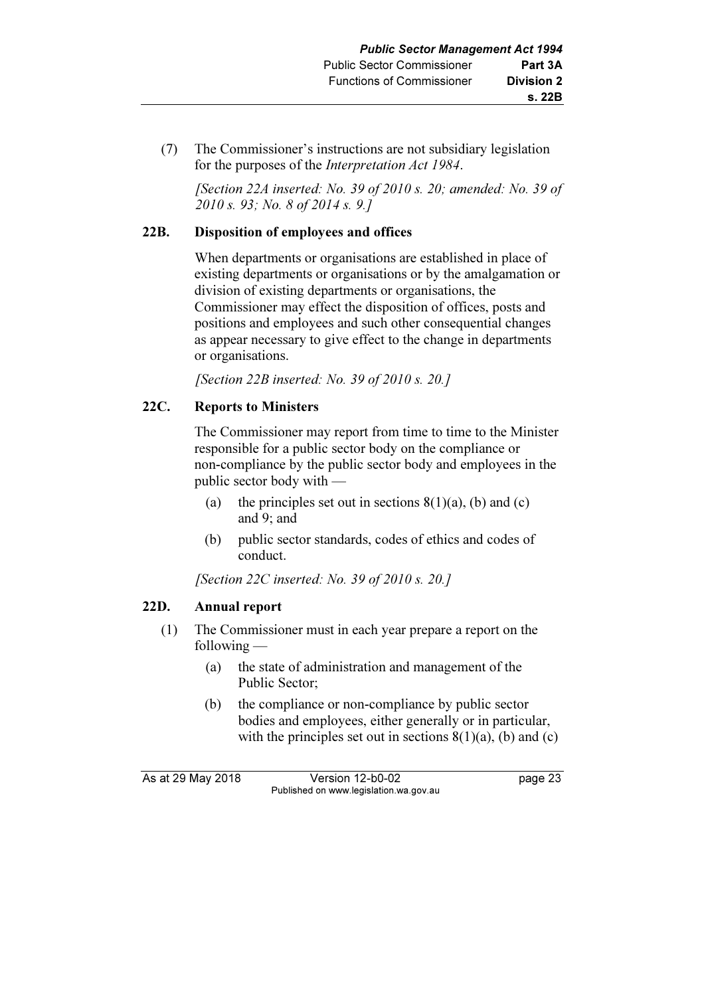(7) The Commissioner's instructions are not subsidiary legislation for the purposes of the Interpretation Act 1984.

 [Section 22A inserted: No. 39 of 2010 s. 20; amended: No. 39 of 2010 s. 93; No. 8 of 2014 s. 9.]

## 22B. Disposition of employees and offices

 When departments or organisations are established in place of existing departments or organisations or by the amalgamation or division of existing departments or organisations, the Commissioner may effect the disposition of offices, posts and positions and employees and such other consequential changes as appear necessary to give effect to the change in departments or organisations.

[Section 22B inserted: No. 39 of 2010 s. 20.]

## 22C. Reports to Ministers

 The Commissioner may report from time to time to the Minister responsible for a public sector body on the compliance or non-compliance by the public sector body and employees in the public sector body with —

- (a) the principles set out in sections  $8(1)(a)$ , (b) and (c) and 9; and
- (b) public sector standards, codes of ethics and codes of conduct.

[Section 22C inserted: No. 39 of 2010 s. 20.]

## 22D. Annual report

- (1) The Commissioner must in each year prepare a report on the following —
	- (a) the state of administration and management of the Public Sector;
	- (b) the compliance or non-compliance by public sector bodies and employees, either generally or in particular, with the principles set out in sections  $8(1)(a)$ , (b) and (c)

As at 29 May 2018 Version 12-b0-02 page 23 Published on www.legislation.wa.gov.au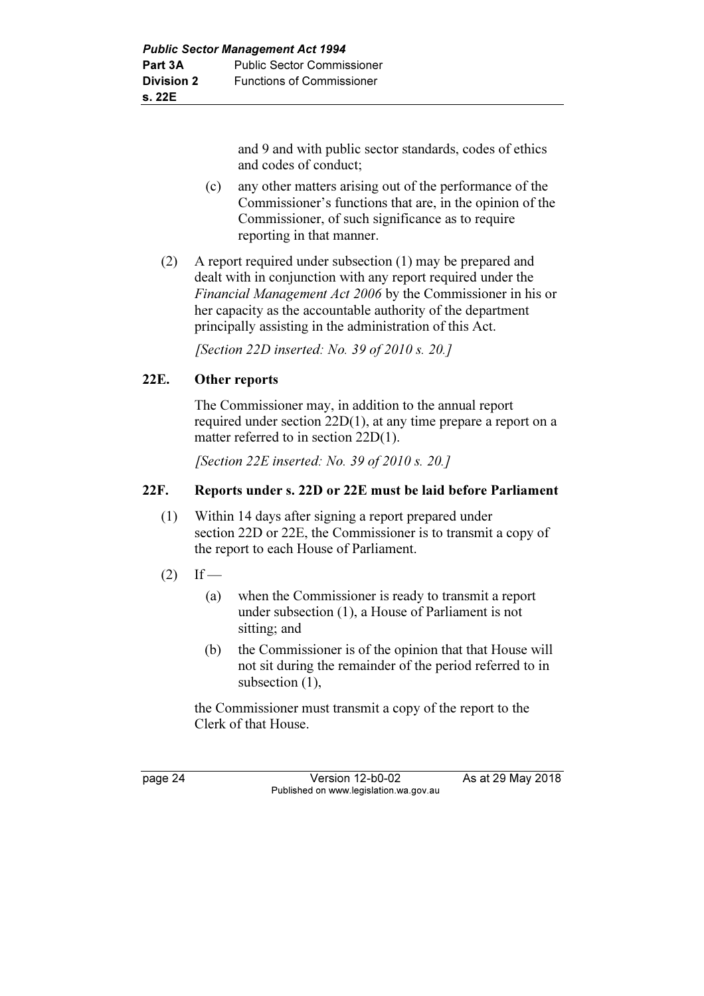and 9 and with public sector standards, codes of ethics and codes of conduct;

- (c) any other matters arising out of the performance of the Commissioner's functions that are, in the opinion of the Commissioner, of such significance as to require reporting in that manner.
- (2) A report required under subsection (1) may be prepared and dealt with in conjunction with any report required under the Financial Management Act 2006 by the Commissioner in his or her capacity as the accountable authority of the department principally assisting in the administration of this Act.

[Section 22D inserted: No. 39 of 2010 s. 20.]

## 22E. Other reports

 The Commissioner may, in addition to the annual report required under section 22D(1), at any time prepare a report on a matter referred to in section 22D(1).

[Section 22E inserted: No. 39 of 2010 s. 20.]

## 22F. Reports under s. 22D or 22E must be laid before Parliament

- (1) Within 14 days after signing a report prepared under section 22D or 22E, the Commissioner is to transmit a copy of the report to each House of Parliament.
- $(2)$  If
	- (a) when the Commissioner is ready to transmit a report under subsection (1), a House of Parliament is not sitting; and
	- (b) the Commissioner is of the opinion that that House will not sit during the remainder of the period referred to in subsection  $(1)$ ,

 the Commissioner must transmit a copy of the report to the Clerk of that House.

page 24 Version 12-b0-02 As at 29 May 2018 Published on www.legislation.wa.gov.au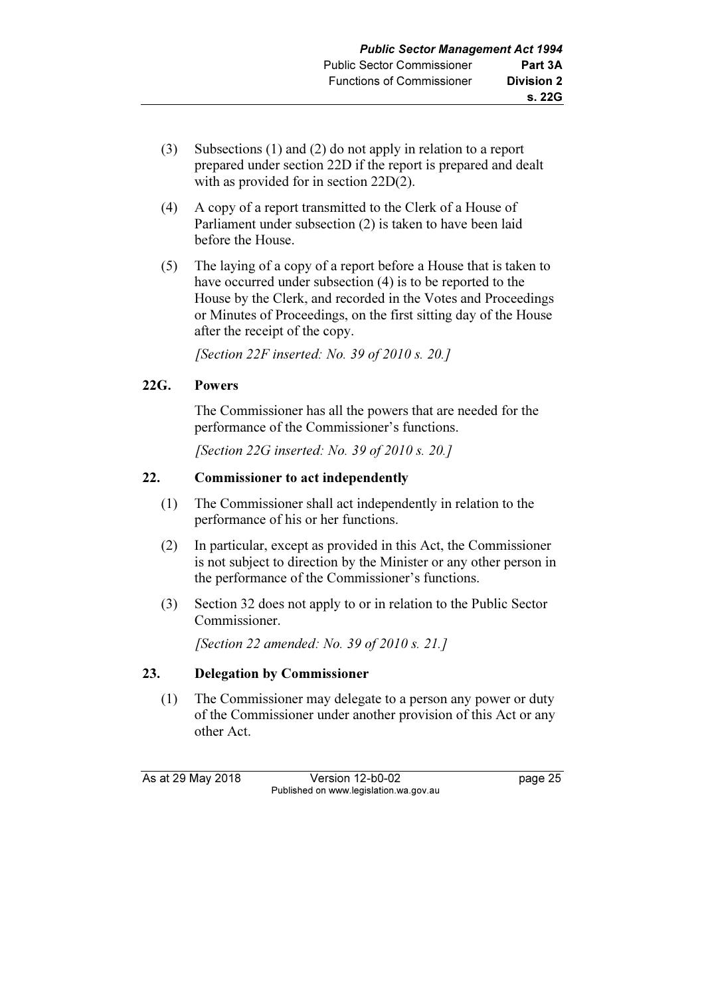- (3) Subsections (1) and (2) do not apply in relation to a report prepared under section 22D if the report is prepared and dealt with as provided for in section 22D(2).
- (4) A copy of a report transmitted to the Clerk of a House of Parliament under subsection (2) is taken to have been laid before the House.
- (5) The laying of a copy of a report before a House that is taken to have occurred under subsection (4) is to be reported to the House by the Clerk, and recorded in the Votes and Proceedings or Minutes of Proceedings, on the first sitting day of the House after the receipt of the copy.

[Section 22F inserted: No. 39 of 2010 s. 20.]

# 22G. Powers

 The Commissioner has all the powers that are needed for the performance of the Commissioner's functions.

[Section 22G inserted: No. 39 of 2010 s. 20.1]

# 22. Commissioner to act independently

- (1) The Commissioner shall act independently in relation to the performance of his or her functions.
- (2) In particular, except as provided in this Act, the Commissioner is not subject to direction by the Minister or any other person in the performance of the Commissioner's functions.
- (3) Section 32 does not apply to or in relation to the Public Sector Commissioner.

[Section 22 amended: No. 39 of 2010 s. 21.]

# 23. Delegation by Commissioner

 (1) The Commissioner may delegate to a person any power or duty of the Commissioner under another provision of this Act or any other Act.

As at 29 May 2018 **Version 12-b0-02** page 25 Published on www.legislation.wa.gov.au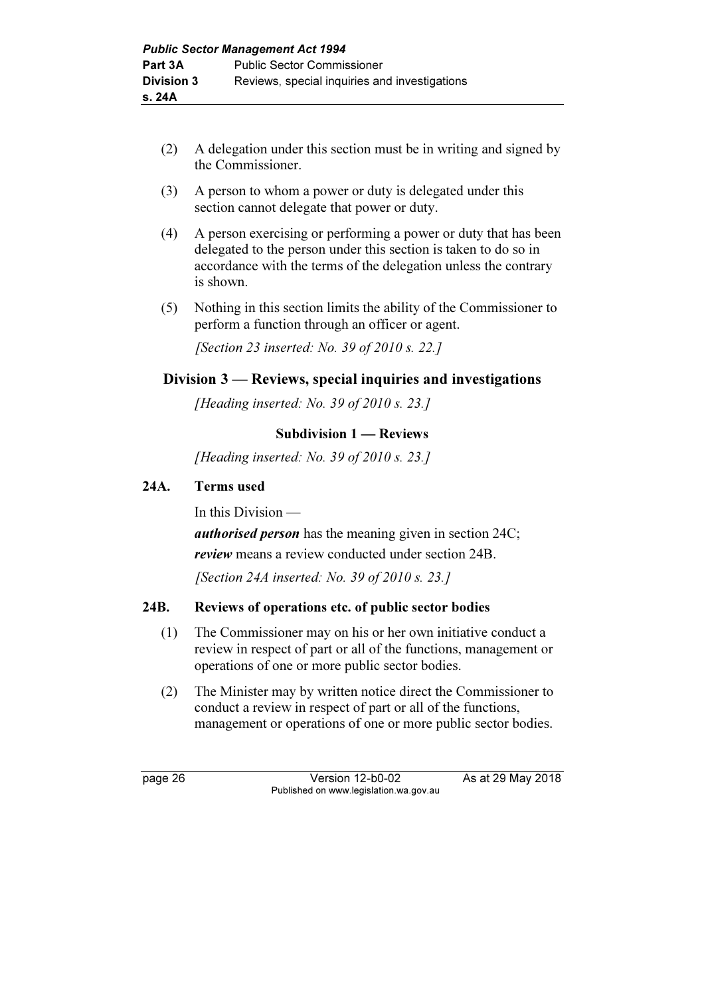- (2) A delegation under this section must be in writing and signed by the Commissioner.
- (3) A person to whom a power or duty is delegated under this section cannot delegate that power or duty.
- (4) A person exercising or performing a power or duty that has been delegated to the person under this section is taken to do so in accordance with the terms of the delegation unless the contrary is shown.
- (5) Nothing in this section limits the ability of the Commissioner to perform a function through an officer or agent.

[Section 23 inserted: No. 39 of 2010 s. 22.]

# Division 3 — Reviews, special inquiries and investigations

[Heading inserted: No. 39 of 2010 s. 23.]

# Subdivision 1 — Reviews

[Heading inserted: No. 39 of 2010 s. 23.]

# 24A. Terms used

In this Division —

*authorised person* has the meaning given in section 24C;

*review* means a review conducted under section 24B.

[Section 24A inserted: No. 39 of 2010 s. 23.]

# 24B. Reviews of operations etc. of public sector bodies

- (1) The Commissioner may on his or her own initiative conduct a review in respect of part or all of the functions, management or operations of one or more public sector bodies.
- (2) The Minister may by written notice direct the Commissioner to conduct a review in respect of part or all of the functions, management or operations of one or more public sector bodies.

page 26 Version 12-b0-02 As at 29 May 2018 Published on www.legislation.wa.gov.au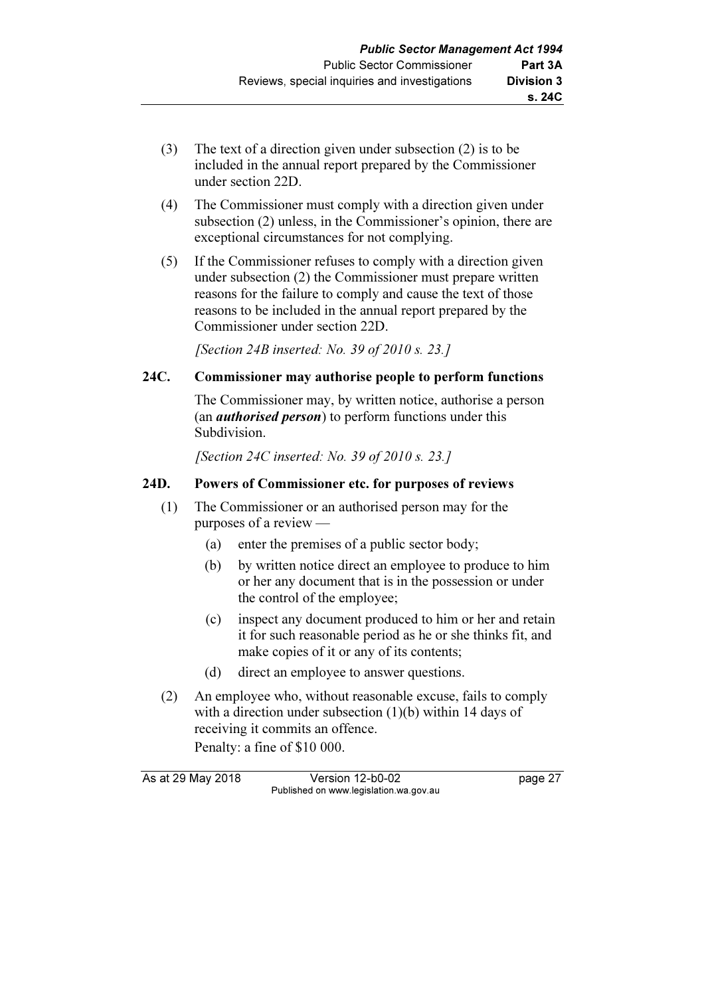- (3) The text of a direction given under subsection (2) is to be included in the annual report prepared by the Commissioner under section 22D.
- (4) The Commissioner must comply with a direction given under subsection (2) unless, in the Commissioner's opinion, there are exceptional circumstances for not complying.
- (5) If the Commissioner refuses to comply with a direction given under subsection (2) the Commissioner must prepare written reasons for the failure to comply and cause the text of those reasons to be included in the annual report prepared by the Commissioner under section 22D.

[Section 24B inserted: No. 39 of 2010 s. 23.]

# 24C. Commissioner may authorise people to perform functions

 The Commissioner may, by written notice, authorise a person (an *authorised person*) to perform functions under this Subdivision.

[Section 24C inserted: No. 39 of 2010 s. 23.]

# 24D. Powers of Commissioner etc. for purposes of reviews

- (1) The Commissioner or an authorised person may for the purposes of a review —
	- (a) enter the premises of a public sector body;
	- (b) by written notice direct an employee to produce to him or her any document that is in the possession or under the control of the employee;
	- (c) inspect any document produced to him or her and retain it for such reasonable period as he or she thinks fit, and make copies of it or any of its contents;
	- (d) direct an employee to answer questions.
- (2) An employee who, without reasonable excuse, fails to comply with a direction under subsection (1)(b) within 14 days of receiving it commits an offence. Penalty: a fine of \$10 000.

As at 29 May 2018 Version 12-b0-02 page 27 Published on www.legislation.wa.gov.au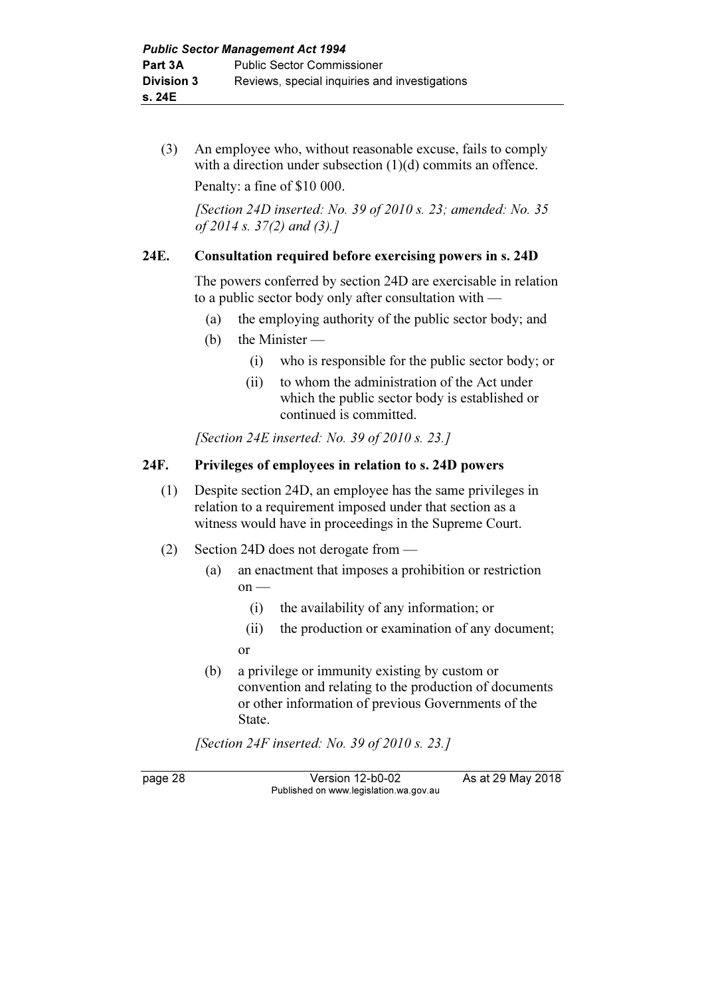(3) An employee who, without reasonable excuse, fails to comply with a direction under subsection (1)(d) commits an offence. Penalty: a fine of \$10 000.

[Section 24D inserted: No. 39 of 2010 s. 23; amended: No. 35 of 2014 s. 37(2) and (3).]

# 24E. Consultation required before exercising powers in s. 24D

 The powers conferred by section 24D are exercisable in relation to a public sector body only after consultation with —

- (a) the employing authority of the public sector body; and
- (b) the Minister
	- (i) who is responsible for the public sector body; or
	- (ii) to whom the administration of the Act under which the public sector body is established or continued is committed.

[Section 24E inserted: No. 39 of 2010 s. 23.]

# 24F. Privileges of employees in relation to s. 24D powers

- (1) Despite section 24D, an employee has the same privileges in relation to a requirement imposed under that section as a witness would have in proceedings in the Supreme Court.
- (2) Section 24D does not derogate from
	- (a) an enactment that imposes a prohibition or restriction  $on$  —
		- (i) the availability of any information; or
- (ii) the production or examination of any document; or
	- (b) a privilege or immunity existing by custom or convention and relating to the production of documents or other information of previous Governments of the State.

[Section 24F inserted: No. 39 of 2010 s. 23.]

page 28 Version 12-b0-02 As at 29 May 2018 Published on www.legislation.wa.gov.au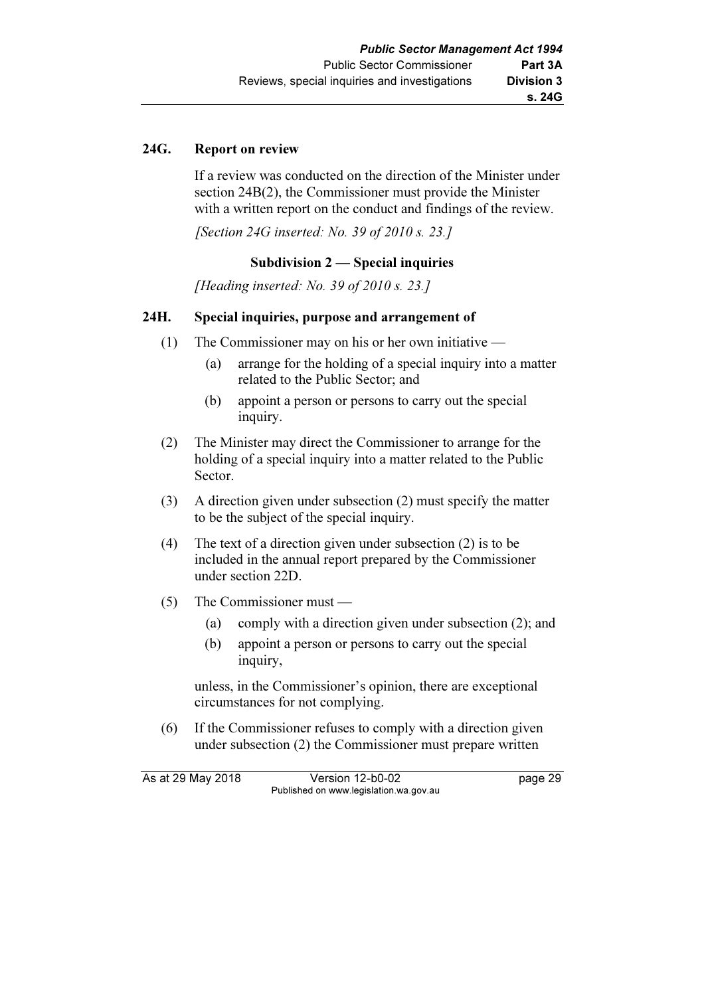# 24G. Report on review

 If a review was conducted on the direction of the Minister under section 24B(2), the Commissioner must provide the Minister with a written report on the conduct and findings of the review.

[Section 24G inserted: No. 39 of 2010 s. 23.]

#### Subdivision 2 — Special inquiries

[Heading inserted: No. 39 of 2010 s. 23.]

# 24H. Special inquiries, purpose and arrangement of

- (1) The Commissioner may on his or her own initiative
	- (a) arrange for the holding of a special inquiry into a matter related to the Public Sector; and
	- (b) appoint a person or persons to carry out the special inquiry.
- (2) The Minister may direct the Commissioner to arrange for the holding of a special inquiry into a matter related to the Public Sector.
- (3) A direction given under subsection (2) must specify the matter to be the subject of the special inquiry.
- (4) The text of a direction given under subsection (2) is to be included in the annual report prepared by the Commissioner under section 22D.
- (5) The Commissioner must
	- (a) comply with a direction given under subsection (2); and
	- (b) appoint a person or persons to carry out the special inquiry,

 unless, in the Commissioner's opinion, there are exceptional circumstances for not complying.

 (6) If the Commissioner refuses to comply with a direction given under subsection (2) the Commissioner must prepare written

As at 29 May 2018 Version 12-b0-02 page 29 Published on www.legislation.wa.gov.au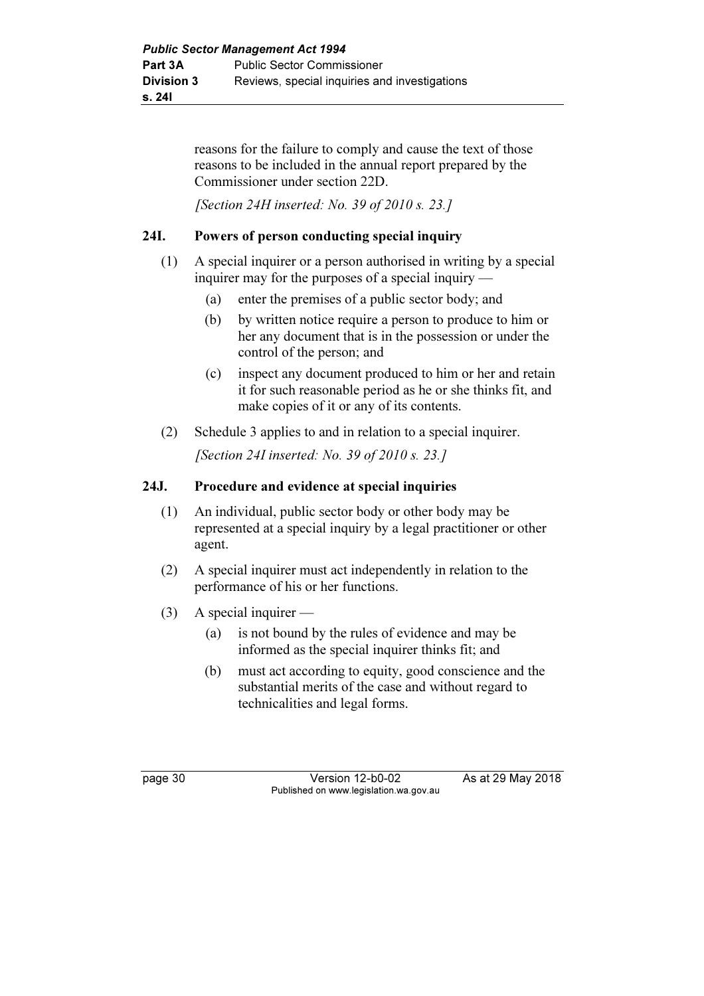reasons for the failure to comply and cause the text of those reasons to be included in the annual report prepared by the Commissioner under section 22D.

[Section 24H inserted: No. 39 of 2010 s. 23.]

# 24I. Powers of person conducting special inquiry

- (1) A special inquirer or a person authorised in writing by a special inquirer may for the purposes of a special inquiry —
	- (a) enter the premises of a public sector body; and
	- (b) by written notice require a person to produce to him or her any document that is in the possession or under the control of the person; and
	- (c) inspect any document produced to him or her and retain it for such reasonable period as he or she thinks fit, and make copies of it or any of its contents.
- (2) Schedule 3 applies to and in relation to a special inquirer.

[Section 24I inserted: No. 39 of 2010 s. 23.]

# 24J. Procedure and evidence at special inquiries

- (1) An individual, public sector body or other body may be represented at a special inquiry by a legal practitioner or other agent.
- (2) A special inquirer must act independently in relation to the performance of his or her functions.
- $(3)$  A special inquirer
	- (a) is not bound by the rules of evidence and may be informed as the special inquirer thinks fit; and
	- (b) must act according to equity, good conscience and the substantial merits of the case and without regard to technicalities and legal forms.

page 30 **Version 12-b0-02** As at 29 May 2018 Published on www.legislation.wa.gov.au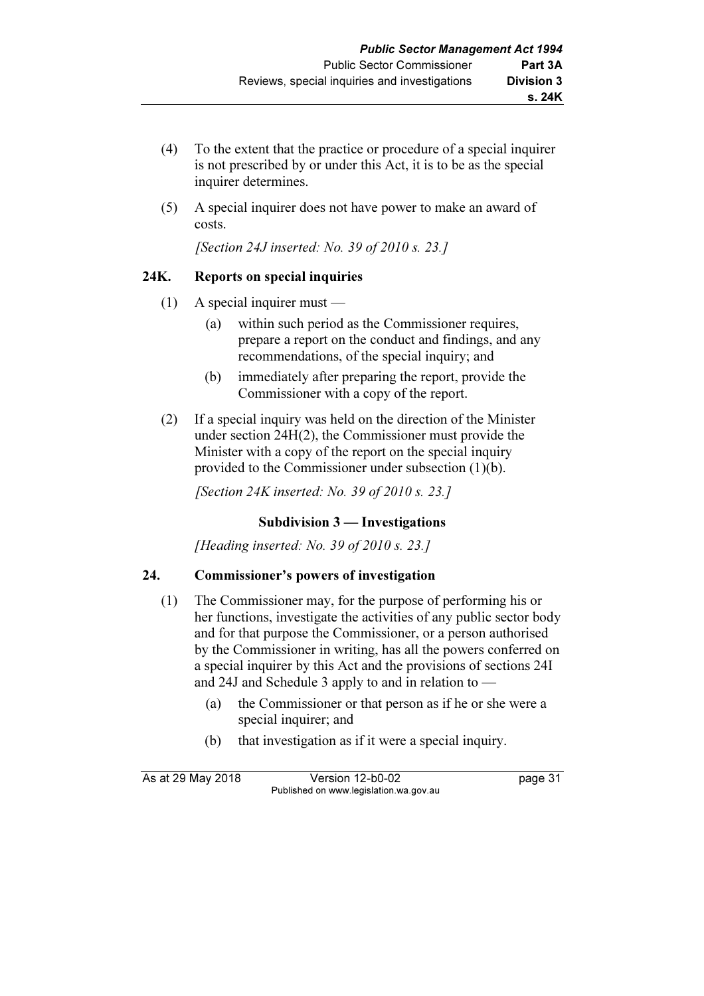- (4) To the extent that the practice or procedure of a special inquirer is not prescribed by or under this Act, it is to be as the special inquirer determines.
- (5) A special inquirer does not have power to make an award of costs.

[Section 24J inserted: No. 39 of 2010 s. 23.]

# 24K. Reports on special inquiries

- (1) A special inquirer must
	- (a) within such period as the Commissioner requires, prepare a report on the conduct and findings, and any recommendations, of the special inquiry; and
	- (b) immediately after preparing the report, provide the Commissioner with a copy of the report.
- (2) If a special inquiry was held on the direction of the Minister under section 24H(2), the Commissioner must provide the Minister with a copy of the report on the special inquiry provided to the Commissioner under subsection (1)(b).

[Section 24K inserted: No. 39 of 2010 s. 23.]

# Subdivision 3 — Investigations

[Heading inserted: No. 39 of 2010 s. 23.]

# 24. Commissioner's powers of investigation

- (1) The Commissioner may, for the purpose of performing his or her functions, investigate the activities of any public sector body and for that purpose the Commissioner, or a person authorised by the Commissioner in writing, has all the powers conferred on a special inquirer by this Act and the provisions of sections 24I and 24J and Schedule 3 apply to and in relation to —
	- (a) the Commissioner or that person as if he or she were a special inquirer; and
	- (b) that investigation as if it were a special inquiry.

As at 29 May 2018 Version 12-b0-02 page 31 Published on www.legislation.wa.gov.au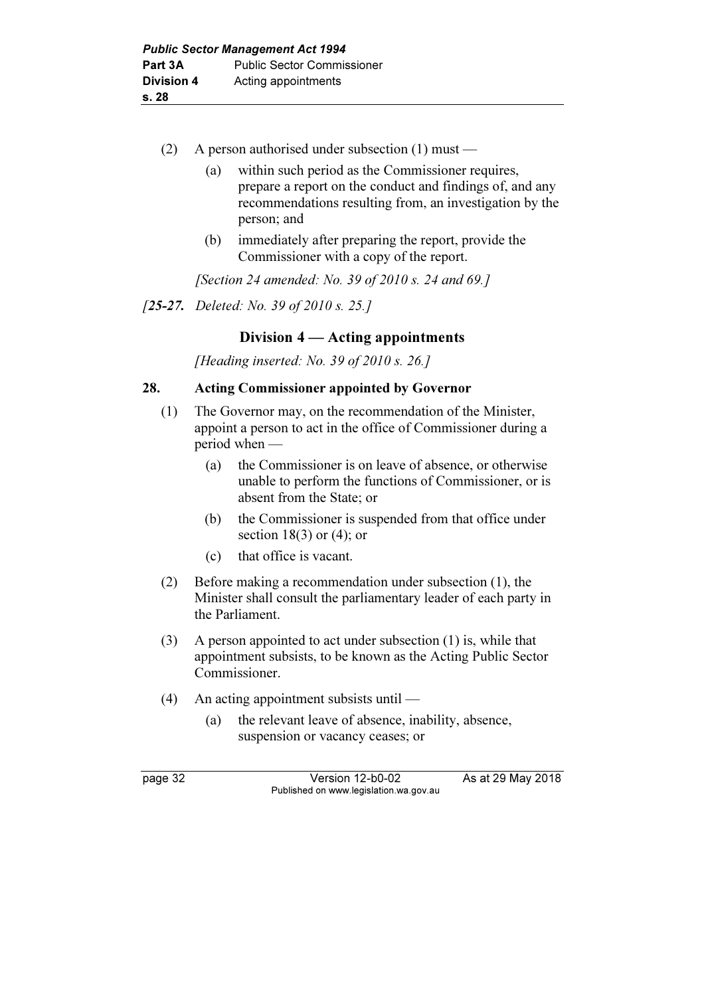- (2) A person authorised under subsection (1) must
	- (a) within such period as the Commissioner requires, prepare a report on the conduct and findings of, and any recommendations resulting from, an investigation by the person; and
	- (b) immediately after preparing the report, provide the Commissioner with a copy of the report.

[Section 24 amended: No. 39 of 2010 s. 24 and 69.]

[25-27. Deleted: No. 39 of 2010 s. 25.]

# Division 4 — Acting appointments

[Heading inserted: No. 39 of 2010 s. 26.]

#### 28. Acting Commissioner appointed by Governor

- (1) The Governor may, on the recommendation of the Minister, appoint a person to act in the office of Commissioner during a period when —
	- (a) the Commissioner is on leave of absence, or otherwise unable to perform the functions of Commissioner, or is absent from the State; or
	- (b) the Commissioner is suspended from that office under section 18(3) or  $(4)$ ; or
	- (c) that office is vacant.
- (2) Before making a recommendation under subsection (1), the Minister shall consult the parliamentary leader of each party in the Parliament.
- (3) A person appointed to act under subsection (1) is, while that appointment subsists, to be known as the Acting Public Sector Commissioner.
- (4) An acting appointment subsists until
	- (a) the relevant leave of absence, inability, absence, suspension or vacancy ceases; or

page 32 **Version 12-b0-02** As at 29 May 2018 Published on www.legislation.wa.gov.au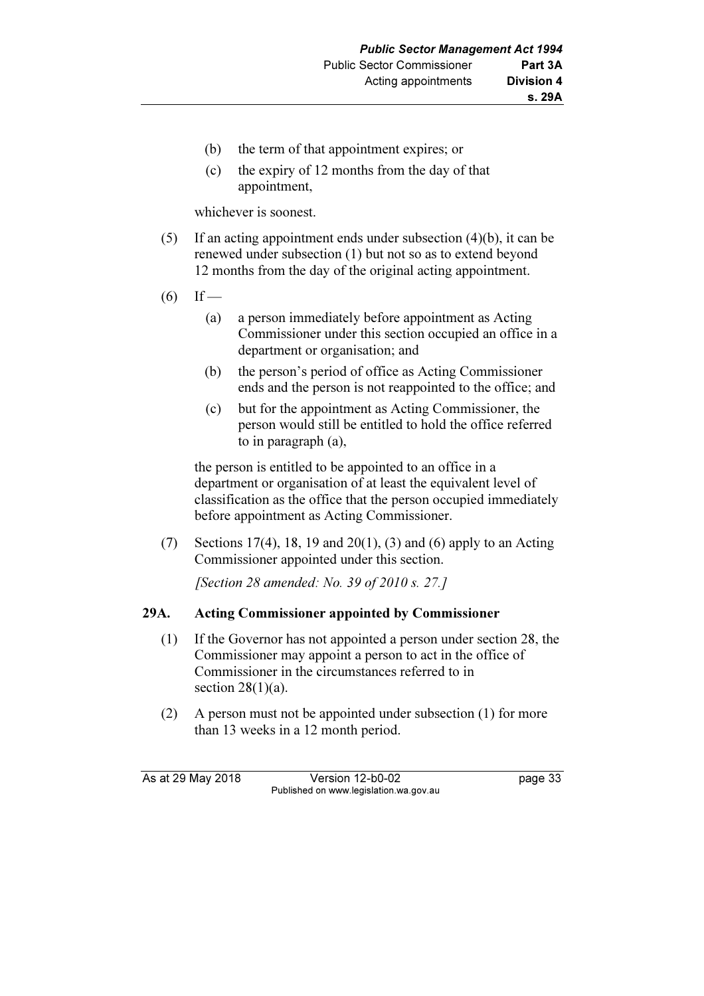- (b) the term of that appointment expires; or
- (c) the expiry of 12 months from the day of that appointment,

whichever is soonest.

- (5) If an acting appointment ends under subsection (4)(b), it can be renewed under subsection (1) but not so as to extend beyond 12 months from the day of the original acting appointment.
- $(6)$  If
	- (a) a person immediately before appointment as Acting Commissioner under this section occupied an office in a department or organisation; and
	- (b) the person's period of office as Acting Commissioner ends and the person is not reappointed to the office; and
	- (c) but for the appointment as Acting Commissioner, the person would still be entitled to hold the office referred to in paragraph (a),

 the person is entitled to be appointed to an office in a department or organisation of at least the equivalent level of classification as the office that the person occupied immediately before appointment as Acting Commissioner.

(7) Sections 17(4), 18, 19 and 20(1), (3) and (6) apply to an Acting Commissioner appointed under this section.

[Section 28 amended: No. 39 of 2010 s. 27.]

#### 29A. Acting Commissioner appointed by Commissioner

- (1) If the Governor has not appointed a person under section 28, the Commissioner may appoint a person to act in the office of Commissioner in the circumstances referred to in section  $28(1)(a)$ .
- (2) A person must not be appointed under subsection (1) for more than 13 weeks in a 12 month period.

As at 29 May 2018 Version 12-b0-02 page 33 Published on www.legislation.wa.gov.au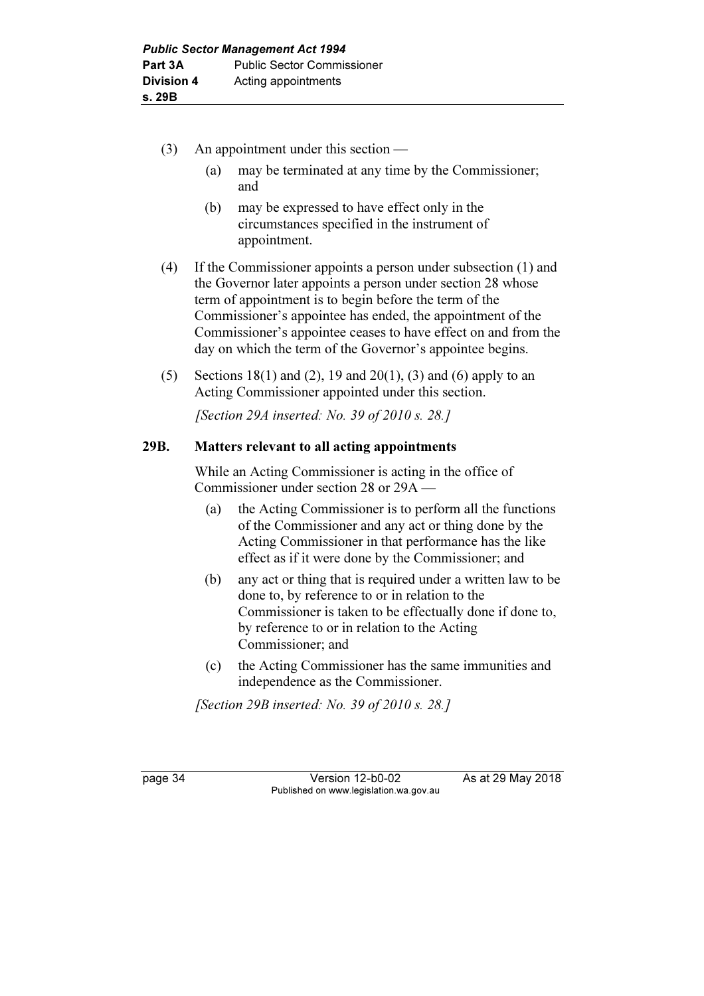- (3) An appointment under this section
	- (a) may be terminated at any time by the Commissioner; and
	- (b) may be expressed to have effect only in the circumstances specified in the instrument of appointment.
- (4) If the Commissioner appoints a person under subsection (1) and the Governor later appoints a person under section 28 whose term of appointment is to begin before the term of the Commissioner's appointee has ended, the appointment of the Commissioner's appointee ceases to have effect on and from the day on which the term of the Governor's appointee begins.
- (5) Sections 18(1) and (2), 19 and 20(1), (3) and (6) apply to an Acting Commissioner appointed under this section.

[Section 29A inserted: No. 39 of 2010 s. 28.]

# 29B. Matters relevant to all acting appointments

 While an Acting Commissioner is acting in the office of Commissioner under section 28 or 29A —

- (a) the Acting Commissioner is to perform all the functions of the Commissioner and any act or thing done by the Acting Commissioner in that performance has the like effect as if it were done by the Commissioner; and
- (b) any act or thing that is required under a written law to be done to, by reference to or in relation to the Commissioner is taken to be effectually done if done to, by reference to or in relation to the Acting Commissioner; and
- (c) the Acting Commissioner has the same immunities and independence as the Commissioner.

[Section 29B inserted: No. 39 of 2010 s. 28.]

page 34 Version 12-b0-02 As at 29 May 2018 Published on www.legislation.wa.gov.au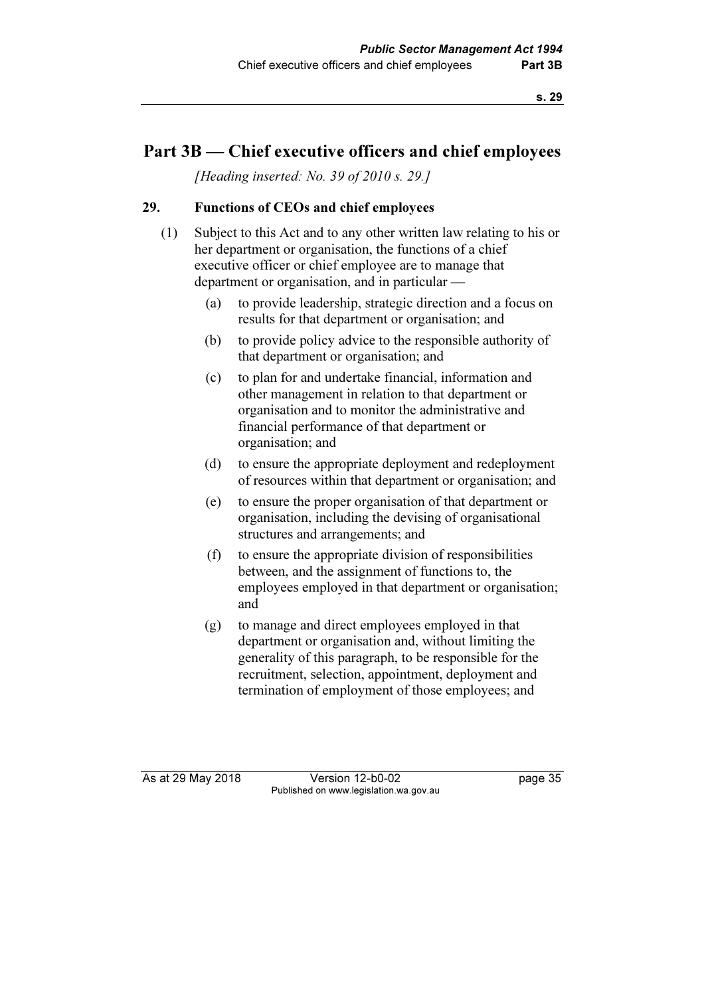# Part 3B — Chief executive officers and chief employees

[Heading inserted: No. 39 of 2010 s. 29.]

# 29. Functions of CEOs and chief employees

- (1) Subject to this Act and to any other written law relating to his or her department or organisation, the functions of a chief executive officer or chief employee are to manage that department or organisation, and in particular —
	- (a) to provide leadership, strategic direction and a focus on results for that department or organisation; and
	- (b) to provide policy advice to the responsible authority of that department or organisation; and
	- (c) to plan for and undertake financial, information and other management in relation to that department or organisation and to monitor the administrative and financial performance of that department or organisation; and
	- (d) to ensure the appropriate deployment and redeployment of resources within that department or organisation; and
	- (e) to ensure the proper organisation of that department or organisation, including the devising of organisational structures and arrangements; and
	- (f) to ensure the appropriate division of responsibilities between, and the assignment of functions to, the employees employed in that department or organisation; and
	- (g) to manage and direct employees employed in that department or organisation and, without limiting the generality of this paragraph, to be responsible for the recruitment, selection, appointment, deployment and termination of employment of those employees; and

As at 29 May 2018 **Version 12-b0-02** page 35 Published on www.legislation.wa.gov.au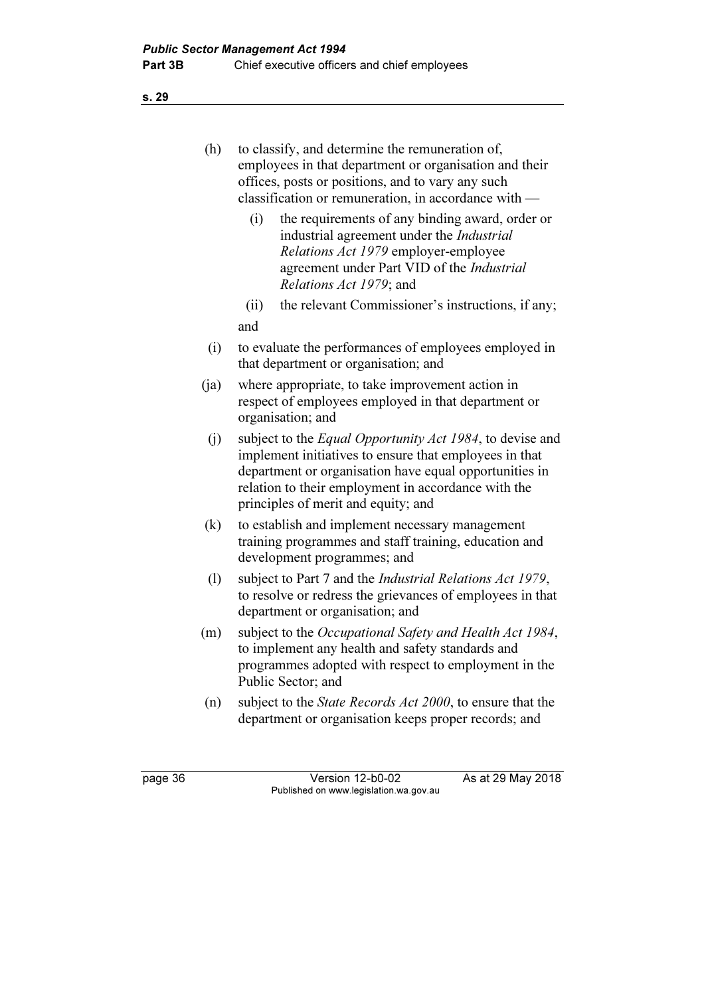s. 29

| (h)     | to classify, and determine the remuneration of,<br>employees in that department or organisation and their<br>offices, posts or positions, and to vary any such<br>classification or remuneration, in accordance with —                                                             |  |  |
|---------|------------------------------------------------------------------------------------------------------------------------------------------------------------------------------------------------------------------------------------------------------------------------------------|--|--|
|         | the requirements of any binding award, order or<br>(i)<br>industrial agreement under the <i>Industrial</i><br>Relations Act 1979 employer-employee<br>agreement under Part VID of the Industrial<br>Relations Act 1979; and                                                        |  |  |
|         | the relevant Commissioner's instructions, if any;<br>(ii)                                                                                                                                                                                                                          |  |  |
|         | and                                                                                                                                                                                                                                                                                |  |  |
| (i)     | to evaluate the performances of employees employed in<br>that department or organisation; and                                                                                                                                                                                      |  |  |
| (ja)    | where appropriate, to take improvement action in<br>respect of employees employed in that department or<br>organisation; and                                                                                                                                                       |  |  |
| (j)     | subject to the <i>Equal Opportunity Act 1984</i> , to devise and<br>implement initiatives to ensure that employees in that<br>department or organisation have equal opportunities in<br>relation to their employment in accordance with the<br>principles of merit and equity; and |  |  |
| (k)     | to establish and implement necessary management<br>training programmes and staff training, education and<br>development programmes; and                                                                                                                                            |  |  |
| (1)     | subject to Part 7 and the <i>Industrial Relations Act 1979</i> ,<br>to resolve or redress the grievances of employees in that<br>department or organisation; and                                                                                                                   |  |  |
| (m)     | subject to the Occupational Safety and Health Act 1984,<br>to implement any health and safety standards and<br>programmes adopted with respect to employment in the<br>Public Sector; and                                                                                          |  |  |
| (n)     | subject to the <i>State Records Act 2000</i> , to ensure that the<br>department or organisation keeps proper records; and                                                                                                                                                          |  |  |
| page 36 | As at 29 May 2018<br>Version 12-b0-02<br>Published on www.legislation.wa.gov.au                                                                                                                                                                                                    |  |  |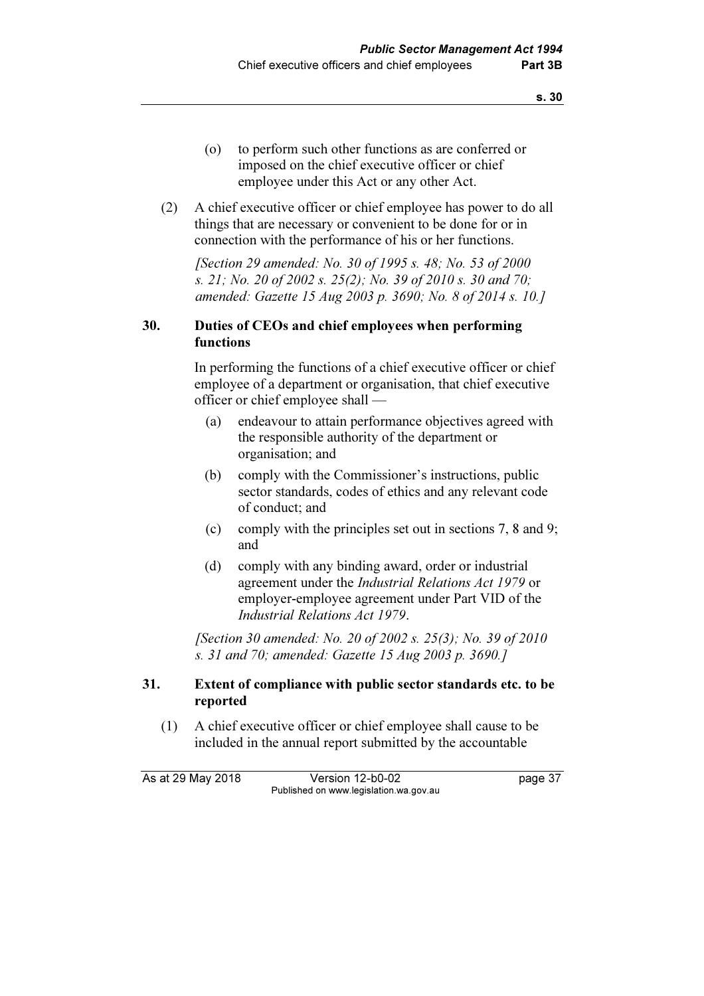- (o) to perform such other functions as are conferred or imposed on the chief executive officer or chief employee under this Act or any other Act.
- (2) A chief executive officer or chief employee has power to do all things that are necessary or convenient to be done for or in connection with the performance of his or her functions.

 [Section 29 amended: No. 30 of 1995 s. 48; No. 53 of 2000 s. 21; No. 20 of 2002 s. 25(2); No. 39 of 2010 s. 30 and 70; amended: Gazette 15 Aug 2003 p. 3690; No. 8 of 2014 s. 10.]

# 30. Duties of CEOs and chief employees when performing functions

 In performing the functions of a chief executive officer or chief employee of a department or organisation, that chief executive officer or chief employee shall —

- (a) endeavour to attain performance objectives agreed with the responsible authority of the department or organisation; and
- (b) comply with the Commissioner's instructions, public sector standards, codes of ethics and any relevant code of conduct; and
- (c) comply with the principles set out in sections 7, 8 and 9; and
- (d) comply with any binding award, order or industrial agreement under the Industrial Relations Act 1979 or employer-employee agreement under Part VID of the Industrial Relations Act 1979.

 [Section 30 amended: No. 20 of 2002 s. 25(3); No. 39 of 2010 s. 31 and 70; amended: Gazette 15 Aug 2003 p. 3690.]

#### 31. Extent of compliance with public sector standards etc. to be reported

 (1) A chief executive officer or chief employee shall cause to be included in the annual report submitted by the accountable

As at 29 May 2018 **Version 12-b0-02** page 37 Published on www.legislation.wa.gov.au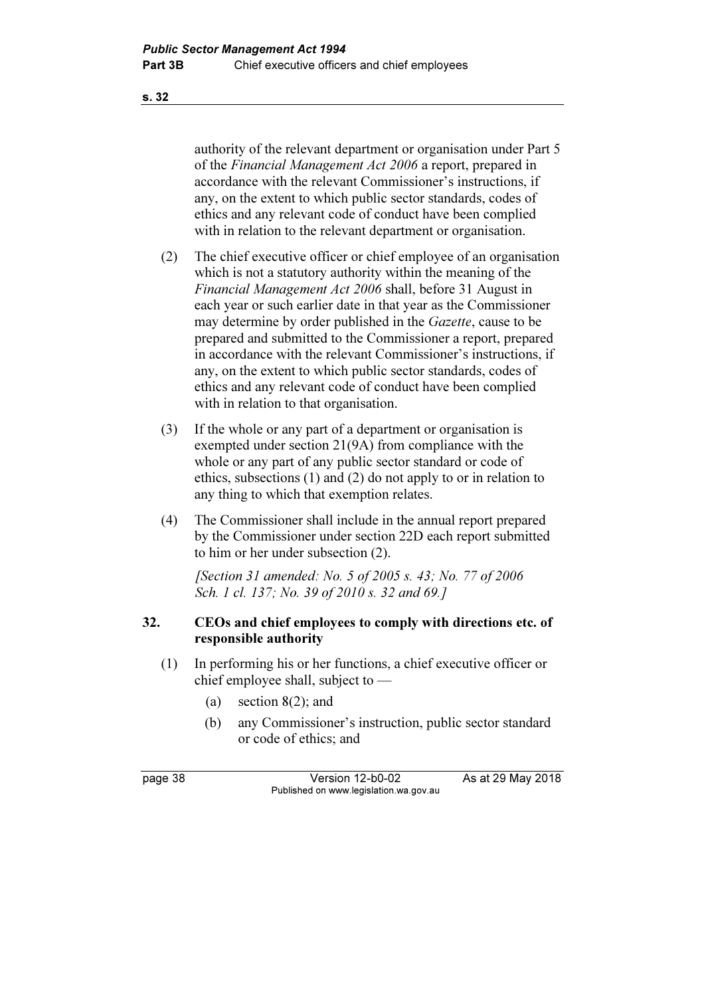authority of the relevant department or organisation under Part 5 of the *Financial Management Act 2006* a report, prepared in accordance with the relevant Commissioner's instructions, if any, on the extent to which public sector standards, codes of ethics and any relevant code of conduct have been complied with in relation to the relevant department or organisation.

- (2) The chief executive officer or chief employee of an organisation which is not a statutory authority within the meaning of the Financial Management Act 2006 shall, before 31 August in each year or such earlier date in that year as the Commissioner may determine by order published in the *Gazette*, cause to be prepared and submitted to the Commissioner a report, prepared in accordance with the relevant Commissioner's instructions, if any, on the extent to which public sector standards, codes of ethics and any relevant code of conduct have been complied with in relation to that organisation.
- (3) If the whole or any part of a department or organisation is exempted under section 21(9A) from compliance with the whole or any part of any public sector standard or code of ethics, subsections (1) and (2) do not apply to or in relation to any thing to which that exemption relates.
- (4) The Commissioner shall include in the annual report prepared by the Commissioner under section 22D each report submitted to him or her under subsection (2).

 [Section 31 amended: No. 5 of 2005 s. 43; No. 77 of 2006 Sch. 1 cl. 137; No. 39 of 2010 s. 32 and 69.]

#### 32. CEOs and chief employees to comply with directions etc. of responsible authority

- (1) In performing his or her functions, a chief executive officer or chief employee shall, subject to —
	- (a) section  $8(2)$ ; and
	- (b) any Commissioner's instruction, public sector standard or code of ethics; and

page 38 Version 12-b0-02 As at 29 May 2018 Published on www.legislation.wa.gov.au

s. 32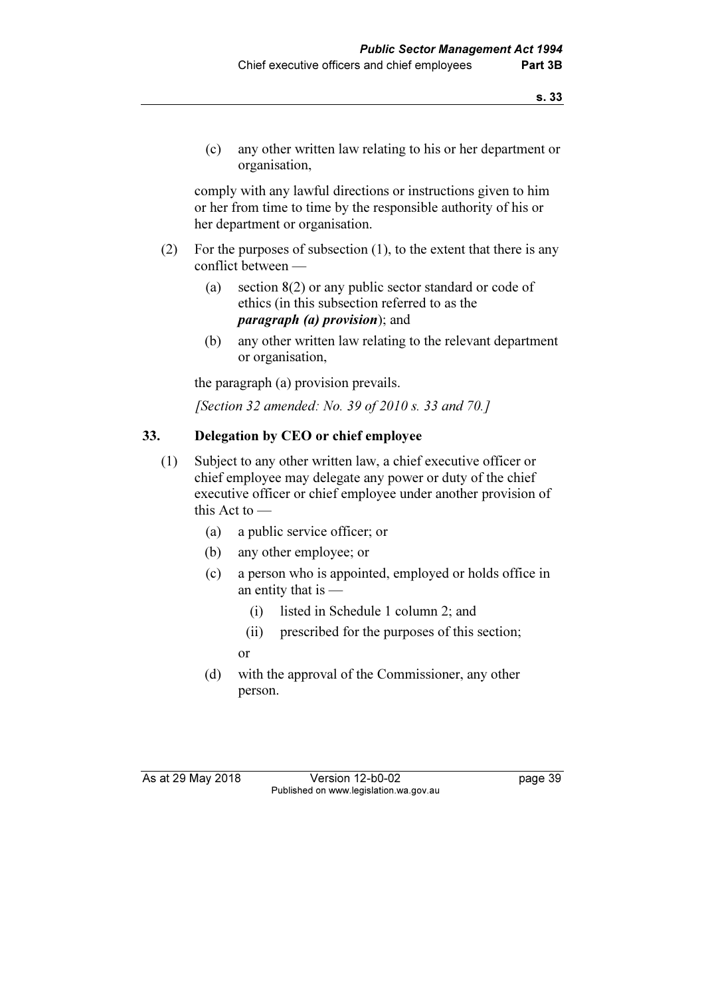(c) any other written law relating to his or her department or organisation,

 comply with any lawful directions or instructions given to him or her from time to time by the responsible authority of his or her department or organisation.

- (2) For the purposes of subsection (1), to the extent that there is any conflict between —
	- (a) section 8(2) or any public sector standard or code of ethics (in this subsection referred to as the paragraph (a) provision); and
	- (b) any other written law relating to the relevant department or organisation,

the paragraph (a) provision prevails.

[Section 32 amended: No. 39 of 2010 s. 33 and 70.]

# 33. Delegation by CEO or chief employee

- (1) Subject to any other written law, a chief executive officer or chief employee may delegate any power or duty of the chief executive officer or chief employee under another provision of this Act to —
	- (a) a public service officer; or
	- (b) any other employee; or
	- (c) a person who is appointed, employed or holds office in an entity that is —
		- (i) listed in Schedule 1 column 2; and
		- (ii) prescribed for the purposes of this section;
		- or
	- (d) with the approval of the Commissioner, any other person.

As at 29 May 2018 Version 12-b0-02 page 39 Published on www.legislation.wa.gov.au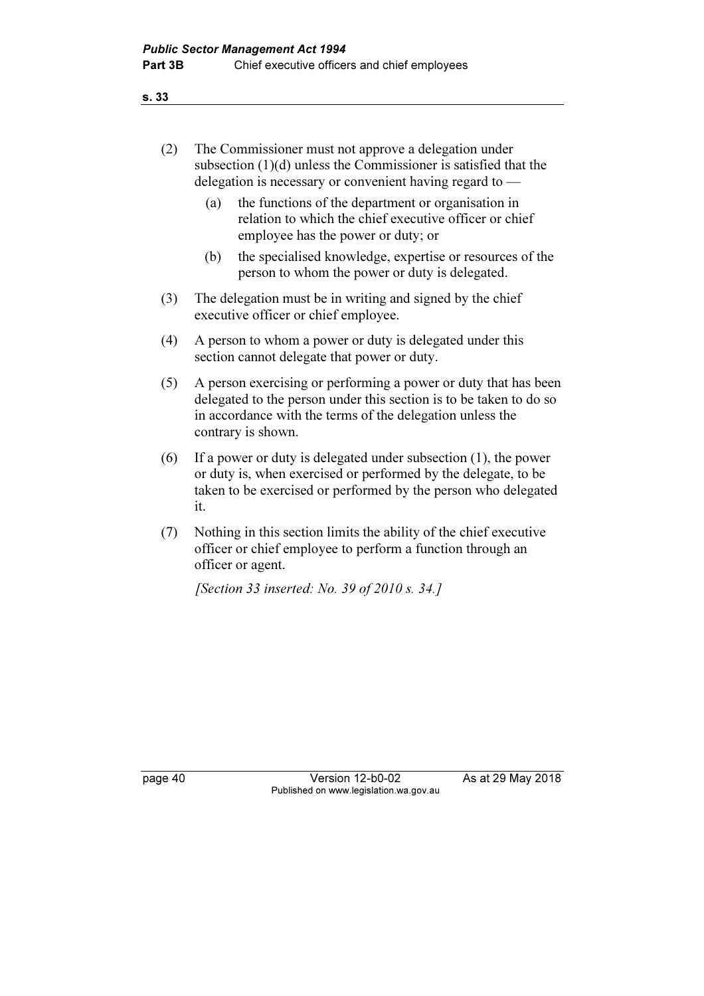s. 33

| (2) | The Commissioner must not approve a delegation under              |
|-----|-------------------------------------------------------------------|
|     | subsection $(1)(d)$ unless the Commissioner is satisfied that the |
|     | delegation is necessary or convenient having regard to $-$        |

- (a) the functions of the department or organisation in relation to which the chief executive officer or chief employee has the power or duty; or
- (b) the specialised knowledge, expertise or resources of the person to whom the power or duty is delegated.
- (3) The delegation must be in writing and signed by the chief executive officer or chief employee.
- (4) A person to whom a power or duty is delegated under this section cannot delegate that power or duty.
- (5) A person exercising or performing a power or duty that has been delegated to the person under this section is to be taken to do so in accordance with the terms of the delegation unless the contrary is shown.
- (6) If a power or duty is delegated under subsection (1), the power or duty is, when exercised or performed by the delegate, to be taken to be exercised or performed by the person who delegated it.
- (7) Nothing in this section limits the ability of the chief executive officer or chief employee to perform a function through an officer or agent.

[Section 33 inserted: No. 39 of 2010 s. 34.]

page 40 Version 12-b0-02 As at 29 May 2018 Published on www.legislation.wa.gov.au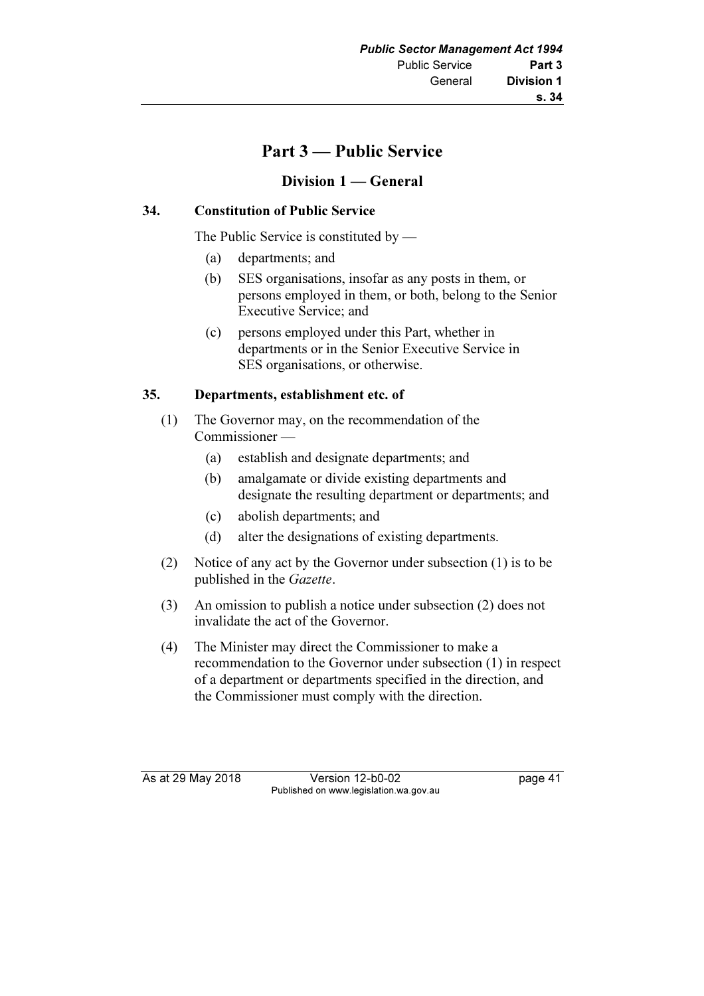# Part 3 — Public Service

# Division 1 — General

# 34. Constitution of Public Service

The Public Service is constituted by —

- (a) departments; and
- (b) SES organisations, insofar as any posts in them, or persons employed in them, or both, belong to the Senior Executive Service; and
- (c) persons employed under this Part, whether in departments or in the Senior Executive Service in SES organisations, or otherwise.

# 35. Departments, establishment etc. of

- (1) The Governor may, on the recommendation of the Commissioner —
	- (a) establish and designate departments; and
	- (b) amalgamate or divide existing departments and designate the resulting department or departments; and
	- (c) abolish departments; and
	- (d) alter the designations of existing departments.
- (2) Notice of any act by the Governor under subsection (1) is to be published in the Gazette.
- (3) An omission to publish a notice under subsection (2) does not invalidate the act of the Governor.
- (4) The Minister may direct the Commissioner to make a recommendation to the Governor under subsection (1) in respect of a department or departments specified in the direction, and the Commissioner must comply with the direction.

As at 29 May 2018 Version 12-b0-02 page 41 Published on www.legislation.wa.gov.au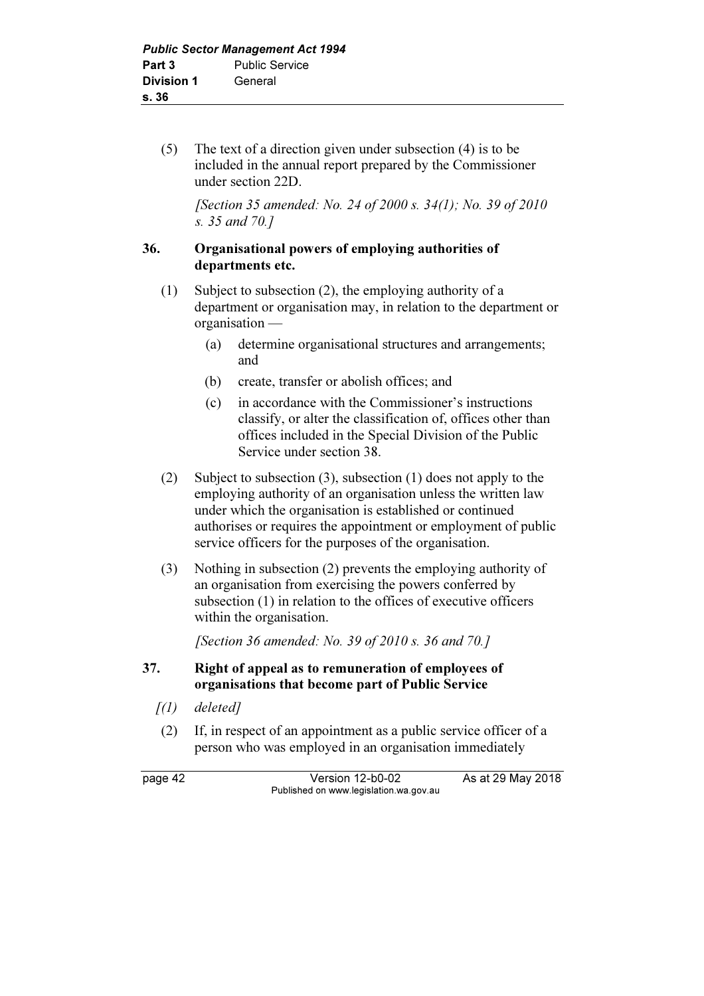(5) The text of a direction given under subsection (4) is to be included in the annual report prepared by the Commissioner under section 22D.

 [Section 35 amended: No. 24 of 2000 s. 34(1); No. 39 of 2010 s. 35 and 70.]

#### 36. Organisational powers of employing authorities of departments etc.

- (1) Subject to subsection (2), the employing authority of a department or organisation may, in relation to the department or organisation —
	- (a) determine organisational structures and arrangements; and
	- (b) create, transfer or abolish offices; and
	- (c) in accordance with the Commissioner's instructions classify, or alter the classification of, offices other than offices included in the Special Division of the Public Service under section 38.
- (2) Subject to subsection (3), subsection (1) does not apply to the employing authority of an organisation unless the written law under which the organisation is established or continued authorises or requires the appointment or employment of public service officers for the purposes of the organisation.
- (3) Nothing in subsection (2) prevents the employing authority of an organisation from exercising the powers conferred by subsection (1) in relation to the offices of executive officers within the organisation.

[Section 36 amended: No. 39 of 2010 s. 36 and 70.]

# 37. Right of appeal as to remuneration of employees of organisations that become part of Public Service

- $(1)$  deleted]
- (2) If, in respect of an appointment as a public service officer of a person who was employed in an organisation immediately

page 42 Version 12-b0-02 As at 29 May 2018 Published on www.legislation.wa.gov.au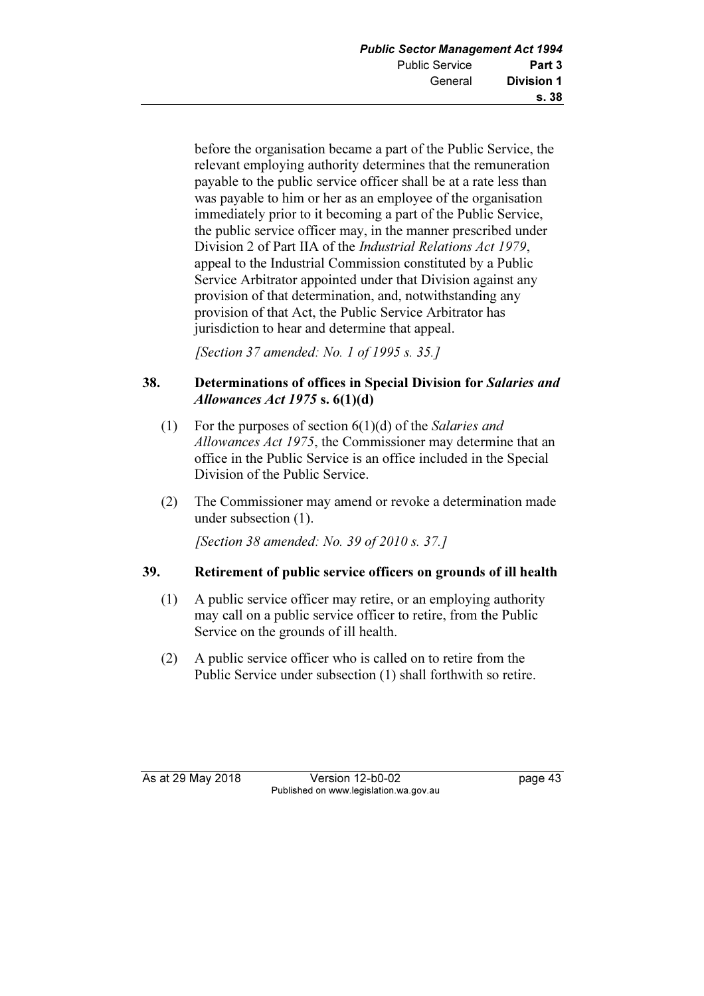before the organisation became a part of the Public Service, the relevant employing authority determines that the remuneration payable to the public service officer shall be at a rate less than was payable to him or her as an employee of the organisation immediately prior to it becoming a part of the Public Service, the public service officer may, in the manner prescribed under Division 2 of Part IIA of the Industrial Relations Act 1979, appeal to the Industrial Commission constituted by a Public Service Arbitrator appointed under that Division against any provision of that determination, and, notwithstanding any provision of that Act, the Public Service Arbitrator has jurisdiction to hear and determine that appeal.

[Section 37 amended: No. 1 of 1995 s. 35.]

# 38. Determinations of offices in Special Division for Salaries and Allowances Act 1975 s.  $6(1)(d)$

- (1) For the purposes of section  $6(1)(d)$  of the *Salaries and* Allowances Act 1975, the Commissioner may determine that an office in the Public Service is an office included in the Special Division of the Public Service.
- (2) The Commissioner may amend or revoke a determination made under subsection (1).

[Section 38 amended: No. 39 of 2010 s. 37.]

# 39. Retirement of public service officers on grounds of ill health

- (1) A public service officer may retire, or an employing authority may call on a public service officer to retire, from the Public Service on the grounds of ill health.
- (2) A public service officer who is called on to retire from the Public Service under subsection (1) shall forthwith so retire.

As at 29 May 2018 **Version 12-b0-02** page 43 Published on www.legislation.wa.gov.au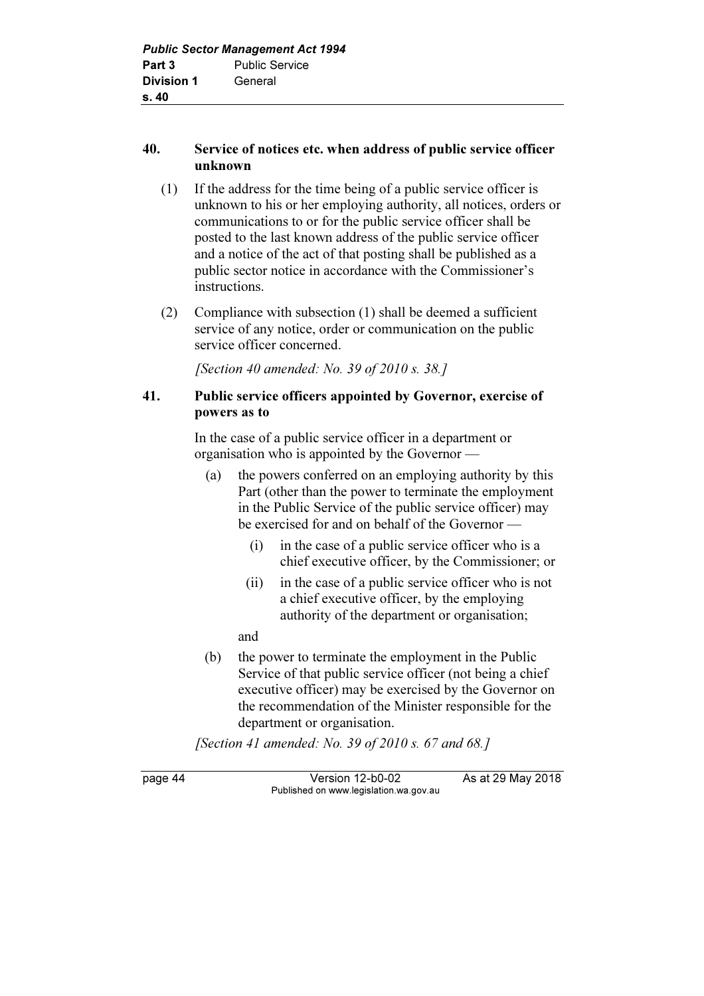# 40. Service of notices etc. when address of public service officer unknown

- (1) If the address for the time being of a public service officer is unknown to his or her employing authority, all notices, orders or communications to or for the public service officer shall be posted to the last known address of the public service officer and a notice of the act of that posting shall be published as a public sector notice in accordance with the Commissioner's instructions.
- (2) Compliance with subsection (1) shall be deemed a sufficient service of any notice, order or communication on the public service officer concerned.

[Section 40 amended: No. 39 of 2010 s. 38.]

# 41. Public service officers appointed by Governor, exercise of powers as to

 In the case of a public service officer in a department or organisation who is appointed by the Governor —

- (a) the powers conferred on an employing authority by this Part (other than the power to terminate the employment in the Public Service of the public service officer) may be exercised for and on behalf of the Governor —
	- (i) in the case of a public service officer who is a chief executive officer, by the Commissioner; or
	- (ii) in the case of a public service officer who is not a chief executive officer, by the employing authority of the department or organisation;

and

 (b) the power to terminate the employment in the Public Service of that public service officer (not being a chief executive officer) may be exercised by the Governor on the recommendation of the Minister responsible for the department or organisation.

[Section 41 amended: No. 39 of 2010 s. 67 and 68.]

page 44 Version 12-b0-02 As at 29 May 2018 Published on www.legislation.wa.gov.au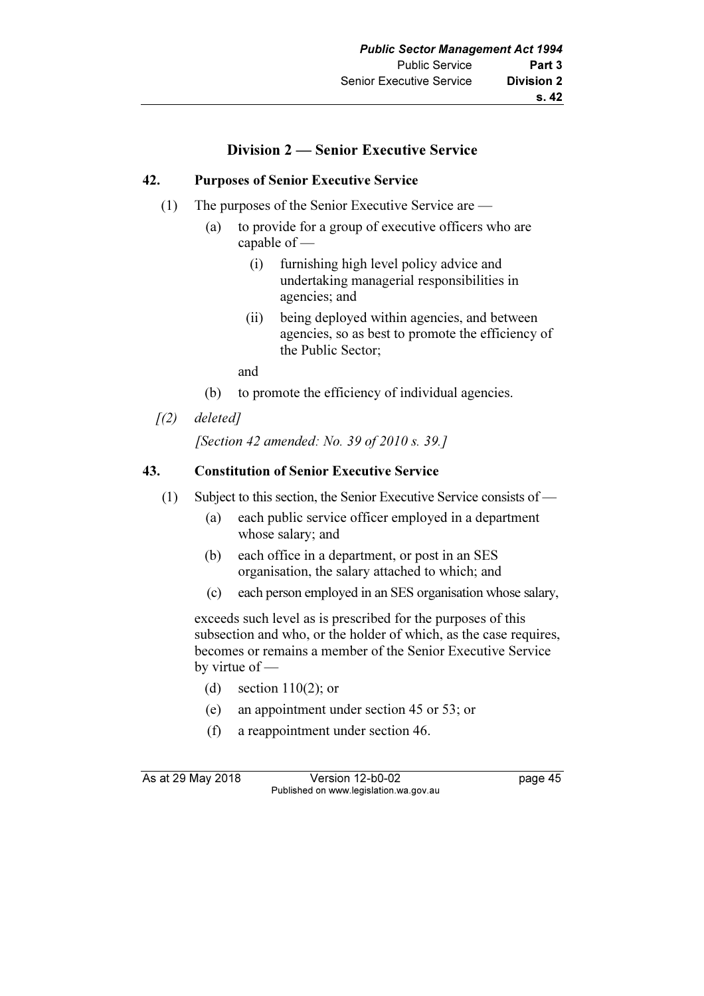# Division 2 — Senior Executive Service

# 42. Purposes of Senior Executive Service

- (1) The purposes of the Senior Executive Service are
	- (a) to provide for a group of executive officers who are capable of —
		- (i) furnishing high level policy advice and undertaking managerial responsibilities in agencies; and
		- (ii) being deployed within agencies, and between agencies, so as best to promote the efficiency of the Public Sector;

and

- (b) to promote the efficiency of individual agencies.
- $(2)$  deleted]

[Section 42 amended: No. 39 of 2010 s. 39.]

#### 43. Constitution of Senior Executive Service

- (1) Subject to this section, the Senior Executive Service consists of
	- (a) each public service officer employed in a department whose salary; and
	- (b) each office in a department, or post in an SES organisation, the salary attached to which; and
	- (c) each person employed in an SES organisation whose salary,

 exceeds such level as is prescribed for the purposes of this subsection and who, or the holder of which, as the case requires, becomes or remains a member of the Senior Executive Service by virtue of —

- (d) section  $110(2)$ ; or
- (e) an appointment under section 45 or 53; or
- (f) a reappointment under section 46.

As at 29 May 2018 Version 12-b0-02 page 45 Published on www.legislation.wa.gov.au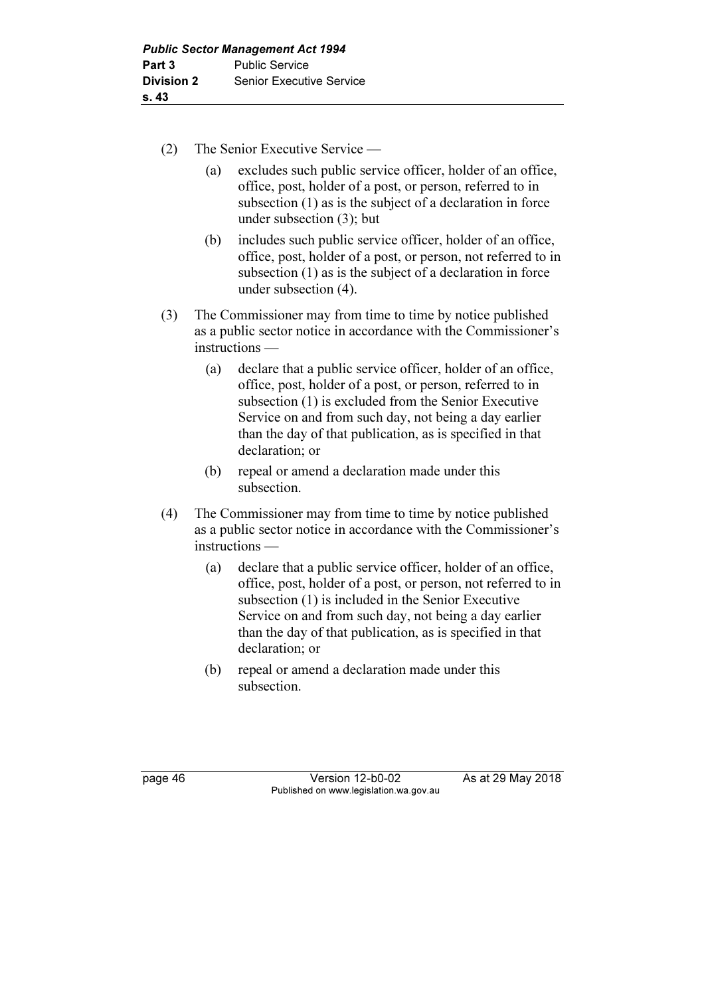- (2) The Senior Executive Service
	- (a) excludes such public service officer, holder of an office, office, post, holder of a post, or person, referred to in subsection (1) as is the subject of a declaration in force under subsection (3); but
	- (b) includes such public service officer, holder of an office, office, post, holder of a post, or person, not referred to in subsection (1) as is the subject of a declaration in force under subsection (4).
- (3) The Commissioner may from time to time by notice published as a public sector notice in accordance with the Commissioner's instructions —
	- (a) declare that a public service officer, holder of an office, office, post, holder of a post, or person, referred to in subsection (1) is excluded from the Senior Executive Service on and from such day, not being a day earlier than the day of that publication, as is specified in that declaration; or
	- (b) repeal or amend a declaration made under this subsection.
- (4) The Commissioner may from time to time by notice published as a public sector notice in accordance with the Commissioner's instructions —
	- (a) declare that a public service officer, holder of an office, office, post, holder of a post, or person, not referred to in subsection (1) is included in the Senior Executive Service on and from such day, not being a day earlier than the day of that publication, as is specified in that declaration; or
	- (b) repeal or amend a declaration made under this subsection.

page 46 Version 12-b0-02 As at 29 May 2018 Published on www.legislation.wa.gov.au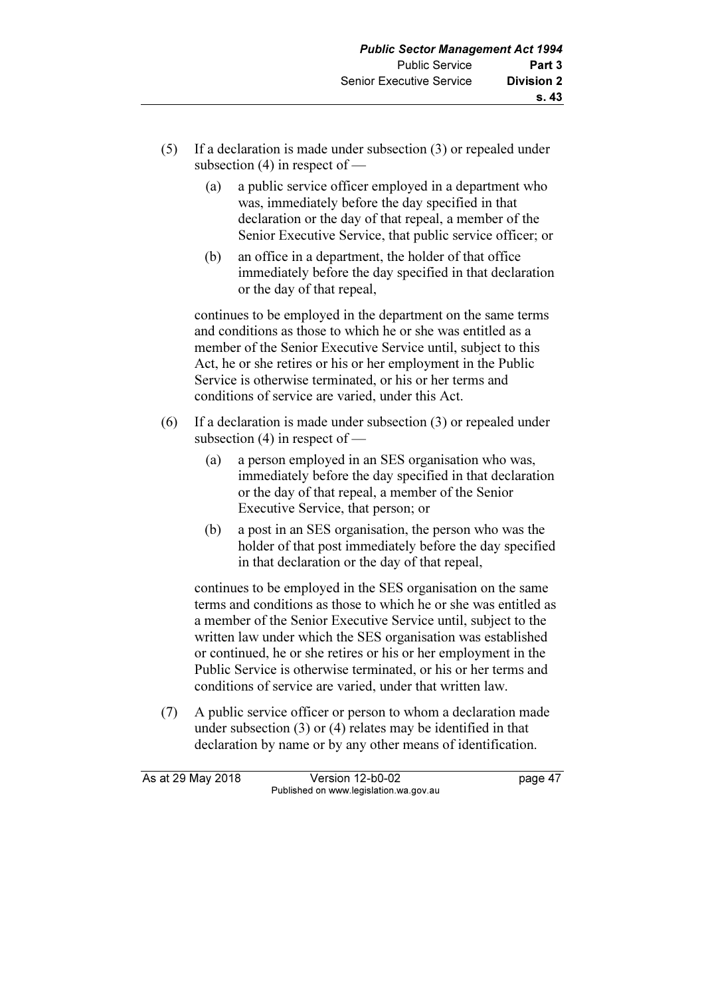- (5) If a declaration is made under subsection (3) or repealed under subsection (4) in respect of —
	- (a) a public service officer employed in a department who was, immediately before the day specified in that declaration or the day of that repeal, a member of the Senior Executive Service, that public service officer; or
	- (b) an office in a department, the holder of that office immediately before the day specified in that declaration or the day of that repeal,

 continues to be employed in the department on the same terms and conditions as those to which he or she was entitled as a member of the Senior Executive Service until, subject to this Act, he or she retires or his or her employment in the Public Service is otherwise terminated, or his or her terms and conditions of service are varied, under this Act.

- (6) If a declaration is made under subsection (3) or repealed under subsection  $(4)$  in respect of  $-$ 
	- (a) a person employed in an SES organisation who was, immediately before the day specified in that declaration or the day of that repeal, a member of the Senior Executive Service, that person; or
	- (b) a post in an SES organisation, the person who was the holder of that post immediately before the day specified in that declaration or the day of that repeal,

 continues to be employed in the SES organisation on the same terms and conditions as those to which he or she was entitled as a member of the Senior Executive Service until, subject to the written law under which the SES organisation was established or continued, he or she retires or his or her employment in the Public Service is otherwise terminated, or his or her terms and conditions of service are varied, under that written law.

 (7) A public service officer or person to whom a declaration made under subsection (3) or (4) relates may be identified in that declaration by name or by any other means of identification.

| As at 29 May 2018 | Version 12-b0-02                       | page 47 |
|-------------------|----------------------------------------|---------|
|                   | Published on www.legislation.wa.gov.au |         |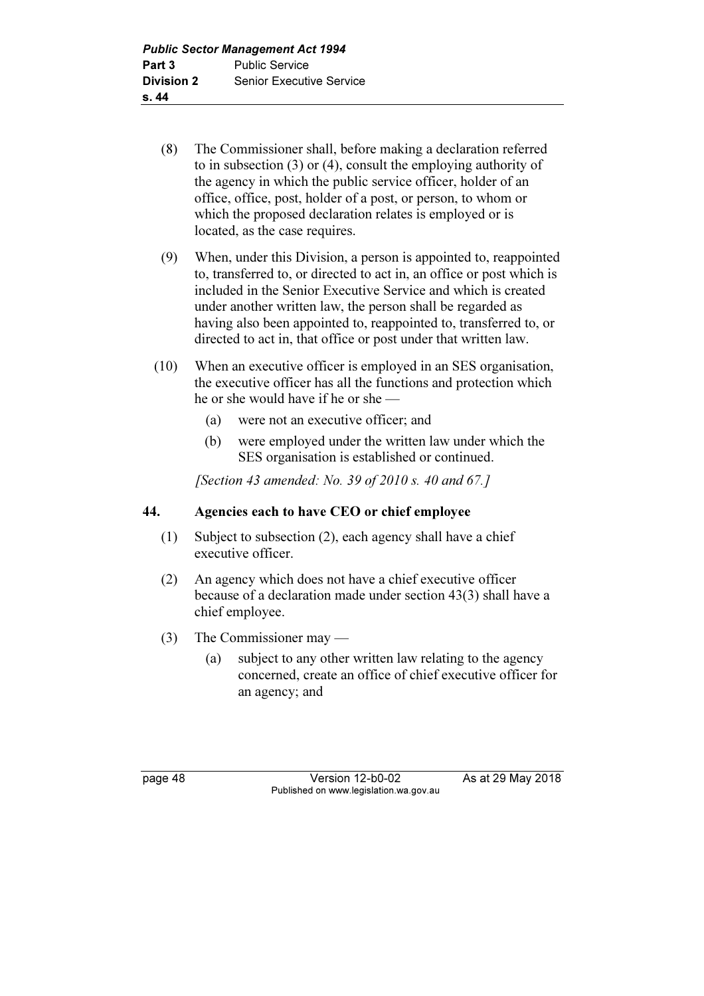- (8) The Commissioner shall, before making a declaration referred to in subsection (3) or (4), consult the employing authority of the agency in which the public service officer, holder of an office, office, post, holder of a post, or person, to whom or which the proposed declaration relates is employed or is located, as the case requires.
- (9) When, under this Division, a person is appointed to, reappointed to, transferred to, or directed to act in, an office or post which is included in the Senior Executive Service and which is created under another written law, the person shall be regarded as having also been appointed to, reappointed to, transferred to, or directed to act in, that office or post under that written law.
- (10) When an executive officer is employed in an SES organisation, the executive officer has all the functions and protection which he or she would have if he or she —
	- (a) were not an executive officer; and
	- (b) were employed under the written law under which the SES organisation is established or continued.

[Section 43 amended: No. 39 of 2010 s. 40 and 67.]

# 44. Agencies each to have CEO or chief employee

- (1) Subject to subsection (2), each agency shall have a chief executive officer.
- (2) An agency which does not have a chief executive officer because of a declaration made under section 43(3) shall have a chief employee.
- (3) The Commissioner may
	- (a) subject to any other written law relating to the agency concerned, create an office of chief executive officer for an agency; and

page 48 Version 12-b0-02 As at 29 May 2018 Published on www.legislation.wa.gov.au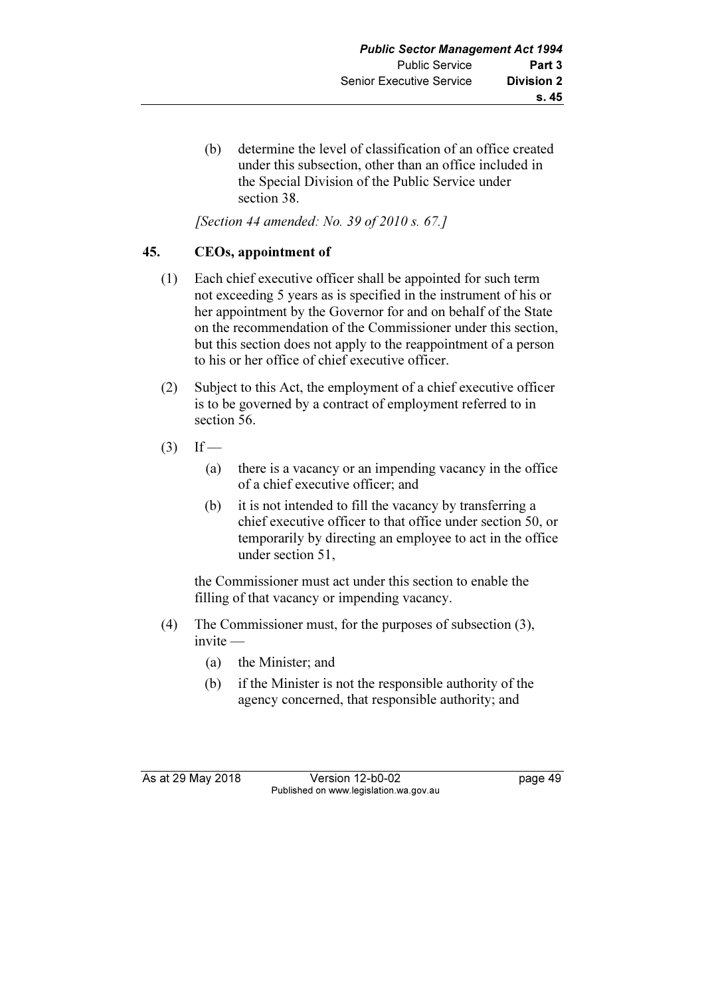(b) determine the level of classification of an office created under this subsection, other than an office included in the Special Division of the Public Service under section 38.

[Section 44 amended: No. 39 of 2010 s. 67.]

# 45. CEOs, appointment of

- (1) Each chief executive officer shall be appointed for such term not exceeding 5 years as is specified in the instrument of his or her appointment by the Governor for and on behalf of the State on the recommendation of the Commissioner under this section, but this section does not apply to the reappointment of a person to his or her office of chief executive officer.
- (2) Subject to this Act, the employment of a chief executive officer is to be governed by a contract of employment referred to in section 56.
- $(3)$  If
	- (a) there is a vacancy or an impending vacancy in the office of a chief executive officer; and
	- (b) it is not intended to fill the vacancy by transferring a chief executive officer to that office under section 50, or temporarily by directing an employee to act in the office under section 51,

 the Commissioner must act under this section to enable the filling of that vacancy or impending vacancy.

- (4) The Commissioner must, for the purposes of subsection (3), invite —
	- (a) the Minister; and
	- (b) if the Minister is not the responsible authority of the agency concerned, that responsible authority; and

As at 29 May 2018 **Version 12-b0-02** page 49 Published on www.legislation.wa.gov.au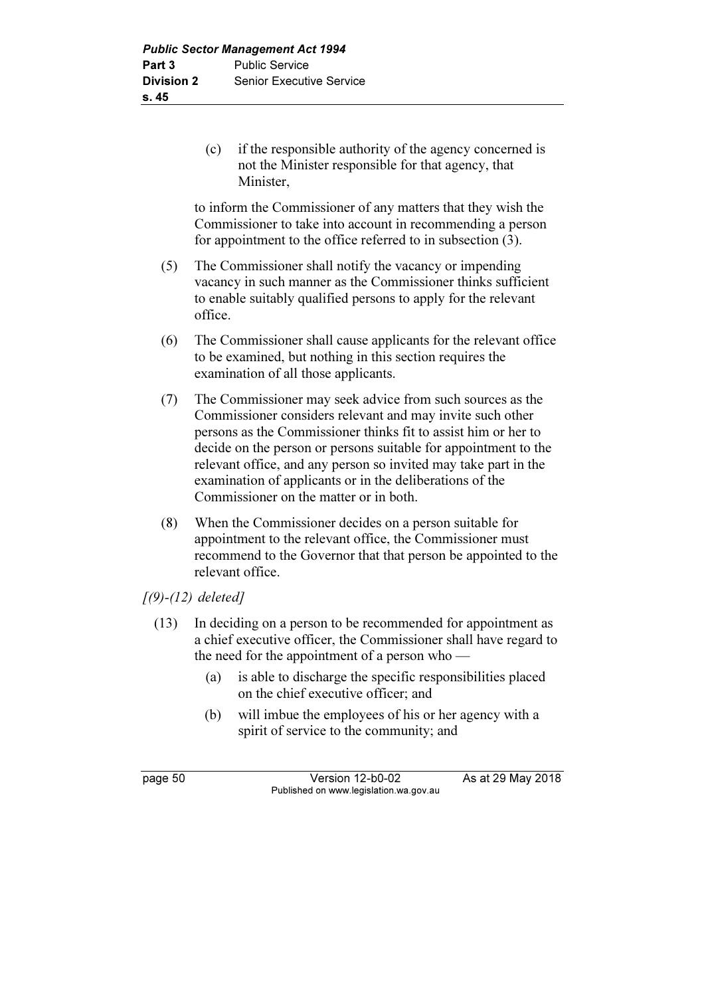(c) if the responsible authority of the agency concerned is not the Minister responsible for that agency, that Minister,

 to inform the Commissioner of any matters that they wish the Commissioner to take into account in recommending a person for appointment to the office referred to in subsection (3).

- (5) The Commissioner shall notify the vacancy or impending vacancy in such manner as the Commissioner thinks sufficient to enable suitably qualified persons to apply for the relevant office.
- (6) The Commissioner shall cause applicants for the relevant office to be examined, but nothing in this section requires the examination of all those applicants.
- (7) The Commissioner may seek advice from such sources as the Commissioner considers relevant and may invite such other persons as the Commissioner thinks fit to assist him or her to decide on the person or persons suitable for appointment to the relevant office, and any person so invited may take part in the examination of applicants or in the deliberations of the Commissioner on the matter or in both.
- (8) When the Commissioner decides on a person suitable for appointment to the relevant office, the Commissioner must recommend to the Governor that that person be appointed to the relevant office.

# $(9)$ - $(12)$  deleted]

- (13) In deciding on a person to be recommended for appointment as a chief executive officer, the Commissioner shall have regard to the need for the appointment of a person who —
	- (a) is able to discharge the specific responsibilities placed on the chief executive officer; and
	- (b) will imbue the employees of his or her agency with a spirit of service to the community; and

page 50 Version 12-b0-02 As at 29 May 2018 Published on www.legislation.wa.gov.au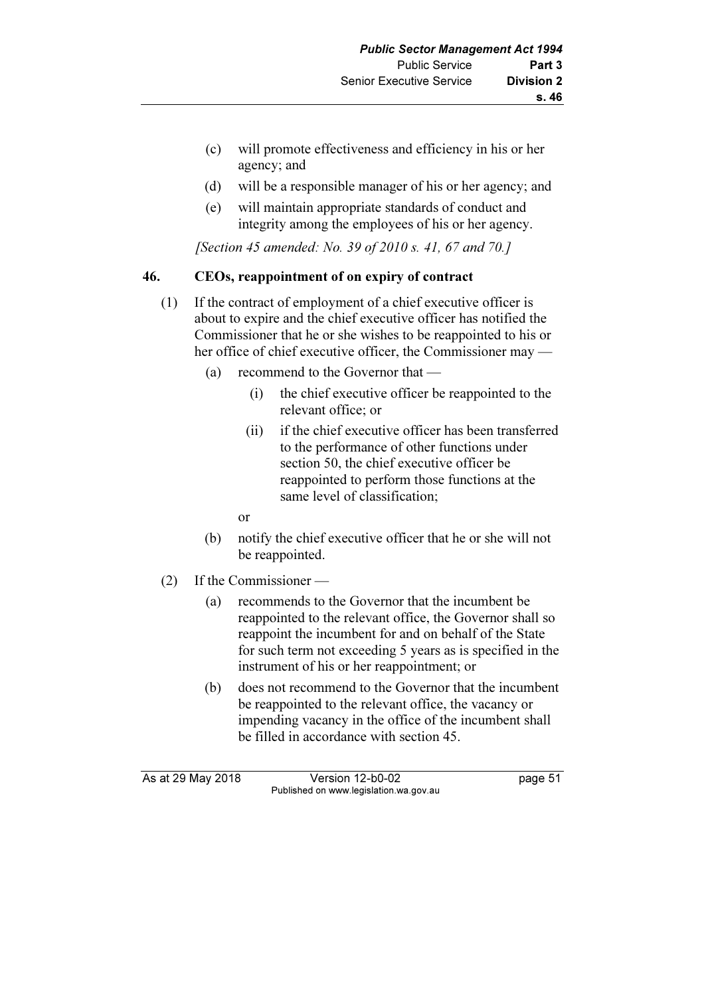- (c) will promote effectiveness and efficiency in his or her agency; and
- (d) will be a responsible manager of his or her agency; and
- (e) will maintain appropriate standards of conduct and integrity among the employees of his or her agency.

[Section 45 amended: No. 39 of 2010 s. 41, 67 and 70.]

# 46. CEOs, reappointment of on expiry of contract

- (1) If the contract of employment of a chief executive officer is about to expire and the chief executive officer has notified the Commissioner that he or she wishes to be reappointed to his or her office of chief executive officer, the Commissioner may —
	- (a) recommend to the Governor that
		- (i) the chief executive officer be reappointed to the relevant office; or
		- (ii) if the chief executive officer has been transferred to the performance of other functions under section 50, the chief executive officer be reappointed to perform those functions at the same level of classification;
- or
	- (b) notify the chief executive officer that he or she will not be reappointed.
	- (2) If the Commissioner
		- (a) recommends to the Governor that the incumbent be reappointed to the relevant office, the Governor shall so reappoint the incumbent for and on behalf of the State for such term not exceeding 5 years as is specified in the instrument of his or her reappointment; or
		- (b) does not recommend to the Governor that the incumbent be reappointed to the relevant office, the vacancy or impending vacancy in the office of the incumbent shall be filled in accordance with section 45.

As at 29 May 2018 Version 12-b0-02 page 51 Published on www.legislation.wa.gov.au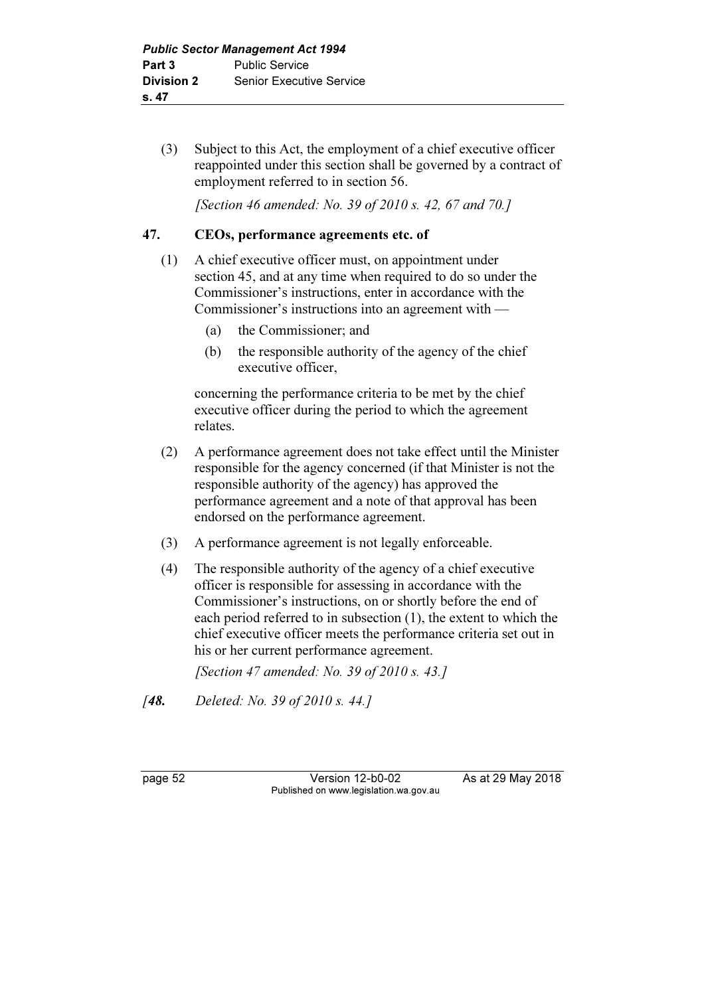(3) Subject to this Act, the employment of a chief executive officer reappointed under this section shall be governed by a contract of employment referred to in section 56.

[Section 46 amended: No. 39 of 2010 s. 42, 67 and 70.]

# 47. CEOs, performance agreements etc. of

- (1) A chief executive officer must, on appointment under section 45, and at any time when required to do so under the Commissioner's instructions, enter in accordance with the Commissioner's instructions into an agreement with —
	- (a) the Commissioner; and
	- (b) the responsible authority of the agency of the chief executive officer,

 concerning the performance criteria to be met by the chief executive officer during the period to which the agreement relates.

- (2) A performance agreement does not take effect until the Minister responsible for the agency concerned (if that Minister is not the responsible authority of the agency) has approved the performance agreement and a note of that approval has been endorsed on the performance agreement.
- (3) A performance agreement is not legally enforceable.
- (4) The responsible authority of the agency of a chief executive officer is responsible for assessing in accordance with the Commissioner's instructions, on or shortly before the end of each period referred to in subsection (1), the extent to which the chief executive officer meets the performance criteria set out in his or her current performance agreement.

[Section 47 amended: No. 39 of 2010 s. 43.]

[**48.** Deleted: No. 39 of 2010 s. 44.]

page 52 Version 12-b0-02 As at 29 May 2018 Published on www.legislation.wa.gov.au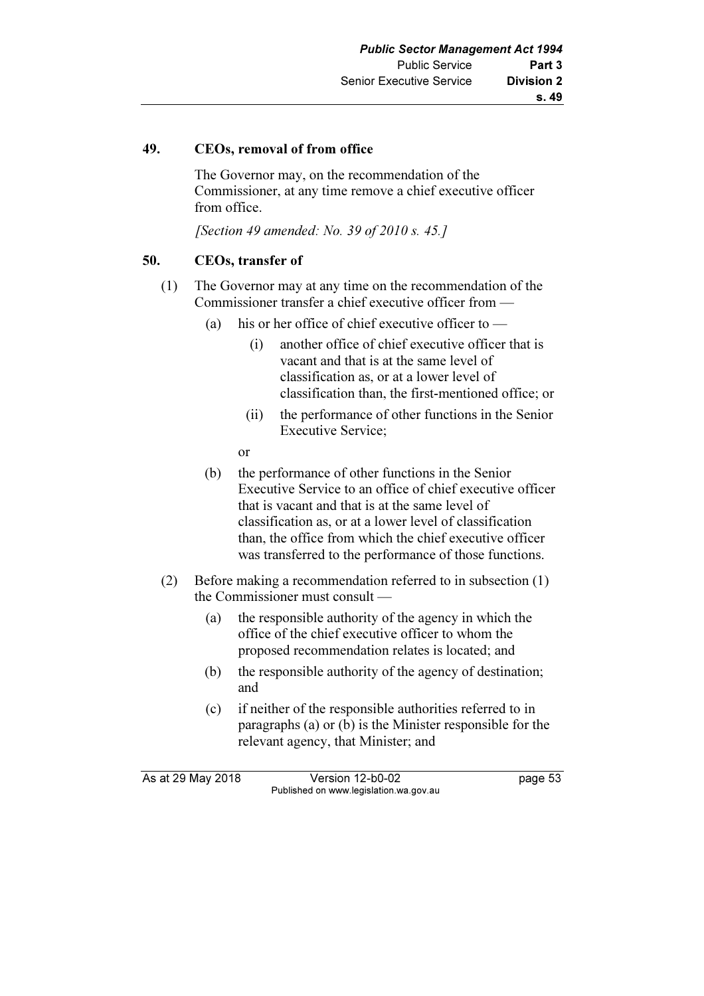# 49. CEOs, removal of from office

 The Governor may, on the recommendation of the Commissioner, at any time remove a chief executive officer from office.

[Section 49 amended: No. 39 of 2010 s. 45.]

# 50. CEOs, transfer of

- (1) The Governor may at any time on the recommendation of the Commissioner transfer a chief executive officer from —
	- (a) his or her office of chief executive officer to  $-$ 
		- (i) another office of chief executive officer that is vacant and that is at the same level of classification as, or at a lower level of classification than, the first-mentioned office; or
		- (ii) the performance of other functions in the Senior Executive Service;

or

- (b) the performance of other functions in the Senior Executive Service to an office of chief executive officer that is vacant and that is at the same level of classification as, or at a lower level of classification than, the office from which the chief executive officer was transferred to the performance of those functions.
- (2) Before making a recommendation referred to in subsection (1) the Commissioner must consult —
	- (a) the responsible authority of the agency in which the office of the chief executive officer to whom the proposed recommendation relates is located; and
	- (b) the responsible authority of the agency of destination; and
	- (c) if neither of the responsible authorities referred to in paragraphs (a) or (b) is the Minister responsible for the relevant agency, that Minister; and

As at 29 May 2018 Version 12-b0-02 page 53 Published on www.legislation.wa.gov.au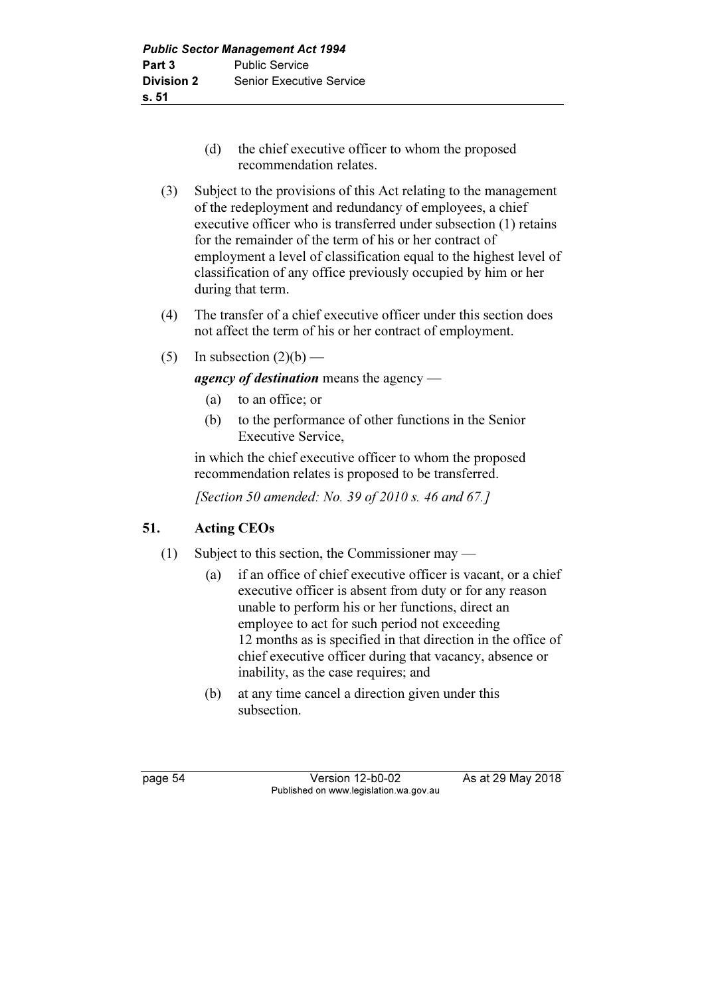- (d) the chief executive officer to whom the proposed recommendation relates.
- (3) Subject to the provisions of this Act relating to the management of the redeployment and redundancy of employees, a chief executive officer who is transferred under subsection (1) retains for the remainder of the term of his or her contract of employment a level of classification equal to the highest level of classification of any office previously occupied by him or her during that term.
- (4) The transfer of a chief executive officer under this section does not affect the term of his or her contract of employment.
- (5) In subsection  $(2)(b)$  —

agency of destination means the agency —

- (a) to an office; or
- (b) to the performance of other functions in the Senior Executive Service,

 in which the chief executive officer to whom the proposed recommendation relates is proposed to be transferred.

[Section 50 amended: No. 39 of 2010 s. 46 and 67.]

# 51. Acting CEOs

- (1) Subject to this section, the Commissioner may
	- (a) if an office of chief executive officer is vacant, or a chief executive officer is absent from duty or for any reason unable to perform his or her functions, direct an employee to act for such period not exceeding 12 months as is specified in that direction in the office of chief executive officer during that vacancy, absence or inability, as the case requires; and
	- (b) at any time cancel a direction given under this subsection.

page 54 Version 12-b0-02 As at 29 May 2018 Published on www.legislation.wa.gov.au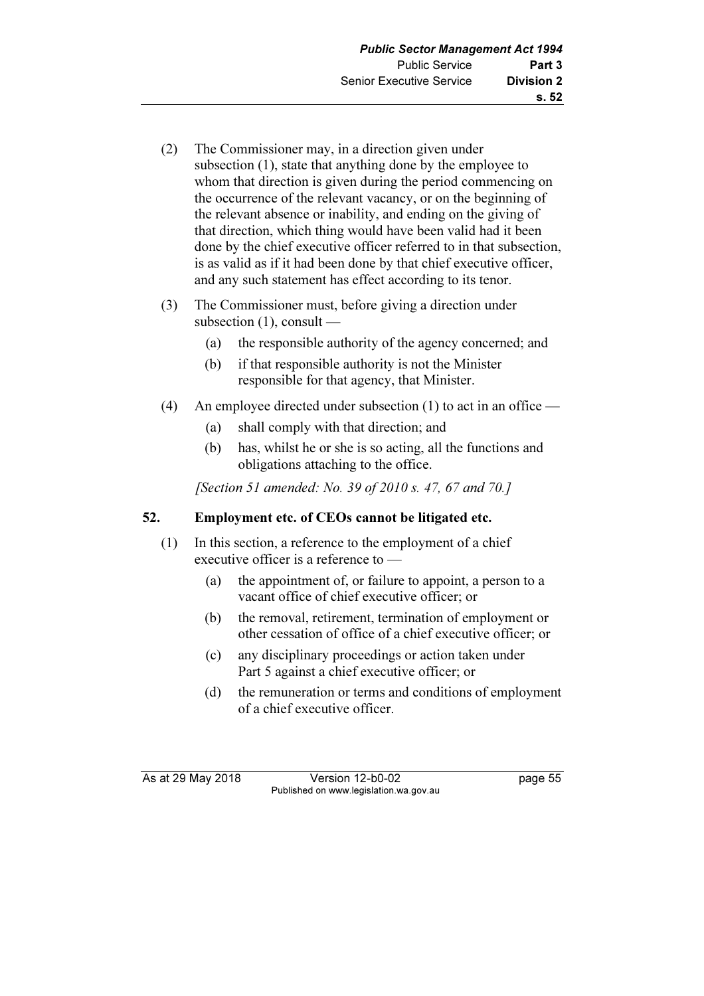- (2) The Commissioner may, in a direction given under subsection (1), state that anything done by the employee to whom that direction is given during the period commencing on the occurrence of the relevant vacancy, or on the beginning of the relevant absence or inability, and ending on the giving of that direction, which thing would have been valid had it been done by the chief executive officer referred to in that subsection, is as valid as if it had been done by that chief executive officer, and any such statement has effect according to its tenor.
- (3) The Commissioner must, before giving a direction under subsection  $(1)$ , consult —
	- (a) the responsible authority of the agency concerned; and
	- (b) if that responsible authority is not the Minister responsible for that agency, that Minister.
- (4) An employee directed under subsection (1) to act in an office
	- (a) shall comply with that direction; and
	- (b) has, whilst he or she is so acting, all the functions and obligations attaching to the office.

[Section 51 amended: No. 39 of 2010 s. 47, 67 and 70.]

# 52. Employment etc. of CEOs cannot be litigated etc.

- (1) In this section, a reference to the employment of a chief executive officer is a reference to —
	- (a) the appointment of, or failure to appoint, a person to a vacant office of chief executive officer; or
	- (b) the removal, retirement, termination of employment or other cessation of office of a chief executive officer; or
	- (c) any disciplinary proceedings or action taken under Part 5 against a chief executive officer; or
	- (d) the remuneration or terms and conditions of employment of a chief executive officer.

As at 29 May 2018 **Version 12-b0-02** page 55 Published on www.legislation.wa.gov.au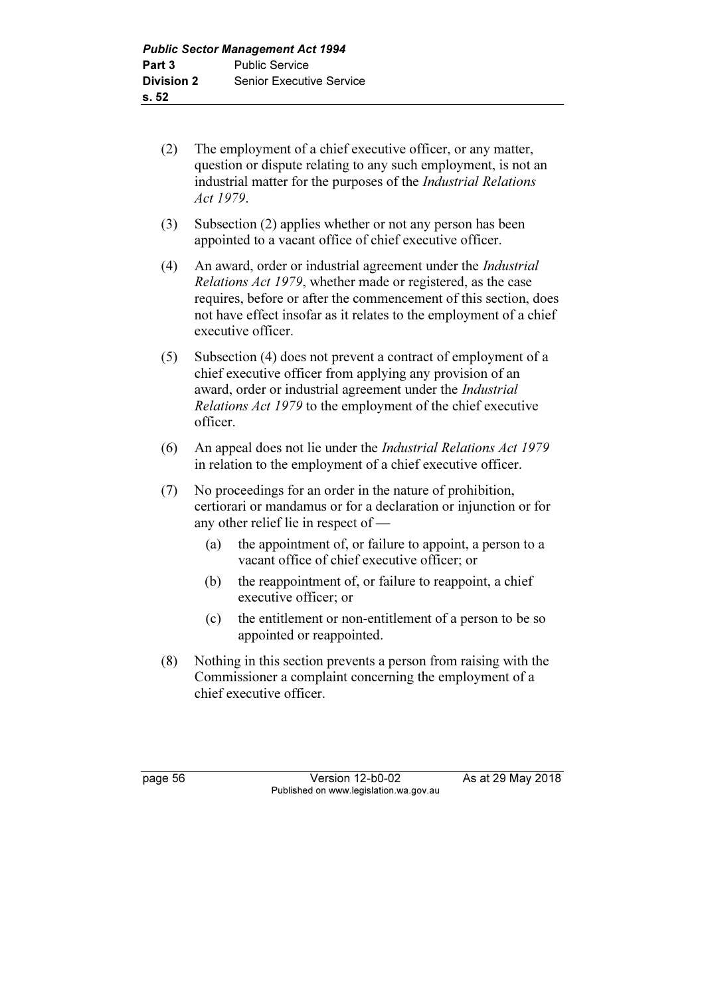- (2) The employment of a chief executive officer, or any matter, question or dispute relating to any such employment, is not an industrial matter for the purposes of the Industrial Relations Act 1979.
- (3) Subsection (2) applies whether or not any person has been appointed to a vacant office of chief executive officer.
- (4) An award, order or industrial agreement under the Industrial Relations Act 1979, whether made or registered, as the case requires, before or after the commencement of this section, does not have effect insofar as it relates to the employment of a chief executive officer.
- (5) Subsection (4) does not prevent a contract of employment of a chief executive officer from applying any provision of an award, order or industrial agreement under the *Industrial* Relations Act 1979 to the employment of the chief executive officer.
- (6) An appeal does not lie under the Industrial Relations Act 1979 in relation to the employment of a chief executive officer.
- (7) No proceedings for an order in the nature of prohibition, certiorari or mandamus or for a declaration or injunction or for any other relief lie in respect of —
	- (a) the appointment of, or failure to appoint, a person to a vacant office of chief executive officer; or
	- (b) the reappointment of, or failure to reappoint, a chief executive officer; or
	- (c) the entitlement or non-entitlement of a person to be so appointed or reappointed.
- (8) Nothing in this section prevents a person from raising with the Commissioner a complaint concerning the employment of a chief executive officer.

page 56 Version 12-b0-02 As at 29 May 2018 Published on www.legislation.wa.gov.au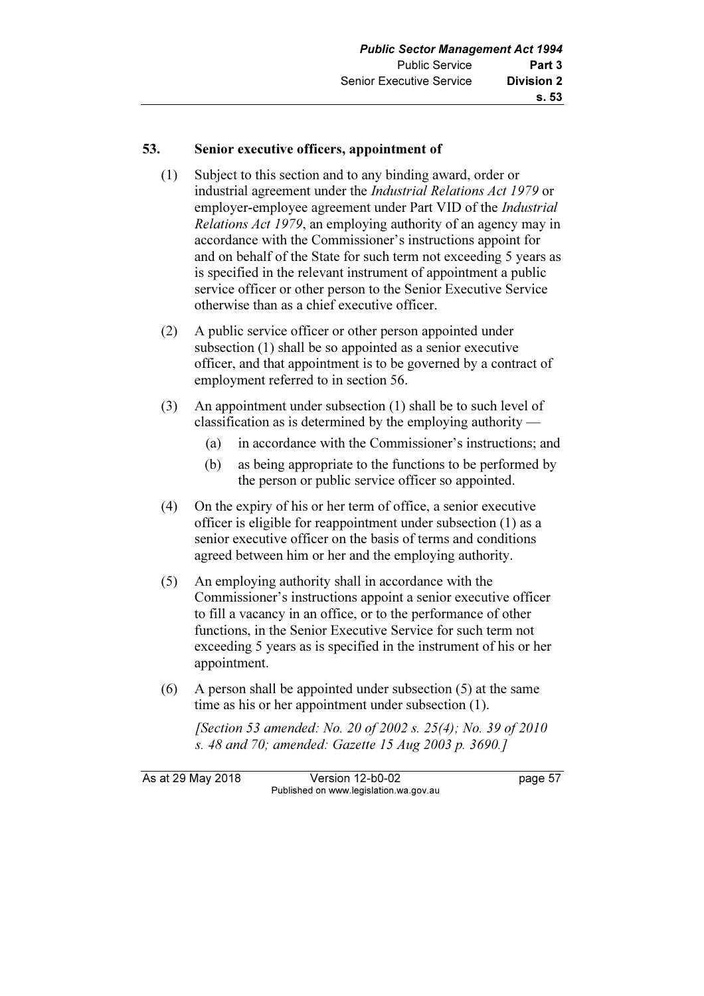# 53. Senior executive officers, appointment of

- (1) Subject to this section and to any binding award, order or industrial agreement under the Industrial Relations Act 1979 or employer-employee agreement under Part VID of the *Industrial* Relations Act 1979, an employing authority of an agency may in accordance with the Commissioner's instructions appoint for and on behalf of the State for such term not exceeding 5 years as is specified in the relevant instrument of appointment a public service officer or other person to the Senior Executive Service otherwise than as a chief executive officer.
- (2) A public service officer or other person appointed under subsection (1) shall be so appointed as a senior executive officer, and that appointment is to be governed by a contract of employment referred to in section 56.
- (3) An appointment under subsection (1) shall be to such level of classification as is determined by the employing authority —
	- (a) in accordance with the Commissioner's instructions; and
	- (b) as being appropriate to the functions to be performed by the person or public service officer so appointed.
- (4) On the expiry of his or her term of office, a senior executive officer is eligible for reappointment under subsection (1) as a senior executive officer on the basis of terms and conditions agreed between him or her and the employing authority.
- (5) An employing authority shall in accordance with the Commissioner's instructions appoint a senior executive officer to fill a vacancy in an office, or to the performance of other functions, in the Senior Executive Service for such term not exceeding 5 years as is specified in the instrument of his or her appointment.
- (6) A person shall be appointed under subsection (5) at the same time as his or her appointment under subsection (1).

 [Section 53 amended: No. 20 of 2002 s. 25(4); No. 39 of 2010 s. 48 and 70; amended: Gazette 15 Aug 2003 p. 3690.]

As at 29 May 2018 **Version 12-b0-02** page 57 Published on www.legislation.wa.gov.au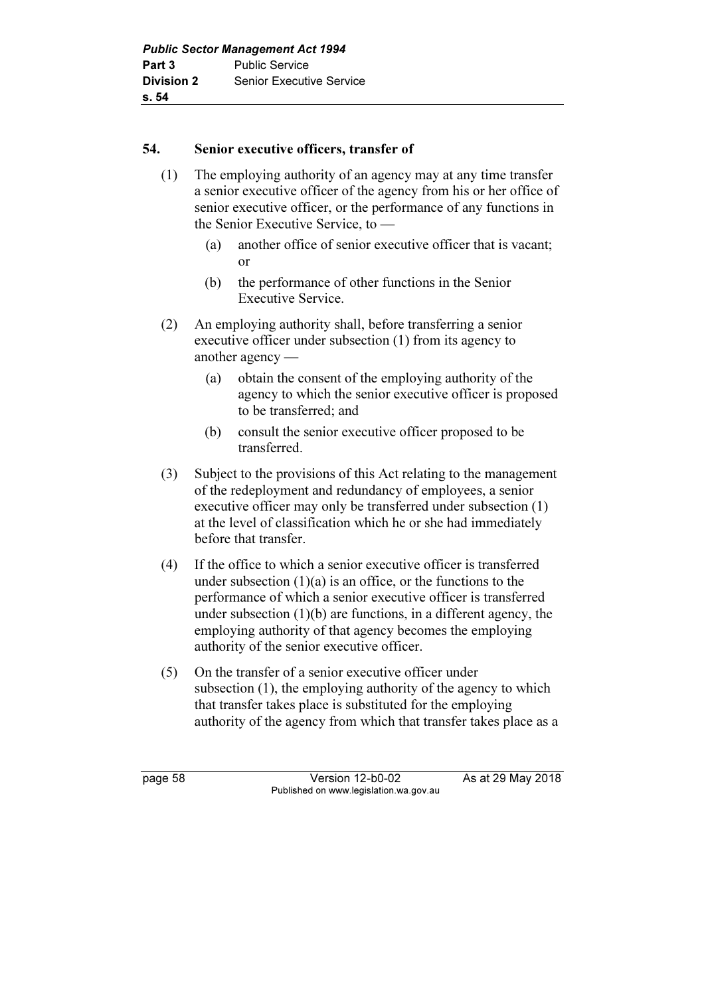# 54. Senior executive officers, transfer of

- (1) The employing authority of an agency may at any time transfer a senior executive officer of the agency from his or her office of senior executive officer, or the performance of any functions in the Senior Executive Service, to —
	- (a) another office of senior executive officer that is vacant; or
	- (b) the performance of other functions in the Senior Executive Service.
- (2) An employing authority shall, before transferring a senior executive officer under subsection (1) from its agency to another agency —
	- (a) obtain the consent of the employing authority of the agency to which the senior executive officer is proposed to be transferred; and
	- (b) consult the senior executive officer proposed to be transferred.
- (3) Subject to the provisions of this Act relating to the management of the redeployment and redundancy of employees, a senior executive officer may only be transferred under subsection (1) at the level of classification which he or she had immediately before that transfer.
- (4) If the office to which a senior executive officer is transferred under subsection  $(1)(a)$  is an office, or the functions to the performance of which a senior executive officer is transferred under subsection  $(1)(b)$  are functions, in a different agency, the employing authority of that agency becomes the employing authority of the senior executive officer.
- (5) On the transfer of a senior executive officer under subsection (1), the employing authority of the agency to which that transfer takes place is substituted for the employing authority of the agency from which that transfer takes place as a

page 58 Version 12-b0-02 As at 29 May 2018 Published on www.legislation.wa.gov.au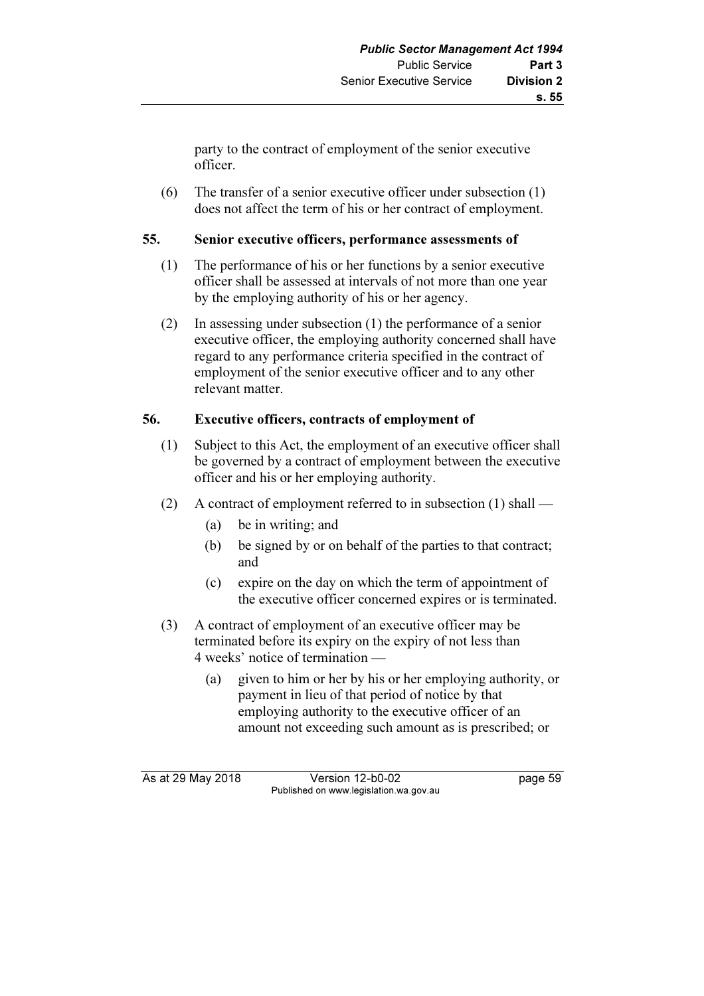party to the contract of employment of the senior executive officer.

 (6) The transfer of a senior executive officer under subsection (1) does not affect the term of his or her contract of employment.

# 55. Senior executive officers, performance assessments of

- (1) The performance of his or her functions by a senior executive officer shall be assessed at intervals of not more than one year by the employing authority of his or her agency.
- (2) In assessing under subsection (1) the performance of a senior executive officer, the employing authority concerned shall have regard to any performance criteria specified in the contract of employment of the senior executive officer and to any other relevant matter.

# 56. Executive officers, contracts of employment of

- (1) Subject to this Act, the employment of an executive officer shall be governed by a contract of employment between the executive officer and his or her employing authority.
- (2) A contract of employment referred to in subsection (1) shall
	- (a) be in writing; and
	- (b) be signed by or on behalf of the parties to that contract; and
	- (c) expire on the day on which the term of appointment of the executive officer concerned expires or is terminated.
- (3) A contract of employment of an executive officer may be terminated before its expiry on the expiry of not less than 4 weeks' notice of termination —
	- (a) given to him or her by his or her employing authority, or payment in lieu of that period of notice by that employing authority to the executive officer of an amount not exceeding such amount as is prescribed; or

As at 29 May 2018 Version 12-b0-02 page 59 Published on www.legislation.wa.gov.au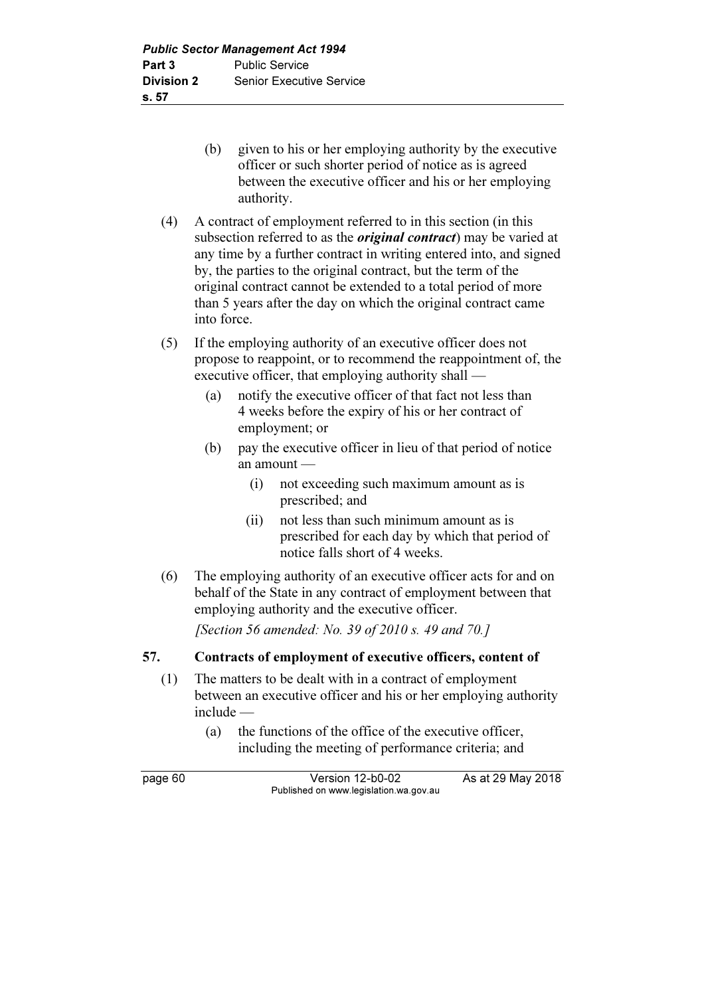- (b) given to his or her employing authority by the executive officer or such shorter period of notice as is agreed between the executive officer and his or her employing authority.
- (4) A contract of employment referred to in this section (in this subsection referred to as the *original contract*) may be varied at any time by a further contract in writing entered into, and signed by, the parties to the original contract, but the term of the original contract cannot be extended to a total period of more than 5 years after the day on which the original contract came into force.
- (5) If the employing authority of an executive officer does not propose to reappoint, or to recommend the reappointment of, the executive officer, that employing authority shall —
	- (a) notify the executive officer of that fact not less than 4 weeks before the expiry of his or her contract of employment; or
	- (b) pay the executive officer in lieu of that period of notice an amount —
		- (i) not exceeding such maximum amount as is prescribed; and
		- (ii) not less than such minimum amount as is prescribed for each day by which that period of notice falls short of 4 weeks.
- (6) The employing authority of an executive officer acts for and on behalf of the State in any contract of employment between that employing authority and the executive officer.

[Section 56 amended: No. 39 of 2010 s. 49 and 70.]

# 57. Contracts of employment of executive officers, content of

- (1) The matters to be dealt with in a contract of employment between an executive officer and his or her employing authority include —
	- (a) the functions of the office of the executive officer, including the meeting of performance criteria; and

page 60 Version 12-b0-02 As at 29 May 2018 Published on www.legislation.wa.gov.au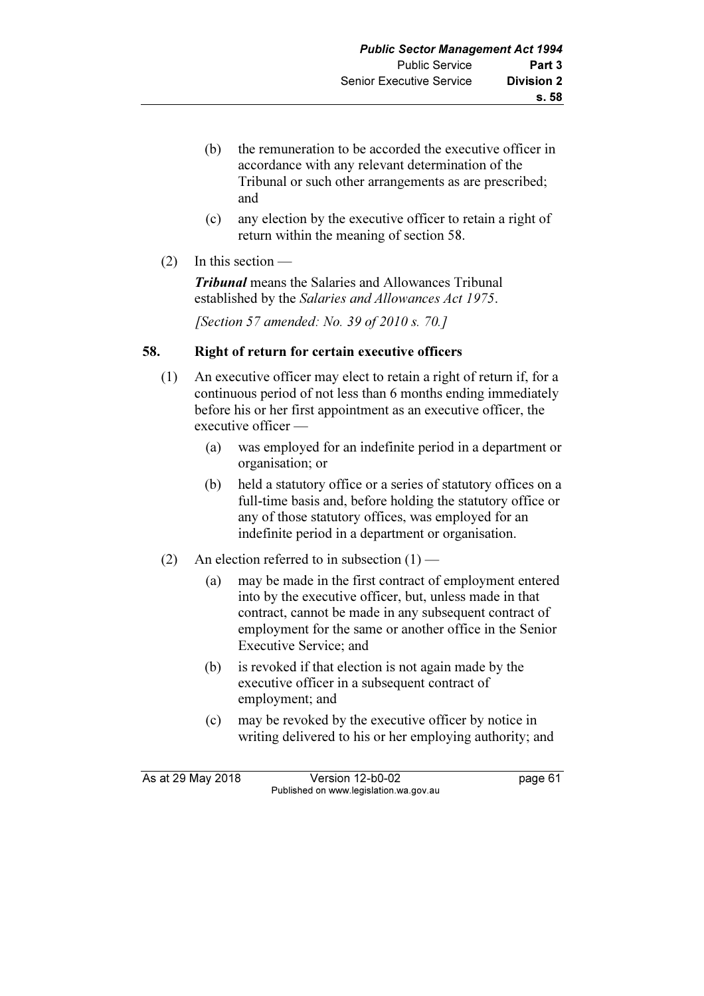- (b) the remuneration to be accorded the executive officer in accordance with any relevant determination of the Tribunal or such other arrangements as are prescribed; and
- (c) any election by the executive officer to retain a right of return within the meaning of section 58.
- $(2)$  In this section —

**Tribunal** means the Salaries and Allowances Tribunal established by the Salaries and Allowances Act 1975.

[Section 57 amended: No. 39 of 2010 s. 70.]

## 58. Right of return for certain executive officers

- (1) An executive officer may elect to retain a right of return if, for a continuous period of not less than 6 months ending immediately before his or her first appointment as an executive officer, the executive officer —
	- (a) was employed for an indefinite period in a department or organisation; or
	- (b) held a statutory office or a series of statutory offices on a full-time basis and, before holding the statutory office or any of those statutory offices, was employed for an indefinite period in a department or organisation.
- (2) An election referred to in subsection  $(1)$ 
	- (a) may be made in the first contract of employment entered into by the executive officer, but, unless made in that contract, cannot be made in any subsequent contract of employment for the same or another office in the Senior Executive Service; and
	- (b) is revoked if that election is not again made by the executive officer in a subsequent contract of employment; and
	- (c) may be revoked by the executive officer by notice in writing delivered to his or her employing authority; and

As at 29 May 2018 Version 12-b0-02 page 61 Published on www.legislation.wa.gov.au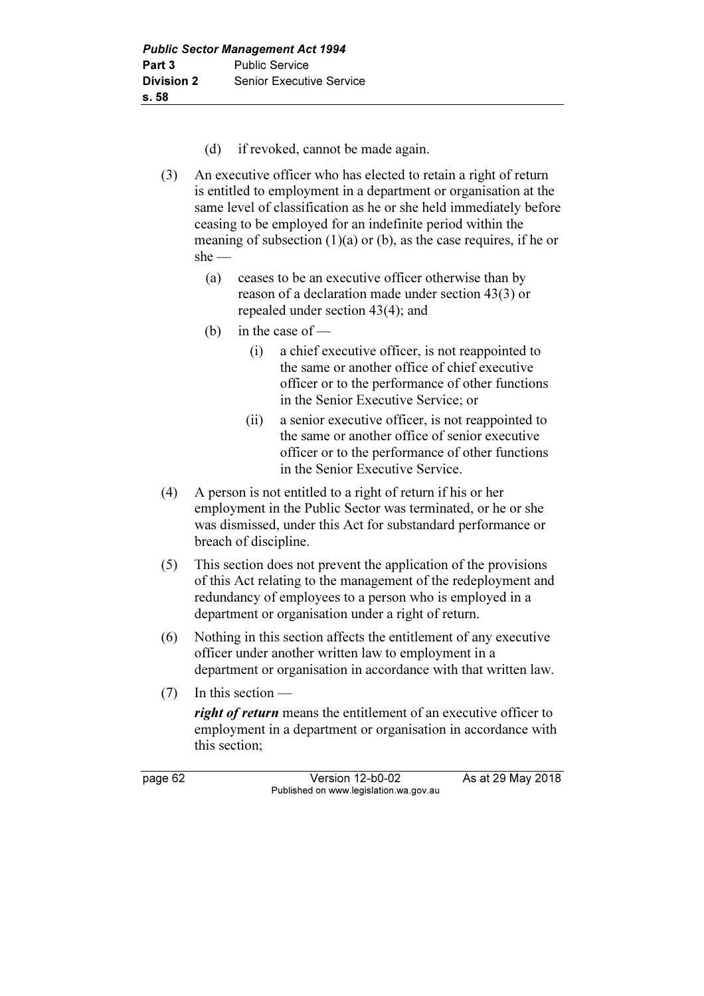- (d) if revoked, cannot be made again.
- (3) An executive officer who has elected to retain a right of return is entitled to employment in a department or organisation at the same level of classification as he or she held immediately before ceasing to be employed for an indefinite period within the meaning of subsection  $(1)(a)$  or  $(b)$ , as the case requires, if he or she —
	- (a) ceases to be an executive officer otherwise than by reason of a declaration made under section 43(3) or repealed under section 43(4); and
	- (b) in the case of  $-$ 
		- (i) a chief executive officer, is not reappointed to the same or another office of chief executive officer or to the performance of other functions in the Senior Executive Service; or
		- (ii) a senior executive officer, is not reappointed to the same or another office of senior executive officer or to the performance of other functions in the Senior Executive Service.
- (4) A person is not entitled to a right of return if his or her employment in the Public Sector was terminated, or he or she was dismissed, under this Act for substandard performance or breach of discipline.
- (5) This section does not prevent the application of the provisions of this Act relating to the management of the redeployment and redundancy of employees to a person who is employed in a department or organisation under a right of return.
- (6) Nothing in this section affects the entitlement of any executive officer under another written law to employment in a department or organisation in accordance with that written law.
- (7) In this section —

right of return means the entitlement of an executive officer to employment in a department or organisation in accordance with this section;

page 62 Version 12-b0-02 As at 29 May 2018 Published on www.legislation.wa.gov.au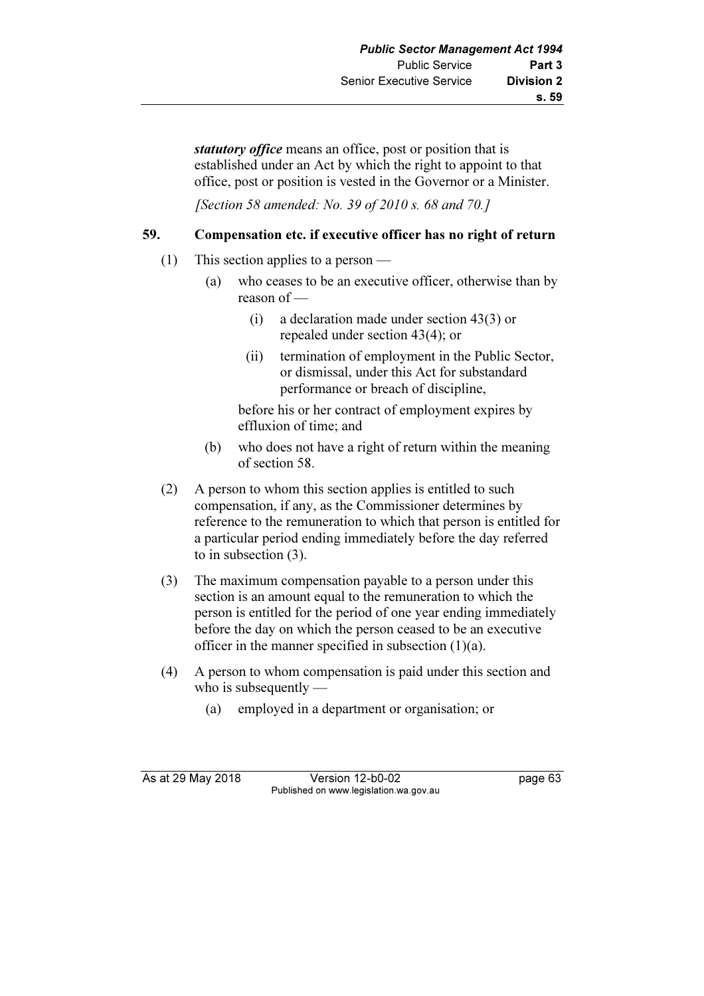statutory office means an office, post or position that is established under an Act by which the right to appoint to that office, post or position is vested in the Governor or a Minister.

*[Section 58 amended: No. 39 of 2010 s. 68 and 70.]* 

## 59. Compensation etc. if executive officer has no right of return

- (1) This section applies to a person
	- (a) who ceases to be an executive officer, otherwise than by reason of —
		- (i) a declaration made under section 43(3) or repealed under section 43(4); or
		- (ii) termination of employment in the Public Sector, or dismissal, under this Act for substandard performance or breach of discipline,

 before his or her contract of employment expires by effluxion of time; and

- (b) who does not have a right of return within the meaning of section 58.
- (2) A person to whom this section applies is entitled to such compensation, if any, as the Commissioner determines by reference to the remuneration to which that person is entitled for a particular period ending immediately before the day referred to in subsection (3).
- (3) The maximum compensation payable to a person under this section is an amount equal to the remuneration to which the person is entitled for the period of one year ending immediately before the day on which the person ceased to be an executive officer in the manner specified in subsection  $(1)(a)$ .
- (4) A person to whom compensation is paid under this section and who is subsequently —
	- (a) employed in a department or organisation; or

As at 29 May 2018 **Version 12-b0-02** page 63 Published on www.legislation.wa.gov.au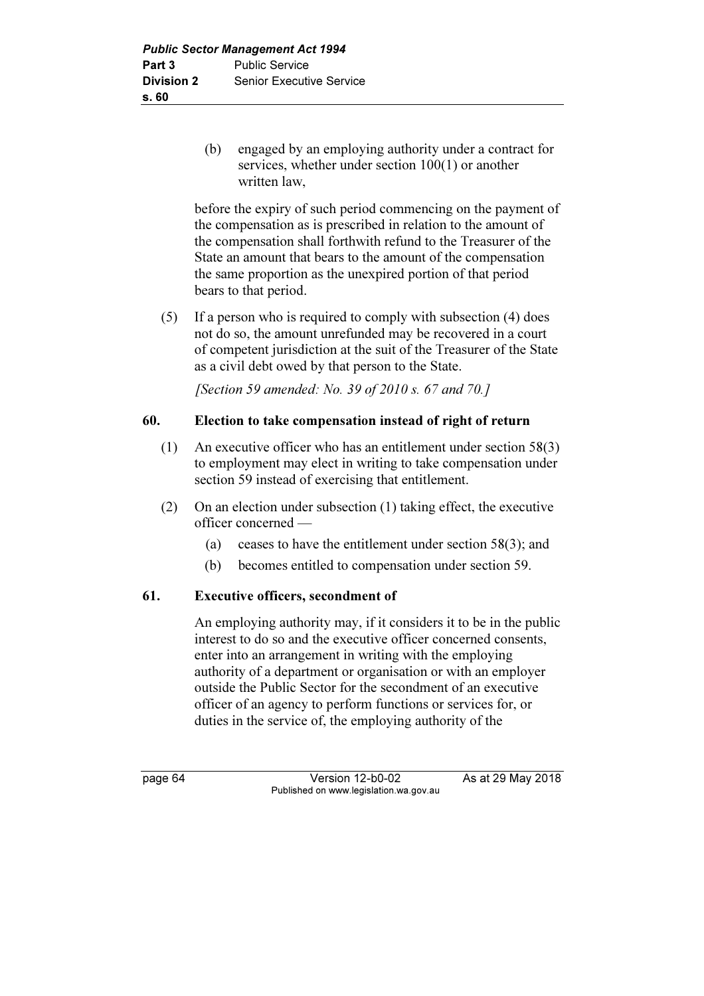(b) engaged by an employing authority under a contract for services, whether under section 100(1) or another written law,

 before the expiry of such period commencing on the payment of the compensation as is prescribed in relation to the amount of the compensation shall forthwith refund to the Treasurer of the State an amount that bears to the amount of the compensation the same proportion as the unexpired portion of that period bears to that period.

 (5) If a person who is required to comply with subsection (4) does not do so, the amount unrefunded may be recovered in a court of competent jurisdiction at the suit of the Treasurer of the State as a civil debt owed by that person to the State.

[Section 59 amended: No. 39 of 2010 s. 67 and 70.]

### 60. Election to take compensation instead of right of return

- (1) An executive officer who has an entitlement under section 58(3) to employment may elect in writing to take compensation under section 59 instead of exercising that entitlement.
- (2) On an election under subsection (1) taking effect, the executive officer concerned —
	- (a) ceases to have the entitlement under section 58(3); and
	- (b) becomes entitled to compensation under section 59.

### 61. Executive officers, secondment of

 An employing authority may, if it considers it to be in the public interest to do so and the executive officer concerned consents, enter into an arrangement in writing with the employing authority of a department or organisation or with an employer outside the Public Sector for the secondment of an executive officer of an agency to perform functions or services for, or duties in the service of, the employing authority of the

page 64 Version 12-b0-02 As at 29 May 2018 Published on www.legislation.wa.gov.au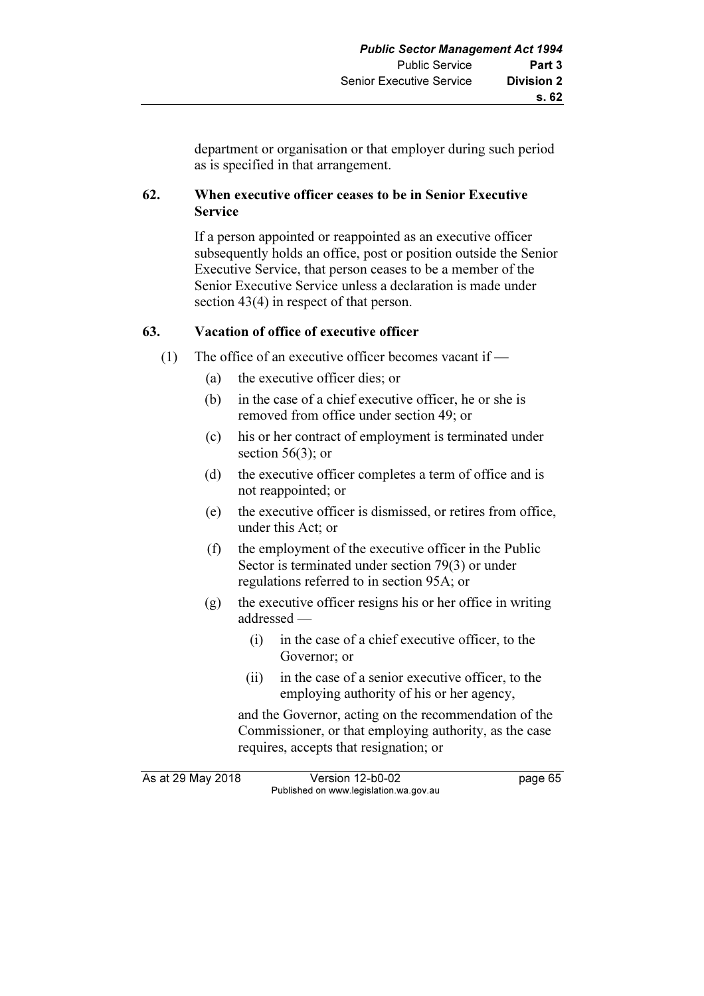department or organisation or that employer during such period as is specified in that arrangement.

## 62. When executive officer ceases to be in Senior Executive Service

 If a person appointed or reappointed as an executive officer subsequently holds an office, post or position outside the Senior Executive Service, that person ceases to be a member of the Senior Executive Service unless a declaration is made under section 43(4) in respect of that person.

## 63. Vacation of office of executive officer

- (1) The office of an executive officer becomes vacant if
	- (a) the executive officer dies; or
	- (b) in the case of a chief executive officer, he or she is removed from office under section 49; or
	- (c) his or her contract of employment is terminated under section  $56(3)$ ; or
	- (d) the executive officer completes a term of office and is not reappointed; or
	- (e) the executive officer is dismissed, or retires from office, under this Act; or
	- (f) the employment of the executive officer in the Public Sector is terminated under section 79(3) or under regulations referred to in section 95A; or
	- (g) the executive officer resigns his or her office in writing addressed —
		- (i) in the case of a chief executive officer, to the Governor; or
		- (ii) in the case of a senior executive officer, to the employing authority of his or her agency,

 and the Governor, acting on the recommendation of the Commissioner, or that employing authority, as the case requires, accepts that resignation; or

As at 29 May 2018 Version 12-b0-02 page 65 Published on www.legislation.wa.gov.au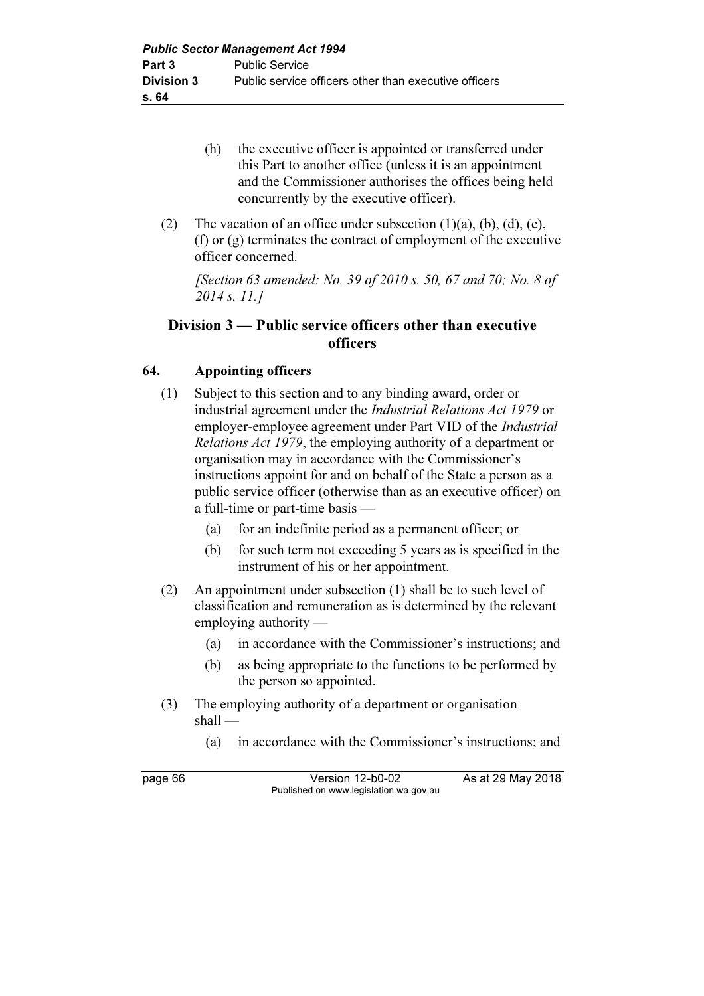- (h) the executive officer is appointed or transferred under this Part to another office (unless it is an appointment and the Commissioner authorises the offices being held concurrently by the executive officer).
- (2) The vacation of an office under subsection  $(1)(a)$ ,  $(b)$ ,  $(d)$ ,  $(e)$ , (f) or (g) terminates the contract of employment of the executive officer concerned.

 [Section 63 amended: No. 39 of 2010 s. 50, 67 and 70; No. 8 of 2014 s. 11.]

## Division 3 — Public service officers other than executive officers

### 64. Appointing officers

- (1) Subject to this section and to any binding award, order or industrial agreement under the Industrial Relations Act 1979 or employer-employee agreement under Part VID of the *Industrial* Relations Act 1979, the employing authority of a department or organisation may in accordance with the Commissioner's instructions appoint for and on behalf of the State a person as a public service officer (otherwise than as an executive officer) on a full-time or part-time basis —
	- (a) for an indefinite period as a permanent officer; or
	- (b) for such term not exceeding 5 years as is specified in the instrument of his or her appointment.
- (2) An appointment under subsection (1) shall be to such level of classification and remuneration as is determined by the relevant employing authority —
	- (a) in accordance with the Commissioner's instructions; and
	- (b) as being appropriate to the functions to be performed by the person so appointed.
- (3) The employing authority of a department or organisation shall —

(a) in accordance with the Commissioner's instructions; and

page 66 Version 12-b0-02 As at 29 May 2018 Published on www.legislation.wa.gov.au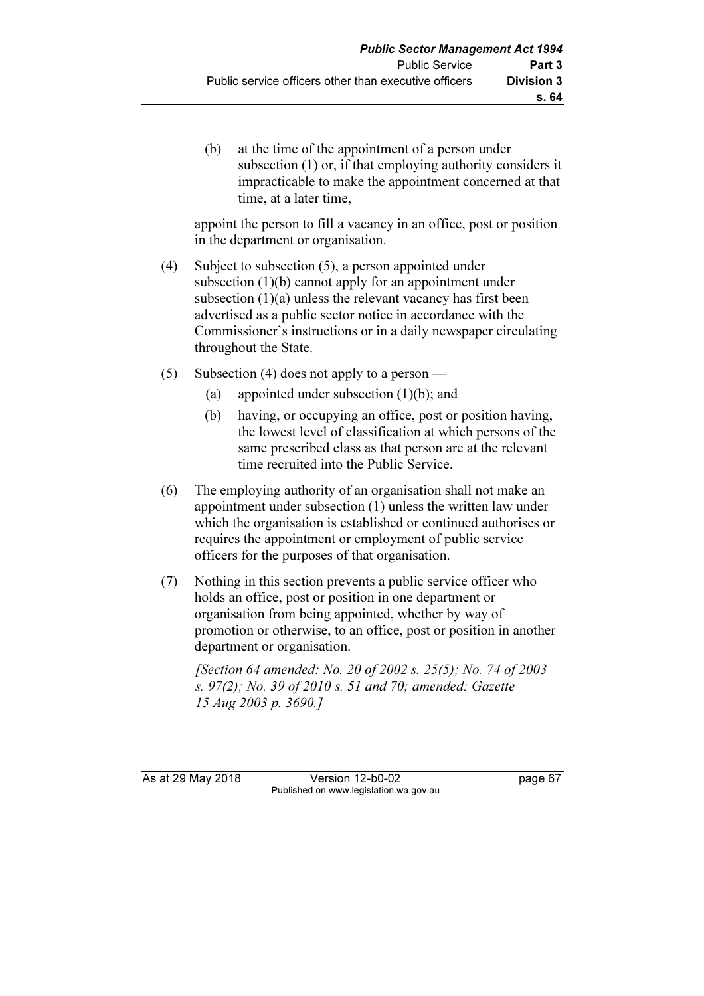(b) at the time of the appointment of a person under subsection (1) or, if that employing authority considers it impracticable to make the appointment concerned at that time, at a later time,

 appoint the person to fill a vacancy in an office, post or position in the department or organisation.

- (4) Subject to subsection (5), a person appointed under subsection (1)(b) cannot apply for an appointment under subsection (1)(a) unless the relevant vacancy has first been advertised as a public sector notice in accordance with the Commissioner's instructions or in a daily newspaper circulating throughout the State.
- (5) Subsection (4) does not apply to a person
	- (a) appointed under subsection (1)(b); and
	- (b) having, or occupying an office, post or position having, the lowest level of classification at which persons of the same prescribed class as that person are at the relevant time recruited into the Public Service.
- (6) The employing authority of an organisation shall not make an appointment under subsection (1) unless the written law under which the organisation is established or continued authorises or requires the appointment or employment of public service officers for the purposes of that organisation.
- (7) Nothing in this section prevents a public service officer who holds an office, post or position in one department or organisation from being appointed, whether by way of promotion or otherwise, to an office, post or position in another department or organisation.

 [Section 64 amended: No. 20 of 2002 s. 25(5); No. 74 of 2003 s. 97(2); No. 39 of 2010 s. 51 and 70; amended: Gazette 15 Aug 2003 p. 3690.]

As at 29 May 2018 **Version 12-b0-02** page 67 Published on www.legislation.wa.gov.au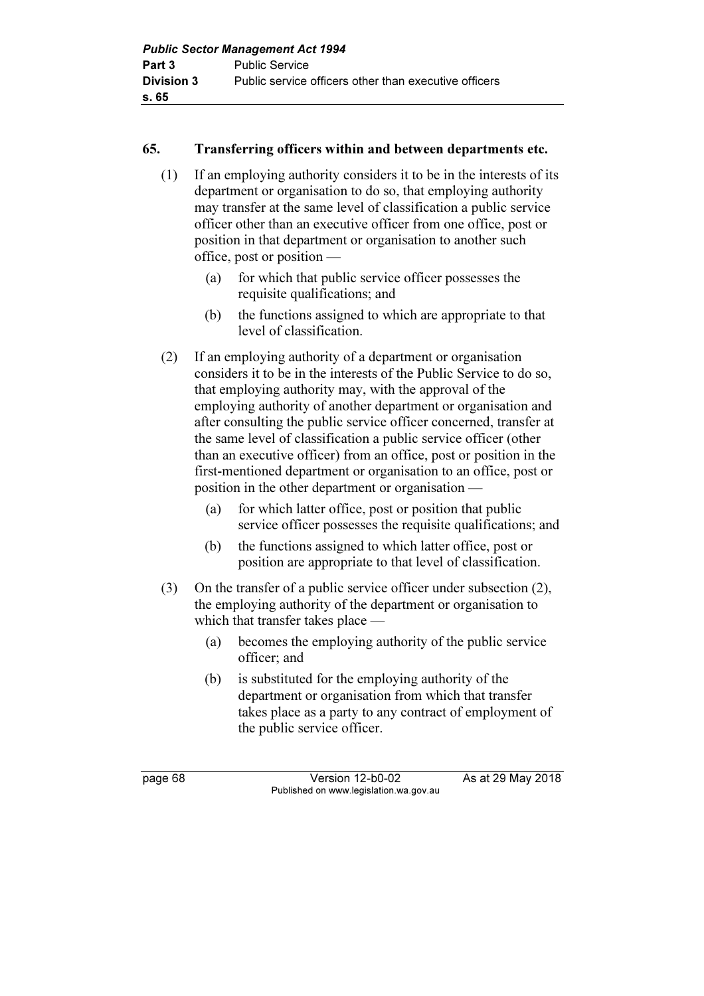## 65. Transferring officers within and between departments etc.

- (1) If an employing authority considers it to be in the interests of its department or organisation to do so, that employing authority may transfer at the same level of classification a public service officer other than an executive officer from one office, post or position in that department or organisation to another such office, post or position —
	- (a) for which that public service officer possesses the requisite qualifications; and
	- (b) the functions assigned to which are appropriate to that level of classification.
- (2) If an employing authority of a department or organisation considers it to be in the interests of the Public Service to do so, that employing authority may, with the approval of the employing authority of another department or organisation and after consulting the public service officer concerned, transfer at the same level of classification a public service officer (other than an executive officer) from an office, post or position in the first-mentioned department or organisation to an office, post or position in the other department or organisation —
	- (a) for which latter office, post or position that public service officer possesses the requisite qualifications; and
	- (b) the functions assigned to which latter office, post or position are appropriate to that level of classification.
- (3) On the transfer of a public service officer under subsection (2), the employing authority of the department or organisation to which that transfer takes place —
	- (a) becomes the employing authority of the public service officer; and
	- (b) is substituted for the employing authority of the department or organisation from which that transfer takes place as a party to any contract of employment of the public service officer.

page 68 Version 12-b0-02 As at 29 May 2018 Published on www.legislation.wa.gov.au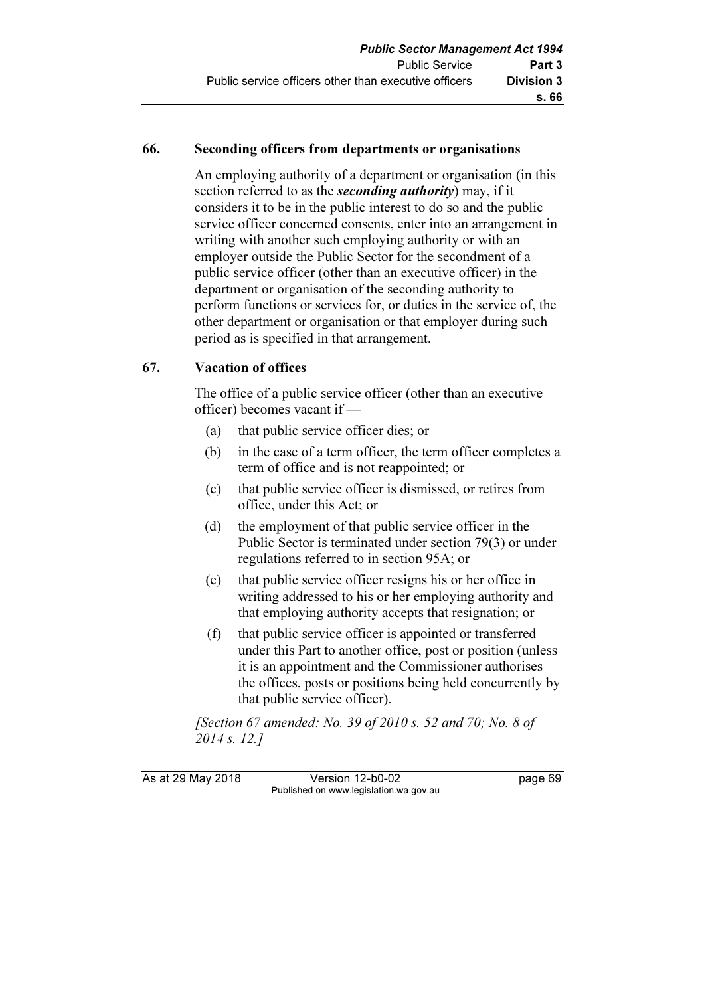#### 66. Seconding officers from departments or organisations

 An employing authority of a department or organisation (in this section referred to as the *seconding authority*) may, if it considers it to be in the public interest to do so and the public service officer concerned consents, enter into an arrangement in writing with another such employing authority or with an employer outside the Public Sector for the secondment of a public service officer (other than an executive officer) in the department or organisation of the seconding authority to perform functions or services for, or duties in the service of, the other department or organisation or that employer during such period as is specified in that arrangement.

### 67. Vacation of offices

 The office of a public service officer (other than an executive officer) becomes vacant if —

- (a) that public service officer dies; or
- (b) in the case of a term officer, the term officer completes a term of office and is not reappointed; or
- (c) that public service officer is dismissed, or retires from office, under this Act; or
- (d) the employment of that public service officer in the Public Sector is terminated under section 79(3) or under regulations referred to in section 95A; or
- (e) that public service officer resigns his or her office in writing addressed to his or her employing authority and that employing authority accepts that resignation; or
- (f) that public service officer is appointed or transferred under this Part to another office, post or position (unless it is an appointment and the Commissioner authorises the offices, posts or positions being held concurrently by that public service officer).

 [Section 67 amended: No. 39 of 2010 s. 52 and 70; No. 8 of 2014 s. 12.]

As at 29 May 2018 Version 12-b0-02 page 69 Published on www.legislation.wa.gov.au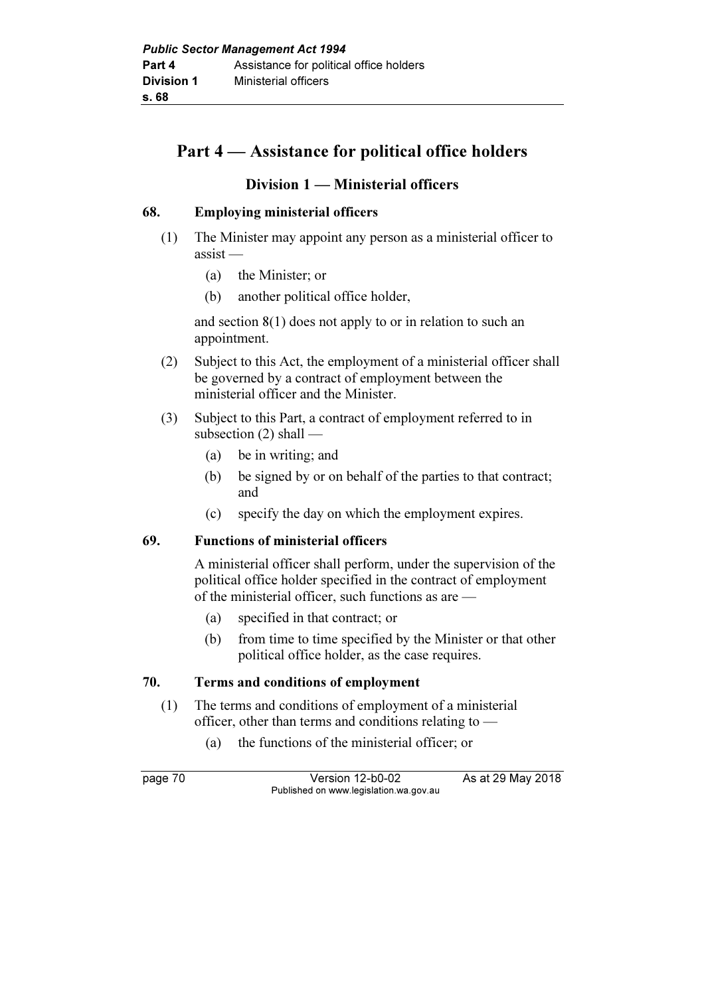## Part 4 — Assistance for political office holders

### Division 1 — Ministerial officers

#### 68. Employing ministerial officers

- (1) The Minister may appoint any person as a ministerial officer to assist —
	- (a) the Minister; or
	- (b) another political office holder,

 and section 8(1) does not apply to or in relation to such an appointment.

- (2) Subject to this Act, the employment of a ministerial officer shall be governed by a contract of employment between the ministerial officer and the Minister.
- (3) Subject to this Part, a contract of employment referred to in subsection (2) shall —
	- (a) be in writing; and
	- (b) be signed by or on behalf of the parties to that contract; and
	- (c) specify the day on which the employment expires.

#### 69. Functions of ministerial officers

 A ministerial officer shall perform, under the supervision of the political office holder specified in the contract of employment of the ministerial officer, such functions as are —

- (a) specified in that contract; or
- (b) from time to time specified by the Minister or that other political office holder, as the case requires.

### 70. Terms and conditions of employment

- (1) The terms and conditions of employment of a ministerial officer, other than terms and conditions relating to —
	- (a) the functions of the ministerial officer; or

page 70 Version 12-b0-02 As at 29 May 2018 Published on www.legislation.wa.gov.au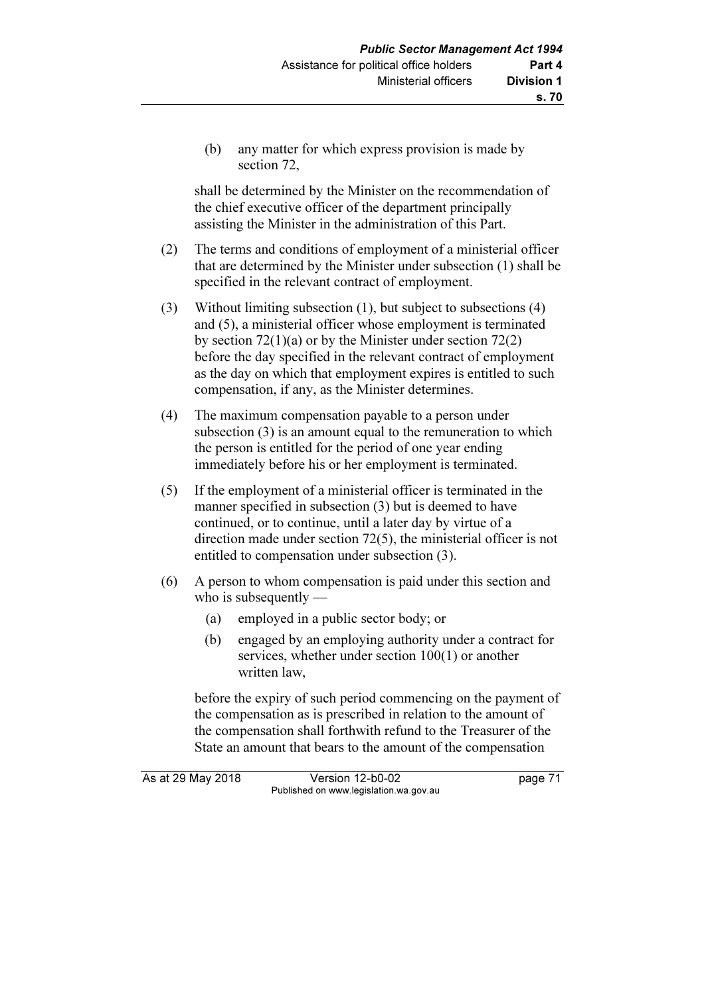(b) any matter for which express provision is made by section 72,

 shall be determined by the Minister on the recommendation of the chief executive officer of the department principally assisting the Minister in the administration of this Part.

- (2) The terms and conditions of employment of a ministerial officer that are determined by the Minister under subsection (1) shall be specified in the relevant contract of employment.
- (3) Without limiting subsection (1), but subject to subsections (4) and (5), a ministerial officer whose employment is terminated by section  $72(1)(a)$  or by the Minister under section  $72(2)$ before the day specified in the relevant contract of employment as the day on which that employment expires is entitled to such compensation, if any, as the Minister determines.
- (4) The maximum compensation payable to a person under subsection (3) is an amount equal to the remuneration to which the person is entitled for the period of one year ending immediately before his or her employment is terminated.
- (5) If the employment of a ministerial officer is terminated in the manner specified in subsection (3) but is deemed to have continued, or to continue, until a later day by virtue of a direction made under section 72(5), the ministerial officer is not entitled to compensation under subsection (3).
- (6) A person to whom compensation is paid under this section and who is subsequently —
	- (a) employed in a public sector body; or
	- (b) engaged by an employing authority under a contract for services, whether under section 100(1) or another written law,

 before the expiry of such period commencing on the payment of the compensation as is prescribed in relation to the amount of the compensation shall forthwith refund to the Treasurer of the State an amount that bears to the amount of the compensation

As at 29 May 2018 Version 12-b0-02 page 71 Published on www.legislation.wa.gov.au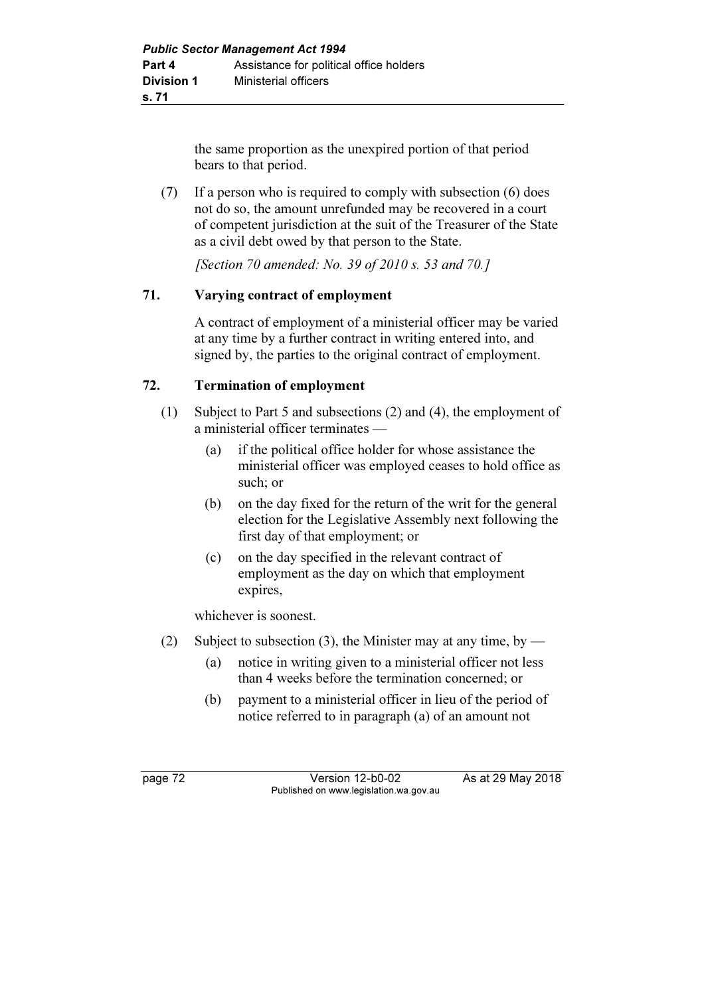the same proportion as the unexpired portion of that period bears to that period.

 (7) If a person who is required to comply with subsection (6) does not do so, the amount unrefunded may be recovered in a court of competent jurisdiction at the suit of the Treasurer of the State as a civil debt owed by that person to the State.

[Section 70 amended: No. 39 of 2010 s. 53 and 70.]

## 71. Varying contract of employment

 A contract of employment of a ministerial officer may be varied at any time by a further contract in writing entered into, and signed by, the parties to the original contract of employment.

## 72. Termination of employment

- (1) Subject to Part 5 and subsections (2) and (4), the employment of a ministerial officer terminates —
	- (a) if the political office holder for whose assistance the ministerial officer was employed ceases to hold office as such; or
	- (b) on the day fixed for the return of the writ for the general election for the Legislative Assembly next following the first day of that employment; or
	- (c) on the day specified in the relevant contract of employment as the day on which that employment expires,

whichever is soonest.

- (2) Subject to subsection (3), the Minister may at any time, by
	- (a) notice in writing given to a ministerial officer not less than 4 weeks before the termination concerned; or
	- (b) payment to a ministerial officer in lieu of the period of notice referred to in paragraph (a) of an amount not

page 72 Version 12-b0-02 As at 29 May 2018 Published on www.legislation.wa.gov.au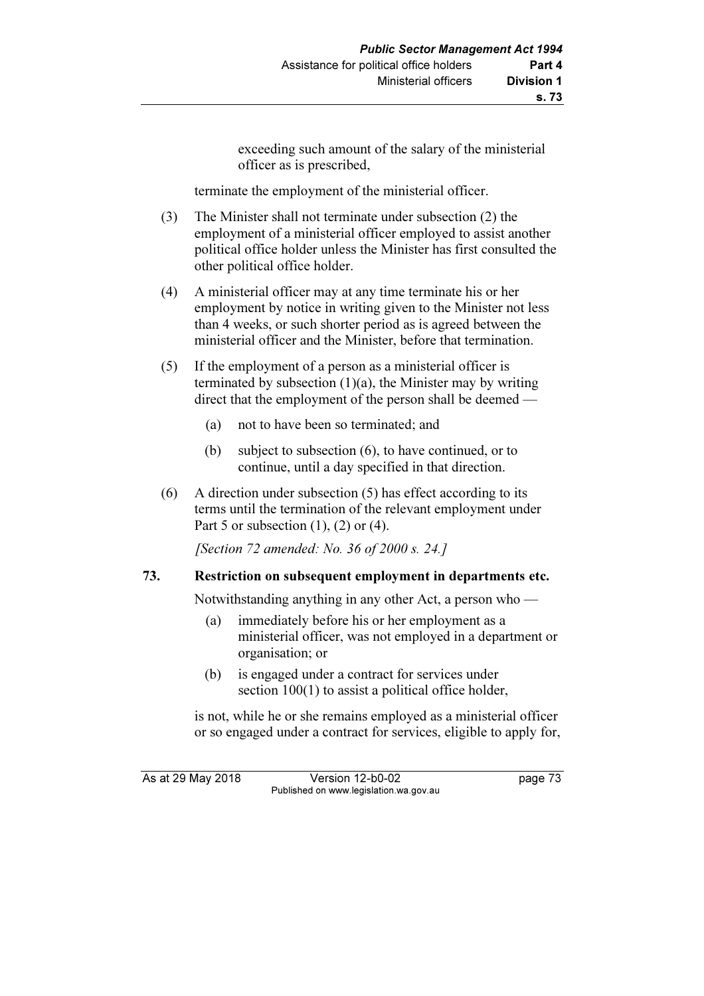exceeding such amount of the salary of the ministerial officer as is prescribed,

terminate the employment of the ministerial officer.

- (3) The Minister shall not terminate under subsection (2) the employment of a ministerial officer employed to assist another political office holder unless the Minister has first consulted the other political office holder.
- (4) A ministerial officer may at any time terminate his or her employment by notice in writing given to the Minister not less than 4 weeks, or such shorter period as is agreed between the ministerial officer and the Minister, before that termination.
- (5) If the employment of a person as a ministerial officer is terminated by subsection  $(1)(a)$ , the Minister may by writing direct that the employment of the person shall be deemed —
	- (a) not to have been so terminated; and
	- (b) subject to subsection (6), to have continued, or to continue, until a day specified in that direction.
- (6) A direction under subsection (5) has effect according to its terms until the termination of the relevant employment under Part 5 or subsection  $(1)$ ,  $(2)$  or  $(4)$ .

[Section 72 amended: No. 36 of 2000 s. 24.]

### 73. Restriction on subsequent employment in departments etc.

Notwithstanding anything in any other Act, a person who —

- (a) immediately before his or her employment as a ministerial officer, was not employed in a department or organisation; or
- (b) is engaged under a contract for services under section  $100(1)$  to assist a political office holder,

 is not, while he or she remains employed as a ministerial officer or so engaged under a contract for services, eligible to apply for,

As at 29 May 2018 Version 12-b0-02 page 73 Published on www.legislation.wa.gov.au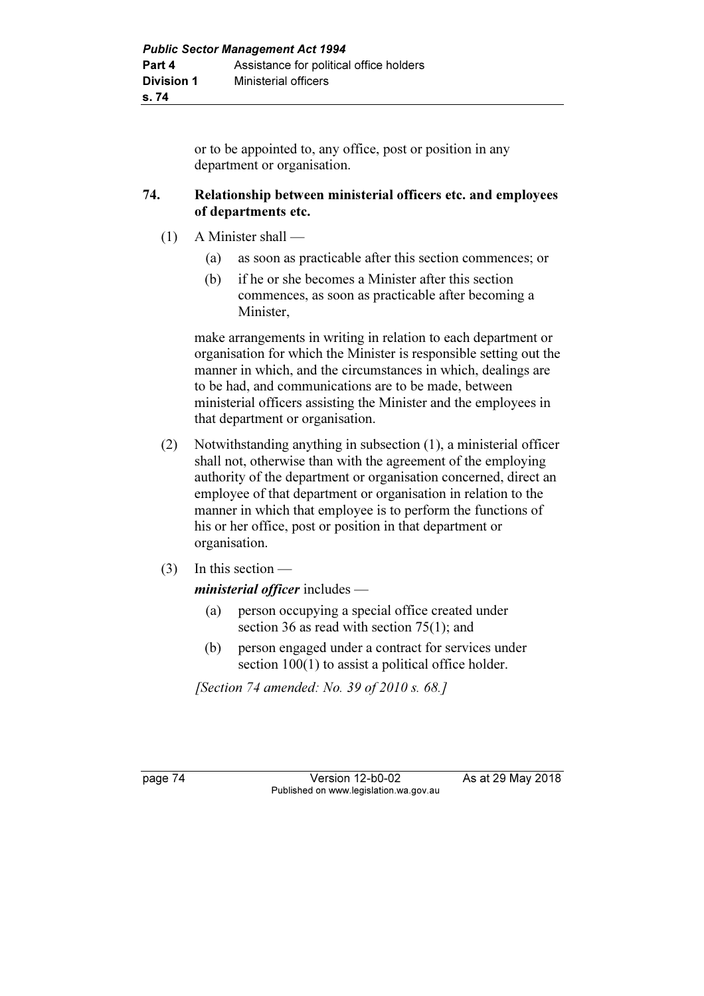or to be appointed to, any office, post or position in any department or organisation.

#### 74. Relationship between ministerial officers etc. and employees of departments etc.

- (1) A Minister shall
	- (a) as soon as practicable after this section commences; or
	- (b) if he or she becomes a Minister after this section commences, as soon as practicable after becoming a Minister,

 make arrangements in writing in relation to each department or organisation for which the Minister is responsible setting out the manner in which, and the circumstances in which, dealings are to be had, and communications are to be made, between ministerial officers assisting the Minister and the employees in that department or organisation.

- (2) Notwithstanding anything in subsection (1), a ministerial officer shall not, otherwise than with the agreement of the employing authority of the department or organisation concerned, direct an employee of that department or organisation in relation to the manner in which that employee is to perform the functions of his or her office, post or position in that department or organisation.
- (3) In this section —

## ministerial officer includes -

- (a) person occupying a special office created under section 36 as read with section 75(1); and
- (b) person engaged under a contract for services under section  $100(1)$  to assist a political office holder.

[Section 74 amended: No. 39 of 2010 s. 68.]

page 74 Version 12-b0-02 As at 29 May 2018 Published on www.legislation.wa.gov.au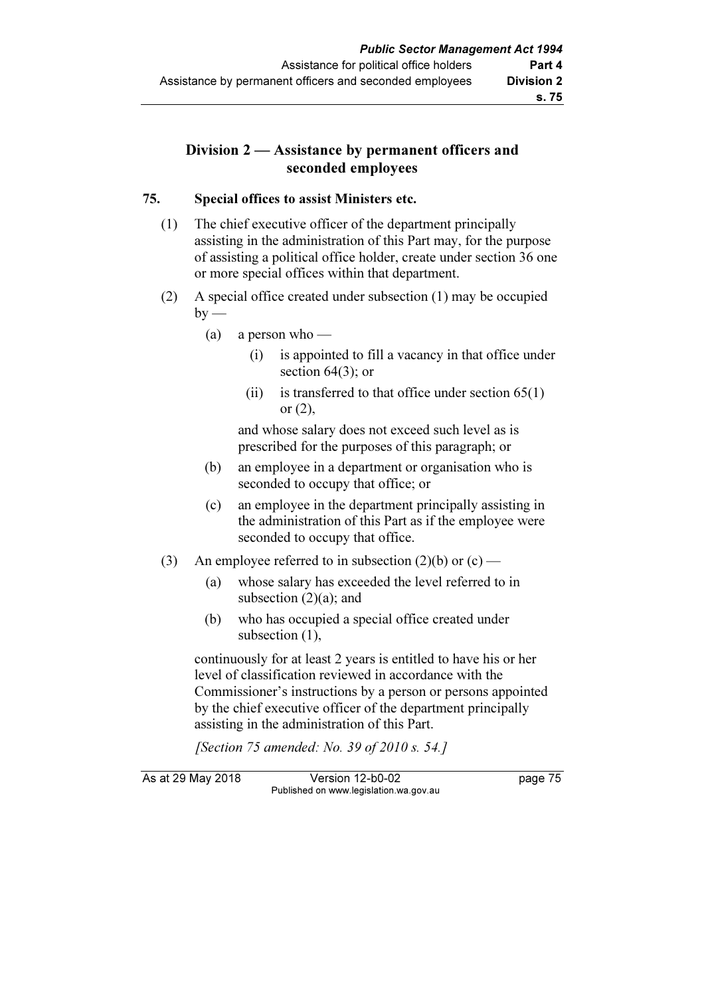## Division 2 — Assistance by permanent officers and seconded employees

### 75. Special offices to assist Ministers etc.

- (1) The chief executive officer of the department principally assisting in the administration of this Part may, for the purpose of assisting a political office holder, create under section 36 one or more special offices within that department.
- (2) A special office created under subsection (1) may be occupied  $by -$ 
	- (a) a person who
		- (i) is appointed to fill a vacancy in that office under section 64(3); or
		- (ii) is transferred to that office under section  $65(1)$ or (2),

 and whose salary does not exceed such level as is prescribed for the purposes of this paragraph; or

- (b) an employee in a department or organisation who is seconded to occupy that office; or
- (c) an employee in the department principally assisting in the administration of this Part as if the employee were seconded to occupy that office.
- (3) An employee referred to in subsection  $(2)(b)$  or  $(c)$ 
	- (a) whose salary has exceeded the level referred to in subsection  $(2)(a)$ ; and
	- (b) who has occupied a special office created under subsection (1),

 continuously for at least 2 years is entitled to have his or her level of classification reviewed in accordance with the Commissioner's instructions by a person or persons appointed by the chief executive officer of the department principally assisting in the administration of this Part.

[Section 75 amended: No. 39 of 2010 s. 54.]

As at 29 May 2018 Version 12-b0-02 page 75 Published on www.legislation.wa.gov.au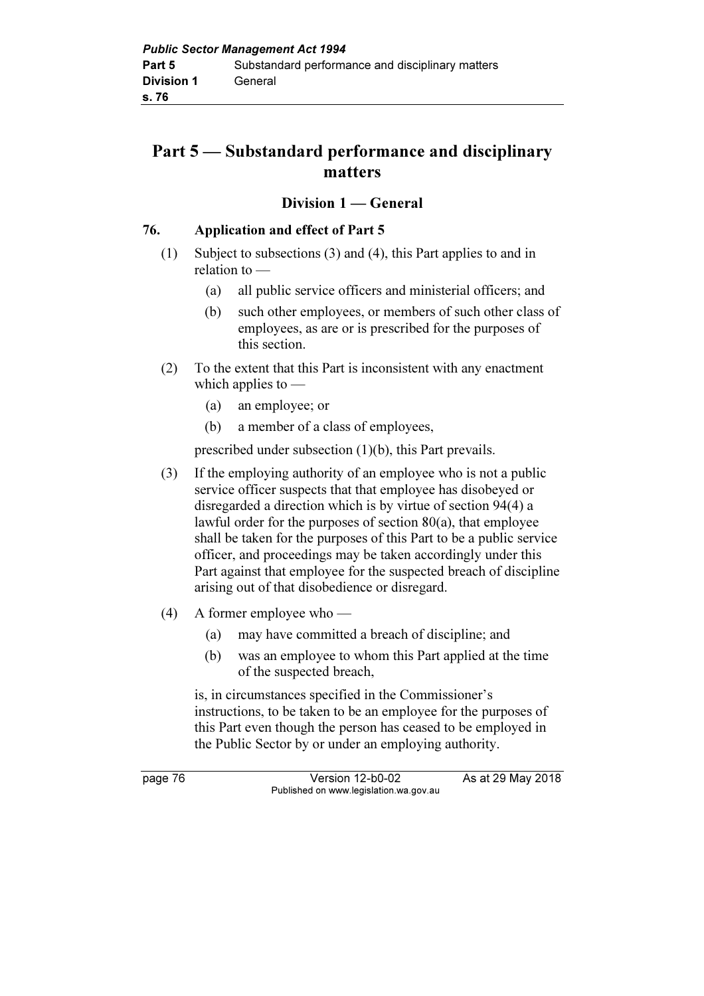# Part 5 — Substandard performance and disciplinary matters

## Division 1 — General

#### 76. Application and effect of Part 5

- (1) Subject to subsections (3) and (4), this Part applies to and in relation to —
	- (a) all public service officers and ministerial officers; and
	- (b) such other employees, or members of such other class of employees, as are or is prescribed for the purposes of this section.
- (2) To the extent that this Part is inconsistent with any enactment which applies to  $-$ 
	- (a) an employee; or
	- (b) a member of a class of employees,

prescribed under subsection (1)(b), this Part prevails.

- (3) If the employing authority of an employee who is not a public service officer suspects that that employee has disobeyed or disregarded a direction which is by virtue of section 94(4) a lawful order for the purposes of section 80(a), that employee shall be taken for the purposes of this Part to be a public service officer, and proceedings may be taken accordingly under this Part against that employee for the suspected breach of discipline arising out of that disobedience or disregard.
- (4) A former employee who
	- (a) may have committed a breach of discipline; and
	- (b) was an employee to whom this Part applied at the time of the suspected breach,

 is, in circumstances specified in the Commissioner's instructions, to be taken to be an employee for the purposes of this Part even though the person has ceased to be employed in the Public Sector by or under an employing authority.

page 76 Version 12-b0-02 As at 29 May 2018 Published on www.legislation.wa.gov.au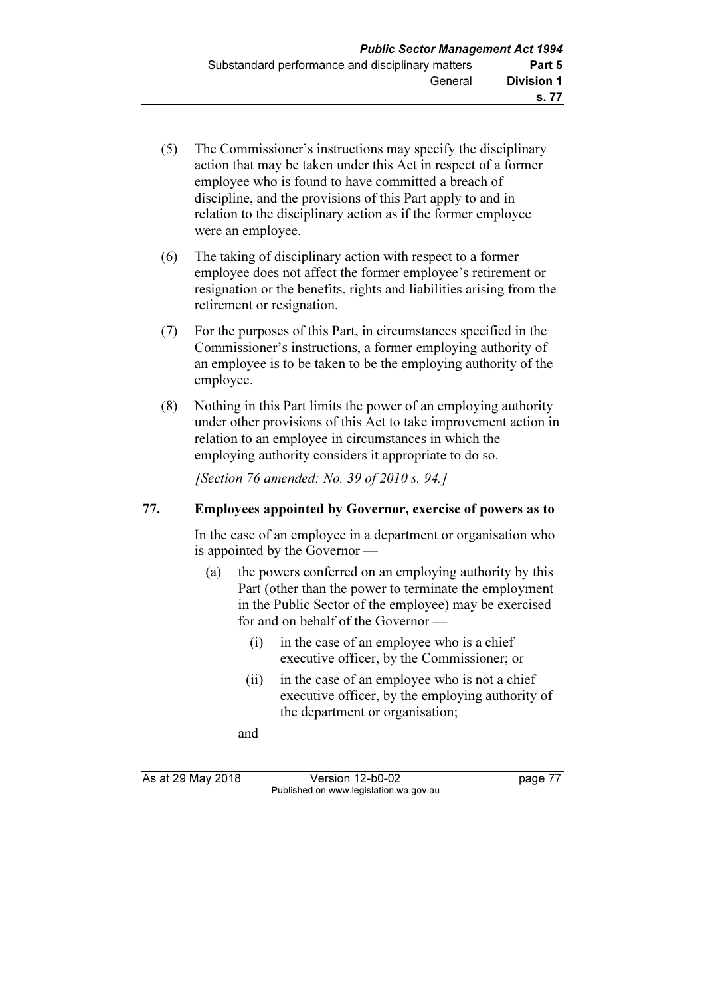- (5) The Commissioner's instructions may specify the disciplinary action that may be taken under this Act in respect of a former employee who is found to have committed a breach of discipline, and the provisions of this Part apply to and in relation to the disciplinary action as if the former employee were an employee.
- (6) The taking of disciplinary action with respect to a former employee does not affect the former employee's retirement or resignation or the benefits, rights and liabilities arising from the retirement or resignation.
- (7) For the purposes of this Part, in circumstances specified in the Commissioner's instructions, a former employing authority of an employee is to be taken to be the employing authority of the employee.
- (8) Nothing in this Part limits the power of an employing authority under other provisions of this Act to take improvement action in relation to an employee in circumstances in which the employing authority considers it appropriate to do so.

[Section 76 amended: No. 39 of 2010 s. 94.]

### 77. Employees appointed by Governor, exercise of powers as to

 In the case of an employee in a department or organisation who is appointed by the Governor —

- (a) the powers conferred on an employing authority by this Part (other than the power to terminate the employment in the Public Sector of the employee) may be exercised for and on behalf of the Governor —
	- (i) in the case of an employee who is a chief executive officer, by the Commissioner; or
	- (ii) in the case of an employee who is not a chief executive officer, by the employing authority of the department or organisation;

and

As at 29 May 2018 **Version 12-b0-02** page 77 Published on www.legislation.wa.gov.au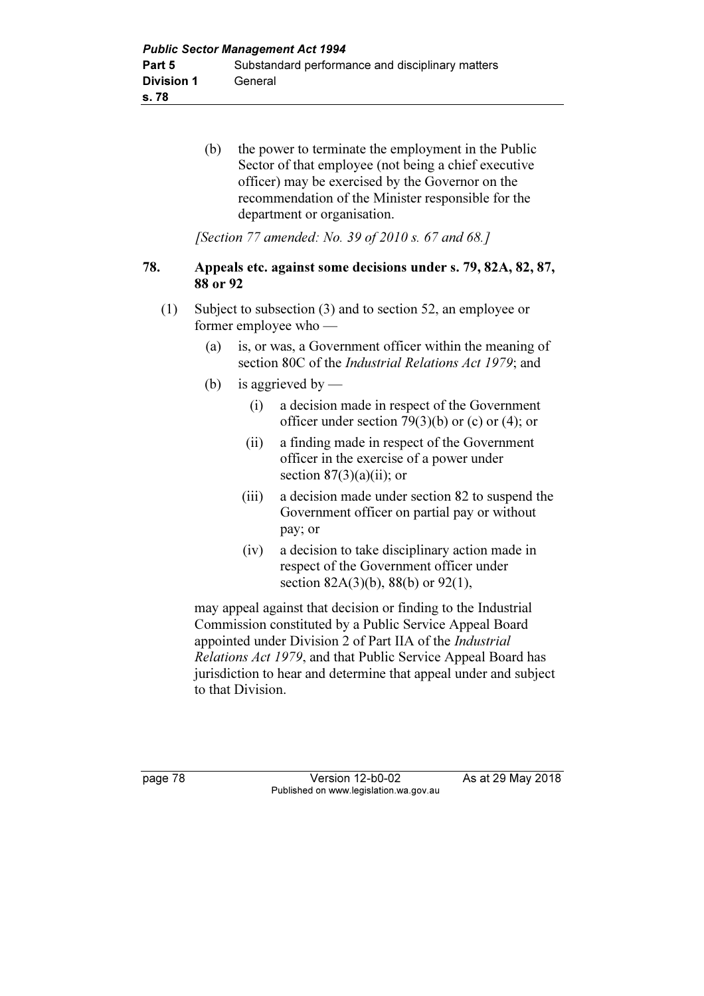(b) the power to terminate the employment in the Public Sector of that employee (not being a chief executive officer) may be exercised by the Governor on the recommendation of the Minister responsible for the department or organisation.

[Section 77 amended: No. 39 of 2010 s. 67 and 68.]

#### 78. Appeals etc. against some decisions under s. 79, 82A, 82, 87, 88 or 92

- (1) Subject to subsection (3) and to section 52, an employee or former employee who —
	- (a) is, or was, a Government officer within the meaning of section 80C of the Industrial Relations Act 1979; and
	- (b) is aggrieved by  $\equiv$ 
		- (i) a decision made in respect of the Government officer under section 79(3)(b) or (c) or (4); or
		- (ii) a finding made in respect of the Government officer in the exercise of a power under section  $87(3)(a)(ii)$ ; or
		- (iii) a decision made under section 82 to suspend the Government officer on partial pay or without pay; or
		- (iv) a decision to take disciplinary action made in respect of the Government officer under section 82A(3)(b), 88(b) or 92(1),

 may appeal against that decision or finding to the Industrial Commission constituted by a Public Service Appeal Board appointed under Division 2 of Part IIA of the Industrial Relations Act 1979, and that Public Service Appeal Board has jurisdiction to hear and determine that appeal under and subject to that Division.

page 78 Version 12-b0-02 As at 29 May 2018 Published on www.legislation.wa.gov.au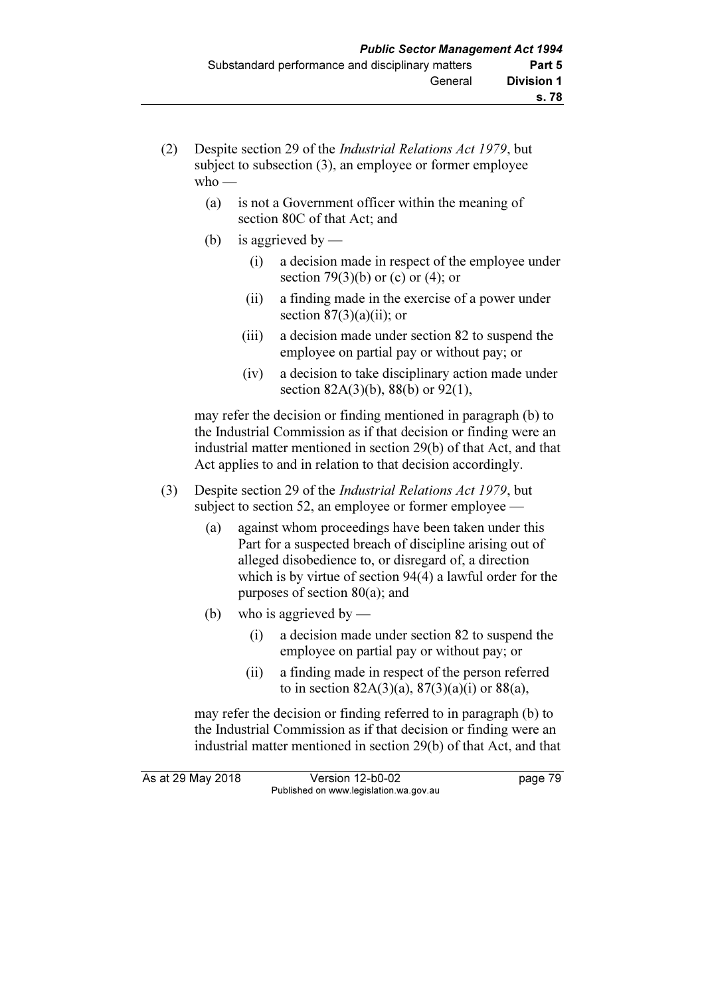- (2) Despite section 29 of the Industrial Relations Act 1979, but subject to subsection (3), an employee or former employee  $w$ ho —
	- (a) is not a Government officer within the meaning of section 80C of that Act; and
	- (b) is aggrieved by
		- (i) a decision made in respect of the employee under section  $79(3)(b)$  or (c) or (4); or
		- (ii) a finding made in the exercise of a power under section  $87(3)(a)(ii)$ ; or
		- (iii) a decision made under section 82 to suspend the employee on partial pay or without pay; or
		- (iv) a decision to take disciplinary action made under section 82A(3)(b), 88(b) or 92(1),

 may refer the decision or finding mentioned in paragraph (b) to the Industrial Commission as if that decision or finding were an industrial matter mentioned in section 29(b) of that Act, and that Act applies to and in relation to that decision accordingly.

- (3) Despite section 29 of the Industrial Relations Act 1979, but subject to section 52, an employee or former employee —
	- (a) against whom proceedings have been taken under this Part for a suspected breach of discipline arising out of alleged disobedience to, or disregard of, a direction which is by virtue of section 94(4) a lawful order for the purposes of section 80(a); and
	- (b) who is aggrieved by
		- (i) a decision made under section 82 to suspend the employee on partial pay or without pay; or
		- (ii) a finding made in respect of the person referred to in section  $82A(3)(a)$ ,  $87(3)(a)(i)$  or  $88(a)$ ,

 may refer the decision or finding referred to in paragraph (b) to the Industrial Commission as if that decision or finding were an industrial matter mentioned in section 29(b) of that Act, and that

As at 29 May 2018 Version 12-b0-02 page 79 Published on www.legislation.wa.gov.au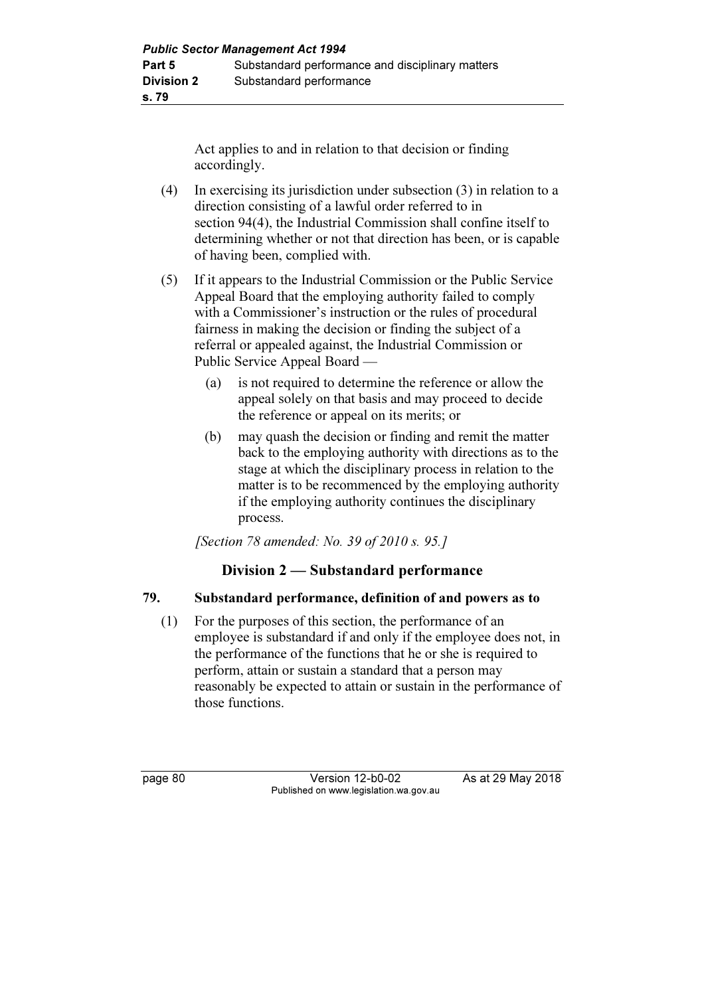Act applies to and in relation to that decision or finding accordingly.

- (4) In exercising its jurisdiction under subsection (3) in relation to a direction consisting of a lawful order referred to in section 94(4), the Industrial Commission shall confine itself to determining whether or not that direction has been, or is capable of having been, complied with.
- (5) If it appears to the Industrial Commission or the Public Service Appeal Board that the employing authority failed to comply with a Commissioner's instruction or the rules of procedural fairness in making the decision or finding the subject of a referral or appealed against, the Industrial Commission or Public Service Appeal Board —
	- (a) is not required to determine the reference or allow the appeal solely on that basis and may proceed to decide the reference or appeal on its merits; or
	- (b) may quash the decision or finding and remit the matter back to the employing authority with directions as to the stage at which the disciplinary process in relation to the matter is to be recommenced by the employing authority if the employing authority continues the disciplinary process.

[Section 78 amended: No. 39 of 2010 s. 95.]

## Division 2 — Substandard performance

## 79. Substandard performance, definition of and powers as to

 (1) For the purposes of this section, the performance of an employee is substandard if and only if the employee does not, in the performance of the functions that he or she is required to perform, attain or sustain a standard that a person may reasonably be expected to attain or sustain in the performance of those functions.

page 80 Version 12-b0-02 As at 29 May 2018 Published on www.legislation.wa.gov.au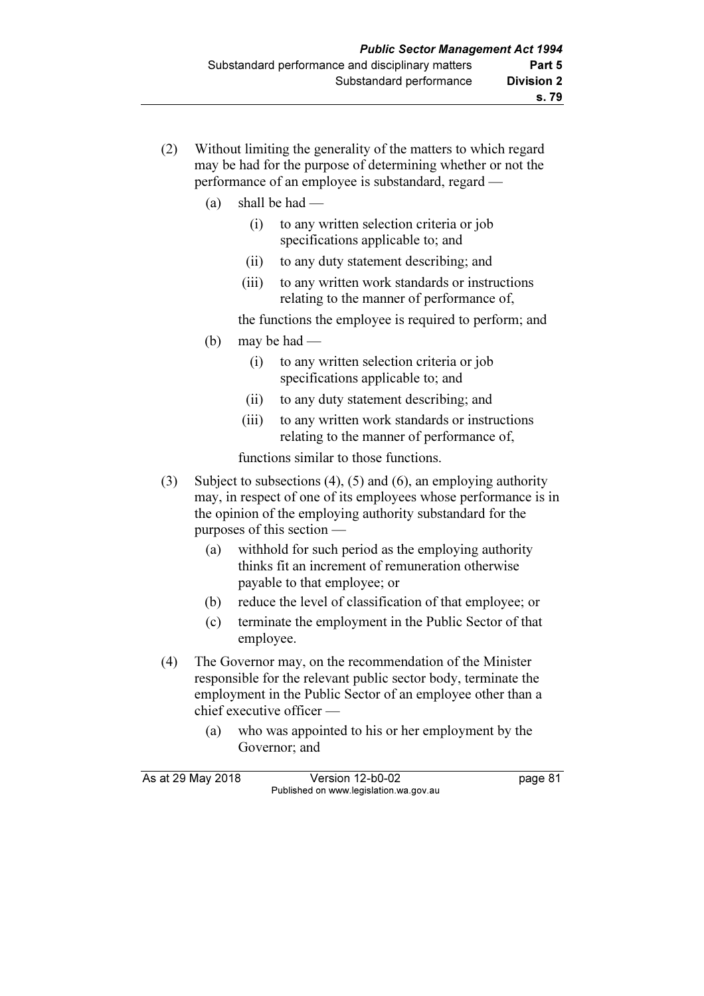- (2) Without limiting the generality of the matters to which regard may be had for the purpose of determining whether or not the performance of an employee is substandard, regard —
	- (a) shall be had
		- (i) to any written selection criteria or job specifications applicable to; and
		- (ii) to any duty statement describing; and
		- (iii) to any written work standards or instructions relating to the manner of performance of,

the functions the employee is required to perform; and

- (b) may be had  $-$ 
	- (i) to any written selection criteria or job specifications applicable to; and
	- (ii) to any duty statement describing; and
	- (iii) to any written work standards or instructions relating to the manner of performance of,

functions similar to those functions.

- (3) Subject to subsections (4), (5) and (6), an employing authority may, in respect of one of its employees whose performance is in the opinion of the employing authority substandard for the purposes of this section —
	- (a) withhold for such period as the employing authority thinks fit an increment of remuneration otherwise payable to that employee; or
	- (b) reduce the level of classification of that employee; or
	- (c) terminate the employment in the Public Sector of that employee.
- (4) The Governor may, on the recommendation of the Minister responsible for the relevant public sector body, terminate the employment in the Public Sector of an employee other than a chief executive officer —
	- (a) who was appointed to his or her employment by the Governor; and

| As at 29 May 2018 | Version 12-b0-02                       | page 81 |
|-------------------|----------------------------------------|---------|
|                   | Published on www.legislation.wa.gov.au |         |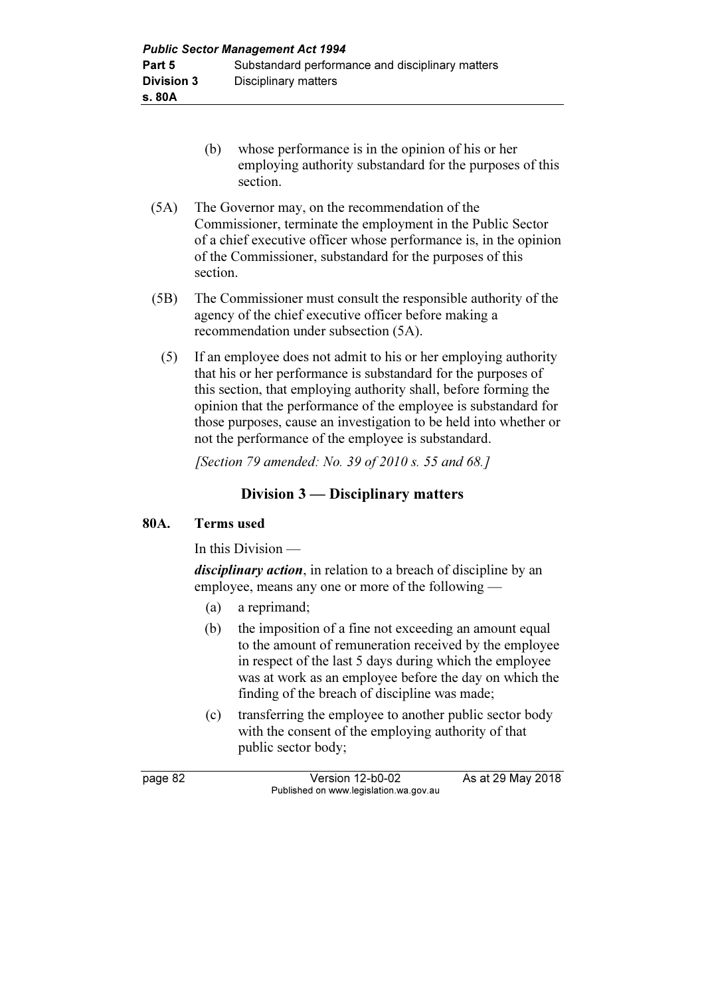| <b>Public Sector Management Act 1994</b> |                                                  |  |  |
|------------------------------------------|--------------------------------------------------|--|--|
| Part 5                                   | Substandard performance and disciplinary matters |  |  |
| <b>Division 3</b>                        | Disciplinary matters                             |  |  |
| s. 80A                                   |                                                  |  |  |

- (b) whose performance is in the opinion of his or her employing authority substandard for the purposes of this section.
- (5A) The Governor may, on the recommendation of the Commissioner, terminate the employment in the Public Sector of a chief executive officer whose performance is, in the opinion of the Commissioner, substandard for the purposes of this section.
- (5B) The Commissioner must consult the responsible authority of the agency of the chief executive officer before making a recommendation under subsection (5A).
	- (5) If an employee does not admit to his or her employing authority that his or her performance is substandard for the purposes of this section, that employing authority shall, before forming the opinion that the performance of the employee is substandard for those purposes, cause an investigation to be held into whether or not the performance of the employee is substandard.

[Section 79 amended: No. 39 of 2010 s. 55 and 68.]

## Division 3 — Disciplinary matters

### 80A. Terms used

In this Division —

disciplinary action, in relation to a breach of discipline by an employee, means any one or more of the following —

- (a) a reprimand;
- (b) the imposition of a fine not exceeding an amount equal to the amount of remuneration received by the employee in respect of the last 5 days during which the employee was at work as an employee before the day on which the finding of the breach of discipline was made;
- (c) transferring the employee to another public sector body with the consent of the employing authority of that public sector body;

page 82 Version 12-b0-02 As at 29 May 2018 Published on www.legislation.wa.gov.au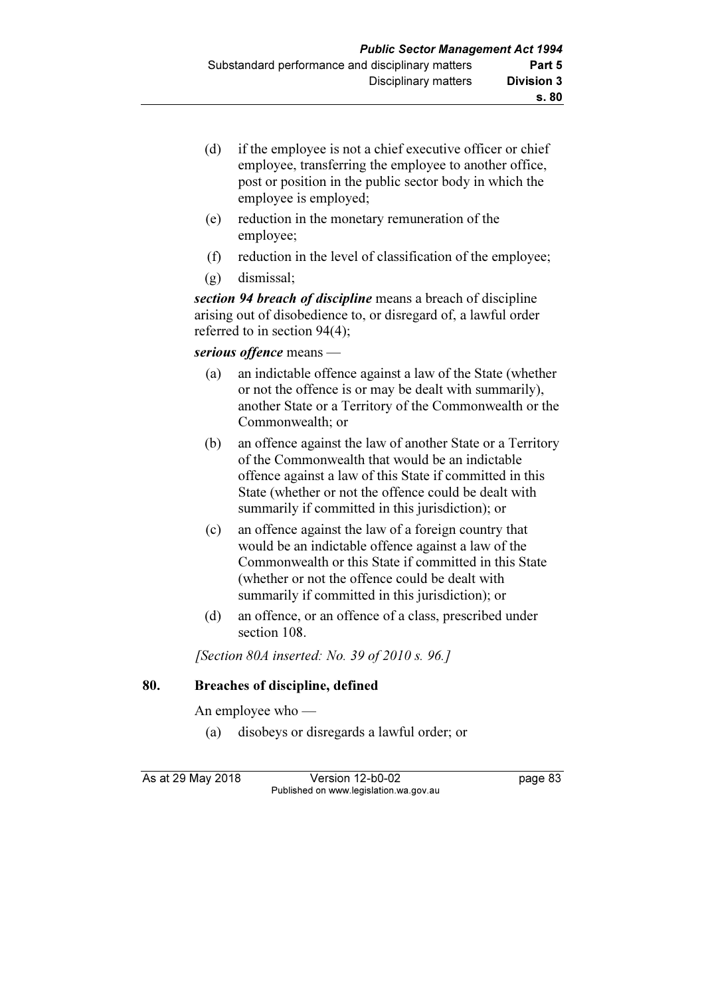- (d) if the employee is not a chief executive officer or chief employee, transferring the employee to another office, post or position in the public sector body in which the employee is employed;
- (e) reduction in the monetary remuneration of the employee;
- (f) reduction in the level of classification of the employee;
- (g) dismissal;

section 94 breach of discipline means a breach of discipline arising out of disobedience to, or disregard of, a lawful order referred to in section 94(4);

### serious offence means —

- (a) an indictable offence against a law of the State (whether or not the offence is or may be dealt with summarily), another State or a Territory of the Commonwealth or the Commonwealth; or
- (b) an offence against the law of another State or a Territory of the Commonwealth that would be an indictable offence against a law of this State if committed in this State (whether or not the offence could be dealt with summarily if committed in this jurisdiction); or
- (c) an offence against the law of a foreign country that would be an indictable offence against a law of the Commonwealth or this State if committed in this State (whether or not the offence could be dealt with summarily if committed in this jurisdiction); or
- (d) an offence, or an offence of a class, prescribed under section 108.

[Section 80A inserted: No. 39 of 2010 s. 96.]

#### 80. Breaches of discipline, defined

An employee who —

(a) disobeys or disregards a lawful order; or

As at 29 May 2018 Version 12-b0-02 page 83 Published on www.legislation.wa.gov.au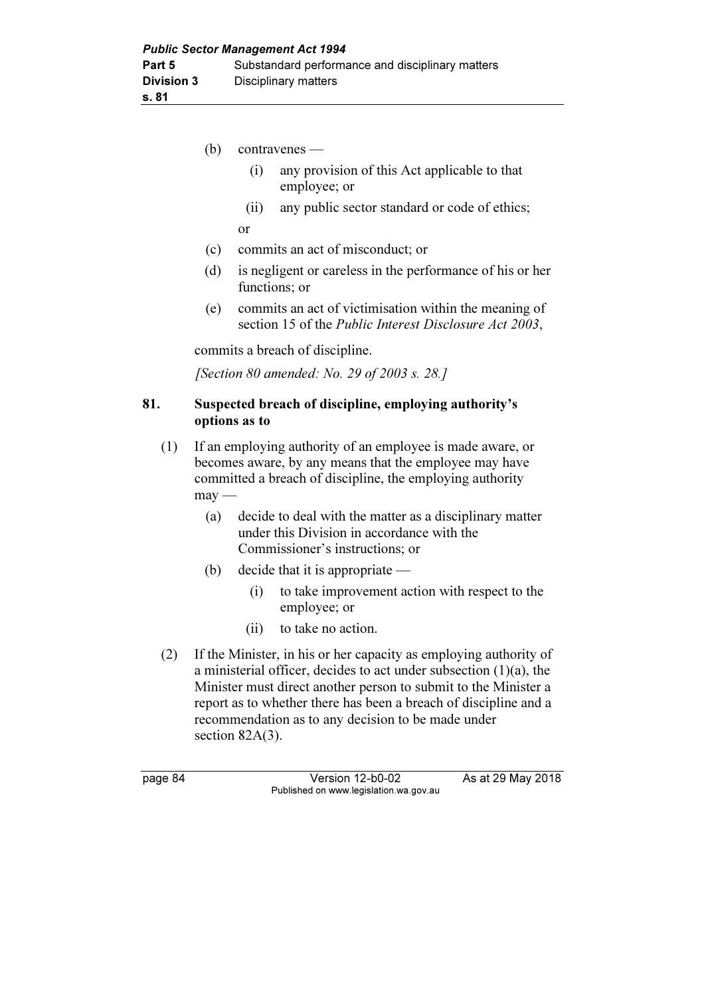|     | (b)                                                                                                                                                                                          | contravenes -                                                                                                                                                                                                                                                                                                                                                 |                                                                                                                         |  |
|-----|----------------------------------------------------------------------------------------------------------------------------------------------------------------------------------------------|---------------------------------------------------------------------------------------------------------------------------------------------------------------------------------------------------------------------------------------------------------------------------------------------------------------------------------------------------------------|-------------------------------------------------------------------------------------------------------------------------|--|
|     |                                                                                                                                                                                              | (i)                                                                                                                                                                                                                                                                                                                                                           | any provision of this Act applicable to that<br>employee; or                                                            |  |
|     |                                                                                                                                                                                              | (ii)                                                                                                                                                                                                                                                                                                                                                          | any public sector standard or code of ethics;                                                                           |  |
|     |                                                                                                                                                                                              | or                                                                                                                                                                                                                                                                                                                                                            |                                                                                                                         |  |
|     | (c)                                                                                                                                                                                          | commits an act of misconduct; or                                                                                                                                                                                                                                                                                                                              |                                                                                                                         |  |
|     | (d)                                                                                                                                                                                          | is negligent or careless in the performance of his or her<br>functions; or                                                                                                                                                                                                                                                                                    |                                                                                                                         |  |
|     | (e)                                                                                                                                                                                          |                                                                                                                                                                                                                                                                                                                                                               | commits an act of victimisation within the meaning of<br>section 15 of the <i>Public Interest Disclosure Act 2003</i> , |  |
|     | commits a breach of discipline.                                                                                                                                                              |                                                                                                                                                                                                                                                                                                                                                               |                                                                                                                         |  |
|     | [Section 80 amended: No. 29 of 2003 s. 28.]                                                                                                                                                  |                                                                                                                                                                                                                                                                                                                                                               |                                                                                                                         |  |
| 81. | Suspected breach of discipline, employing authority's<br>options as to                                                                                                                       |                                                                                                                                                                                                                                                                                                                                                               |                                                                                                                         |  |
| (1) | If an employing authority of an employee is made aware, or<br>becomes aware, by any means that the employee may have<br>committed a breach of discipline, the employing authority<br>$may -$ |                                                                                                                                                                                                                                                                                                                                                               |                                                                                                                         |  |
|     | (a)                                                                                                                                                                                          | decide to deal with the matter as a disciplinary matter<br>under this Division in accordance with the<br>Commissioner's instructions; or                                                                                                                                                                                                                      |                                                                                                                         |  |
|     | (b)                                                                                                                                                                                          |                                                                                                                                                                                                                                                                                                                                                               | decide that it is appropriate $-$                                                                                       |  |
|     |                                                                                                                                                                                              | (i)                                                                                                                                                                                                                                                                                                                                                           | to take improvement action with respect to the<br>employee; or                                                          |  |
|     |                                                                                                                                                                                              | (ii)                                                                                                                                                                                                                                                                                                                                                          | to take no action.                                                                                                      |  |
| (2) |                                                                                                                                                                                              | If the Minister, in his or her capacity as employing authority of<br>a ministerial officer, decides to act under subsection $(1)(a)$ , the<br>Minister must direct another person to submit to the Minister a<br>report as to whether there has been a breach of discipline and a<br>recommendation as to any decision to be made under<br>section $82A(3)$ . |                                                                                                                         |  |

page 84 Version 12-b0-02 As at 29 May 2018 Published on www.legislation.wa.gov.au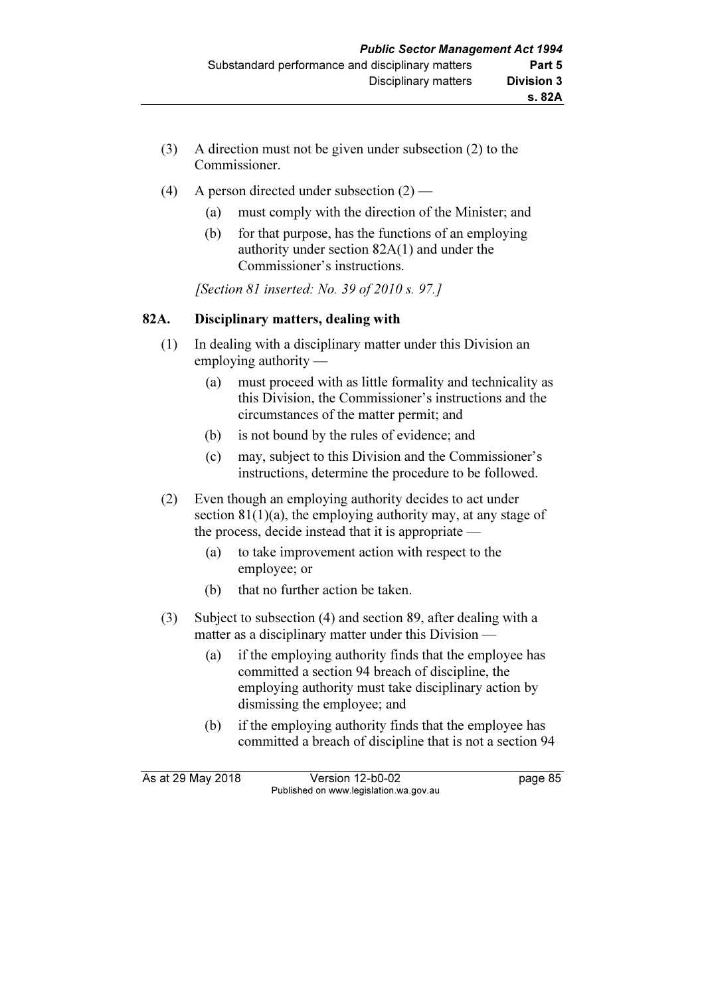- (3) A direction must not be given under subsection (2) to the Commissioner.
- (4) A person directed under subsection  $(2)$ 
	- (a) must comply with the direction of the Minister; and
	- (b) for that purpose, has the functions of an employing authority under section 82A(1) and under the Commissioner's instructions.

[Section 81 inserted: No. 39 of 2010 s. 97.]

### 82A. Disciplinary matters, dealing with

- (1) In dealing with a disciplinary matter under this Division an employing authority —
	- (a) must proceed with as little formality and technicality as this Division, the Commissioner's instructions and the circumstances of the matter permit; and
	- (b) is not bound by the rules of evidence; and
	- (c) may, subject to this Division and the Commissioner's instructions, determine the procedure to be followed.
- (2) Even though an employing authority decides to act under section 81(1)(a), the employing authority may, at any stage of the process, decide instead that it is appropriate —
	- (a) to take improvement action with respect to the employee; or
	- (b) that no further action be taken.
- (3) Subject to subsection (4) and section 89, after dealing with a matter as a disciplinary matter under this Division —
	- (a) if the employing authority finds that the employee has committed a section 94 breach of discipline, the employing authority must take disciplinary action by dismissing the employee; and
	- (b) if the employing authority finds that the employee has committed a breach of discipline that is not a section 94

As at 29 May 2018 **Version 12-b0-02** page 85 Published on www.legislation.wa.gov.au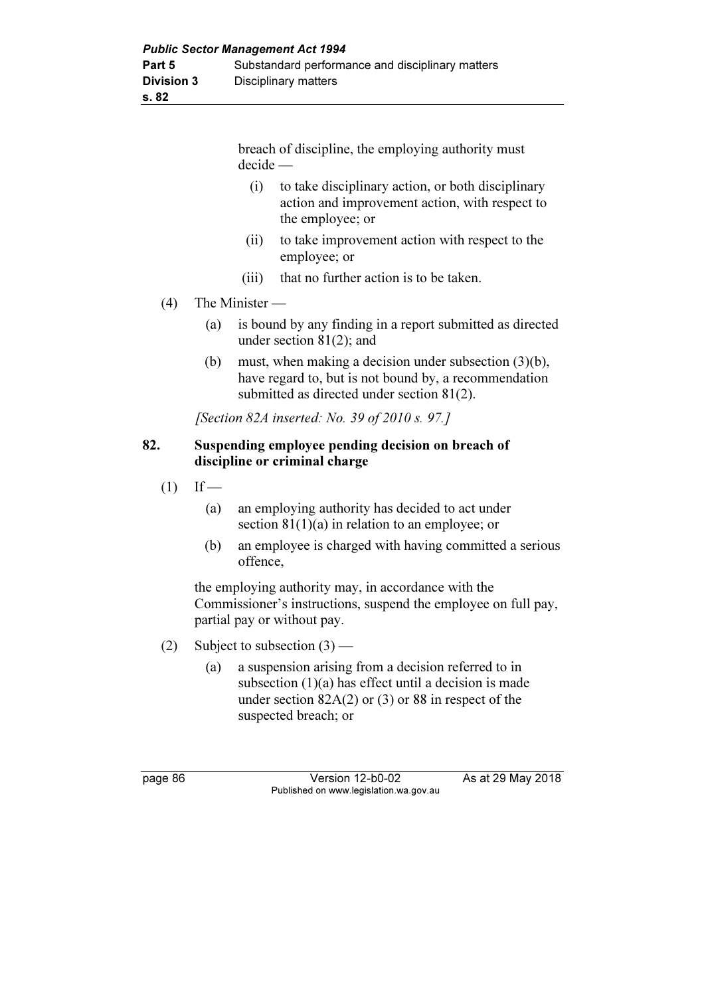breach of discipline, the employing authority must decide —

- (i) to take disciplinary action, or both disciplinary action and improvement action, with respect to the employee; or
- (ii) to take improvement action with respect to the employee; or
- (iii) that no further action is to be taken.
- (4) The Minister
	- (a) is bound by any finding in a report submitted as directed under section 81(2); and
	- (b) must, when making a decision under subsection (3)(b), have regard to, but is not bound by, a recommendation submitted as directed under section 81(2).

[Section 82A inserted: No. 39 of 2010 s. 97.]

#### 82. Suspending employee pending decision on breach of discipline or criminal charge

- $(1)$  If
	- (a) an employing authority has decided to act under section 81(1)(a) in relation to an employee; or
	- (b) an employee is charged with having committed a serious offence,

 the employing authority may, in accordance with the Commissioner's instructions, suspend the employee on full pay, partial pay or without pay.

- (2) Subject to subsection  $(3)$ 
	- (a) a suspension arising from a decision referred to in subsection (1)(a) has effect until a decision is made under section 82A(2) or (3) or 88 in respect of the suspected breach; or

page 86 Version 12-b0-02 As at 29 May 2018 Published on www.legislation.wa.gov.au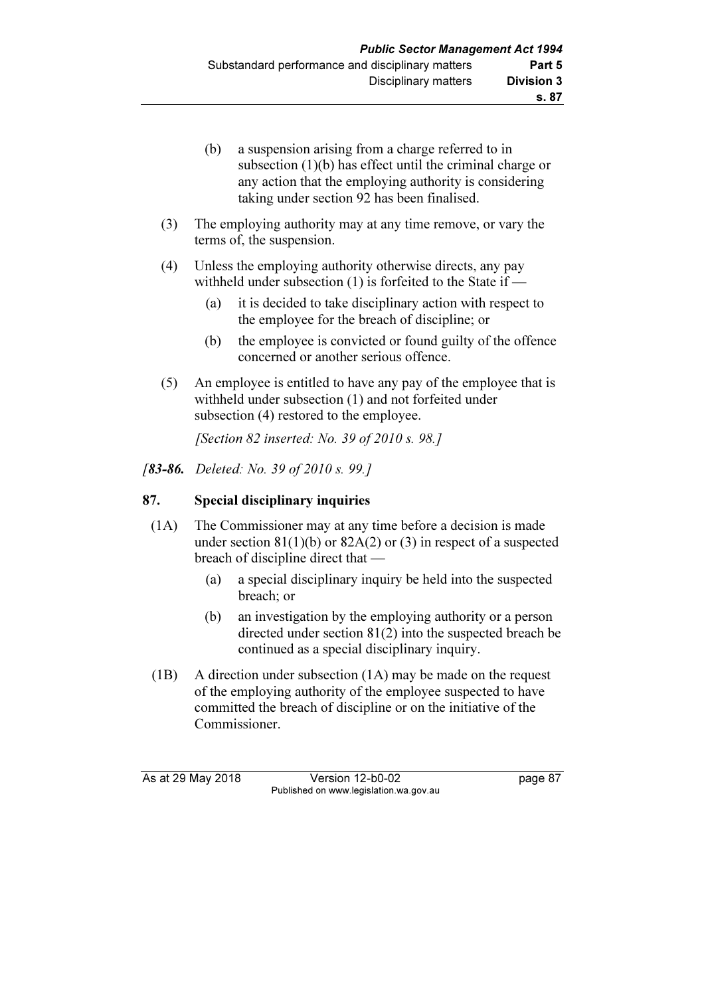- (b) a suspension arising from a charge referred to in subsection (1)(b) has effect until the criminal charge or any action that the employing authority is considering taking under section 92 has been finalised.
- (3) The employing authority may at any time remove, or vary the terms of, the suspension.
- (4) Unless the employing authority otherwise directs, any pay withheld under subsection (1) is forfeited to the State if —
	- (a) it is decided to take disciplinary action with respect to the employee for the breach of discipline; or
	- (b) the employee is convicted or found guilty of the offence concerned or another serious offence.
- (5) An employee is entitled to have any pay of the employee that is withheld under subsection (1) and not forfeited under subsection  $(4)$  restored to the employee.

[Section 82 inserted: No. 39 of 2010 s. 98.]

[83-86. Deleted: No. 39 of 2010 s. 99.]

## 87. Special disciplinary inquiries

- (1A) The Commissioner may at any time before a decision is made under section  $81(1)(b)$  or  $82A(2)$  or  $(3)$  in respect of a suspected breach of discipline direct that —
	- (a) a special disciplinary inquiry be held into the suspected breach; or
	- (b) an investigation by the employing authority or a person directed under section 81(2) into the suspected breach be continued as a special disciplinary inquiry.
- (1B) A direction under subsection (1A) may be made on the request of the employing authority of the employee suspected to have committed the breach of discipline or on the initiative of the Commissioner.

As at 29 May 2018 **Version 12-b0-02** page 87 Published on www.legislation.wa.gov.au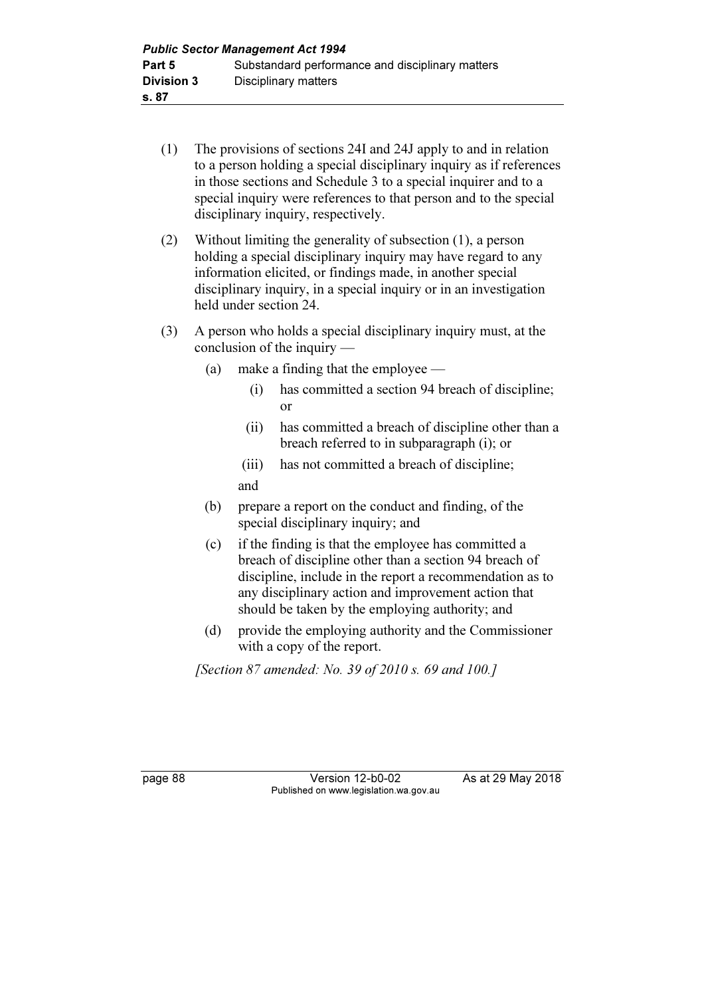- (1) The provisions of sections 24I and 24J apply to and in relation to a person holding a special disciplinary inquiry as if references in those sections and Schedule 3 to a special inquirer and to a special inquiry were references to that person and to the special disciplinary inquiry, respectively.
- (2) Without limiting the generality of subsection (1), a person holding a special disciplinary inquiry may have regard to any information elicited, or findings made, in another special disciplinary inquiry, in a special inquiry or in an investigation held under section 24.
- (3) A person who holds a special disciplinary inquiry must, at the conclusion of the inquiry —
	- (a) make a finding that the employee
		- (i) has committed a section 94 breach of discipline; or
		- (ii) has committed a breach of discipline other than a breach referred to in subparagraph (i); or
		- (iii) has not committed a breach of discipline; and
	- (b) prepare a report on the conduct and finding, of the special disciplinary inquiry; and
	- (c) if the finding is that the employee has committed a breach of discipline other than a section 94 breach of discipline, include in the report a recommendation as to any disciplinary action and improvement action that should be taken by the employing authority; and
	- (d) provide the employing authority and the Commissioner with a copy of the report.

[Section 87 amended: No. 39 of 2010 s. 69 and 100.]

page 88 Version 12-b0-02 As at 29 May 2018 Published on www.legislation.wa.gov.au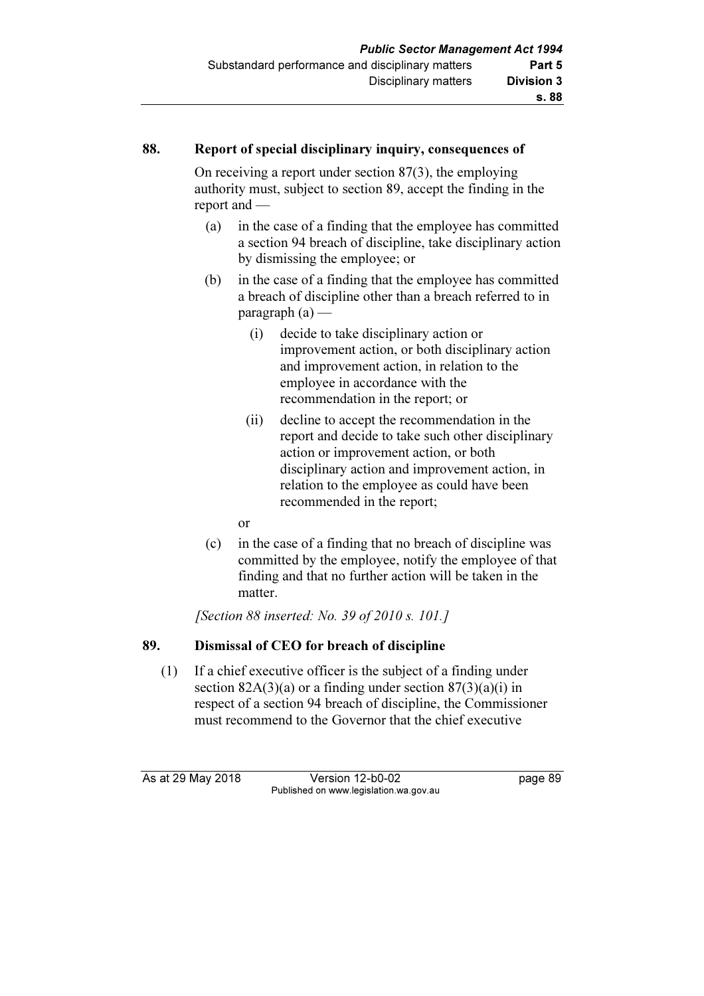## 88. Report of special disciplinary inquiry, consequences of

 On receiving a report under section 87(3), the employing authority must, subject to section 89, accept the finding in the report and —

- (a) in the case of a finding that the employee has committed a section 94 breach of discipline, take disciplinary action by dismissing the employee; or
- (b) in the case of a finding that the employee has committed a breach of discipline other than a breach referred to in  $paragraph (a)$  —
	- (i) decide to take disciplinary action or improvement action, or both disciplinary action and improvement action, in relation to the employee in accordance with the recommendation in the report; or
	- (ii) decline to accept the recommendation in the report and decide to take such other disciplinary action or improvement action, or both disciplinary action and improvement action, in relation to the employee as could have been recommended in the report;
	- or
- (c) in the case of a finding that no breach of discipline was committed by the employee, notify the employee of that finding and that no further action will be taken in the matter.

[Section 88 inserted: No. 39 of 2010 s. 101.]

### 89. Dismissal of CEO for breach of discipline

 (1) If a chief executive officer is the subject of a finding under section  $82A(3)(a)$  or a finding under section  $87(3)(a)(i)$  in respect of a section 94 breach of discipline, the Commissioner must recommend to the Governor that the chief executive

As at 29 May 2018 Version 12-b0-02 page 89 Published on www.legislation.wa.gov.au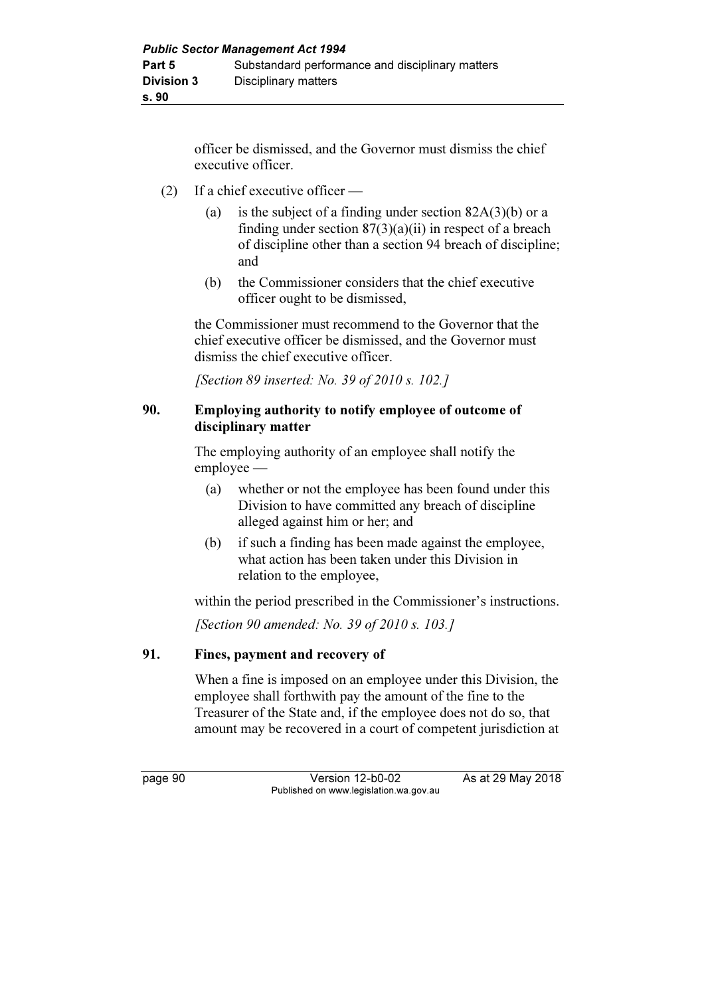officer be dismissed, and the Governor must dismiss the chief executive officer.

- (2) If a chief executive officer
	- (a) is the subject of a finding under section  $82A(3)(b)$  or a finding under section  $87(3)(a)(ii)$  in respect of a breach of discipline other than a section 94 breach of discipline; and
	- (b) the Commissioner considers that the chief executive officer ought to be dismissed,

 the Commissioner must recommend to the Governor that the chief executive officer be dismissed, and the Governor must dismiss the chief executive officer.

[Section 89 inserted: No. 39 of 2010 s. 102.]

## 90. Employing authority to notify employee of outcome of disciplinary matter

 The employing authority of an employee shall notify the employee —

- (a) whether or not the employee has been found under this Division to have committed any breach of discipline alleged against him or her; and
- (b) if such a finding has been made against the employee, what action has been taken under this Division in relation to the employee,

within the period prescribed in the Commissioner's instructions.

[Section 90 amended: No. 39 of 2010 s. 103.]

### 91. Fines, payment and recovery of

 When a fine is imposed on an employee under this Division, the employee shall forthwith pay the amount of the fine to the Treasurer of the State and, if the employee does not do so, that amount may be recovered in a court of competent jurisdiction at

page 90 **Version 12-b0-02** As at 29 May 2018 Published on www.legislation.wa.gov.au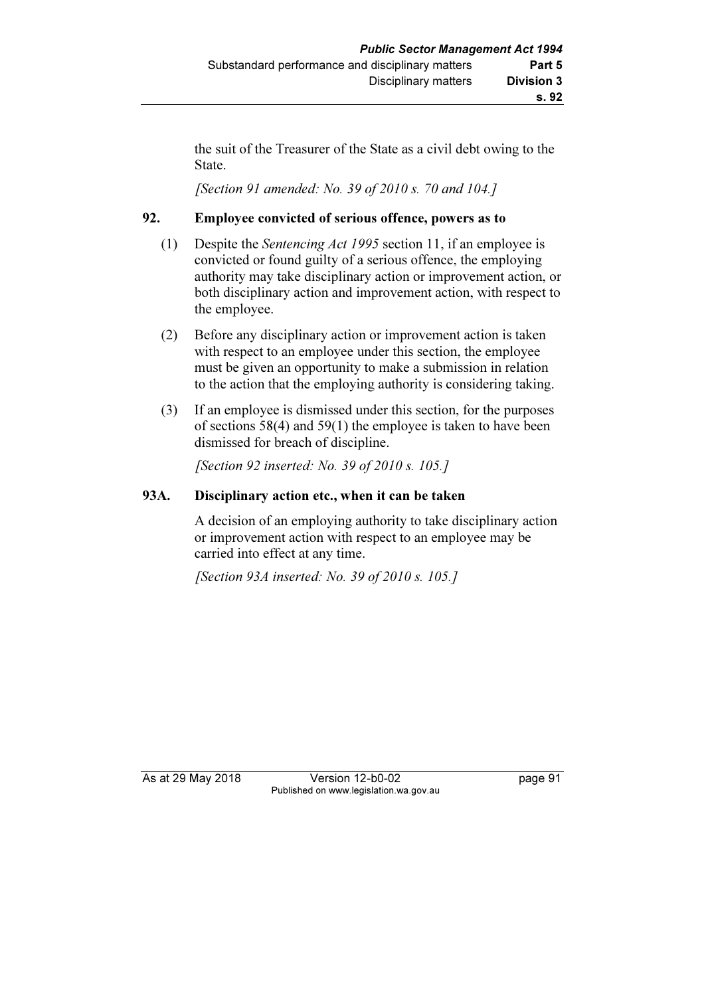the suit of the Treasurer of the State as a civil debt owing to the State.

[Section 91 amended: No. 39 of 2010 s. 70 and 104.]

## 92. Employee convicted of serious offence, powers as to

- (1) Despite the Sentencing Act 1995 section 11, if an employee is convicted or found guilty of a serious offence, the employing authority may take disciplinary action or improvement action, or both disciplinary action and improvement action, with respect to the employee.
- (2) Before any disciplinary action or improvement action is taken with respect to an employee under this section, the employee must be given an opportunity to make a submission in relation to the action that the employing authority is considering taking.
- (3) If an employee is dismissed under this section, for the purposes of sections 58(4) and 59(1) the employee is taken to have been dismissed for breach of discipline.

[Section 92 inserted: No. 39 of 2010 s. 105.]

## 93A. Disciplinary action etc., when it can be taken

 A decision of an employing authority to take disciplinary action or improvement action with respect to an employee may be carried into effect at any time.

[Section 93A inserted: No. 39 of 2010 s. 105.]

As at 29 May 2018 Version 12-b0-02 page 91 Published on www.legislation.wa.gov.au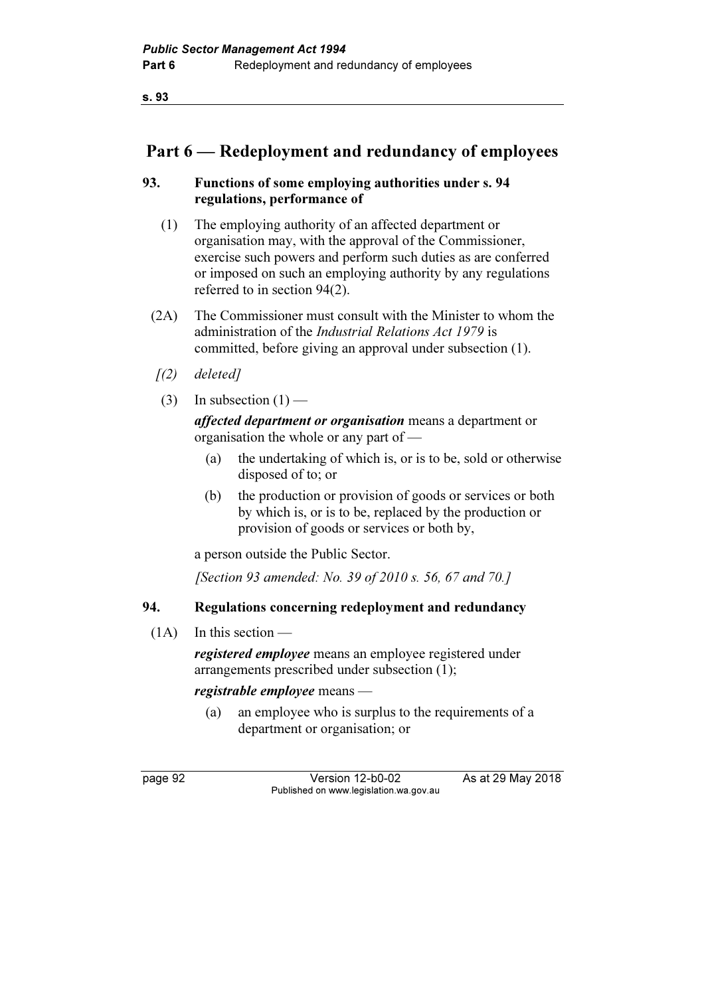s. 93

## Part 6 — Redeployment and redundancy of employees

## 93. Functions of some employing authorities under s. 94 regulations, performance of

- (1) The employing authority of an affected department or organisation may, with the approval of the Commissioner, exercise such powers and perform such duties as are conferred or imposed on such an employing authority by any regulations referred to in section 94(2).
- (2A) The Commissioner must consult with the Minister to whom the administration of the Industrial Relations Act 1979 is committed, before giving an approval under subsection (1).
- [(2) deleted]
- (3) In subsection  $(1)$  —

affected department or organisation means a department or organisation the whole or any part of —

- (a) the undertaking of which is, or is to be, sold or otherwise disposed of to; or
- (b) the production or provision of goods or services or both by which is, or is to be, replaced by the production or provision of goods or services or both by,

a person outside the Public Sector.

[Section 93 amended: No. 39 of 2010 s. 56, 67 and 70.]

## 94. Regulations concerning redeployment and redundancy

 $(1A)$  In this section —

registered employee means an employee registered under arrangements prescribed under subsection (1);

registrable employee means —

 (a) an employee who is surplus to the requirements of a department or organisation; or

page 92 Version 12-b0-02 As at 29 May 2018 Published on www.legislation.wa.gov.au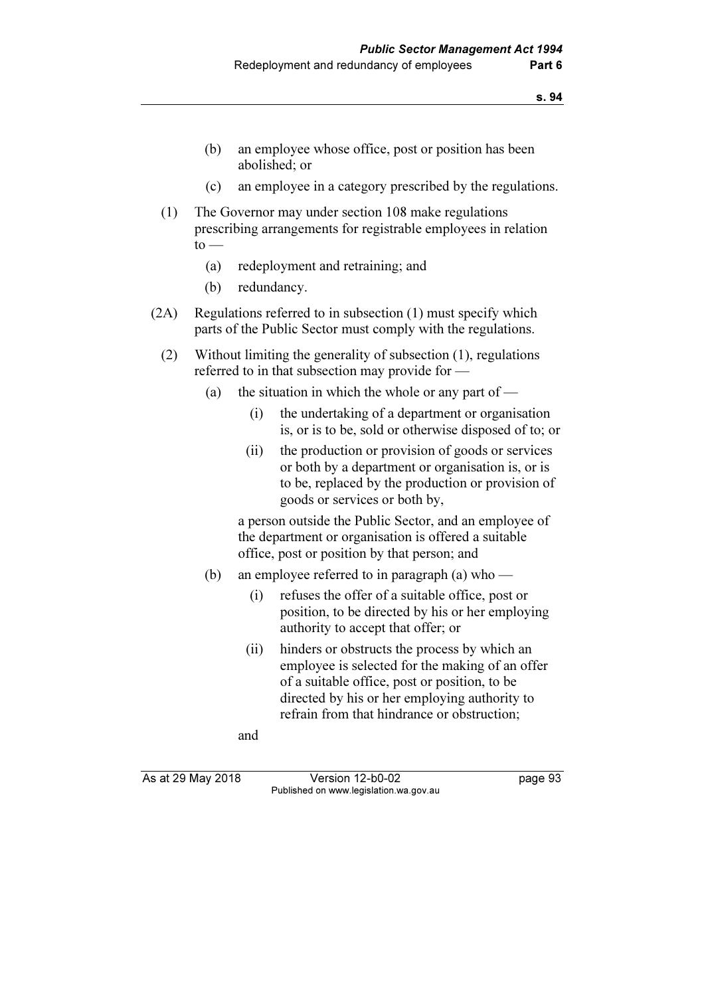- (b) an employee whose office, post or position has been abolished; or
- (c) an employee in a category prescribed by the regulations.
- (1) The Governor may under section 108 make regulations prescribing arrangements for registrable employees in relation  $to -$ 
	- (a) redeployment and retraining; and
	- (b) redundancy.
- (2A) Regulations referred to in subsection (1) must specify which parts of the Public Sector must comply with the regulations.
	- (2) Without limiting the generality of subsection (1), regulations referred to in that subsection may provide for —
		- (a) the situation in which the whole or any part of
			- (i) the undertaking of a department or organisation is, or is to be, sold or otherwise disposed of to; or
			- (ii) the production or provision of goods or services or both by a department or organisation is, or is to be, replaced by the production or provision of goods or services or both by,

 a person outside the Public Sector, and an employee of the department or organisation is offered a suitable office, post or position by that person; and

- (b) an employee referred to in paragraph (a) who
	- (i) refuses the offer of a suitable office, post or position, to be directed by his or her employing authority to accept that offer; or
	- (ii) hinders or obstructs the process by which an employee is selected for the making of an offer of a suitable office, post or position, to be directed by his or her employing authority to refrain from that hindrance or obstruction;

and

As at 29 May 2018 Version 12-b0-02 page 93 Published on www.legislation.wa.gov.au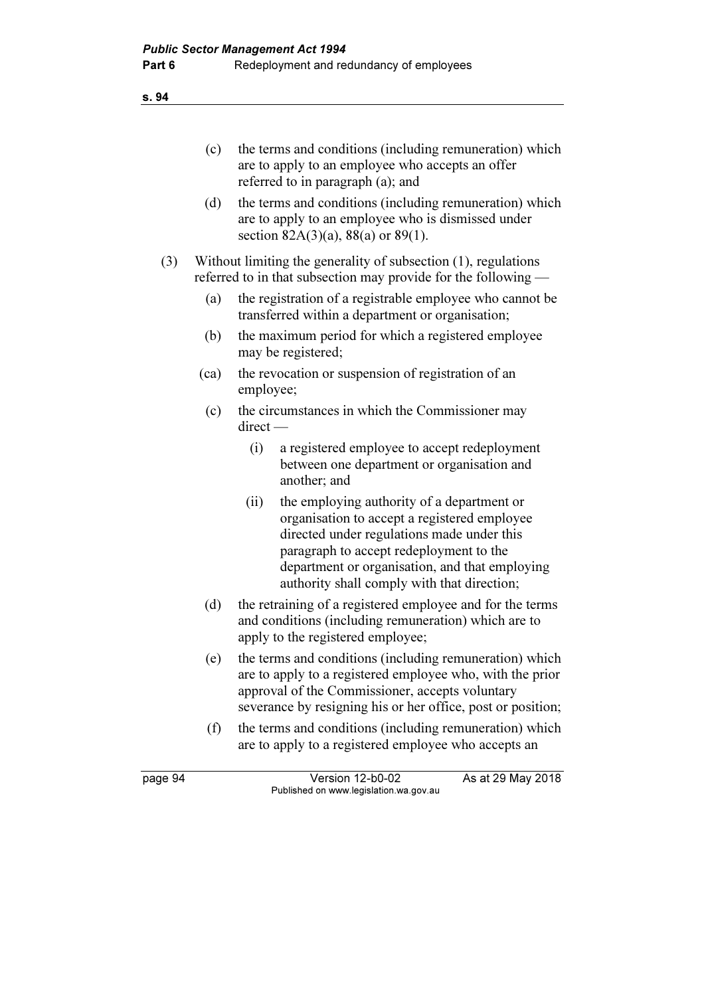#### (c) the terms and conditions (including remuneration) which are to apply to an employee who accepts an offer referred to in paragraph (a); and

 (d) the terms and conditions (including remuneration) which are to apply to an employee who is dismissed under section  $82A(3)(a)$ ,  $88(a)$  or  $89(1)$ .

 (3) Without limiting the generality of subsection (1), regulations referred to in that subsection may provide for the following -

- (a) the registration of a registrable employee who cannot be transferred within a department or organisation;
- (b) the maximum period for which a registered employee may be registered;
- (ca) the revocation or suspension of registration of an employee;
- (c) the circumstances in which the Commissioner may direct —
	- (i) a registered employee to accept redeployment between one department or organisation and another; and
	- (ii) the employing authority of a department or organisation to accept a registered employee directed under regulations made under this paragraph to accept redeployment to the department or organisation, and that employing authority shall comply with that direction;
- (d) the retraining of a registered employee and for the terms and conditions (including remuneration) which are to apply to the registered employee;
- (e) the terms and conditions (including remuneration) which are to apply to a registered employee who, with the prior approval of the Commissioner, accepts voluntary severance by resigning his or her office, post or position;
- (f) the terms and conditions (including remuneration) which are to apply to a registered employee who accepts an

page 94 Version 12-b0-02 As at 29 May 2018 Published on www.legislation.wa.gov.au

#### s. 94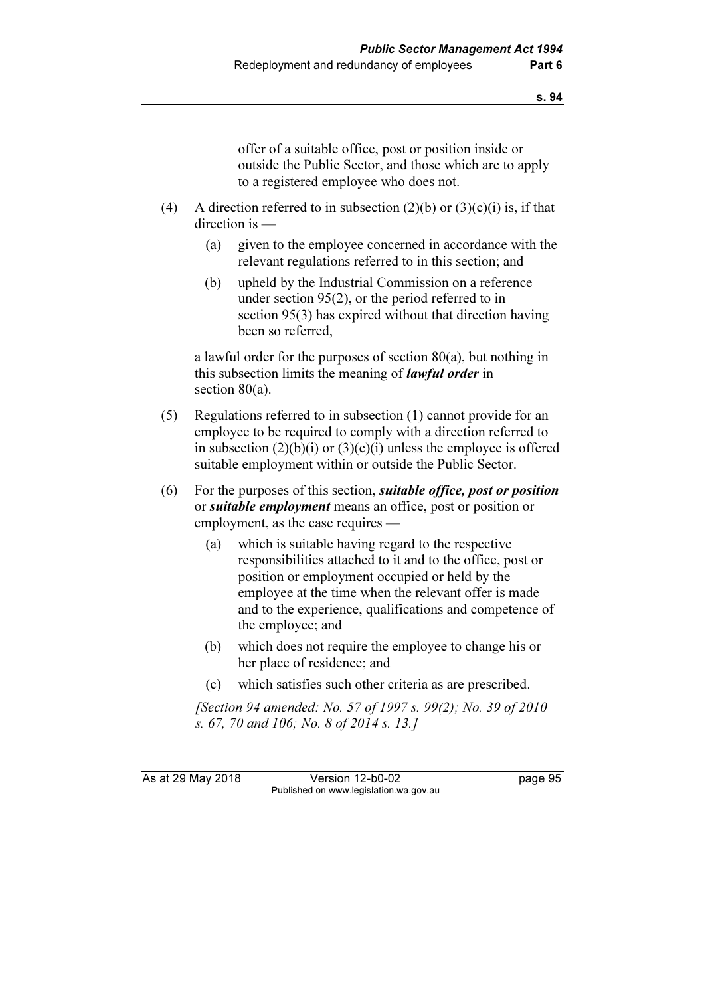offer of a suitable office, post or position inside or outside the Public Sector, and those which are to apply to a registered employee who does not.

- (4) A direction referred to in subsection  $(2)(b)$  or  $(3)(c)(i)$  is, if that direction is —
	- (a) given to the employee concerned in accordance with the relevant regulations referred to in this section; and
	- (b) upheld by the Industrial Commission on a reference under section 95(2), or the period referred to in section 95(3) has expired without that direction having been so referred,

 a lawful order for the purposes of section 80(a), but nothing in this subsection limits the meaning of *lawful order* in section 80(a).

- (5) Regulations referred to in subsection (1) cannot provide for an employee to be required to comply with a direction referred to in subsection  $(2)(b)(i)$  or  $(3)(c)(i)$  unless the employee is offered suitable employment within or outside the Public Sector.
- $(6)$  For the purposes of this section, *suitable office, post or position* or *suitable employment* means an office, post or position or employment, as the case requires —
	- (a) which is suitable having regard to the respective responsibilities attached to it and to the office, post or position or employment occupied or held by the employee at the time when the relevant offer is made and to the experience, qualifications and competence of the employee; and
	- (b) which does not require the employee to change his or her place of residence; and
	- (c) which satisfies such other criteria as are prescribed.

 [Section 94 amended: No. 57 of 1997 s. 99(2); No. 39 of 2010 s. 67, 70 and 106; No. 8 of 2014 s. 13.]

As at 29 May 2018 Version 12-b0-02 page 95 Published on www.legislation.wa.gov.au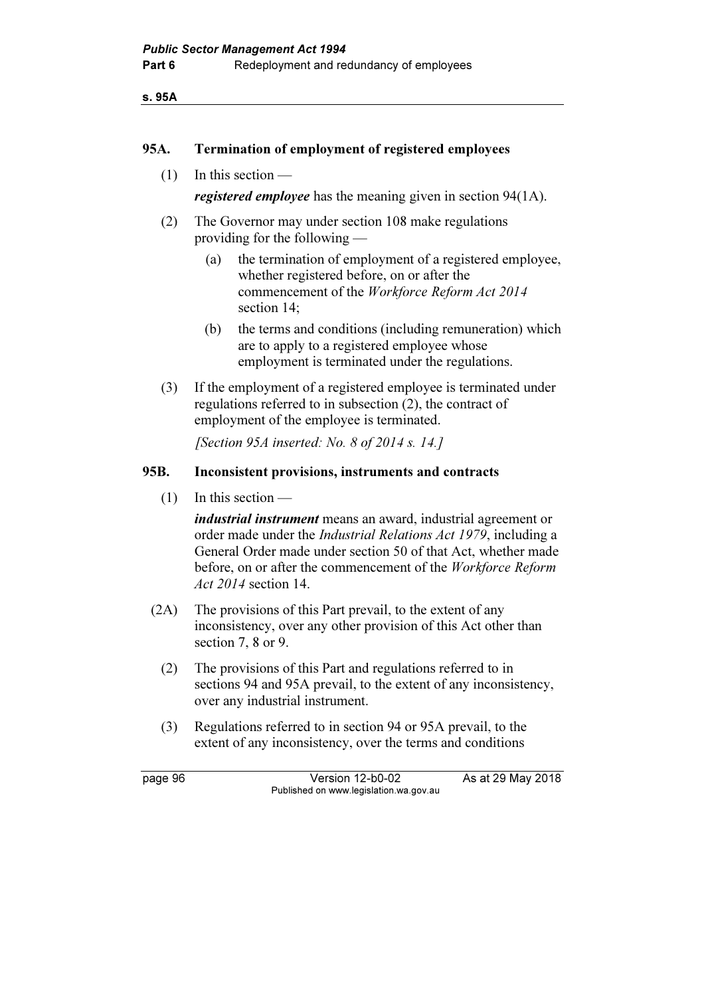s. 95A

#### 95A. Termination of employment of registered employees

(1) In this section —

registered employee has the meaning given in section 94(1A).

- (2) The Governor may under section 108 make regulations providing for the following —
	- (a) the termination of employment of a registered employee, whether registered before, on or after the commencement of the Workforce Reform Act 2014 section 14;
	- (b) the terms and conditions (including remuneration) which are to apply to a registered employee whose employment is terminated under the regulations.
- (3) If the employment of a registered employee is terminated under regulations referred to in subsection (2), the contract of employment of the employee is terminated.

[Section 95A inserted: No. 8 of 2014 s. 14.]

#### 95B. Inconsistent provisions, instruments and contracts

 $(1)$  In this section —

industrial instrument means an award, industrial agreement or order made under the Industrial Relations Act 1979, including a General Order made under section 50 of that Act, whether made before, on or after the commencement of the Workforce Reform Act 2014 section 14.

- (2A) The provisions of this Part prevail, to the extent of any inconsistency, over any other provision of this Act other than section 7, 8 or 9.
	- (2) The provisions of this Part and regulations referred to in sections 94 and 95A prevail, to the extent of any inconsistency, over any industrial instrument.
	- (3) Regulations referred to in section 94 or 95A prevail, to the extent of any inconsistency, over the terms and conditions

page 96 Version 12-b0-02 As at 29 May 2018 Published on www.legislation.wa.gov.au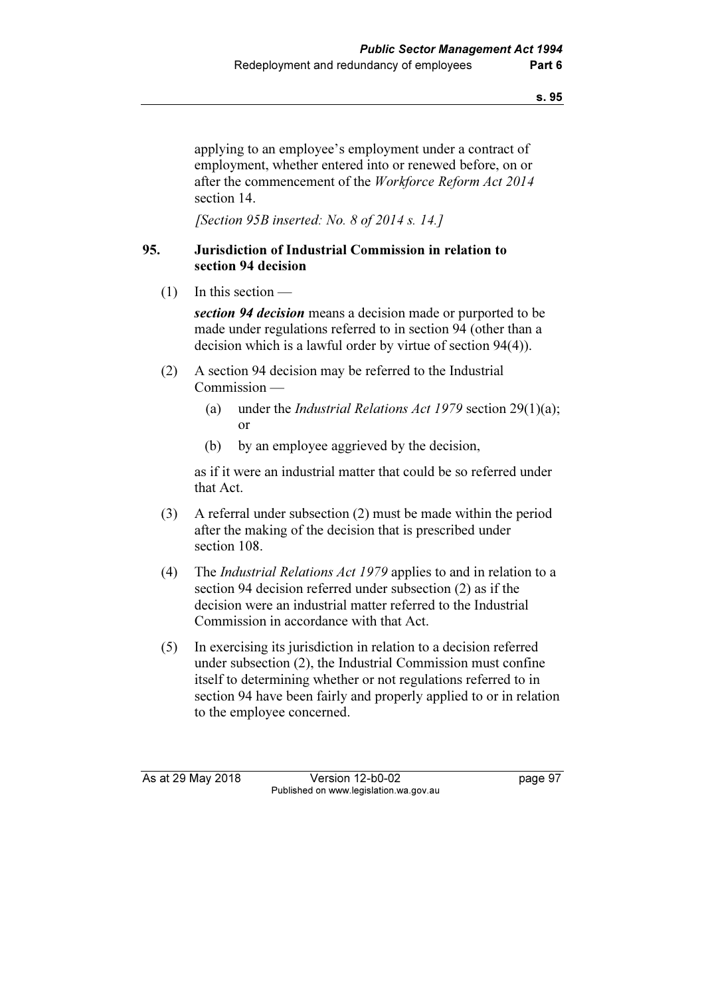applying to an employee's employment under a contract of employment, whether entered into or renewed before, on or after the commencement of the Workforce Reform Act 2014 section 14.

[Section 95B inserted: No. 8 of 2014 s. 14.]

### 95. Jurisdiction of Industrial Commission in relation to section 94 decision

 $(1)$  In this section —

section 94 decision means a decision made or purported to be made under regulations referred to in section 94 (other than a decision which is a lawful order by virtue of section 94(4)).

- (2) A section 94 decision may be referred to the Industrial Commission —
	- (a) under the *Industrial Relations Act 1979* section 29(1)(a); or
	- (b) by an employee aggrieved by the decision,

 as if it were an industrial matter that could be so referred under that Act.

- (3) A referral under subsection (2) must be made within the period after the making of the decision that is prescribed under section 108.
- (4) The Industrial Relations Act 1979 applies to and in relation to a section 94 decision referred under subsection (2) as if the decision were an industrial matter referred to the Industrial Commission in accordance with that Act.
- (5) In exercising its jurisdiction in relation to a decision referred under subsection (2), the Industrial Commission must confine itself to determining whether or not regulations referred to in section 94 have been fairly and properly applied to or in relation to the employee concerned.

As at 29 May 2018 **Version 12-b0-02** page 97 Published on www.legislation.wa.gov.au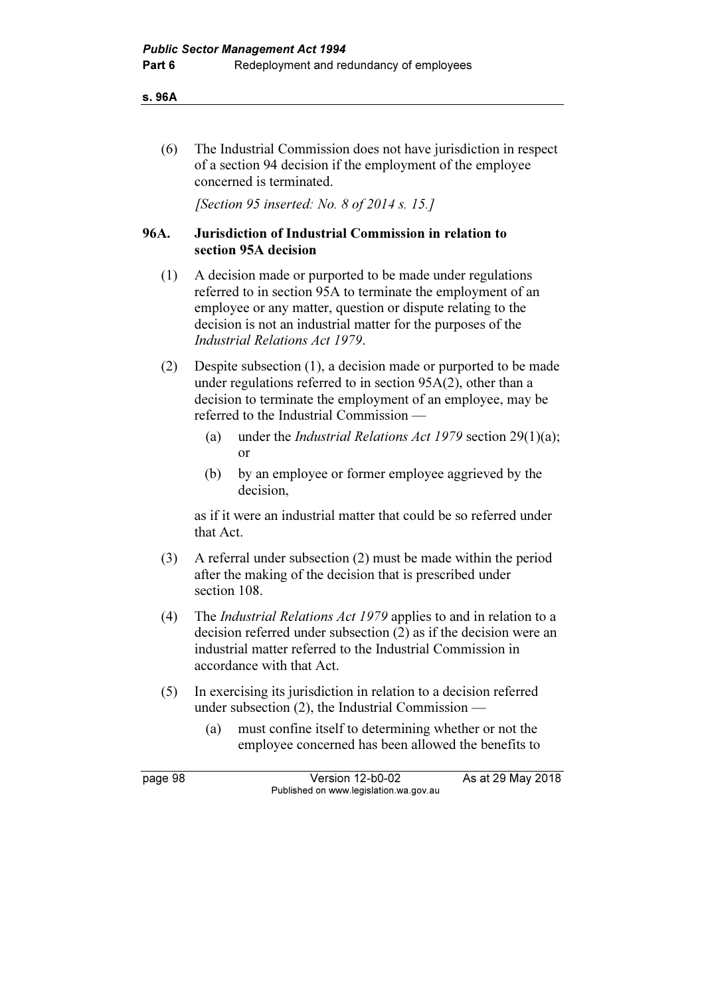s. 96A

 (6) The Industrial Commission does not have jurisdiction in respect of a section 94 decision if the employment of the employee concerned is terminated.

[Section 95 inserted: No. 8 of 2014 s. 15.]

### 96A. Jurisdiction of Industrial Commission in relation to section 95A decision

- (1) A decision made or purported to be made under regulations referred to in section 95A to terminate the employment of an employee or any matter, question or dispute relating to the decision is not an industrial matter for the purposes of the Industrial Relations Act 1979.
- (2) Despite subsection (1), a decision made or purported to be made under regulations referred to in section 95A(2), other than a decision to terminate the employment of an employee, may be referred to the Industrial Commission —
	- (a) under the *Industrial Relations Act 1979* section 29(1)(a); or
	- (b) by an employee or former employee aggrieved by the decision,

 as if it were an industrial matter that could be so referred under that Act.

- (3) A referral under subsection (2) must be made within the period after the making of the decision that is prescribed under section 108.
- (4) The Industrial Relations Act 1979 applies to and in relation to a decision referred under subsection (2) as if the decision were an industrial matter referred to the Industrial Commission in accordance with that Act.
- (5) In exercising its jurisdiction in relation to a decision referred under subsection (2), the Industrial Commission —
	- (a) must confine itself to determining whether or not the employee concerned has been allowed the benefits to

page 98 Version 12-b0-02 As at 29 May 2018 Published on www.legislation.wa.gov.au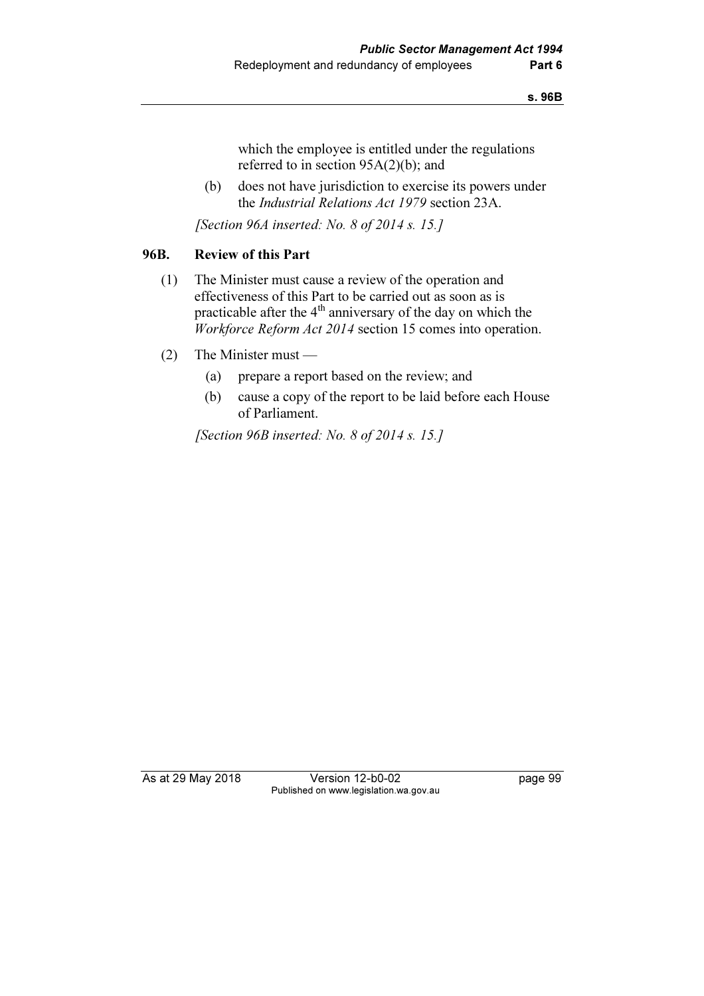which the employee is entitled under the regulations referred to in section 95A(2)(b); and

 (b) does not have jurisdiction to exercise its powers under the Industrial Relations Act 1979 section 23A.

[Section 96A inserted: No. 8 of 2014 s. 15.]

# 96B. Review of this Part

- (1) The Minister must cause a review of the operation and effectiveness of this Part to be carried out as soon as is practicable after the 4<sup>th</sup> anniversary of the day on which the Workforce Reform Act 2014 section 15 comes into operation.
- (2) The Minister must
	- (a) prepare a report based on the review; and
	- (b) cause a copy of the report to be laid before each House of Parliament.

[Section 96B inserted: No. 8 of 2014 s. 15.]

As at 29 May 2018 Version 12-b0-02 page 99 Published on www.legislation.wa.gov.au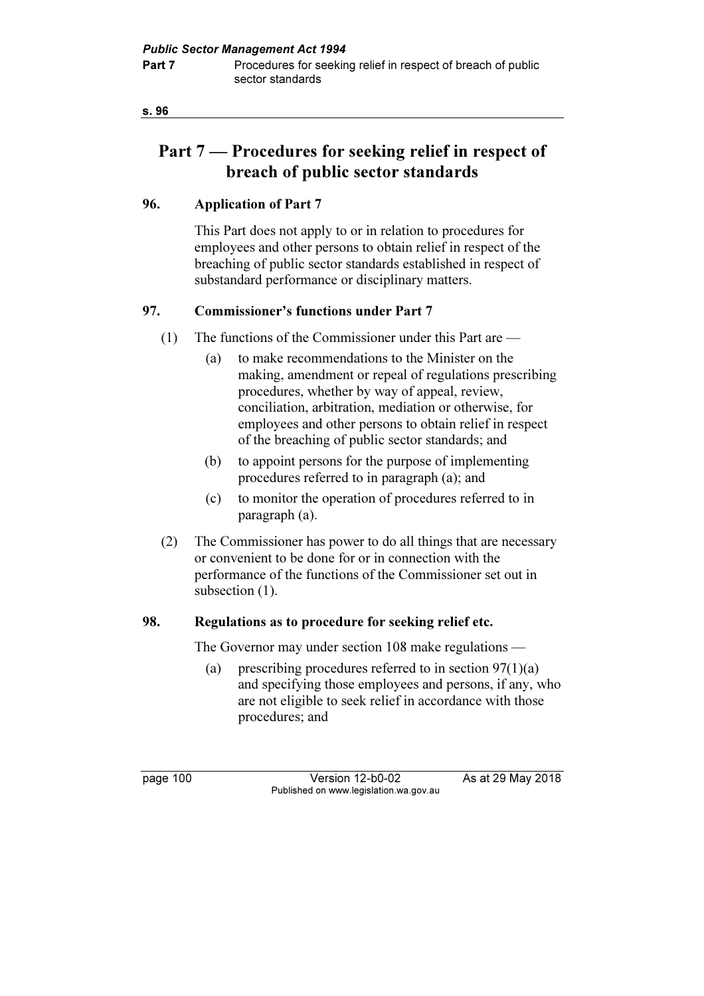s. 96

# Part 7 — Procedures for seeking relief in respect of breach of public sector standards

## 96. Application of Part 7

 This Part does not apply to or in relation to procedures for employees and other persons to obtain relief in respect of the breaching of public sector standards established in respect of substandard performance or disciplinary matters.

# 97. Commissioner's functions under Part 7

- (1) The functions of the Commissioner under this Part are
	- (a) to make recommendations to the Minister on the making, amendment or repeal of regulations prescribing procedures, whether by way of appeal, review, conciliation, arbitration, mediation or otherwise, for employees and other persons to obtain relief in respect of the breaching of public sector standards; and
	- (b) to appoint persons for the purpose of implementing procedures referred to in paragraph (a); and
	- (c) to monitor the operation of procedures referred to in paragraph (a).
- (2) The Commissioner has power to do all things that are necessary or convenient to be done for or in connection with the performance of the functions of the Commissioner set out in subsection  $(1)$ .

## 98. Regulations as to procedure for seeking relief etc.

The Governor may under section 108 make regulations —

(a) prescribing procedures referred to in section  $97(1)(a)$ and specifying those employees and persons, if any, who are not eligible to seek relief in accordance with those procedures; and

page 100 Version 12-b0-02 As at 29 May 2018 Published on www.legislation.wa.gov.au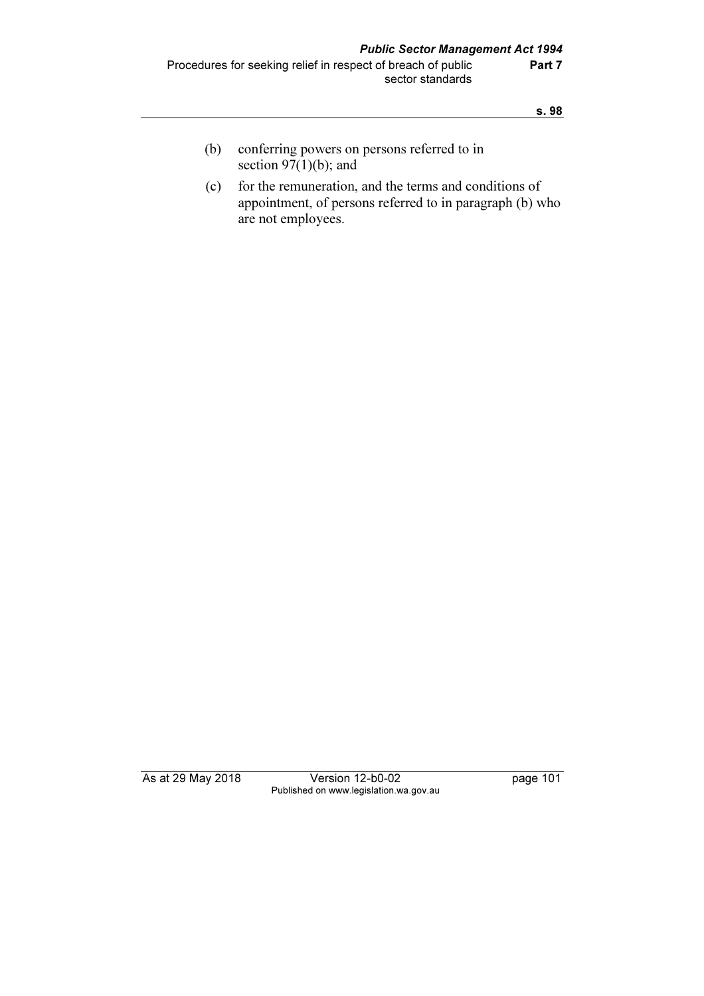- (b) conferring powers on persons referred to in section  $\overline{97(1)}$ (b); and
- (c) for the remuneration, and the terms and conditions of appointment, of persons referred to in paragraph (b) who are not employees.

As at 29 May 2018 Version 12-b0-02 page 101 Published on www.legislation.wa.gov.au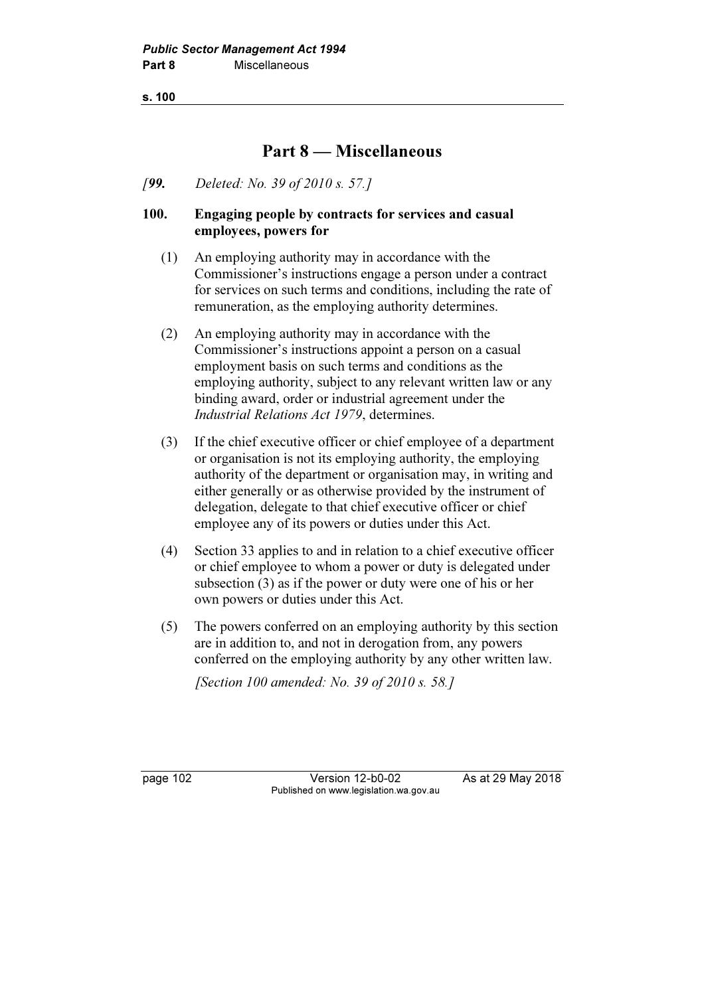s. 100

# Part 8 — Miscellaneous

[99. Deleted: No. 39 of 2010 s. 57.]

### 100. Engaging people by contracts for services and casual employees, powers for

- (1) An employing authority may in accordance with the Commissioner's instructions engage a person under a contract for services on such terms and conditions, including the rate of remuneration, as the employing authority determines.
- (2) An employing authority may in accordance with the Commissioner's instructions appoint a person on a casual employment basis on such terms and conditions as the employing authority, subject to any relevant written law or any binding award, order or industrial agreement under the Industrial Relations Act 1979, determines.
- (3) If the chief executive officer or chief employee of a department or organisation is not its employing authority, the employing authority of the department or organisation may, in writing and either generally or as otherwise provided by the instrument of delegation, delegate to that chief executive officer or chief employee any of its powers or duties under this Act.
- (4) Section 33 applies to and in relation to a chief executive officer or chief employee to whom a power or duty is delegated under subsection (3) as if the power or duty were one of his or her own powers or duties under this Act.
- (5) The powers conferred on an employing authority by this section are in addition to, and not in derogation from, any powers conferred on the employing authority by any other written law.

[Section 100 amended: No. 39 of 2010 s. 58.]

page 102 Version 12-b0-02 As at 29 May 2018 Published on www.legislation.wa.gov.au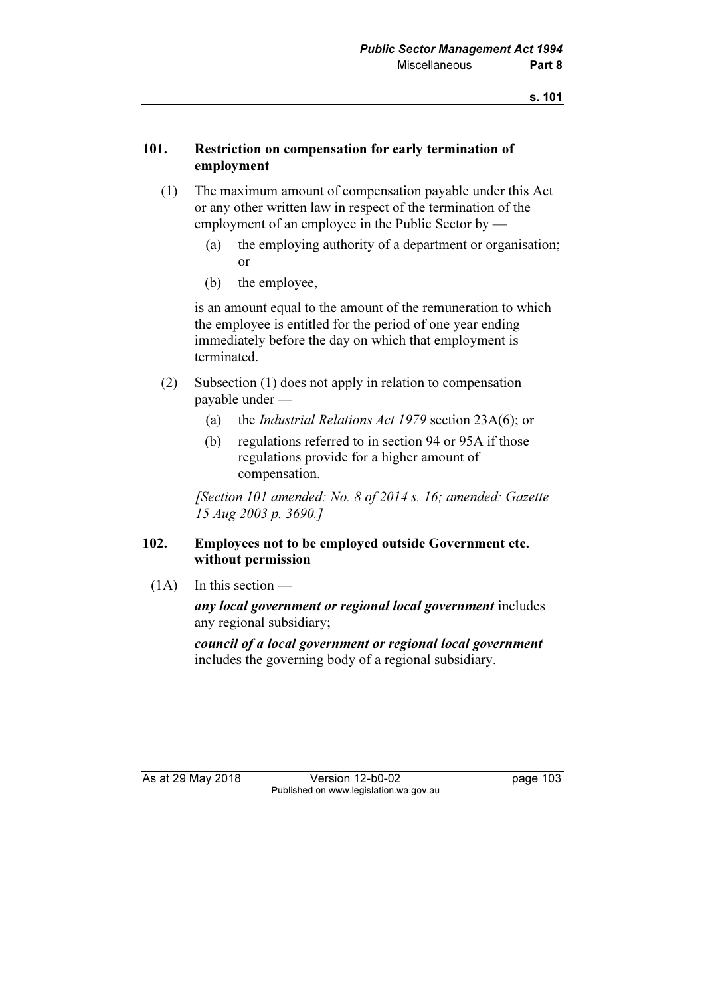### 101. Restriction on compensation for early termination of employment

- (1) The maximum amount of compensation payable under this Act or any other written law in respect of the termination of the employment of an employee in the Public Sector by —
	- (a) the employing authority of a department or organisation; or
	- (b) the employee,

 is an amount equal to the amount of the remuneration to which the employee is entitled for the period of one year ending immediately before the day on which that employment is terminated.

- (2) Subsection (1) does not apply in relation to compensation payable under —
	- (a) the Industrial Relations Act 1979 section 23A(6); or
	- (b) regulations referred to in section 94 or 95A if those regulations provide for a higher amount of compensation.

 [Section 101 amended: No. 8 of 2014 s. 16; amended: Gazette 15 Aug 2003 p. 3690.]

### 102. Employees not to be employed outside Government etc. without permission

 $(1A)$  In this section —

any local government or regional local government includes any regional subsidiary;

council of a local government or regional local government includes the governing body of a regional subsidiary.

As at 29 May 2018 **Version 12-b0-02** page 103 Published on www.legislation.wa.gov.au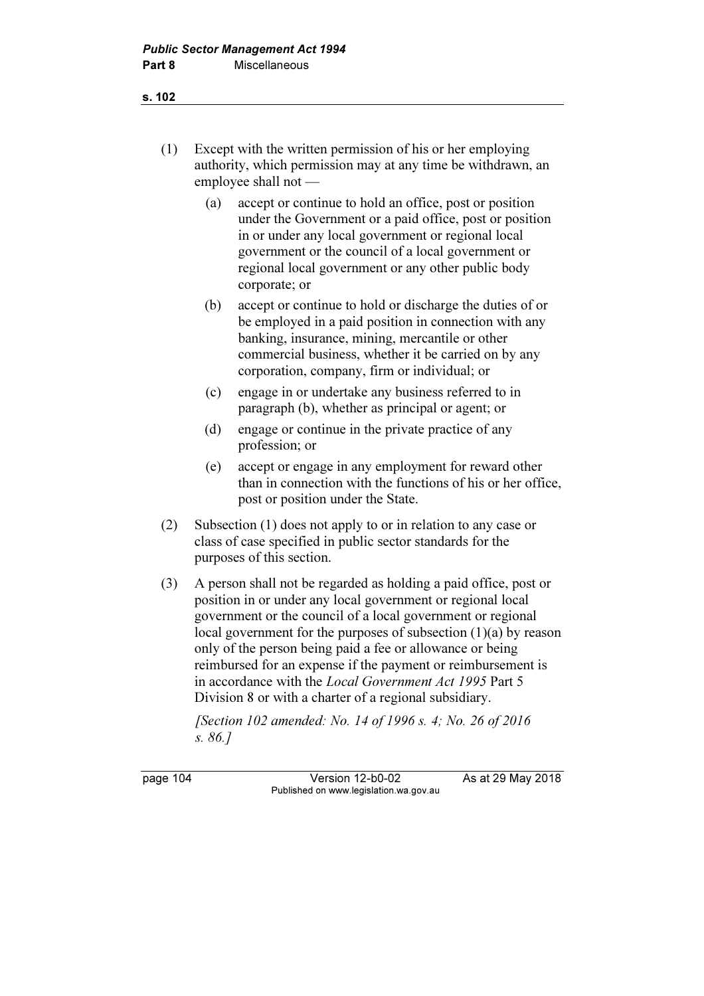- (1) Except with the written permission of his or her employing authority, which permission may at any time be withdrawn, an employee shall not —
	- (a) accept or continue to hold an office, post or position under the Government or a paid office, post or position in or under any local government or regional local government or the council of a local government or regional local government or any other public body corporate; or
	- (b) accept or continue to hold or discharge the duties of or be employed in a paid position in connection with any banking, insurance, mining, mercantile or other commercial business, whether it be carried on by any corporation, company, firm or individual; or
	- (c) engage in or undertake any business referred to in paragraph (b), whether as principal or agent; or
	- (d) engage or continue in the private practice of any profession; or
	- (e) accept or engage in any employment for reward other than in connection with the functions of his or her office, post or position under the State.
- (2) Subsection (1) does not apply to or in relation to any case or class of case specified in public sector standards for the purposes of this section.
- (3) A person shall not be regarded as holding a paid office, post or position in or under any local government or regional local government or the council of a local government or regional local government for the purposes of subsection (1)(a) by reason only of the person being paid a fee or allowance or being reimbursed for an expense if the payment or reimbursement is in accordance with the Local Government Act 1995 Part 5 Division 8 or with a charter of a regional subsidiary.

 [Section 102 amended: No. 14 of 1996 s. 4; No. 26 of 2016 s. 86.]

page 104 Version 12-b0-02 As at 29 May 2018 Published on www.legislation.wa.gov.au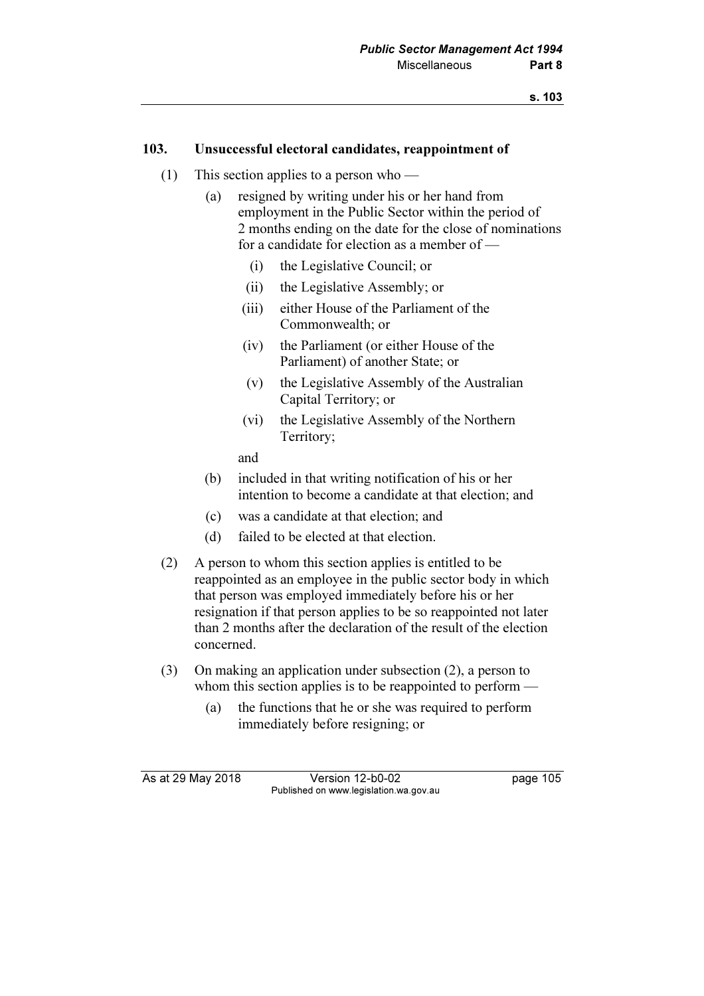### 103. Unsuccessful electoral candidates, reappointment of

- (1) This section applies to a person who
	- (a) resigned by writing under his or her hand from employment in the Public Sector within the period of 2 months ending on the date for the close of nominations for a candidate for election as a member of —
		- (i) the Legislative Council; or
		- (ii) the Legislative Assembly; or
		- (iii) either House of the Parliament of the Commonwealth; or
		- (iv) the Parliament (or either House of the Parliament) of another State; or
		- (v) the Legislative Assembly of the Australian Capital Territory; or
		- (vi) the Legislative Assembly of the Northern Territory;

and

- (b) included in that writing notification of his or her intention to become a candidate at that election; and
- (c) was a candidate at that election; and
- (d) failed to be elected at that election.
- (2) A person to whom this section applies is entitled to be reappointed as an employee in the public sector body in which that person was employed immediately before his or her resignation if that person applies to be so reappointed not later than 2 months after the declaration of the result of the election concerned.
- (3) On making an application under subsection (2), a person to whom this section applies is to be reappointed to perform —
	- (a) the functions that he or she was required to perform immediately before resigning; or

As at 29 May 2018 **Version 12-b0-02** page 105 Published on www.legislation.wa.gov.au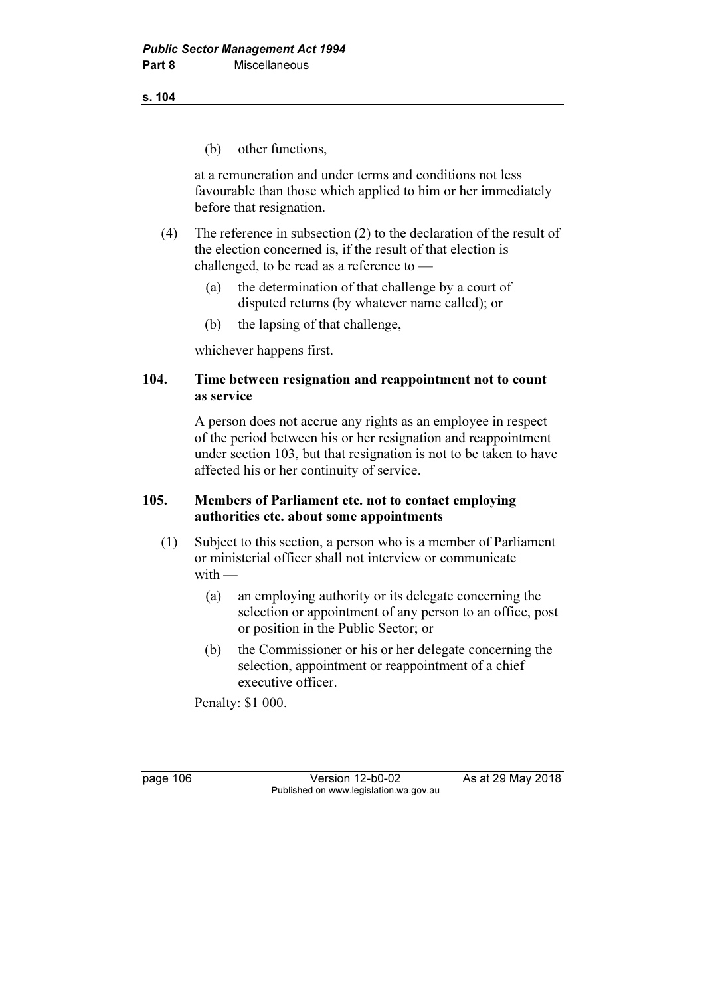s. 104

(b) other functions,

 at a remuneration and under terms and conditions not less favourable than those which applied to him or her immediately before that resignation.

- (4) The reference in subsection (2) to the declaration of the result of the election concerned is, if the result of that election is challenged, to be read as a reference to —
	- (a) the determination of that challenge by a court of disputed returns (by whatever name called); or
	- (b) the lapsing of that challenge,

whichever happens first.

### 104. Time between resignation and reappointment not to count as service

 A person does not accrue any rights as an employee in respect of the period between his or her resignation and reappointment under section 103, but that resignation is not to be taken to have affected his or her continuity of service.

## 105. Members of Parliament etc. not to contact employing authorities etc. about some appointments

- (1) Subject to this section, a person who is a member of Parliament or ministerial officer shall not interview or communicate  $with -$ 
	- (a) an employing authority or its delegate concerning the selection or appointment of any person to an office, post or position in the Public Sector; or
	- (b) the Commissioner or his or her delegate concerning the selection, appointment or reappointment of a chief executive officer.

Penalty: \$1 000.

page 106 Version 12-b0-02 As at 29 May 2018 Published on www.legislation.wa.gov.au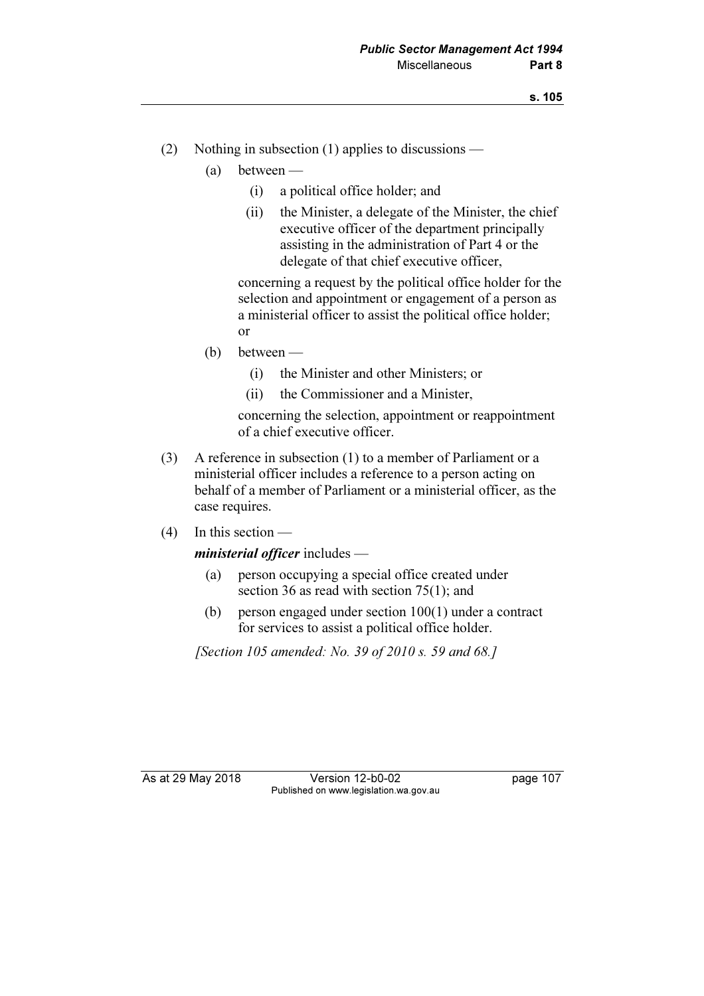- (2) Nothing in subsection (1) applies to discussions
	- (a) between
		- (i) a political office holder; and
		- (ii) the Minister, a delegate of the Minister, the chief executive officer of the department principally assisting in the administration of Part 4 or the delegate of that chief executive officer,

 concerning a request by the political office holder for the selection and appointment or engagement of a person as a ministerial officer to assist the political office holder; or

- (b) between
	- (i) the Minister and other Ministers; or
	- (ii) the Commissioner and a Minister,

 concerning the selection, appointment or reappointment of a chief executive officer.

- (3) A reference in subsection (1) to a member of Parliament or a ministerial officer includes a reference to a person acting on behalf of a member of Parliament or a ministerial officer, as the case requires.
- (4) In this section —

ministerial officer includes —

- (a) person occupying a special office created under section 36 as read with section 75(1); and
- (b) person engaged under section 100(1) under a contract for services to assist a political office holder.

[Section 105 amended: No. 39 of 2010 s. 59 and 68.]

As at 29 May 2018 **Version 12-b0-02** page 107 Published on www.legislation.wa.gov.au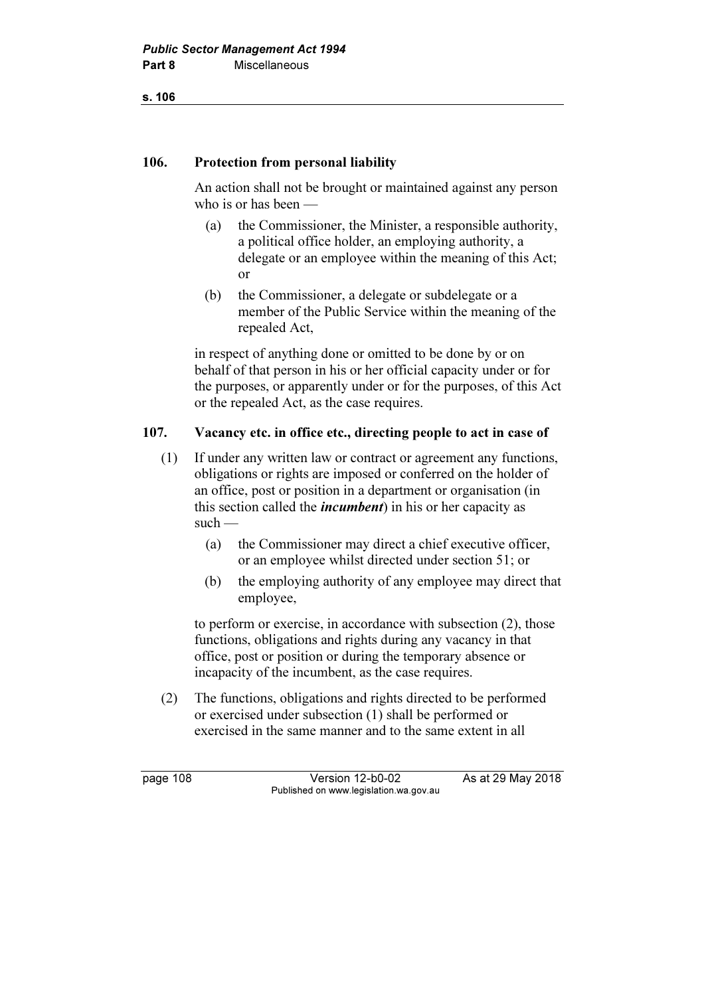s. 106

## 106. Protection from personal liability

 An action shall not be brought or maintained against any person who is or has been —

- (a) the Commissioner, the Minister, a responsible authority, a political office holder, an employing authority, a delegate or an employee within the meaning of this Act; or
- (b) the Commissioner, a delegate or subdelegate or a member of the Public Service within the meaning of the repealed Act,

 in respect of anything done or omitted to be done by or on behalf of that person in his or her official capacity under or for the purposes, or apparently under or for the purposes, of this Act or the repealed Act, as the case requires.

# 107. Vacancy etc. in office etc., directing people to act in case of

- (1) If under any written law or contract or agreement any functions, obligations or rights are imposed or conferred on the holder of an office, post or position in a department or organisation (in this section called the *incumbent*) in his or her capacity as such —
	- (a) the Commissioner may direct a chief executive officer, or an employee whilst directed under section 51; or
	- (b) the employing authority of any employee may direct that employee,

 to perform or exercise, in accordance with subsection (2), those functions, obligations and rights during any vacancy in that office, post or position or during the temporary absence or incapacity of the incumbent, as the case requires.

 (2) The functions, obligations and rights directed to be performed or exercised under subsection (1) shall be performed or exercised in the same manner and to the same extent in all

page 108 Version 12-b0-02 As at 29 May 2018 Published on www.legislation.wa.gov.au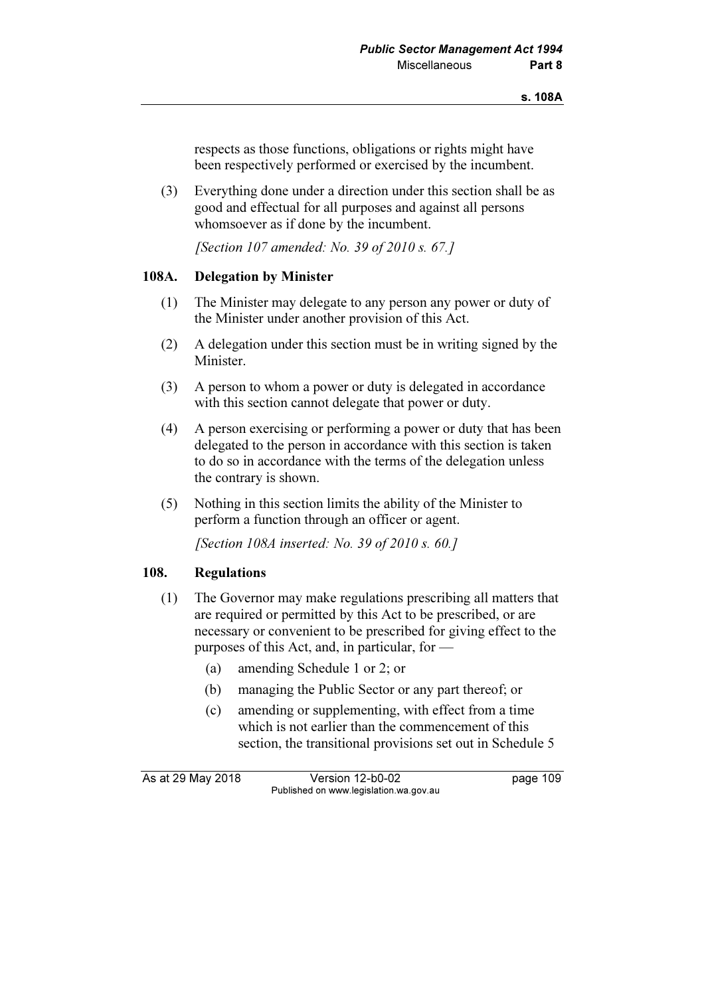respects as those functions, obligations or rights might have been respectively performed or exercised by the incumbent.

 (3) Everything done under a direction under this section shall be as good and effectual for all purposes and against all persons whomsoever as if done by the incumbent.

[Section 107 amended: No. 39 of 2010 s. 67.]

### 108A. Delegation by Minister

- (1) The Minister may delegate to any person any power or duty of the Minister under another provision of this Act.
- (2) A delegation under this section must be in writing signed by the Minister.
- (3) A person to whom a power or duty is delegated in accordance with this section cannot delegate that power or duty.
- (4) A person exercising or performing a power or duty that has been delegated to the person in accordance with this section is taken to do so in accordance with the terms of the delegation unless the contrary is shown.
- (5) Nothing in this section limits the ability of the Minister to perform a function through an officer or agent.

[Section 108A inserted: No. 39 of 2010 s. 60.]

### 108. Regulations

- (1) The Governor may make regulations prescribing all matters that are required or permitted by this Act to be prescribed, or are necessary or convenient to be prescribed for giving effect to the purposes of this Act, and, in particular, for —
	- (a) amending Schedule 1 or 2; or
	- (b) managing the Public Sector or any part thereof; or
	- (c) amending or supplementing, with effect from a time which is not earlier than the commencement of this section, the transitional provisions set out in Schedule 5

As at 29 May 2018 Version 12-b0-02 page 109 Published on www.legislation.wa.gov.au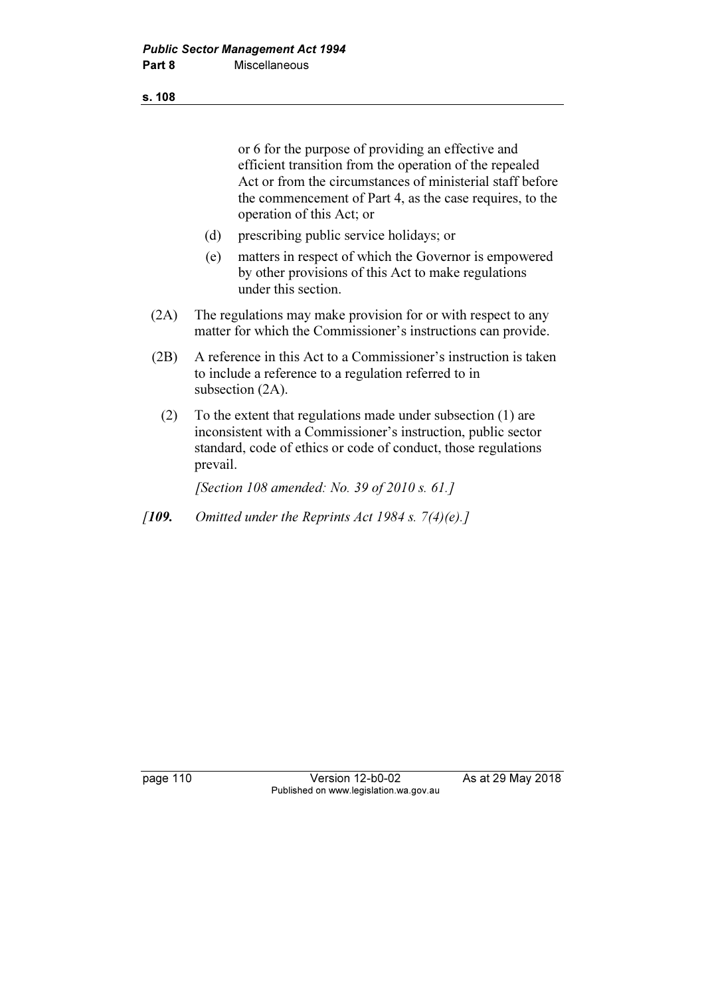### s. 108

or 6 for the purpose of providing an effective and efficient transition from the operation of the repealed Act or from the circumstances of ministerial staff before the commencement of Part 4, as the case requires, to the operation of this Act; or

- (d) prescribing public service holidays; or
- (e) matters in respect of which the Governor is empowered by other provisions of this Act to make regulations under this section.
- (2A) The regulations may make provision for or with respect to any matter for which the Commissioner's instructions can provide.
- (2B) A reference in this Act to a Commissioner's instruction is taken to include a reference to a regulation referred to in subsection  $(2A)$ .
- (2) To the extent that regulations made under subsection (1) are inconsistent with a Commissioner's instruction, public sector standard, code of ethics or code of conduct, those regulations prevail.

[Section 108 amended: No. 39 of 2010 s. 61.]

[109. Omitted under the Reprints Act 1984 s.  $7(4)(e)$ .]

page 110 Version 12-b0-02 As at 29 May 2018 Published on www.legislation.wa.gov.au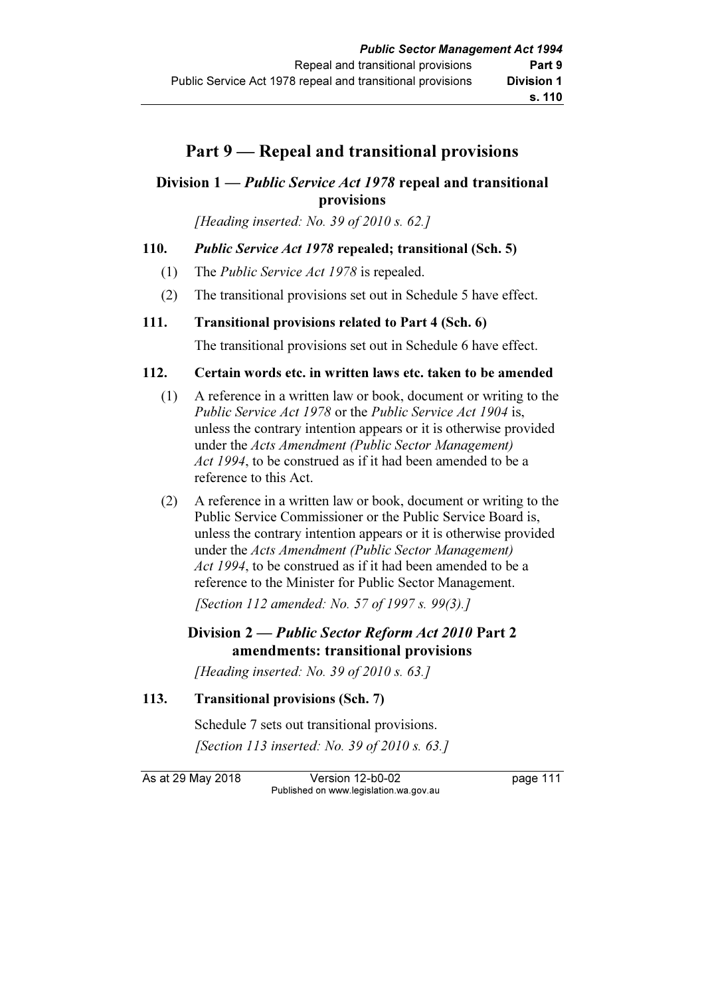# Part 9 — Repeal and transitional provisions

# Division 1 — Public Service Act 1978 repeal and transitional provisions

[Heading inserted: No. 39 of 2010 s. 62.]

### 110. Public Service Act 1978 repealed; transitional (Sch. 5)

- (1) The Public Service Act 1978 is repealed.
- (2) The transitional provisions set out in Schedule 5 have effect.

### 111. Transitional provisions related to Part 4 (Sch. 6)

The transitional provisions set out in Schedule 6 have effect.

### 112. Certain words etc. in written laws etc. taken to be amended

- (1) A reference in a written law or book, document or writing to the Public Service Act 1978 or the Public Service Act 1904 is, unless the contrary intention appears or it is otherwise provided under the Acts Amendment (Public Sector Management) Act 1994, to be construed as if it had been amended to be a reference to this Act.
- (2) A reference in a written law or book, document or writing to the Public Service Commissioner or the Public Service Board is, unless the contrary intention appears or it is otherwise provided under the Acts Amendment (Public Sector Management) Act 1994, to be construed as if it had been amended to be a reference to the Minister for Public Sector Management.

[Section 112 amended: No. 57 of 1997 s. 99(3).]

## Division 2 — Public Sector Reform Act 2010 Part 2 amendments: transitional provisions

[Heading inserted: No. 39 of 2010 s. 63.]

```
113. Transitional provisions (Sch. 7)
```
 Schedule 7 sets out transitional provisions. [Section 113 inserted: No. 39 of 2010 s. 63.]

As at 29 May 2018 Version 12-b0-02 page 111 Published on www.legislation.wa.gov.au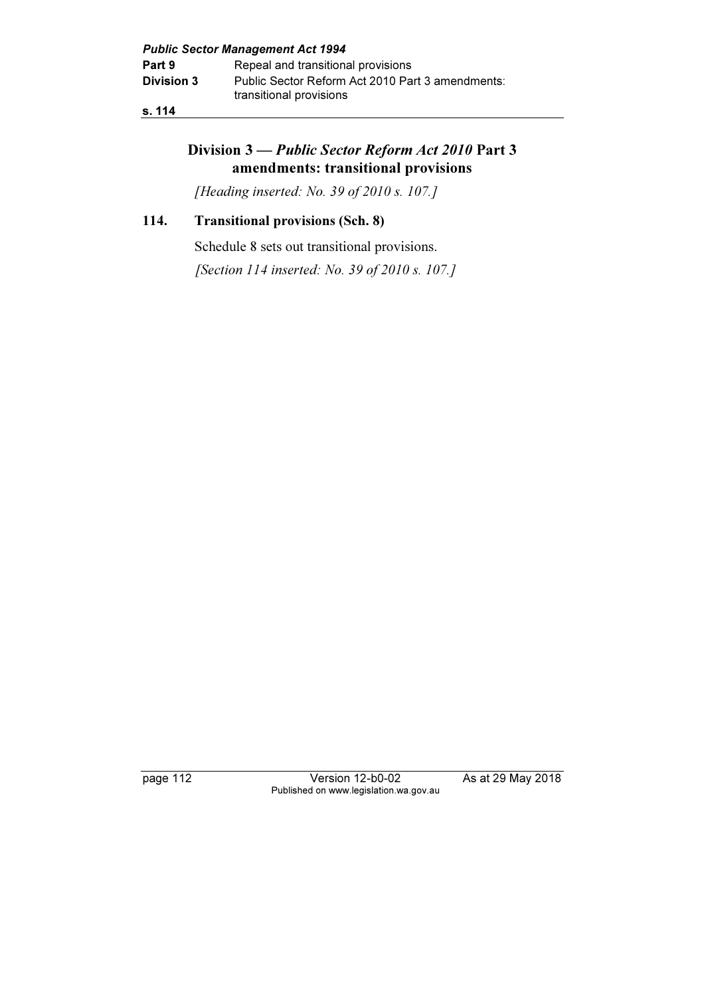## s. 114

# Division 3 — Public Sector Reform Act 2010 Part 3 amendments: transitional provisions

[Heading inserted: No. 39 of 2010 s. 107.]

## 114. Transitional provisions (Sch. 8)

Schedule 8 sets out transitional provisions.

[Section 114 inserted: No. 39 of 2010 s. 107.]

page 112 Version 12-b0-02 As at 29 May 2018 Published on www.legislation.wa.gov.au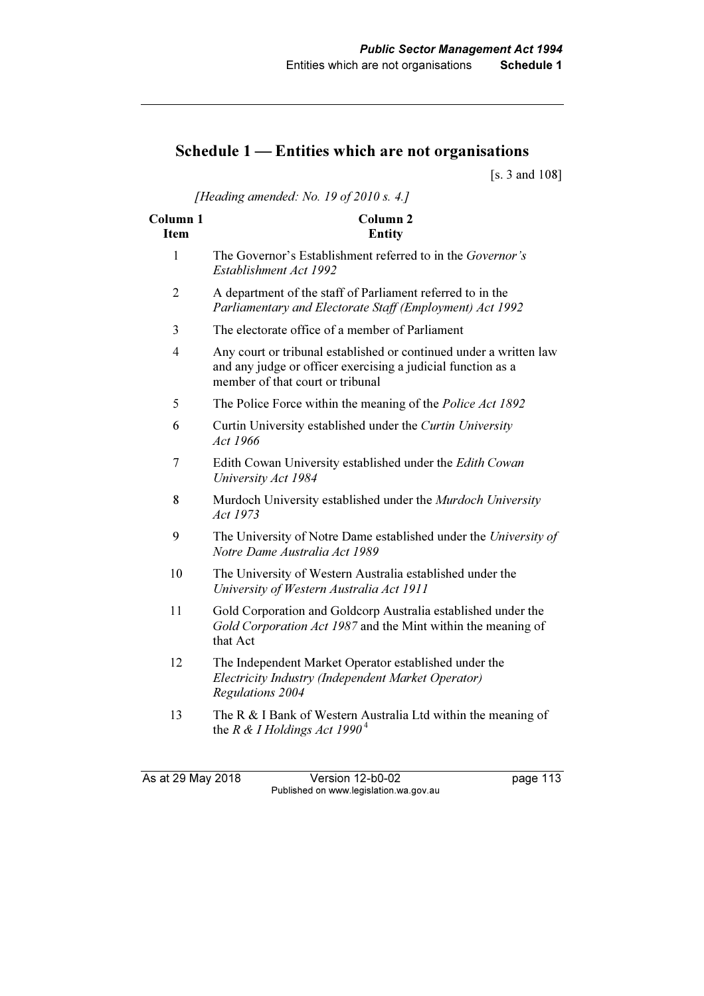# Schedule 1 — Entities which are not organisations

[s. 3 and 108]

[Heading amended: No. 19 of 2010 s. 4.]

| Column <sub>1</sub><br><b>Item</b> | Column <sub>2</sub><br><b>Entity</b>                                                                                                                                   |
|------------------------------------|------------------------------------------------------------------------------------------------------------------------------------------------------------------------|
| 1                                  | The Governor's Establishment referred to in the Governor's<br>Establishment Act 1992                                                                                   |
| $\overline{2}$                     | A department of the staff of Parliament referred to in the<br>Parliamentary and Electorate Staff (Employment) Act 1992                                                 |
| 3                                  | The electorate office of a member of Parliament                                                                                                                        |
| $\overline{4}$                     | Any court or tribunal established or continued under a written law<br>and any judge or officer exercising a judicial function as a<br>member of that court or tribunal |
| 5                                  | The Police Force within the meaning of the <i>Police Act 1892</i>                                                                                                      |
| 6                                  | Curtin University established under the Curtin University<br>Act 1966                                                                                                  |
| 7                                  | Edith Cowan University established under the Edith Cowan<br>University Act 1984                                                                                        |
| 8                                  | Murdoch University established under the Murdoch University<br>Act 1973                                                                                                |
| 9                                  | The University of Notre Dame established under the University of<br>Notre Dame Australia Act 1989                                                                      |
| 10                                 | The University of Western Australia established under the<br>University of Western Australia Act 1911                                                                  |
| 11                                 | Gold Corporation and Goldcorp Australia established under the<br>Gold Corporation Act 1987 and the Mint within the meaning of<br>that Act                              |
| 12                                 | The Independent Market Operator established under the<br>Electricity Industry (Independent Market Operator)<br>Regulations 2004                                        |
| 13                                 | The R & I Bank of Western Australia Ltd within the meaning of<br>the R & I Holdings Act 1990 <sup>4</sup>                                                              |

As at 29 May 2018 Version 12-b0-02 page 113 Published on www.legislation.wa.gov.au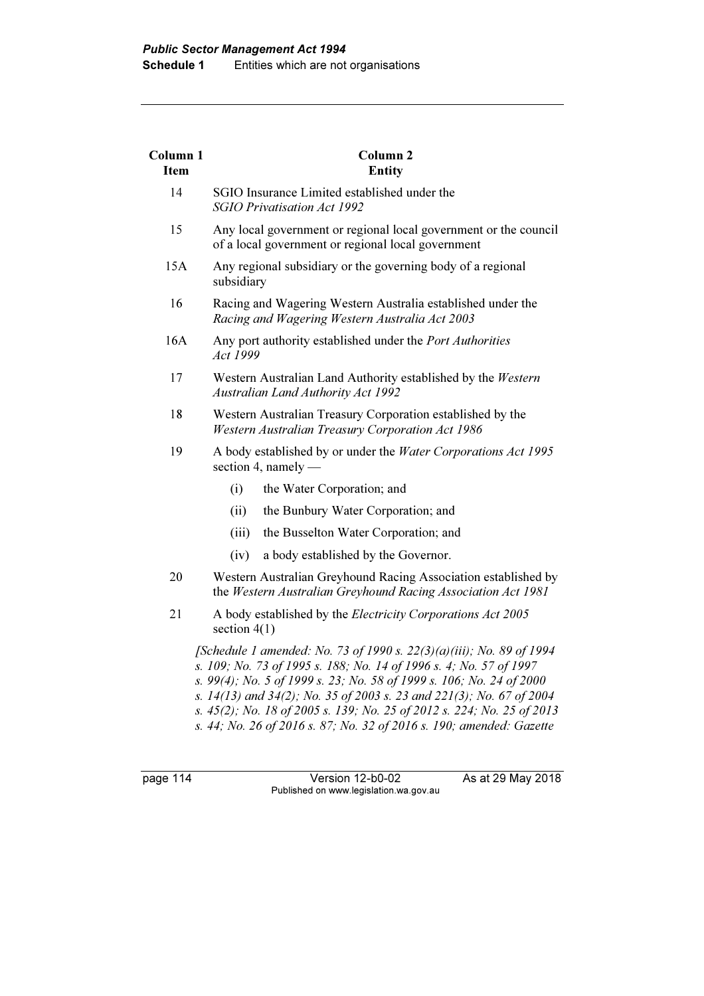| <b>Column 1</b><br><b>Item</b> | Column <sub>2</sub><br><b>Entity</b>                                                                                                                                                                                                                                                                                                                                                                                                         |
|--------------------------------|----------------------------------------------------------------------------------------------------------------------------------------------------------------------------------------------------------------------------------------------------------------------------------------------------------------------------------------------------------------------------------------------------------------------------------------------|
| 14                             | SGIO Insurance Limited established under the<br><b>SGIO Privatisation Act 1992</b>                                                                                                                                                                                                                                                                                                                                                           |
| 15                             | Any local government or regional local government or the council<br>of a local government or regional local government                                                                                                                                                                                                                                                                                                                       |
| 15A                            | Any regional subsidiary or the governing body of a regional<br>subsidiary                                                                                                                                                                                                                                                                                                                                                                    |
| 16                             | Racing and Wagering Western Australia established under the<br>Racing and Wagering Western Australia Act 2003                                                                                                                                                                                                                                                                                                                                |
| 16A                            | Any port authority established under the Port Authorities<br>Act 1999                                                                                                                                                                                                                                                                                                                                                                        |
| 17                             | Western Australian Land Authority established by the Western<br><b>Australian Land Authority Act 1992</b>                                                                                                                                                                                                                                                                                                                                    |
| 18                             | Western Australian Treasury Corporation established by the<br>Western Australian Treasury Corporation Act 1986                                                                                                                                                                                                                                                                                                                               |
| 19                             | A body established by or under the Water Corporations Act 1995<br>section 4, namely $-$                                                                                                                                                                                                                                                                                                                                                      |
|                                | (i)<br>the Water Corporation; and                                                                                                                                                                                                                                                                                                                                                                                                            |
|                                | (ii)<br>the Bunbury Water Corporation; and                                                                                                                                                                                                                                                                                                                                                                                                   |
|                                | (iii)<br>the Busselton Water Corporation; and                                                                                                                                                                                                                                                                                                                                                                                                |
|                                | (iv)<br>a body established by the Governor.                                                                                                                                                                                                                                                                                                                                                                                                  |
| 20                             | Western Australian Greyhound Racing Association established by<br>the Western Australian Greyhound Racing Association Act 1981                                                                                                                                                                                                                                                                                                               |
| 21                             | A body established by the <i>Electricity Corporations Act 2005</i><br>section $4(1)$                                                                                                                                                                                                                                                                                                                                                         |
|                                | [Schedule 1 amended: No. 73 of 1990 s. 22(3)(a)(iii); No. 89 of 1994<br>s. 109; No. 73 of 1995 s. 188; No. 14 of 1996 s. 4; No. 57 of 1997<br>s. 99(4); No. 5 of 1999 s. 23; No. 58 of 1999 s. 106; No. 24 of 2000<br>s. 14(13) and 34(2); No. 35 of 2003 s. 23 and 221(3); No. 67 of 2004<br>s. 45(2); No. 18 of 2005 s. 139; No. 25 of 2012 s. 224; No. 25 of 2013<br>s. 44; No. 26 of 2016 s. 87; No. 32 of 2016 s. 190; amended: Gazette |

page 114 Version 12-b0-02 As at 29 May 2018 Published on www.legislation.wa.gov.au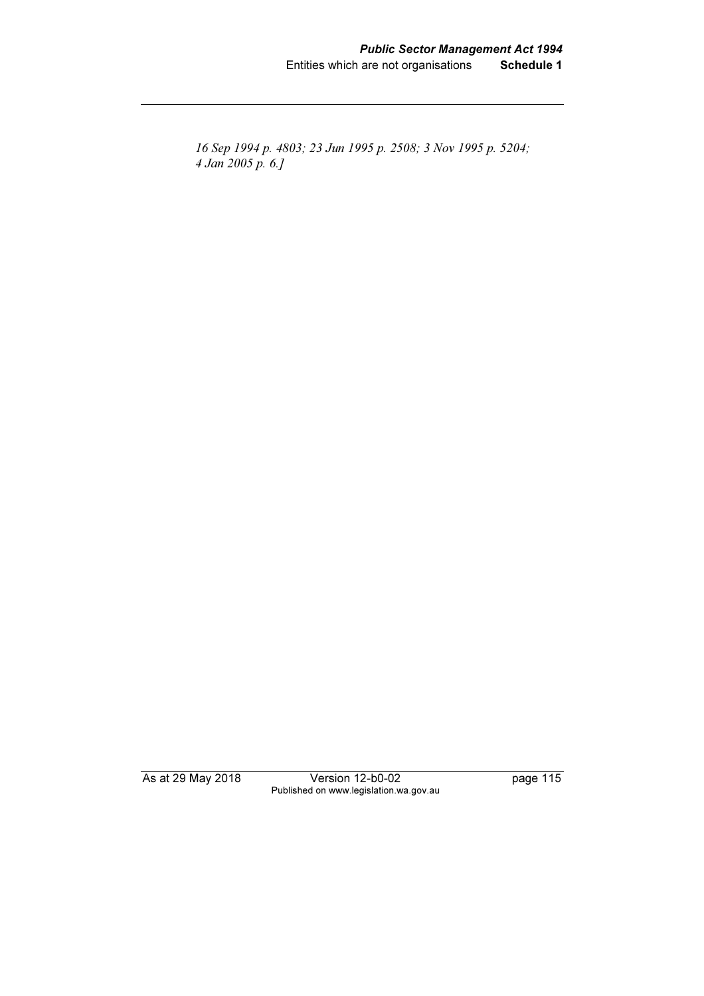16 Sep 1994 p. 4803; 23 Jun 1995 p. 2508; 3 Nov 1995 p. 5204; 4 Jan 2005 p. 6.]

As at 29 May 2018 Version 12-b0-02 page 115 Published on www.legislation.wa.gov.au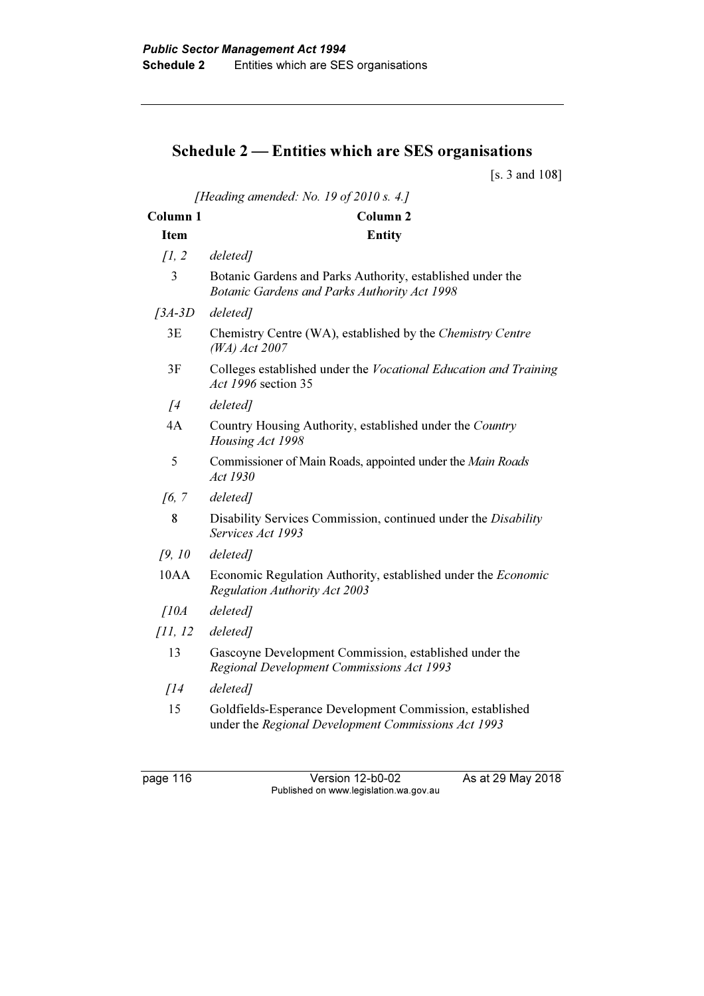# Schedule 2 — Entities which are SES organisations

[s. 3 and 108]

| [Heading amended: No. 19 of 2010 s. 4.] |                                                                                                                 |  |
|-----------------------------------------|-----------------------------------------------------------------------------------------------------------------|--|
| Column <sub>1</sub>                     | Column <sub>2</sub>                                                                                             |  |
| <b>Item</b>                             | <b>Entity</b>                                                                                                   |  |
| $\int$ , 2                              | deleted]                                                                                                        |  |
| 3                                       | Botanic Gardens and Parks Authority, established under the<br>Botanic Gardens and Parks Authority Act 1998      |  |
| $[3A-3D]$                               | deleted]                                                                                                        |  |
| 3E                                      | Chemistry Centre (WA), established by the Chemistry Centre<br>(WA) Act 2007                                     |  |
| 3F                                      | Colleges established under the Vocational Education and Training<br>Act 1996 section 35                         |  |
| $\sqrt{4}$                              | deleted]                                                                                                        |  |
| 4A                                      | Country Housing Authority, established under the Country<br>Housing Act 1998                                    |  |
| 5                                       | Commissioner of Main Roads, appointed under the Main Roads<br>Act 1930                                          |  |
| $\sqrt{6}$ , $\sqrt{7}$                 | deleted]                                                                                                        |  |
| 8                                       | Disability Services Commission, continued under the Disability<br>Services Act 1993                             |  |
| 19, 10                                  | deleted]                                                                                                        |  |
| 10AA                                    | Economic Regulation Authority, established under the <i>Economic</i><br><b>Regulation Authority Act 2003</b>    |  |
| $\int$ <i>I</i> $0$ <i>A</i>            | deleted]                                                                                                        |  |
| [11, 12]                                | deleted]                                                                                                        |  |
| 13                                      | Gascoyne Development Commission, established under the<br>Regional Development Commissions Act 1993             |  |
| $\int$ $14$                             | deleted]                                                                                                        |  |
| 15                                      | Goldfields-Esperance Development Commission, established<br>under the Regional Development Commissions Act 1993 |  |

page 116 Version 12-b0-02 As at 29 May 2018 Published on www.legislation.wa.gov.au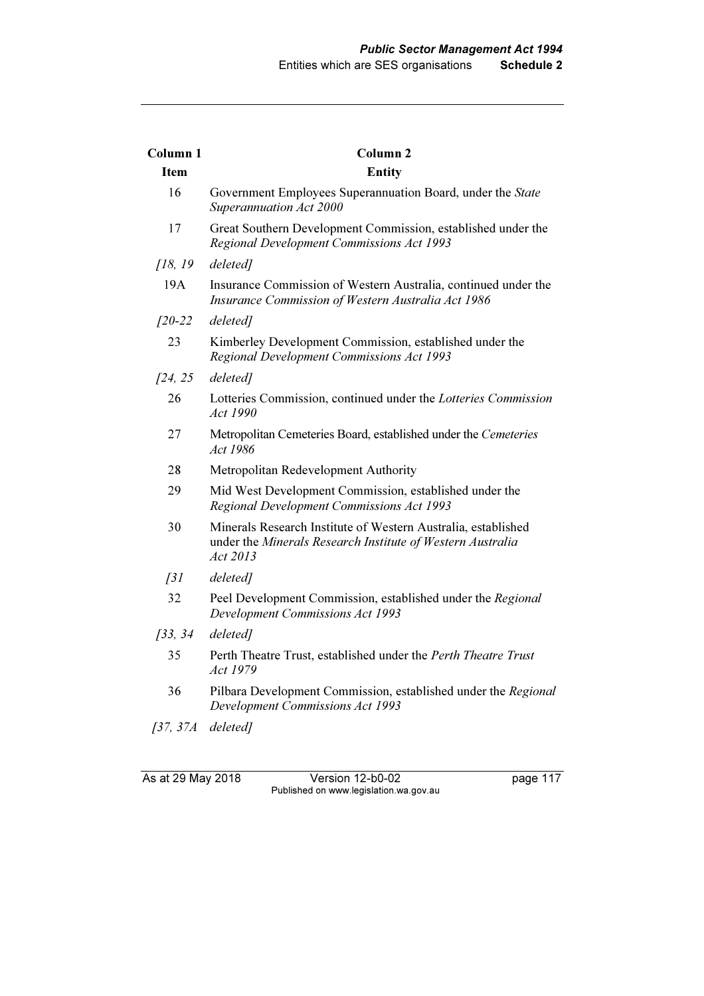| Column <sub>1</sub> | Column <sub>2</sub>                                                                                                                     |
|---------------------|-----------------------------------------------------------------------------------------------------------------------------------------|
| <b>Item</b>         | <b>Entity</b>                                                                                                                           |
| 16                  | Government Employees Superannuation Board, under the State<br>Superannuation Act 2000                                                   |
| 17                  | Great Southern Development Commission, established under the<br>Regional Development Commissions Act 1993                               |
| [18, 19]            | deleted]                                                                                                                                |
| 19A                 | Insurance Commission of Western Australia, continued under the<br>Insurance Commission of Western Australia Act 1986                    |
| $[20-22]$           | deleted]                                                                                                                                |
| 23                  | Kimberley Development Commission, established under the<br>Regional Development Commissions Act 1993                                    |
| [24, 25]            | deleted]                                                                                                                                |
| 26                  | Lotteries Commission, continued under the Lotteries Commission<br>Act 1990                                                              |
| 27                  | Metropolitan Cemeteries Board, established under the Cemeteries<br>Act 1986                                                             |
| 28                  | Metropolitan Redevelopment Authority                                                                                                    |
| 29                  | Mid West Development Commission, established under the<br>Regional Development Commissions Act 1993                                     |
| 30                  | Minerals Research Institute of Western Australia, established<br>under the Minerals Research Institute of Western Australia<br>Act 2013 |
| $\int$ 31           | deleted]                                                                                                                                |
| 32                  | Peel Development Commission, established under the Regional<br><b>Development Commissions Act 1993</b>                                  |
| [33, 34]            | deleted]                                                                                                                                |
| 35                  | Perth Theatre Trust, established under the Perth Theatre Trust<br>Act 1979                                                              |
| 36                  | Pilbara Development Commission, established under the Regional<br><b>Development Commissions Act 1993</b>                               |
| [37, 37A]           | deleted]                                                                                                                                |

As at 29 May 2018 Version 12-b0-02 page 117 Published on www.legislation.wa.gov.au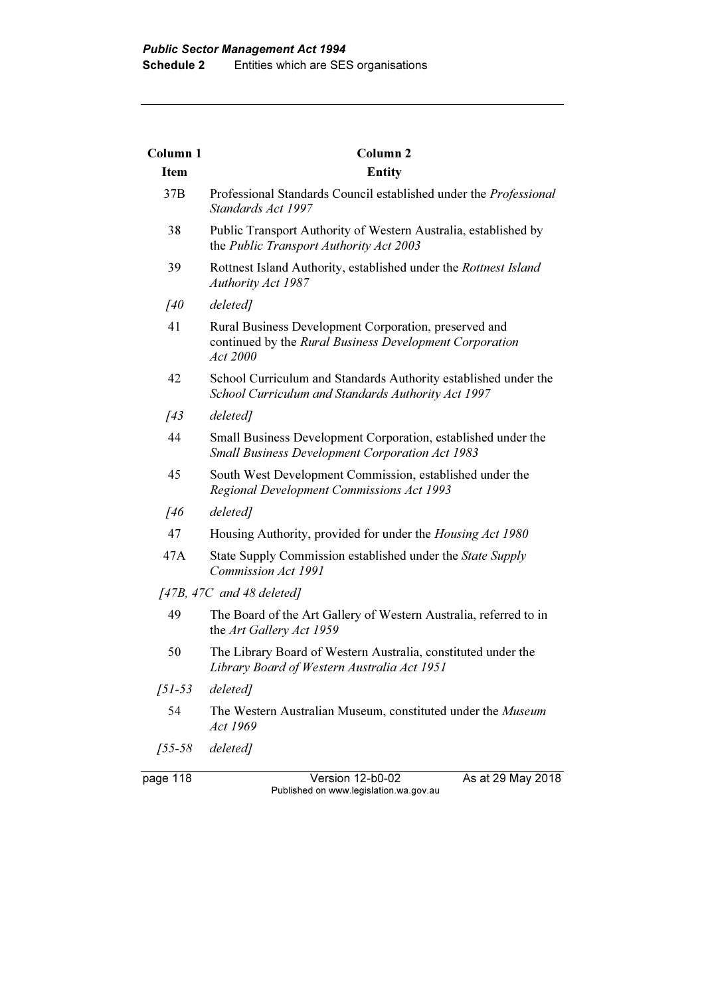| Column <sub>1</sub> | Column <sub>2</sub>                                                                                                          |
|---------------------|------------------------------------------------------------------------------------------------------------------------------|
| <b>Item</b>         | <b>Entity</b>                                                                                                                |
| 37B                 | Professional Standards Council established under the <i>Professional</i><br>Standards Act 1997                               |
| 38                  | Public Transport Authority of Western Australia, established by<br>the Public Transport Authority Act 2003                   |
| 39                  | Rottnest Island Authority, established under the Rottnest Island<br><b>Authority Act 1987</b>                                |
| [40                 | deleted]                                                                                                                     |
| 41                  | Rural Business Development Corporation, preserved and<br>continued by the Rural Business Development Corporation<br>Act 2000 |
| 42                  | School Curriculum and Standards Authority established under the<br>School Curriculum and Standards Authority Act 1997        |
| $\sqrt{43}$         | deleted]                                                                                                                     |
| 44                  | Small Business Development Corporation, established under the<br><b>Small Business Development Corporation Act 1983</b>      |
| 45                  | South West Development Commission, established under the<br>Regional Development Commissions Act 1993                        |
| [46                 | deleted]                                                                                                                     |
| 47                  | Housing Authority, provided for under the <i>Housing Act 1980</i>                                                            |
| 47A                 | State Supply Commission established under the State Supply<br><b>Commission Act 1991</b>                                     |
|                     | $[47B, 47C, and 48$ deleted]                                                                                                 |
| 49                  | The Board of the Art Gallery of Western Australia, referred to in<br>the Art Gallery Act 1959                                |
| 50                  | The Library Board of Western Australia, constituted under the<br>Library Board of Western Australia Act 1951                 |
| $[51-53$ deleted]   |                                                                                                                              |
| 54                  | The Western Australian Museum, constituted under the Museum<br>Act 1969                                                      |
| $[55-58$ deleted]   |                                                                                                                              |

page 118 Version 12-b0-02 As at 29 May 2018 Published on www.legislation.wa.gov.au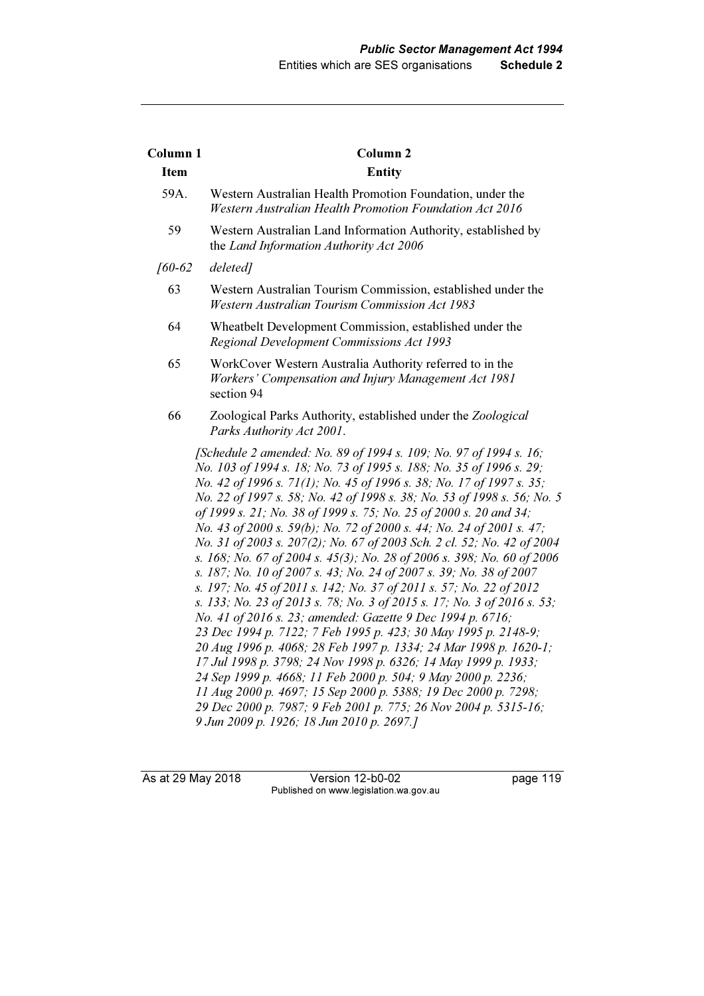| Column 1    | <b>Column 2</b>                                                                                                                                                                                                                                                                                                                                                                                                                                                                                                                                                                                                                                                                                                                                                                                                                                                                                                                                                                                                                                                                                                                                                                                                                                                                                                                              |
|-------------|----------------------------------------------------------------------------------------------------------------------------------------------------------------------------------------------------------------------------------------------------------------------------------------------------------------------------------------------------------------------------------------------------------------------------------------------------------------------------------------------------------------------------------------------------------------------------------------------------------------------------------------------------------------------------------------------------------------------------------------------------------------------------------------------------------------------------------------------------------------------------------------------------------------------------------------------------------------------------------------------------------------------------------------------------------------------------------------------------------------------------------------------------------------------------------------------------------------------------------------------------------------------------------------------------------------------------------------------|
| <b>Item</b> | <b>Entity</b>                                                                                                                                                                                                                                                                                                                                                                                                                                                                                                                                                                                                                                                                                                                                                                                                                                                                                                                                                                                                                                                                                                                                                                                                                                                                                                                                |
| 59A.        | Western Australian Health Promotion Foundation, under the<br><b>Western Australian Health Promotion Foundation Act 2016</b>                                                                                                                                                                                                                                                                                                                                                                                                                                                                                                                                                                                                                                                                                                                                                                                                                                                                                                                                                                                                                                                                                                                                                                                                                  |
| 59          | Western Australian Land Information Authority, established by<br>the Land Information Authority Act 2006                                                                                                                                                                                                                                                                                                                                                                                                                                                                                                                                                                                                                                                                                                                                                                                                                                                                                                                                                                                                                                                                                                                                                                                                                                     |
| $[60-62]$   | deleted]                                                                                                                                                                                                                                                                                                                                                                                                                                                                                                                                                                                                                                                                                                                                                                                                                                                                                                                                                                                                                                                                                                                                                                                                                                                                                                                                     |
| 63          | Western Australian Tourism Commission, established under the<br><b>Western Australian Tourism Commission Act 1983</b>                                                                                                                                                                                                                                                                                                                                                                                                                                                                                                                                                                                                                                                                                                                                                                                                                                                                                                                                                                                                                                                                                                                                                                                                                        |
| 64          | Wheatbelt Development Commission, established under the<br>Regional Development Commissions Act 1993                                                                                                                                                                                                                                                                                                                                                                                                                                                                                                                                                                                                                                                                                                                                                                                                                                                                                                                                                                                                                                                                                                                                                                                                                                         |
| 65          | WorkCover Western Australia Authority referred to in the<br>Workers' Compensation and Injury Management Act 1981<br>section 94                                                                                                                                                                                                                                                                                                                                                                                                                                                                                                                                                                                                                                                                                                                                                                                                                                                                                                                                                                                                                                                                                                                                                                                                               |
| 66          | Zoological Parks Authority, established under the Zoological<br>Parks Authority Act 2001.                                                                                                                                                                                                                                                                                                                                                                                                                                                                                                                                                                                                                                                                                                                                                                                                                                                                                                                                                                                                                                                                                                                                                                                                                                                    |
|             | [Schedule 2 amended: No. 89 of 1994 s. 109; No. 97 of 1994 s. 16;<br>No. 103 of 1994 s. 18; No. 73 of 1995 s. 188; No. 35 of 1996 s. 29;<br>No. 42 of 1996 s. 71(1); No. 45 of 1996 s. 38; No. 17 of 1997 s. 35;<br>No. 22 of 1997 s. 58; No. 42 of 1998 s. 38; No. 53 of 1998 s. 56; No. 5<br>of 1999 s. 21; No. 38 of 1999 s. 75; No. 25 of 2000 s. 20 and 34;<br>No. 43 of 2000 s. 59(b); No. 72 of 2000 s. 44; No. 24 of 2001 s. 47;<br>No. 31 of 2003 s. 207(2); No. 67 of 2003 Sch. 2 cl. 52; No. 42 of 2004<br>s. 168; No. 67 of 2004 s. 45(3); No. 28 of 2006 s. 398; No. 60 of 2006<br>s. 187; No. 10 of 2007 s. 43; No. 24 of 2007 s. 39; No. 38 of 2007<br>s. 197; No. 45 of 2011 s. 142; No. 37 of 2011 s. 57; No. 22 of 2012<br>s. 133; No. 23 of 2013 s. 78; No. 3 of 2015 s. 17; No. 3 of 2016 s. 53;<br>No. 41 of 2016 s. 23; amended: Gazette 9 Dec 1994 p. 6716;<br>23 Dec 1994 p. 7122; 7 Feb 1995 p. 423; 30 May 1995 p. 2148-9;<br>20 Aug 1996 p. 4068; 28 Feb 1997 p. 1334; 24 Mar 1998 p. 1620-1;<br>17 Jul 1998 p. 3798; 24 Nov 1998 p. 6326; 14 May 1999 p. 1933;<br>24 Sep 1999 p. 4668; 11 Feb 2000 p. 504; 9 May 2000 p. 2236;<br>11 Aug 2000 p. 4697; 15 Sep 2000 p. 5388; 19 Dec 2000 p. 7298;<br>29 Dec 2000 p. 7987; 9 Feb 2001 p. 775; 26 Nov 2004 p. 5315-16;<br>9 Jun 2009 p. 1926; 18 Jun 2010 p. 2697.] |

As at 29 May 2018 Version 12-b0-02 page 119 Published on www.legislation.wa.gov.au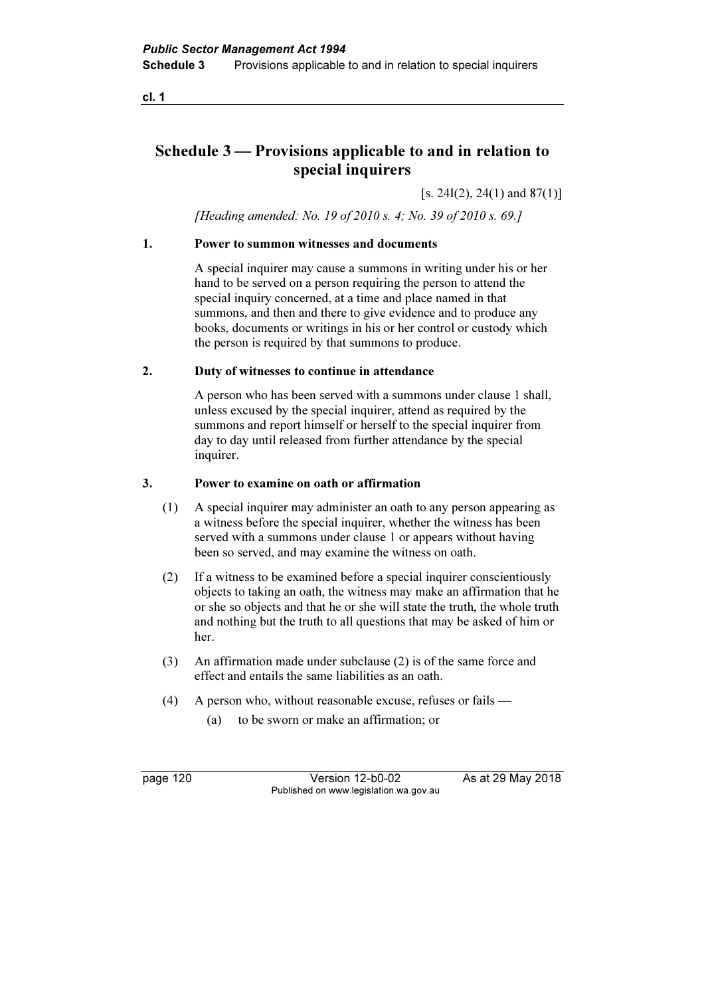cl. 1

# Schedule 3 — Provisions applicable to and in relation to special inquirers

 $[s. 24I(2), 24(1) \text{ and } 87(1)]$ 

[Heading amended: No. 19 of 2010 s. 4; No. 39 of 2010 s. 69.]

### 1. Power to summon witnesses and documents

 A special inquirer may cause a summons in writing under his or her hand to be served on a person requiring the person to attend the special inquiry concerned, at a time and place named in that summons, and then and there to give evidence and to produce any books, documents or writings in his or her control or custody which the person is required by that summons to produce.

### 2. Duty of witnesses to continue in attendance

 A person who has been served with a summons under clause 1 shall, unless excused by the special inquirer, attend as required by the summons and report himself or herself to the special inquirer from day to day until released from further attendance by the special inquirer.

### 3. Power to examine on oath or affirmation

- (1) A special inquirer may administer an oath to any person appearing as a witness before the special inquirer, whether the witness has been served with a summons under clause 1 or appears without having been so served, and may examine the witness on oath.
- (2) If a witness to be examined before a special inquirer conscientiously objects to taking an oath, the witness may make an affirmation that he or she so objects and that he or she will state the truth, the whole truth and nothing but the truth to all questions that may be asked of him or her.
- (3) An affirmation made under subclause (2) is of the same force and effect and entails the same liabilities as an oath.
- (4) A person who, without reasonable excuse, refuses or fails
	- (a) to be sworn or make an affirmation; or

page 120 Version 12-b0-02 As at 29 May 2018 Published on www.legislation.wa.gov.au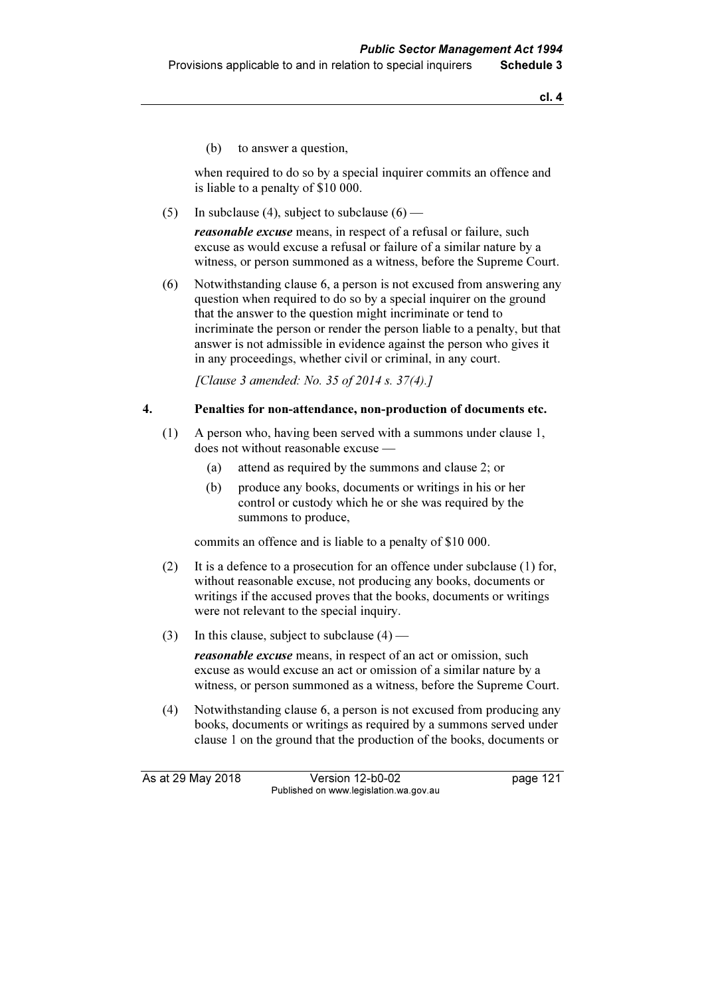(b) to answer a question,

 when required to do so by a special inquirer commits an offence and is liable to a penalty of \$10 000.

(5) In subclause (4), subject to subclause  $(6)$  —

reasonable excuse means, in respect of a refusal or failure, such excuse as would excuse a refusal or failure of a similar nature by a witness, or person summoned as a witness, before the Supreme Court.

 (6) Notwithstanding clause 6, a person is not excused from answering any question when required to do so by a special inquirer on the ground that the answer to the question might incriminate or tend to incriminate the person or render the person liable to a penalty, but that answer is not admissible in evidence against the person who gives it in any proceedings, whether civil or criminal, in any court.

[Clause 3 amended: No. 35 of 2014 s. 37(4).]

### 4. Penalties for non-attendance, non-production of documents etc.

- (1) A person who, having been served with a summons under clause 1, does not without reasonable excuse —
	- (a) attend as required by the summons and clause 2; or
	- (b) produce any books, documents or writings in his or her control or custody which he or she was required by the summons to produce,

commits an offence and is liable to a penalty of \$10 000.

- (2) It is a defence to a prosecution for an offence under subclause (1) for, without reasonable excuse, not producing any books, documents or writings if the accused proves that the books, documents or writings were not relevant to the special inquiry.
- (3) In this clause, subject to subclause  $(4)$  —

reasonable excuse means, in respect of an act or omission, such excuse as would excuse an act or omission of a similar nature by a witness, or person summoned as a witness, before the Supreme Court.

 (4) Notwithstanding clause 6, a person is not excused from producing any books, documents or writings as required by a summons served under clause 1 on the ground that the production of the books, documents or

As at 29 May 2018 Version 12-b0-02 page 121 Published on www.legislation.wa.gov.au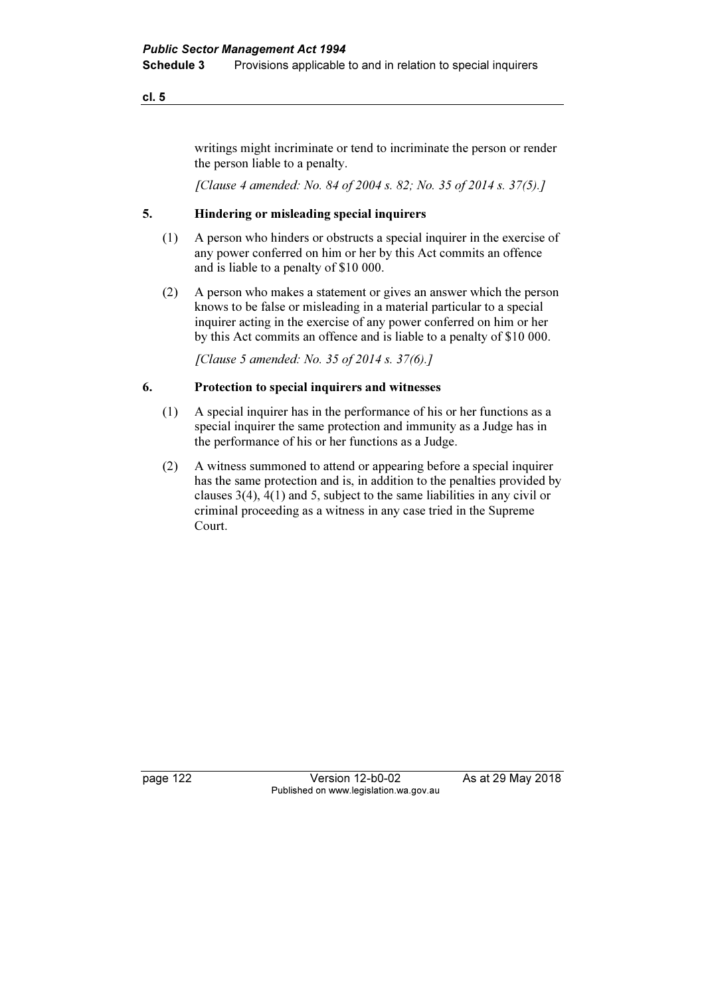### cl. 5

writings might incriminate or tend to incriminate the person or render the person liable to a penalty.

[Clause 4 amended: No. 84 of 2004 s. 82; No. 35 of 2014 s. 37(5).]

### 5. Hindering or misleading special inquirers

- (1) A person who hinders or obstructs a special inquirer in the exercise of any power conferred on him or her by this Act commits an offence and is liable to a penalty of \$10 000.
- (2) A person who makes a statement or gives an answer which the person knows to be false or misleading in a material particular to a special inquirer acting in the exercise of any power conferred on him or her by this Act commits an offence and is liable to a penalty of \$10 000.

[Clause 5 amended: No. 35 of 2014 s. 37(6).]

### 6. Protection to special inquirers and witnesses

- (1) A special inquirer has in the performance of his or her functions as a special inquirer the same protection and immunity as a Judge has in the performance of his or her functions as a Judge.
- (2) A witness summoned to attend or appearing before a special inquirer has the same protection and is, in addition to the penalties provided by clauses 3(4), 4(1) and 5, subject to the same liabilities in any civil or criminal proceeding as a witness in any case tried in the Supreme Court.

page 122 Version 12-b0-02 As at 29 May 2018 Published on www.legislation.wa.gov.au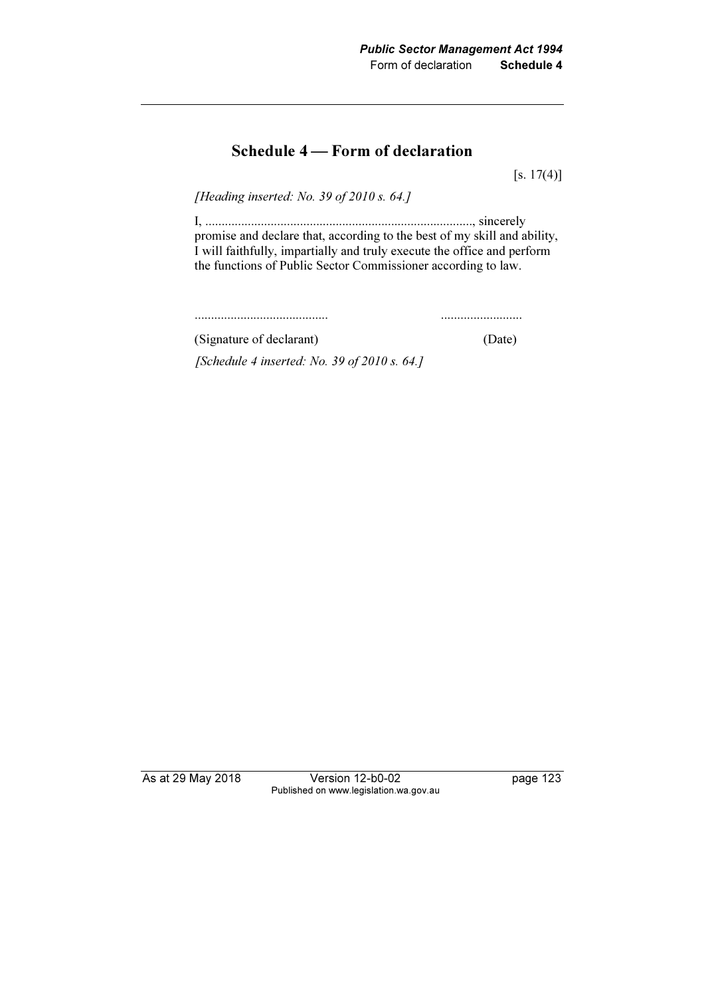# Schedule 4 — Form of declaration

 $[s. 17(4)]$ 

[Heading inserted: No. 39 of 2010 s. 64.]

 I, .................................................................................., sincerely promise and declare that, according to the best of my skill and ability, I will faithfully, impartially and truly execute the office and perform the functions of Public Sector Commissioner according to law.

......................................... .........................

 (Signature of declarant) (Date) [Schedule 4 inserted: No. 39 of 2010 s. 64.]

As at 29 May 2018 Version 12-b0-02 page 123 Published on www.legislation.wa.gov.au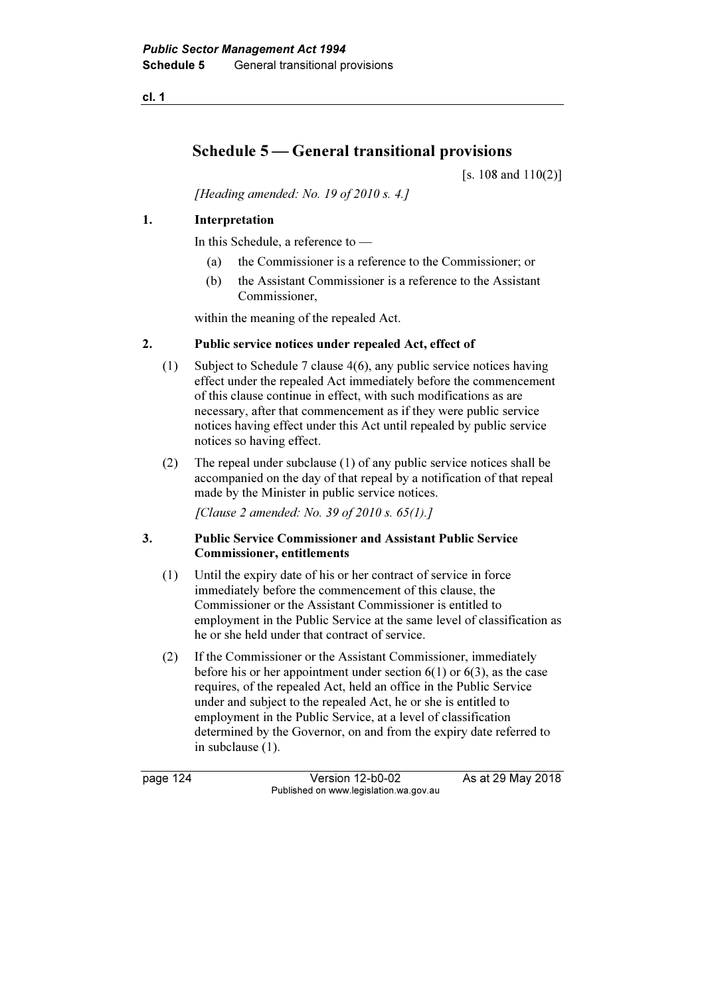cl. 1

# Schedule 5 — General transitional provisions

[s. 108 and 110(2)]

[Heading amended: No. 19 of 2010 s. 4.]

### 1. Interpretation

In this Schedule, a reference to —

- (a) the Commissioner is a reference to the Commissioner; or
- (b) the Assistant Commissioner is a reference to the Assistant Commissioner,

within the meaning of the repealed Act.

### 2. Public service notices under repealed Act, effect of

- (1) Subject to Schedule 7 clause 4(6), any public service notices having effect under the repealed Act immediately before the commencement of this clause continue in effect, with such modifications as are necessary, after that commencement as if they were public service notices having effect under this Act until repealed by public service notices so having effect.
- (2) The repeal under subclause (1) of any public service notices shall be accompanied on the day of that repeal by a notification of that repeal made by the Minister in public service notices.

[Clause 2 amended: No. 39 of 2010 s. 65(1).]

### 3. Public Service Commissioner and Assistant Public Service Commissioner, entitlements

- (1) Until the expiry date of his or her contract of service in force immediately before the commencement of this clause, the Commissioner or the Assistant Commissioner is entitled to employment in the Public Service at the same level of classification as he or she held under that contract of service.
- (2) If the Commissioner or the Assistant Commissioner, immediately before his or her appointment under section  $6(1)$  or  $6(3)$ , as the case requires, of the repealed Act, held an office in the Public Service under and subject to the repealed Act, he or she is entitled to employment in the Public Service, at a level of classification determined by the Governor, on and from the expiry date referred to in subclause (1).

page 124 Version 12-b0-02 As at 29 May 2018 Published on www.legislation.wa.gov.au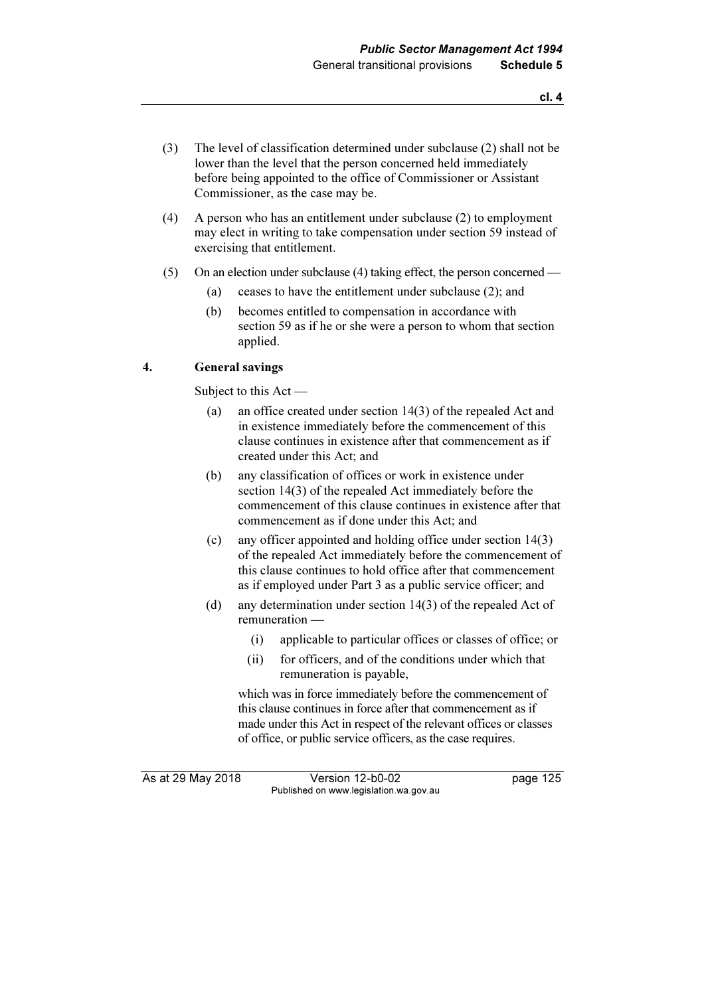- (3) The level of classification determined under subclause (2) shall not be lower than the level that the person concerned held immediately before being appointed to the office of Commissioner or Assistant Commissioner, as the case may be.
- (4) A person who has an entitlement under subclause (2) to employment may elect in writing to take compensation under section 59 instead of exercising that entitlement.
- (5) On an election under subclause (4) taking effect, the person concerned
	- (a) ceases to have the entitlement under subclause (2); and
	- (b) becomes entitled to compensation in accordance with section 59 as if he or she were a person to whom that section applied.

### 4. General savings

Subject to this Act —

- (a) an office created under section 14(3) of the repealed Act and in existence immediately before the commencement of this clause continues in existence after that commencement as if created under this Act; and
- (b) any classification of offices or work in existence under section 14(3) of the repealed Act immediately before the commencement of this clause continues in existence after that commencement as if done under this Act; and
- (c) any officer appointed and holding office under section 14(3) of the repealed Act immediately before the commencement of this clause continues to hold office after that commencement as if employed under Part 3 as a public service officer; and
- (d) any determination under section 14(3) of the repealed Act of remuneration —
	- (i) applicable to particular offices or classes of office; or
	- (ii) for officers, and of the conditions under which that remuneration is payable,

 which was in force immediately before the commencement of this clause continues in force after that commencement as if made under this Act in respect of the relevant offices or classes of office, or public service officers, as the case requires.

As at 29 May 2018 Version 12-b0-02 page 125 Published on www.legislation.wa.gov.au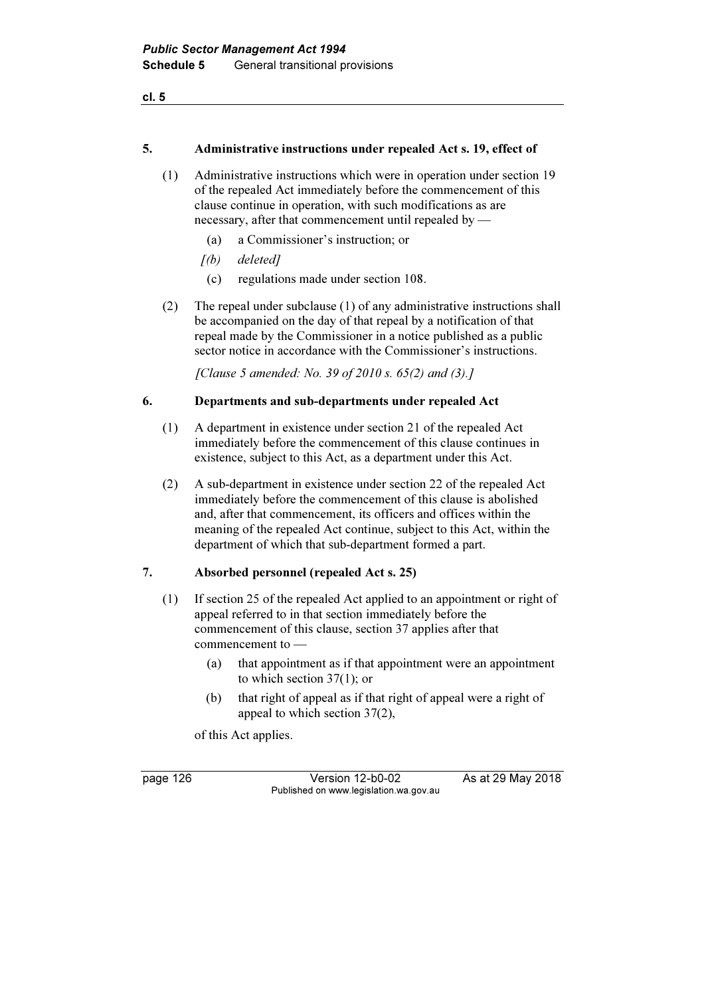cl. 5

#### 5. Administrative instructions under repealed Act s. 19, effect of

- (1) Administrative instructions which were in operation under section 19 of the repealed Act immediately before the commencement of this clause continue in operation, with such modifications as are necessary, after that commencement until repealed by —
	- (a) a Commissioner's instruction; or
	- [(b) deleted]
	- (c) regulations made under section 108.
- (2) The repeal under subclause (1) of any administrative instructions shall be accompanied on the day of that repeal by a notification of that repeal made by the Commissioner in a notice published as a public sector notice in accordance with the Commissioner's instructions.

 $[Clause 5 amended: No. 39 of 2010 s. 65(2) and (3).]$ 

#### 6. Departments and sub-departments under repealed Act

- (1) A department in existence under section 21 of the repealed Act immediately before the commencement of this clause continues in existence, subject to this Act, as a department under this Act.
- (2) A sub-department in existence under section 22 of the repealed Act immediately before the commencement of this clause is abolished and, after that commencement, its officers and offices within the meaning of the repealed Act continue, subject to this Act, within the department of which that sub-department formed a part.

### 7. Absorbed personnel (repealed Act s. 25)

- (1) If section 25 of the repealed Act applied to an appointment or right of appeal referred to in that section immediately before the commencement of this clause, section 37 applies after that commencement to —
	- (a) that appointment as if that appointment were an appointment to which section 37(1); or
	- (b) that right of appeal as if that right of appeal were a right of appeal to which section 37(2),

of this Act applies.

page 126 Version 12-b0-02 As at 29 May 2018 Published on www.legislation.wa.gov.au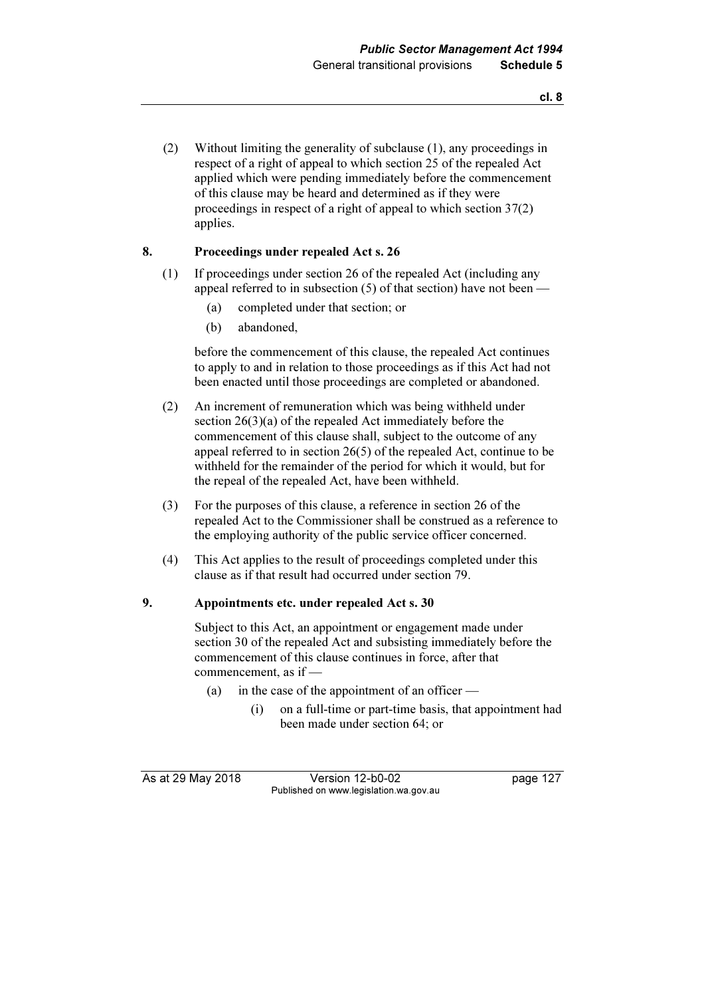(2) Without limiting the generality of subclause (1), any proceedings in respect of a right of appeal to which section 25 of the repealed Act applied which were pending immediately before the commencement of this clause may be heard and determined as if they were proceedings in respect of a right of appeal to which section 37(2) applies.

### 8. Proceedings under repealed Act s. 26

- (1) If proceedings under section 26 of the repealed Act (including any appeal referred to in subsection  $(5)$  of that section) have not been —
	- (a) completed under that section; or
	- (b) abandoned,

 before the commencement of this clause, the repealed Act continues to apply to and in relation to those proceedings as if this Act had not been enacted until those proceedings are completed or abandoned.

- (2) An increment of remuneration which was being withheld under section 26(3)(a) of the repealed Act immediately before the commencement of this clause shall, subject to the outcome of any appeal referred to in section 26(5) of the repealed Act, continue to be withheld for the remainder of the period for which it would, but for the repeal of the repealed Act, have been withheld.
- (3) For the purposes of this clause, a reference in section 26 of the repealed Act to the Commissioner shall be construed as a reference to the employing authority of the public service officer concerned.
- (4) This Act applies to the result of proceedings completed under this clause as if that result had occurred under section 79.

### 9. Appointments etc. under repealed Act s. 30

 Subject to this Act, an appointment or engagement made under section 30 of the repealed Act and subsisting immediately before the commencement of this clause continues in force, after that commencement, as if —

- (a) in the case of the appointment of an officer
	- (i) on a full-time or part-time basis, that appointment had been made under section 64; or

As at 29 May 2018 Version 12-b0-02 page 127 Published on www.legislation.wa.gov.au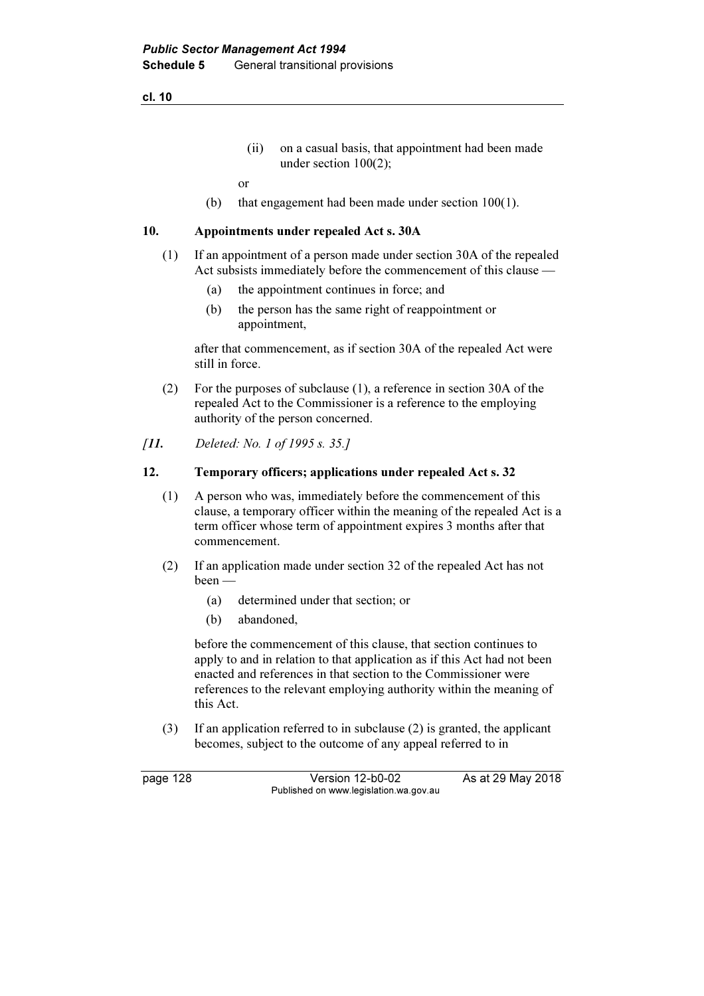cl. 10

 (ii) on a casual basis, that appointment had been made under section 100(2);

or

(b) that engagement had been made under section 100(1).

### 10. Appointments under repealed Act s. 30A

- (1) If an appointment of a person made under section 30A of the repealed Act subsists immediately before the commencement of this clause —
	- (a) the appointment continues in force; and
	- (b) the person has the same right of reappointment or appointment,

 after that commencement, as if section 30A of the repealed Act were still in force.

- (2) For the purposes of subclause (1), a reference in section 30A of the repealed Act to the Commissioner is a reference to the employing authority of the person concerned.
- [11. Deleted: No. 1 of 1995 s. 35.]

### 12. Temporary officers; applications under repealed Act s. 32

- (1) A person who was, immediately before the commencement of this clause, a temporary officer within the meaning of the repealed Act is a term officer whose term of appointment expires 3 months after that commencement.
- (2) If an application made under section 32 of the repealed Act has not been —
	- (a) determined under that section; or
	- (b) abandoned,

 before the commencement of this clause, that section continues to apply to and in relation to that application as if this Act had not been enacted and references in that section to the Commissioner were references to the relevant employing authority within the meaning of this Act.

 (3) If an application referred to in subclause (2) is granted, the applicant becomes, subject to the outcome of any appeal referred to in

page 128 Version 12-b0-02 As at 29 May 2018 Published on www.legislation.wa.gov.au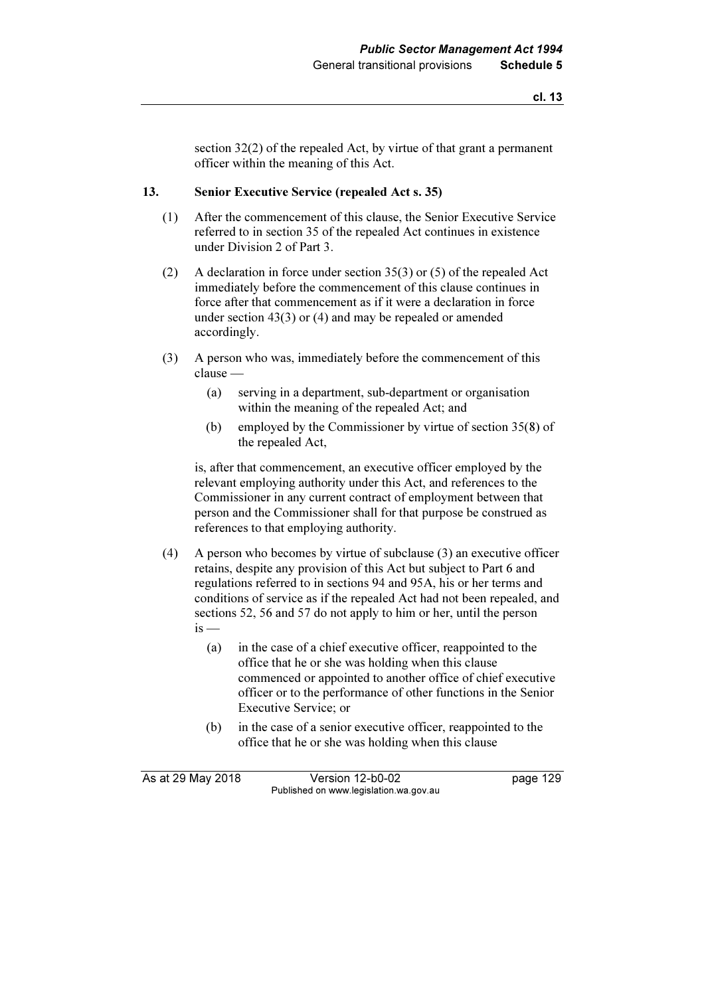section 32(2) of the repealed Act, by virtue of that grant a permanent officer within the meaning of this Act.

### 13. Senior Executive Service (repealed Act s. 35)

- (1) After the commencement of this clause, the Senior Executive Service referred to in section 35 of the repealed Act continues in existence under Division 2 of Part 3.
- (2) A declaration in force under section 35(3) or (5) of the repealed Act immediately before the commencement of this clause continues in force after that commencement as if it were a declaration in force under section 43(3) or (4) and may be repealed or amended accordingly.
- (3) A person who was, immediately before the commencement of this clause —
	- (a) serving in a department, sub-department or organisation within the meaning of the repealed Act; and
	- (b) employed by the Commissioner by virtue of section 35(8) of the repealed Act,

 is, after that commencement, an executive officer employed by the relevant employing authority under this Act, and references to the Commissioner in any current contract of employment between that person and the Commissioner shall for that purpose be construed as references to that employing authority.

- (4) A person who becomes by virtue of subclause (3) an executive officer retains, despite any provision of this Act but subject to Part 6 and regulations referred to in sections 94 and 95A, his or her terms and conditions of service as if the repealed Act had not been repealed, and sections 52, 56 and 57 do not apply to him or her, until the person  $is -$ 
	- (a) in the case of a chief executive officer, reappointed to the office that he or she was holding when this clause commenced or appointed to another office of chief executive officer or to the performance of other functions in the Senior Executive Service; or
	- (b) in the case of a senior executive officer, reappointed to the office that he or she was holding when this clause

As at 29 May 2018 Version 12-b0-02 page 129 Published on www.legislation.wa.gov.au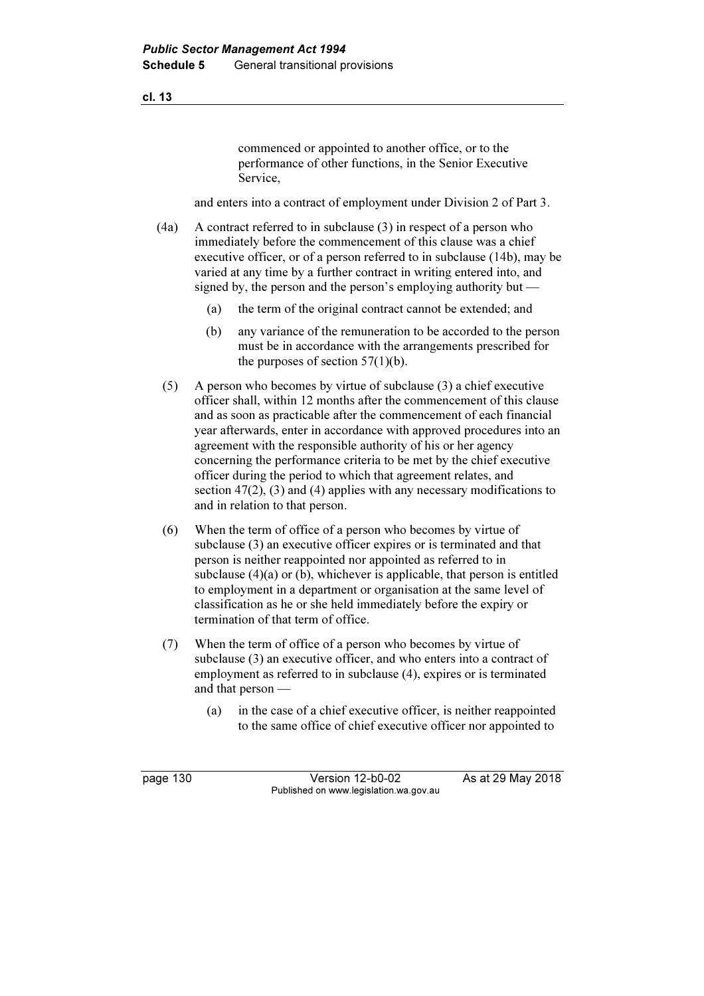commenced or appointed to another office, or to the performance of other functions, in the Senior Executive Service,

and enters into a contract of employment under Division 2 of Part 3.

- (4a) A contract referred to in subclause (3) in respect of a person who immediately before the commencement of this clause was a chief executive officer, or of a person referred to in subclause (14b), may be varied at any time by a further contract in writing entered into, and signed by, the person and the person's employing authority but  $-$ 
	- (a) the term of the original contract cannot be extended; and
	- (b) any variance of the remuneration to be accorded to the person must be in accordance with the arrangements prescribed for the purposes of section  $57(1)(b)$ .
	- (5) A person who becomes by virtue of subclause (3) a chief executive officer shall, within 12 months after the commencement of this clause and as soon as practicable after the commencement of each financial year afterwards, enter in accordance with approved procedures into an agreement with the responsible authority of his or her agency concerning the performance criteria to be met by the chief executive officer during the period to which that agreement relates, and section 47(2), (3) and (4) applies with any necessary modifications to and in relation to that person.
	- (6) When the term of office of a person who becomes by virtue of subclause (3) an executive officer expires or is terminated and that person is neither reappointed nor appointed as referred to in subclause  $(4)(a)$  or  $(b)$ , whichever is applicable, that person is entitled to employment in a department or organisation at the same level of classification as he or she held immediately before the expiry or termination of that term of office.
	- (7) When the term of office of a person who becomes by virtue of subclause (3) an executive officer, and who enters into a contract of employment as referred to in subclause (4), expires or is terminated and that person —
		- (a) in the case of a chief executive officer, is neither reappointed to the same office of chief executive officer nor appointed to

page 130 Version 12-b0-02 As at 29 May 2018 Published on www.legislation.wa.gov.au

cl. 13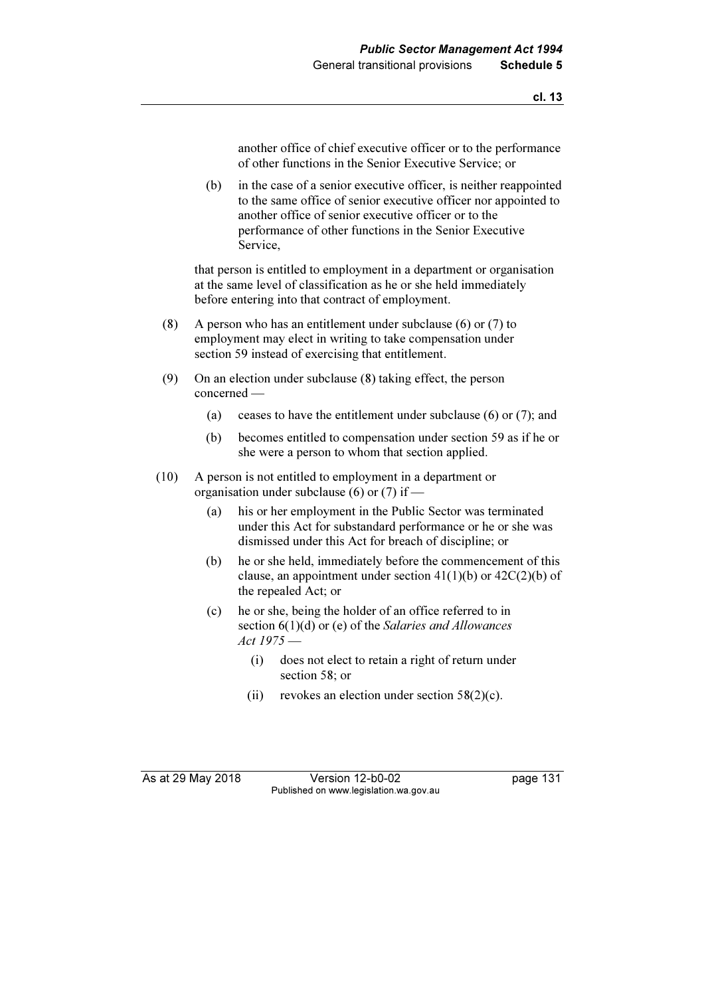another office of chief executive officer or to the performance of other functions in the Senior Executive Service; or

 (b) in the case of a senior executive officer, is neither reappointed to the same office of senior executive officer nor appointed to another office of senior executive officer or to the performance of other functions in the Senior Executive Service,

 that person is entitled to employment in a department or organisation at the same level of classification as he or she held immediately before entering into that contract of employment.

- (8) A person who has an entitlement under subclause (6) or (7) to employment may elect in writing to take compensation under section 59 instead of exercising that entitlement.
- (9) On an election under subclause (8) taking effect, the person concerned —
	- (a) ceases to have the entitlement under subclause (6) or (7); and
	- (b) becomes entitled to compensation under section 59 as if he or she were a person to whom that section applied.
- (10) A person is not entitled to employment in a department or organisation under subclause (6) or (7) if —
	- (a) his or her employment in the Public Sector was terminated under this Act for substandard performance or he or she was dismissed under this Act for breach of discipline; or
	- (b) he or she held, immediately before the commencement of this clause, an appointment under section  $41(1)(b)$  or  $42C(2)(b)$  of the repealed Act; or
	- (c) he or she, being the holder of an office referred to in section 6(1)(d) or (e) of the Salaries and Allowances Act 1975 —
		- (i) does not elect to retain a right of return under section 58; or
		- (ii) revokes an election under section  $58(2)(c)$ .

As at 29 May 2018 Version 12-b0-02 page 131 Published on www.legislation.wa.gov.au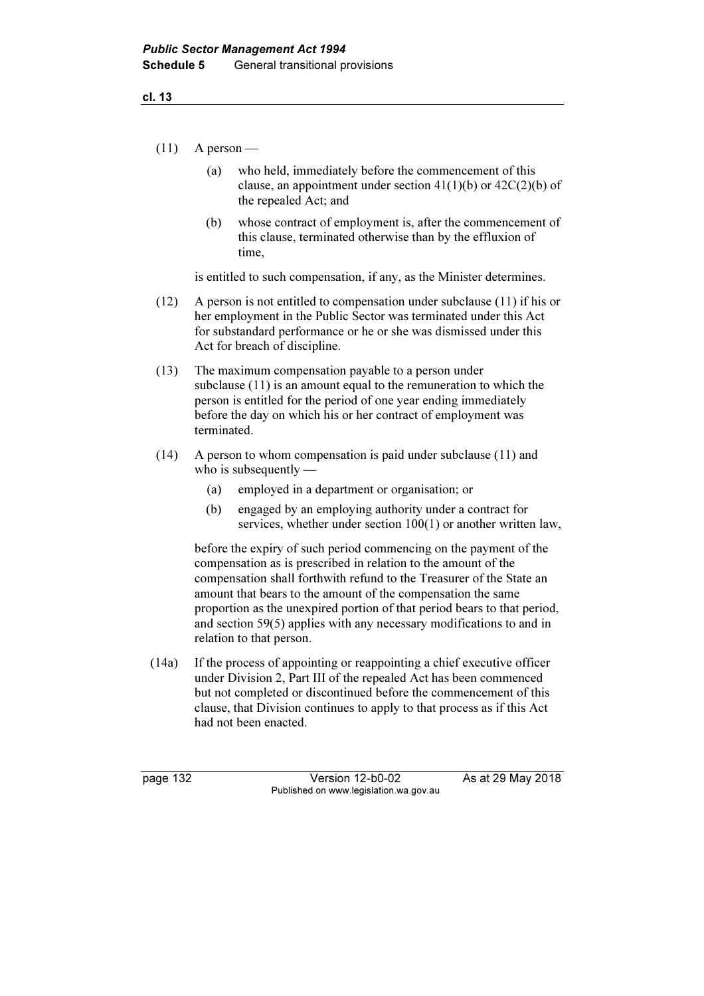- $(11)$  A person
	- (a) who held, immediately before the commencement of this clause, an appointment under section  $41(1)(b)$  or  $42C(2)(b)$  of the repealed Act; and
	- (b) whose contract of employment is, after the commencement of this clause, terminated otherwise than by the effluxion of time,

is entitled to such compensation, if any, as the Minister determines.

- (12) A person is not entitled to compensation under subclause (11) if his or her employment in the Public Sector was terminated under this Act for substandard performance or he or she was dismissed under this Act for breach of discipline.
- (13) The maximum compensation payable to a person under subclause (11) is an amount equal to the remuneration to which the person is entitled for the period of one year ending immediately before the day on which his or her contract of employment was terminated.
- (14) A person to whom compensation is paid under subclause (11) and who is subsequently —
	- (a) employed in a department or organisation; or
	- (b) engaged by an employing authority under a contract for services, whether under section 100(1) or another written law,

 before the expiry of such period commencing on the payment of the compensation as is prescribed in relation to the amount of the compensation shall forthwith refund to the Treasurer of the State an amount that bears to the amount of the compensation the same proportion as the unexpired portion of that period bears to that period, and section 59(5) applies with any necessary modifications to and in relation to that person.

 (14a) If the process of appointing or reappointing a chief executive officer under Division 2, Part III of the repealed Act has been commenced but not completed or discontinued before the commencement of this clause, that Division continues to apply to that process as if this Act had not been enacted.

page 132 Version 12-b0-02 As at 29 May 2018 Published on www.legislation.wa.gov.au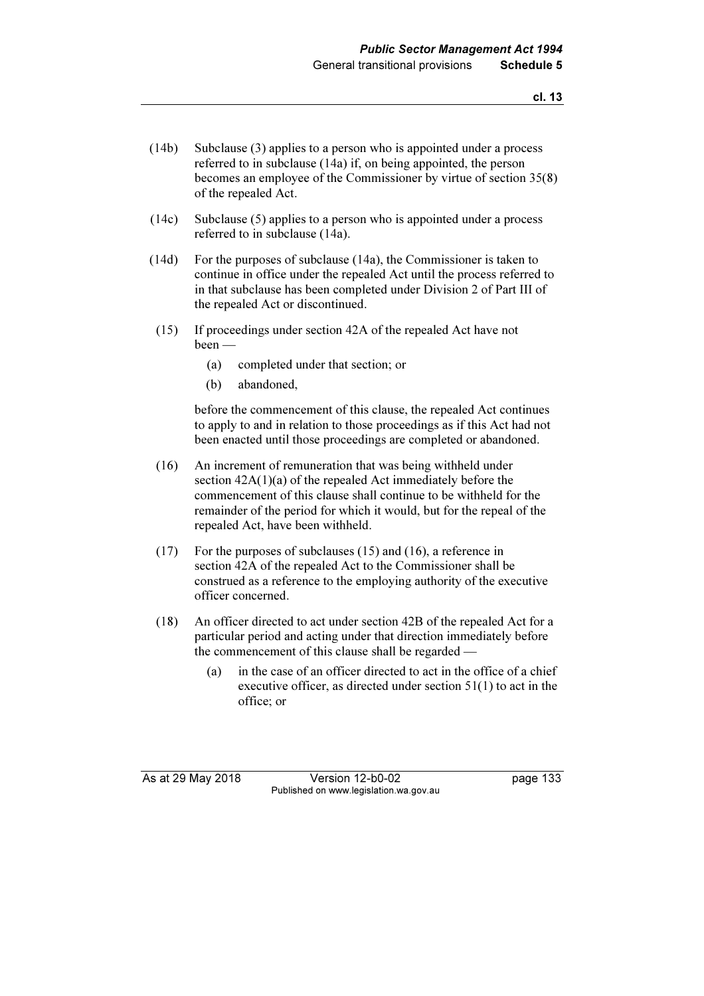- (14b) Subclause (3) applies to a person who is appointed under a process referred to in subclause (14a) if, on being appointed, the person becomes an employee of the Commissioner by virtue of section 35(8) of the repealed Act.
- (14c) Subclause (5) applies to a person who is appointed under a process referred to in subclause (14a).
- (14d) For the purposes of subclause (14a), the Commissioner is taken to continue in office under the repealed Act until the process referred to in that subclause has been completed under Division 2 of Part III of the repealed Act or discontinued.
- (15) If proceedings under section 42A of the repealed Act have not been —
	- (a) completed under that section; or
	- (b) abandoned,

 before the commencement of this clause, the repealed Act continues to apply to and in relation to those proceedings as if this Act had not been enacted until those proceedings are completed or abandoned.

- (16) An increment of remuneration that was being withheld under section 42A(1)(a) of the repealed Act immediately before the commencement of this clause shall continue to be withheld for the remainder of the period for which it would, but for the repeal of the repealed Act, have been withheld.
- (17) For the purposes of subclauses (15) and (16), a reference in section 42A of the repealed Act to the Commissioner shall be construed as a reference to the employing authority of the executive officer concerned.
- (18) An officer directed to act under section 42B of the repealed Act for a particular period and acting under that direction immediately before the commencement of this clause shall be regarded —
	- (a) in the case of an officer directed to act in the office of a chief executive officer, as directed under section 51(1) to act in the office; or

As at 29 May 2018 Version 12-b0-02 page 133 Published on www.legislation.wa.gov.au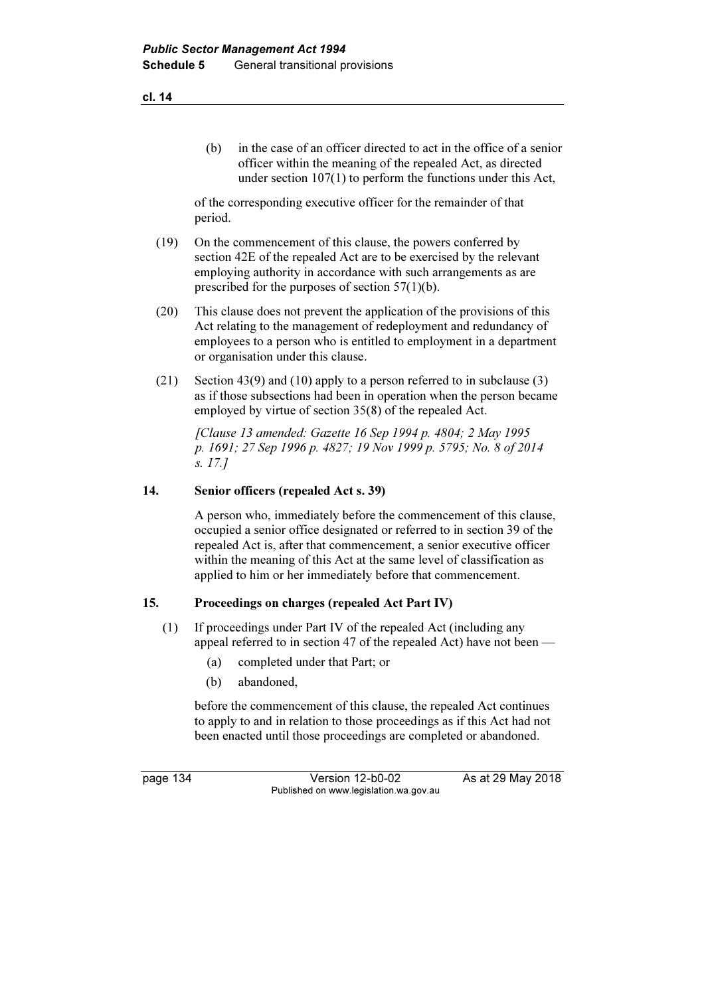(b) in the case of an officer directed to act in the office of a senior officer within the meaning of the repealed Act, as directed under section 107(1) to perform the functions under this Act,

 of the corresponding executive officer for the remainder of that period.

- (19) On the commencement of this clause, the powers conferred by section 42E of the repealed Act are to be exercised by the relevant employing authority in accordance with such arrangements as are prescribed for the purposes of section 57(1)(b).
- (20) This clause does not prevent the application of the provisions of this Act relating to the management of redeployment and redundancy of employees to a person who is entitled to employment in a department or organisation under this clause.
- (21) Section 43(9) and (10) apply to a person referred to in subclause (3) as if those subsections had been in operation when the person became employed by virtue of section 35(8) of the repealed Act.

 [Clause 13 amended: Gazette 16 Sep 1994 p. 4804; 2 May 1995 p. 1691; 27 Sep 1996 p. 4827; 19 Nov 1999 p. 5795; No. 8 of 2014 s. 17.]

## 14. Senior officers (repealed Act s. 39)

 A person who, immediately before the commencement of this clause, occupied a senior office designated or referred to in section 39 of the repealed Act is, after that commencement, a senior executive officer within the meaning of this Act at the same level of classification as applied to him or her immediately before that commencement.

#### 15. Proceedings on charges (repealed Act Part IV)

- (1) If proceedings under Part IV of the repealed Act (including any appeal referred to in section 47 of the repealed Act) have not been —
	- (a) completed under that Part; or
	- (b) abandoned,

 before the commencement of this clause, the repealed Act continues to apply to and in relation to those proceedings as if this Act had not been enacted until those proceedings are completed or abandoned.

page 134 Version 12-b0-02 As at 29 May 2018 Published on www.legislation.wa.gov.au

cl. 14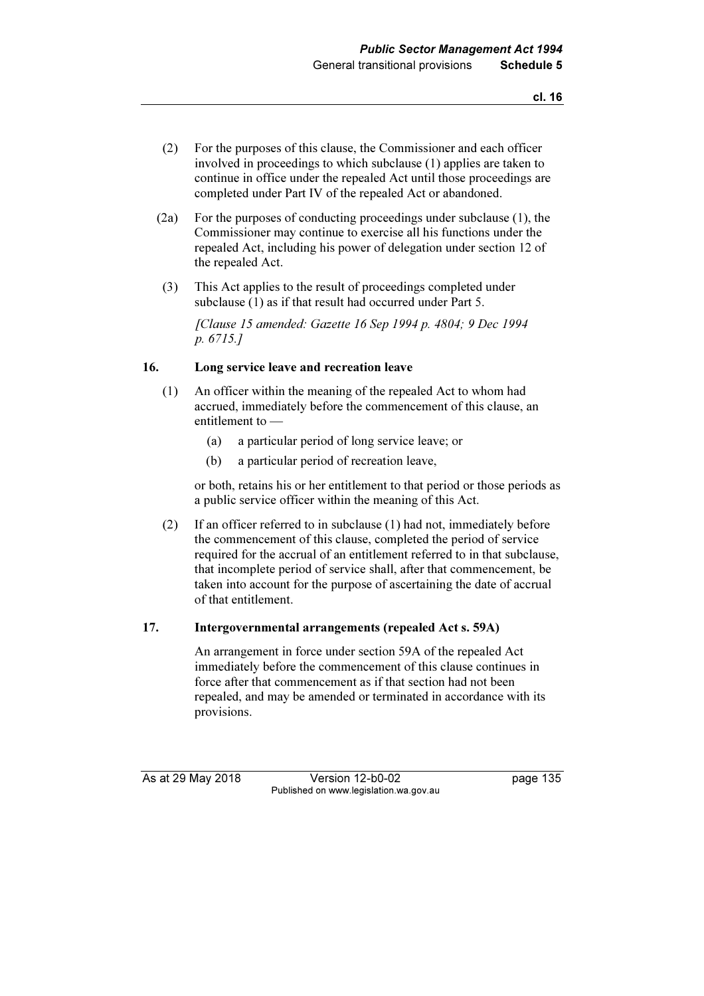- (2) For the purposes of this clause, the Commissioner and each officer involved in proceedings to which subclause (1) applies are taken to continue in office under the repealed Act until those proceedings are completed under Part IV of the repealed Act or abandoned.
- (2a) For the purposes of conducting proceedings under subclause (1), the Commissioner may continue to exercise all his functions under the repealed Act, including his power of delegation under section 12 of the repealed Act.
- (3) This Act applies to the result of proceedings completed under subclause (1) as if that result had occurred under Part 5.

 [Clause 15 amended: Gazette 16 Sep 1994 p. 4804; 9 Dec 1994 p. 6715.]

#### 16. Long service leave and recreation leave

- (1) An officer within the meaning of the repealed Act to whom had accrued, immediately before the commencement of this clause, an entitlement to —
	- (a) a particular period of long service leave; or
	- (b) a particular period of recreation leave,

 or both, retains his or her entitlement to that period or those periods as a public service officer within the meaning of this Act.

 (2) If an officer referred to in subclause (1) had not, immediately before the commencement of this clause, completed the period of service required for the accrual of an entitlement referred to in that subclause, that incomplete period of service shall, after that commencement, be taken into account for the purpose of ascertaining the date of accrual of that entitlement.

#### 17. Intergovernmental arrangements (repealed Act s. 59A)

 An arrangement in force under section 59A of the repealed Act immediately before the commencement of this clause continues in force after that commencement as if that section had not been repealed, and may be amended or terminated in accordance with its provisions.

As at 29 May 2018 Version 12-b0-02 page 135 Published on www.legislation.wa.gov.au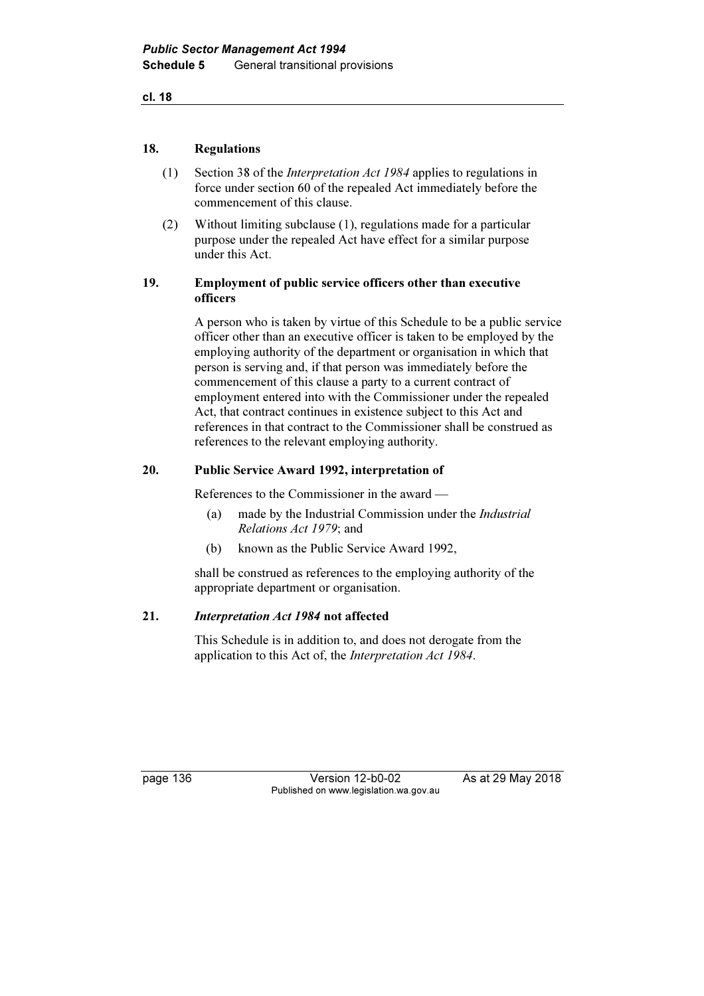cl. 18

#### 18. Regulations

- (1) Section 38 of the Interpretation Act 1984 applies to regulations in force under section 60 of the repealed Act immediately before the commencement of this clause.
- (2) Without limiting subclause (1), regulations made for a particular purpose under the repealed Act have effect for a similar purpose under this Act.

#### 19. Employment of public service officers other than executive officers

 A person who is taken by virtue of this Schedule to be a public service officer other than an executive officer is taken to be employed by the employing authority of the department or organisation in which that person is serving and, if that person was immediately before the commencement of this clause a party to a current contract of employment entered into with the Commissioner under the repealed Act, that contract continues in existence subject to this Act and references in that contract to the Commissioner shall be construed as references to the relevant employing authority.

## 20. Public Service Award 1992, interpretation of

References to the Commissioner in the award —

- (a) made by the Industrial Commission under the Industrial Relations Act 1979; and
- (b) known as the Public Service Award 1992,

 shall be construed as references to the employing authority of the appropriate department or organisation.

#### 21. Interpretation Act 1984 not affected

 This Schedule is in addition to, and does not derogate from the application to this Act of, the Interpretation Act 1984.

page 136 Version 12-b0-02 As at 29 May 2018 Published on www.legislation.wa.gov.au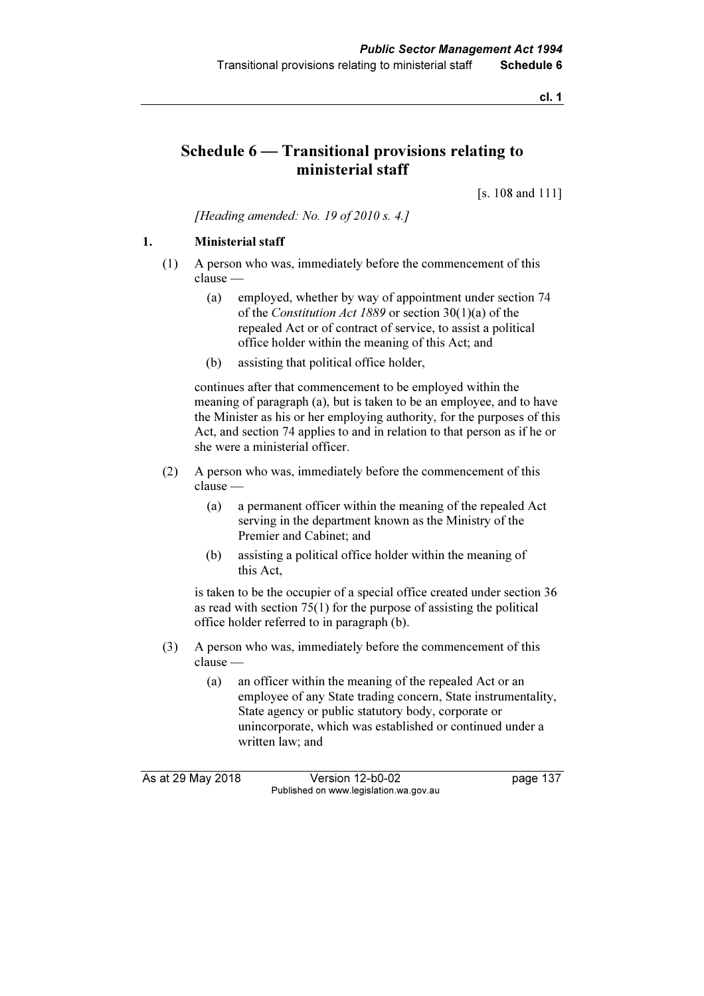cl. 1

# Schedule 6 — Transitional provisions relating to ministerial staff

[s. 108 and 111]

[Heading amended: No. 19 of  $2010 s. 4.1$ ]

## 1. Ministerial staff

- (1) A person who was, immediately before the commencement of this clause —
	- (a) employed, whether by way of appointment under section 74 of the Constitution Act 1889 or section 30(1)(a) of the repealed Act or of contract of service, to assist a political office holder within the meaning of this Act; and
	- (b) assisting that political office holder,

 continues after that commencement to be employed within the meaning of paragraph (a), but is taken to be an employee, and to have the Minister as his or her employing authority, for the purposes of this Act, and section 74 applies to and in relation to that person as if he or she were a ministerial officer.

- (2) A person who was, immediately before the commencement of this clause —
	- (a) a permanent officer within the meaning of the repealed Act serving in the department known as the Ministry of the Premier and Cabinet; and
	- (b) assisting a political office holder within the meaning of this Act,

 is taken to be the occupier of a special office created under section 36 as read with section 75(1) for the purpose of assisting the political office holder referred to in paragraph (b).

- (3) A person who was, immediately before the commencement of this clause —
	- (a) an officer within the meaning of the repealed Act or an employee of any State trading concern, State instrumentality, State agency or public statutory body, corporate or unincorporate, which was established or continued under a written law; and

As at 29 May 2018 Version 12-b0-02 page 137 Published on www.legislation.wa.gov.au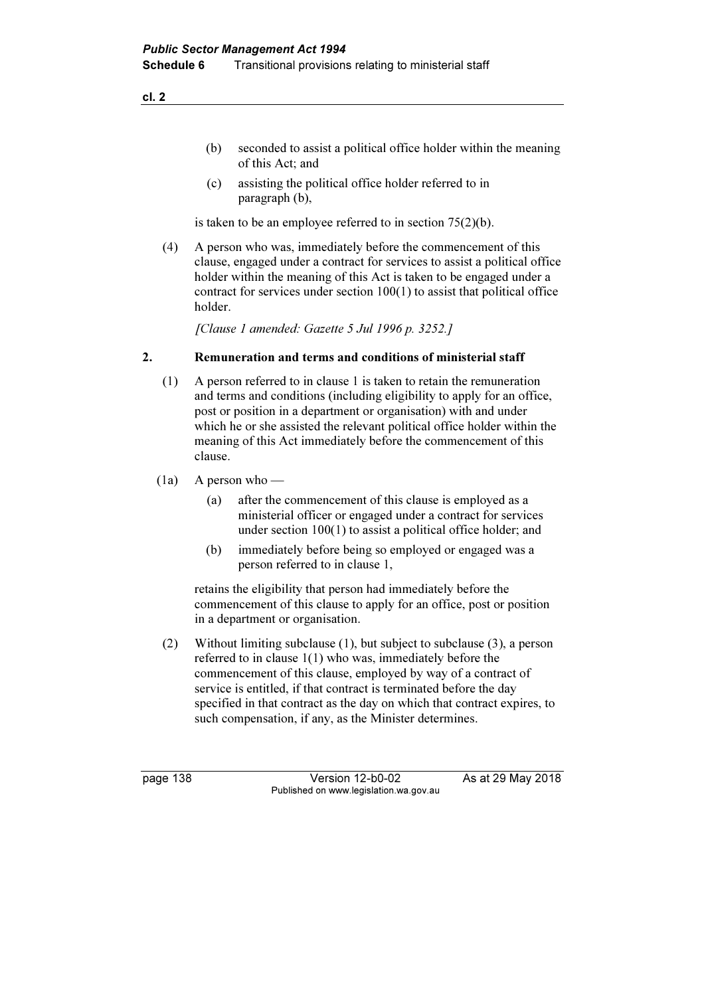(c) assisting the political office holder referred to in paragraph (b),

is taken to be an employee referred to in section 75(2)(b).

 (4) A person who was, immediately before the commencement of this clause, engaged under a contract for services to assist a political office holder within the meaning of this Act is taken to be engaged under a contract for services under section 100(1) to assist that political office holder.

[Clause 1 amended: Gazette 5 Jul 1996 p. 3252.]

#### 2. Remuneration and terms and conditions of ministerial staff

- (1) A person referred to in clause 1 is taken to retain the remuneration and terms and conditions (including eligibility to apply for an office, post or position in a department or organisation) with and under which he or she assisted the relevant political office holder within the meaning of this Act immediately before the commencement of this clause.
- $(1a)$  A person who
	- (a) after the commencement of this clause is employed as a ministerial officer or engaged under a contract for services under section 100(1) to assist a political office holder; and
	- (b) immediately before being so employed or engaged was a person referred to in clause 1,

 retains the eligibility that person had immediately before the commencement of this clause to apply for an office, post or position in a department or organisation.

 (2) Without limiting subclause (1), but subject to subclause (3), a person referred to in clause 1(1) who was, immediately before the commencement of this clause, employed by way of a contract of service is entitled, if that contract is terminated before the day specified in that contract as the day on which that contract expires, to such compensation, if any, as the Minister determines.

page 138 Version 12-b0-02 As at 29 May 2018 Published on www.legislation.wa.gov.au

cl. 2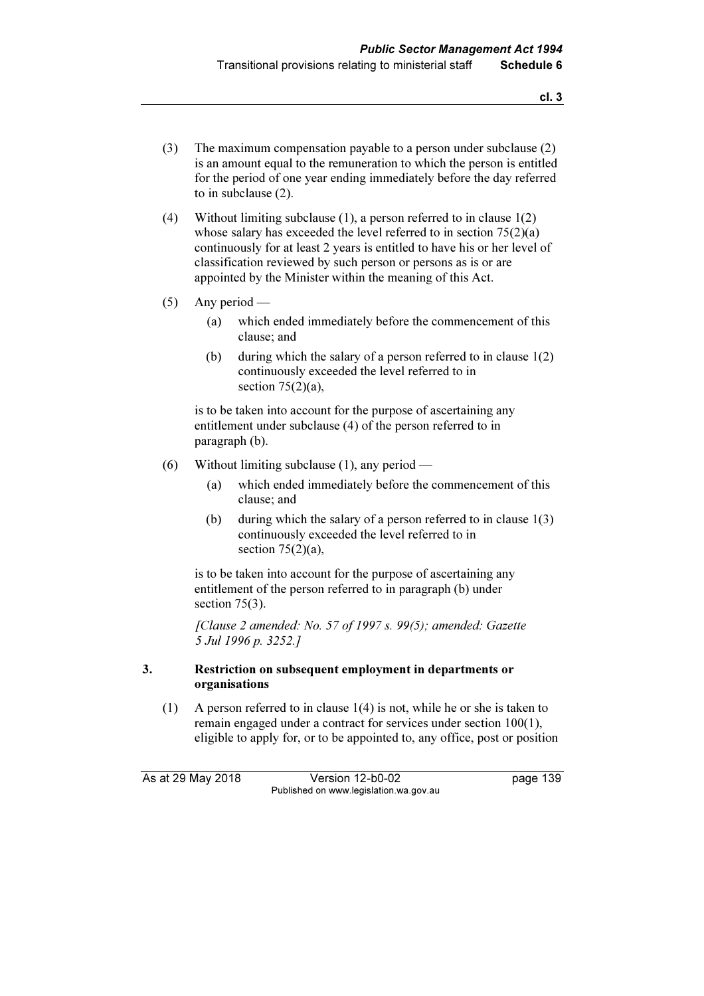- (3) The maximum compensation payable to a person under subclause (2) is an amount equal to the remuneration to which the person is entitled for the period of one year ending immediately before the day referred to in subclause (2).
- (4) Without limiting subclause (1), a person referred to in clause 1(2) whose salary has exceeded the level referred to in section 75(2)(a) continuously for at least 2 years is entitled to have his or her level of classification reviewed by such person or persons as is or are appointed by the Minister within the meaning of this Act.
- (5) Any period
	- (a) which ended immediately before the commencement of this clause; and
	- (b) during which the salary of a person referred to in clause 1(2) continuously exceeded the level referred to in section  $75(2)(a)$ .

 is to be taken into account for the purpose of ascertaining any entitlement under subclause (4) of the person referred to in paragraph (b).

- (6) Without limiting subclause (1), any period
	- (a) which ended immediately before the commencement of this clause; and
	- (b) during which the salary of a person referred to in clause 1(3) continuously exceeded the level referred to in section  $75(2)(a)$ ,

 is to be taken into account for the purpose of ascertaining any entitlement of the person referred to in paragraph (b) under section 75(3).

 [Clause 2 amended: No. 57 of 1997 s. 99(5); amended: Gazette 5 Jul 1996 p. 3252.]

#### 3. Restriction on subsequent employment in departments or organisations

 (1) A person referred to in clause 1(4) is not, while he or she is taken to remain engaged under a contract for services under section 100(1), eligible to apply for, or to be appointed to, any office, post or position

As at 29 May 2018 Version 12-b0-02 page 139 Published on www.legislation.wa.gov.au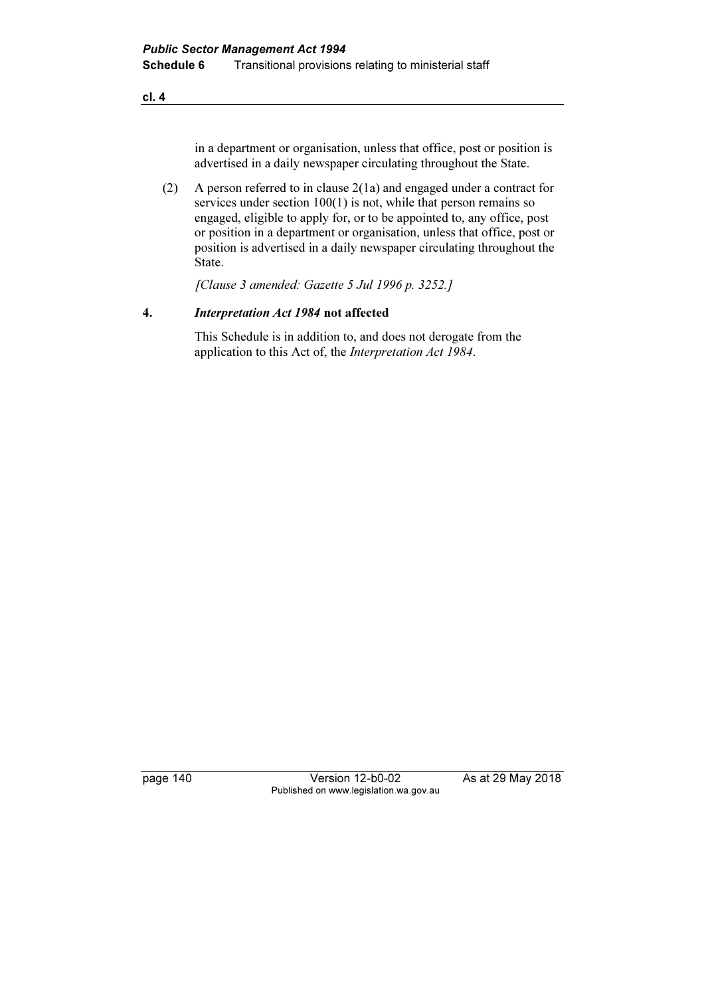cl. 4

in a department or organisation, unless that office, post or position is advertised in a daily newspaper circulating throughout the State.

 (2) A person referred to in clause 2(1a) and engaged under a contract for services under section 100(1) is not, while that person remains so engaged, eligible to apply for, or to be appointed to, any office, post or position in a department or organisation, unless that office, post or position is advertised in a daily newspaper circulating throughout the State.

[Clause 3 amended: Gazette 5 Jul 1996 p. 3252.]

## 4. Interpretation Act 1984 not affected

 This Schedule is in addition to, and does not derogate from the application to this Act of, the Interpretation Act 1984.

page 140 Version 12-b0-02 As at 29 May 2018 Published on www.legislation.wa.gov.au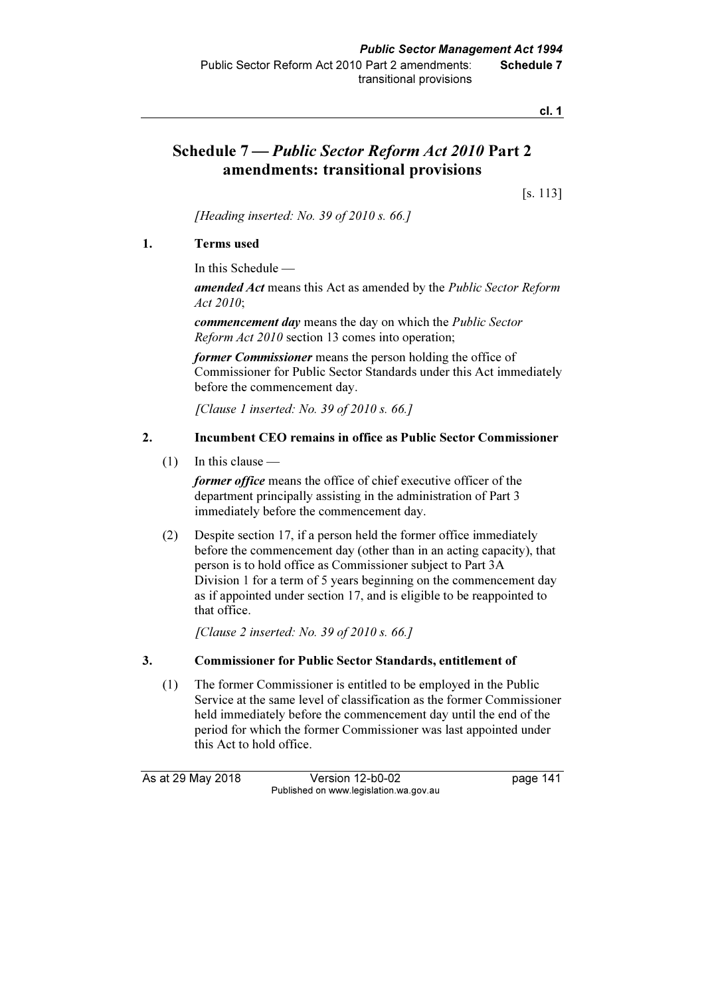cl. 1

# Schedule 7 — Public Sector Reform Act 2010 Part 2 amendments: transitional provisions

[s. 113]

[Heading inserted: No. 39 of 2010 s.  $66.$ ]

## 1. Terms used

In this Schedule —

amended Act means this Act as amended by the Public Sector Reform Act 2010;

commencement day means the day on which the Public Sector Reform Act 2010 section 13 comes into operation;

former Commissioner means the person holding the office of Commissioner for Public Sector Standards under this Act immediately before the commencement day.

[Clause 1 inserted: No. 39 of  $2010 s. 66$ .]

## 2. Incumbent CEO remains in office as Public Sector Commissioner

(1) In this clause —

former office means the office of chief executive officer of the department principally assisting in the administration of Part 3 immediately before the commencement day.

 (2) Despite section 17, if a person held the former office immediately before the commencement day (other than in an acting capacity), that person is to hold office as Commissioner subject to Part 3A Division 1 for a term of 5 years beginning on the commencement day as if appointed under section 17, and is eligible to be reappointed to that office.

[Clause 2 inserted: No. 39 of 2010 s. 66.]

## 3. Commissioner for Public Sector Standards, entitlement of

 (1) The former Commissioner is entitled to be employed in the Public Service at the same level of classification as the former Commissioner held immediately before the commencement day until the end of the period for which the former Commissioner was last appointed under this Act to hold office.

As at 29 May 2018 Version 12-b0-02 page 141 Published on www.legislation.wa.gov.au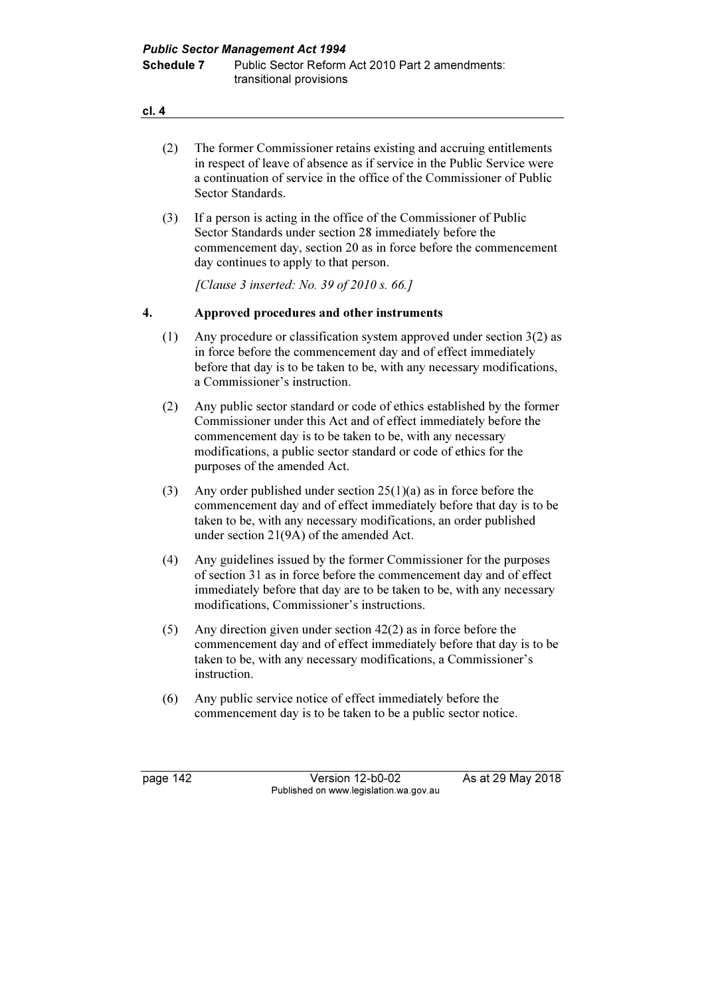| cl. |  |  |
|-----|--|--|

|    | (2) | The former Commissioner retains existing and accruing entitlements<br>in respect of leave of absence as if service in the Public Service were<br>a continuation of service in the office of the Commissioner of Public<br>Sector Standards.                                                                  |
|----|-----|--------------------------------------------------------------------------------------------------------------------------------------------------------------------------------------------------------------------------------------------------------------------------------------------------------------|
|    | (3) | If a person is acting in the office of the Commissioner of Public<br>Sector Standards under section 28 immediately before the<br>commencement day, section 20 as in force before the commencement<br>day continues to apply to that person.                                                                  |
|    |     | [Clause 3 inserted: No. 39 of 2010 s. 66.]                                                                                                                                                                                                                                                                   |
| 4. |     | Approved procedures and other instruments                                                                                                                                                                                                                                                                    |
|    | (1) | Any procedure or classification system approved under section $3(2)$ as<br>in force before the commencement day and of effect immediately<br>before that day is to be taken to be, with any necessary modifications,<br>a Commissioner's instruction.                                                        |
|    | (2) | Any public sector standard or code of ethics established by the former<br>Commissioner under this Act and of effect immediately before the<br>commencement day is to be taken to be, with any necessary<br>modifications, a public sector standard or code of ethics for the<br>purposes of the amended Act. |
|    | (3) | Any order published under section $25(1)(a)$ as in force before the<br>commencement day and of effect immediately before that day is to be<br>taken to be, with any necessary modifications, an order published<br>under section 21(9A) of the amended Act.                                                  |
|    | (4) | Any guidelines issued by the former Commissioner for the purposes<br>of section 31 as in force before the commencement day and of effect<br>immediately before that day are to be taken to be, with any necessary<br>modifications, Commissioner's instructions.                                             |
|    | (5) | Any direction given under section $42(2)$ as in force before the<br>commencement day and of effect immediately before that day is to be                                                                                                                                                                      |

- commencement day and of effect immediately before that day is to be taken to be, with any necessary modifications, a Commissioner's instruction.
- (6) Any public service notice of effect immediately before the commencement day is to be taken to be a public sector notice.

page 142 Version 12-b0-02 As at 29 May 2018 Published on www.legislation.wa.gov.au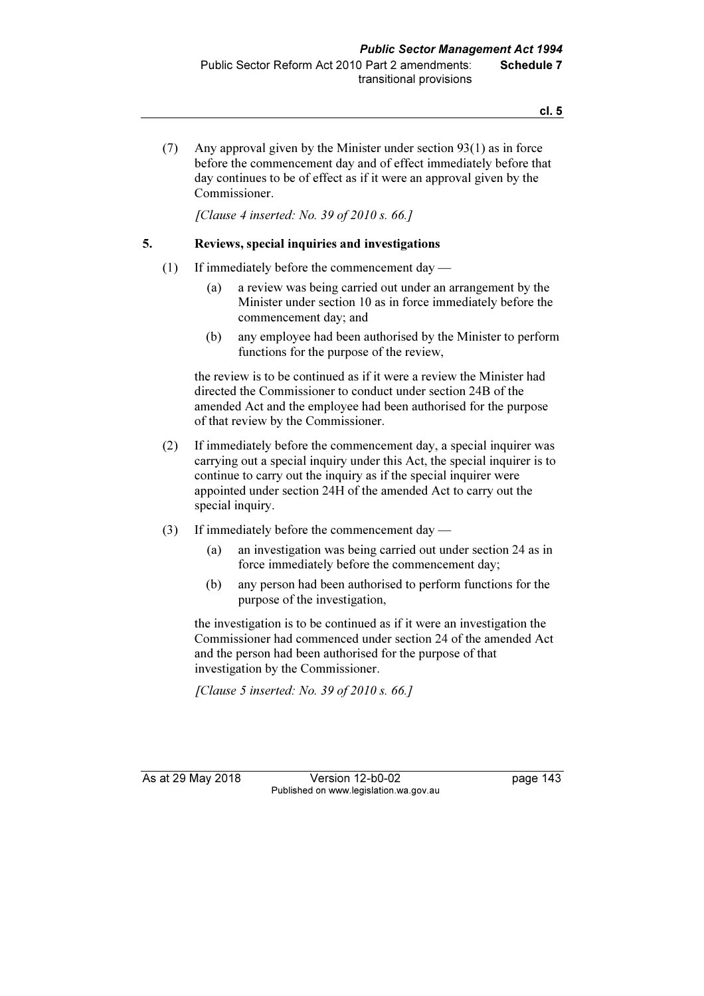(7) Any approval given by the Minister under section 93(1) as in force before the commencement day and of effect immediately before that day continues to be of effect as if it were an approval given by the Commissioner.

[Clause 4 inserted: No. 39 of 2010 s. 66.]

#### 5. Reviews, special inquiries and investigations

- (1) If immediately before the commencement day
	- (a) a review was being carried out under an arrangement by the Minister under section 10 as in force immediately before the commencement day; and
	- (b) any employee had been authorised by the Minister to perform functions for the purpose of the review,

 the review is to be continued as if it were a review the Minister had directed the Commissioner to conduct under section 24B of the amended Act and the employee had been authorised for the purpose of that review by the Commissioner.

- (2) If immediately before the commencement day, a special inquirer was carrying out a special inquiry under this Act, the special inquirer is to continue to carry out the inquiry as if the special inquirer were appointed under section 24H of the amended Act to carry out the special inquiry.
- (3) If immediately before the commencement day
	- (a) an investigation was being carried out under section 24 as in force immediately before the commencement day;
	- (b) any person had been authorised to perform functions for the purpose of the investigation,

 the investigation is to be continued as if it were an investigation the Commissioner had commenced under section 24 of the amended Act and the person had been authorised for the purpose of that investigation by the Commissioner.

[Clause 5 inserted: No. 39 of 2010 s. 66.]

As at 29 May 2018 Version 12-b0-02 page 143 Published on www.legislation.wa.gov.au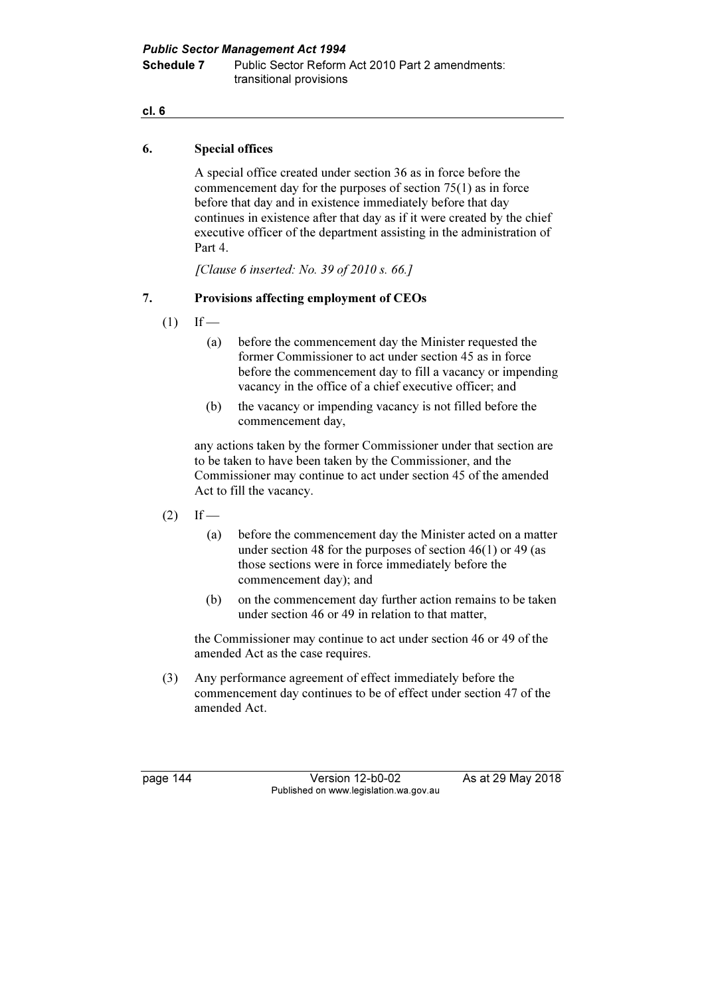Public Sector Management Act 1994 Schedule 7 Public Sector Reform Act 2010 Part 2 amendments: transitional provisions

#### cl. 6

#### 6. Special offices

 A special office created under section 36 as in force before the commencement day for the purposes of section 75(1) as in force before that day and in existence immediately before that day continues in existence after that day as if it were created by the chief executive officer of the department assisting in the administration of Part 4.

[Clause 6 inserted: No. 39 of 2010 s. 66.]

## 7. Provisions affecting employment of CEOs

- $(1)$  If
	- (a) before the commencement day the Minister requested the former Commissioner to act under section 45 as in force before the commencement day to fill a vacancy or impending vacancy in the office of a chief executive officer; and
	- (b) the vacancy or impending vacancy is not filled before the commencement day,

 any actions taken by the former Commissioner under that section are to be taken to have been taken by the Commissioner, and the Commissioner may continue to act under section 45 of the amended Act to fill the vacancy.

- $(2)$  If
	- (a) before the commencement day the Minister acted on a matter under section 48 for the purposes of section 46(1) or 49 (as those sections were in force immediately before the commencement day); and
	- (b) on the commencement day further action remains to be taken under section 46 or 49 in relation to that matter,

 the Commissioner may continue to act under section 46 or 49 of the amended Act as the case requires.

 (3) Any performance agreement of effect immediately before the commencement day continues to be of effect under section 47 of the amended Act.

page 144 Version 12-b0-02 As at 29 May 2018 Published on www.legislation.wa.gov.au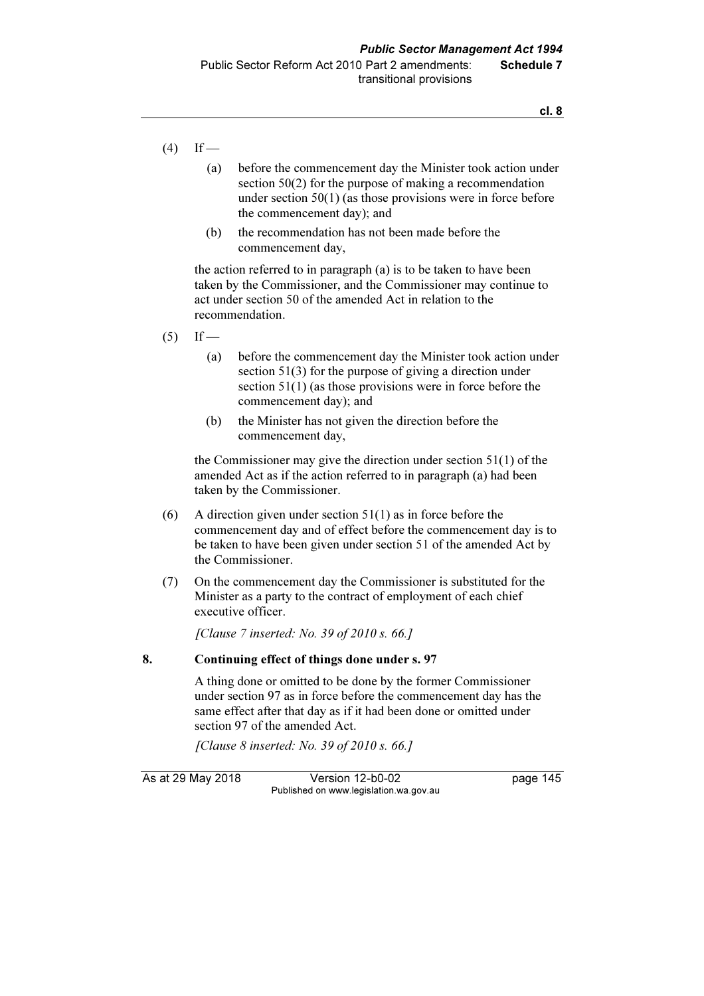$(4)$  If —

- (a) before the commencement day the Minister took action under section 50(2) for the purpose of making a recommendation under section 50(1) (as those provisions were in force before the commencement day); and
- (b) the recommendation has not been made before the commencement day,

 the action referred to in paragraph (a) is to be taken to have been taken by the Commissioner, and the Commissioner may continue to act under section 50 of the amended Act in relation to the recommendation.

- $(5)$  If
	- (a) before the commencement day the Minister took action under section 51(3) for the purpose of giving a direction under section 51(1) (as those provisions were in force before the commencement day); and
	- (b) the Minister has not given the direction before the commencement day,

 the Commissioner may give the direction under section 51(1) of the amended Act as if the action referred to in paragraph (a) had been taken by the Commissioner.

- (6) A direction given under section 51(1) as in force before the commencement day and of effect before the commencement day is to be taken to have been given under section 51 of the amended Act by the Commissioner.
- (7) On the commencement day the Commissioner is substituted for the Minister as a party to the contract of employment of each chief executive officer.

[Clause 7 inserted: No. 39 of 2010 s. 66.]

#### 8. Continuing effect of things done under s. 97

 A thing done or omitted to be done by the former Commissioner under section 97 as in force before the commencement day has the same effect after that day as if it had been done or omitted under section 97 of the amended Act.

[Clause 8 inserted: No. 39 of 2010 s. 66.]

As at 29 May 2018 Version 12-b0-02 page 145 Published on www.legislation.wa.gov.au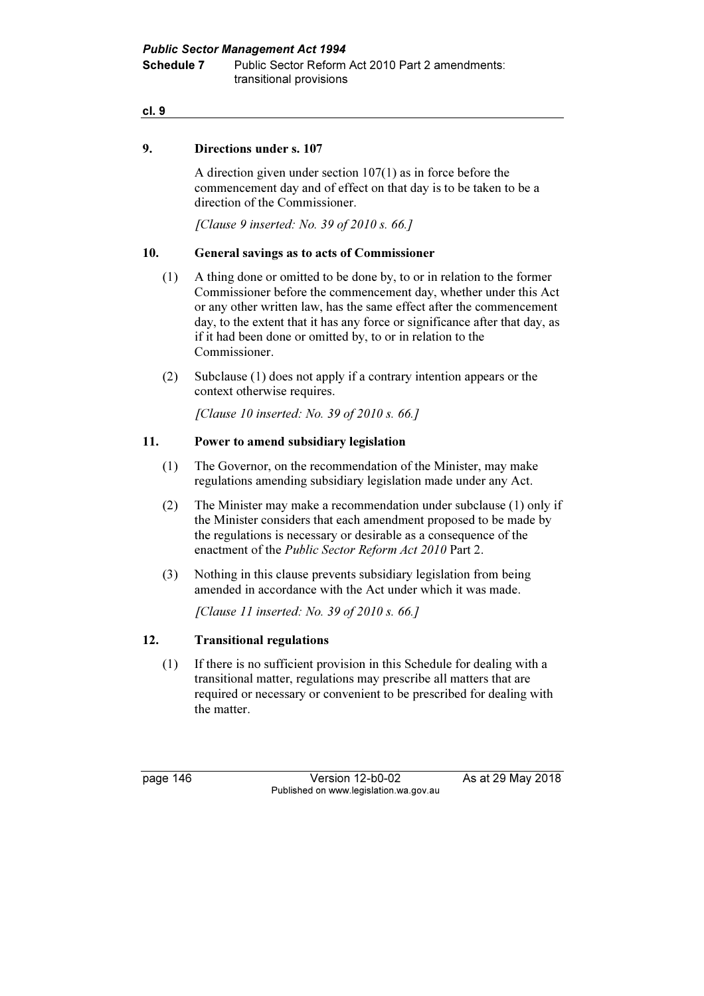Public Sector Management Act 1994 Schedule 7 Public Sector Reform Act 2010 Part 2 amendments: transitional provisions

#### cl. 9

#### 9. Directions under s. 107

 A direction given under section 107(1) as in force before the commencement day and of effect on that day is to be taken to be a direction of the Commissioner.

[Clause 9 inserted: No. 39 of 2010 s. 66.]

#### 10. General savings as to acts of Commissioner

- (1) A thing done or omitted to be done by, to or in relation to the former Commissioner before the commencement day, whether under this Act or any other written law, has the same effect after the commencement day, to the extent that it has any force or significance after that day, as if it had been done or omitted by, to or in relation to the Commissioner.
- (2) Subclause (1) does not apply if a contrary intention appears or the context otherwise requires.

[Clause 10 inserted: No. 39 of 2010 s. 66.]

#### 11. Power to amend subsidiary legislation

- (1) The Governor, on the recommendation of the Minister, may make regulations amending subsidiary legislation made under any Act.
- (2) The Minister may make a recommendation under subclause (1) only if the Minister considers that each amendment proposed to be made by the regulations is necessary or desirable as a consequence of the enactment of the Public Sector Reform Act 2010 Part 2.
- (3) Nothing in this clause prevents subsidiary legislation from being amended in accordance with the Act under which it was made.

[Clause 11 inserted: No. 39 of 2010 s. 66.]

#### 12. Transitional regulations

 (1) If there is no sufficient provision in this Schedule for dealing with a transitional matter, regulations may prescribe all matters that are required or necessary or convenient to be prescribed for dealing with the matter.

page 146 Version 12-b0-02 As at 29 May 2018 Published on www.legislation.wa.gov.au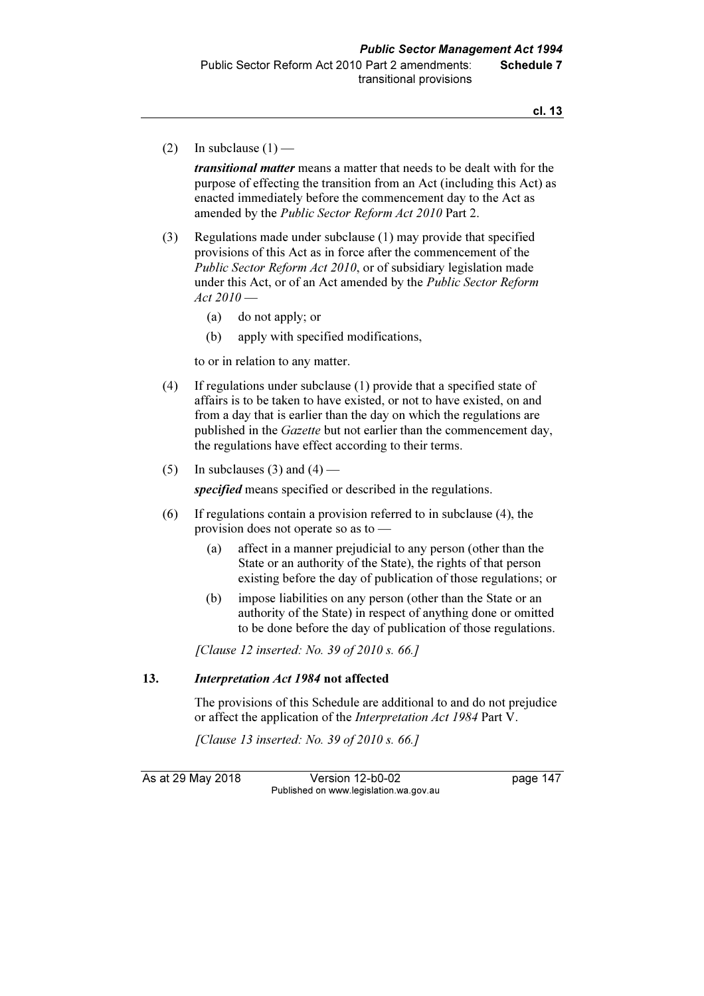(2) In subclause  $(1)$  —

transitional matter means a matter that needs to be dealt with for the purpose of effecting the transition from an Act (including this Act) as enacted immediately before the commencement day to the Act as amended by the Public Sector Reform Act 2010 Part 2.

- (3) Regulations made under subclause (1) may provide that specified provisions of this Act as in force after the commencement of the Public Sector Reform Act 2010, or of subsidiary legislation made under this Act, or of an Act amended by the *Public Sector Reform*  $Act$  2010 $-$ 
	- (a) do not apply; or
	- (b) apply with specified modifications,

to or in relation to any matter.

- (4) If regulations under subclause (1) provide that a specified state of affairs is to be taken to have existed, or not to have existed, on and from a day that is earlier than the day on which the regulations are published in the *Gazette* but not earlier than the commencement day, the regulations have effect according to their terms.
- (5) In subclauses (3) and (4) —

specified means specified or described in the regulations.

- (6) If regulations contain a provision referred to in subclause (4), the provision does not operate so as to —
	- (a) affect in a manner prejudicial to any person (other than the State or an authority of the State), the rights of that person existing before the day of publication of those regulations; or
	- (b) impose liabilities on any person (other than the State or an authority of the State) in respect of anything done or omitted to be done before the day of publication of those regulations.

[Clause 12 inserted: No. 39 of 2010 s. 66.]

#### 13. Interpretation Act 1984 not affected

 The provisions of this Schedule are additional to and do not prejudice or affect the application of the *Interpretation Act 1984* Part V.

[Clause 13 inserted: No. 39 of 2010 s. 66.]

As at 29 May 2018 Version 12-b0-02 page 147 Published on www.legislation.wa.gov.au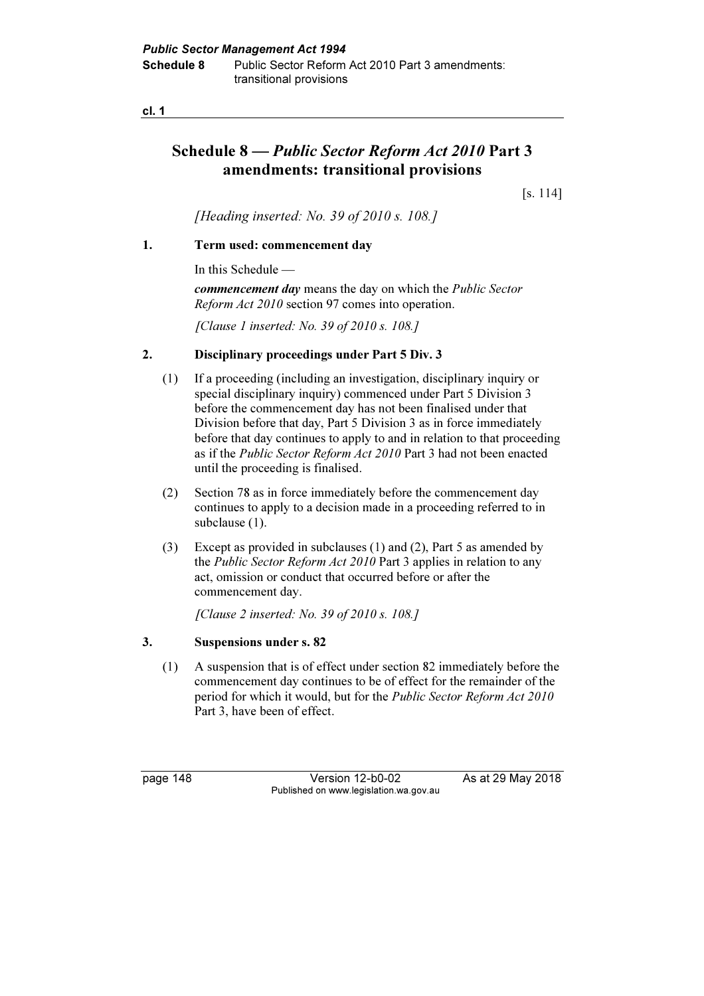# Schedule 8 — Public Sector Reform Act 2010 Part 3 amendments: transitional provisions

[s. 114]

[Heading inserted: No. 39 of 2010 s. 108.]

#### 1. Term used: commencement day

In this Schedule —

commencement day means the day on which the Public Sector Reform Act 2010 section 97 comes into operation.

[Clause 1 inserted: No. 39 of 2010 s. 108.]

#### 2. Disciplinary proceedings under Part 5 Div. 3

- (1) If a proceeding (including an investigation, disciplinary inquiry or special disciplinary inquiry) commenced under Part 5 Division 3 before the commencement day has not been finalised under that Division before that day, Part 5 Division 3 as in force immediately before that day continues to apply to and in relation to that proceeding as if the Public Sector Reform Act 2010 Part 3 had not been enacted until the proceeding is finalised.
- (2) Section 78 as in force immediately before the commencement day continues to apply to a decision made in a proceeding referred to in subclause (1).
- (3) Except as provided in subclauses (1) and (2), Part 5 as amended by the Public Sector Reform Act 2010 Part 3 applies in relation to any act, omission or conduct that occurred before or after the commencement day.

[Clause 2 inserted: No. 39 of 2010 s. 108.]

#### 3. Suspensions under s. 82

 (1) A suspension that is of effect under section 82 immediately before the commencement day continues to be of effect for the remainder of the period for which it would, but for the *Public Sector Reform Act 2010* Part 3, have been of effect.

page 148 Version 12-b0-02 As at 29 May 2018 Published on www.legislation.wa.gov.au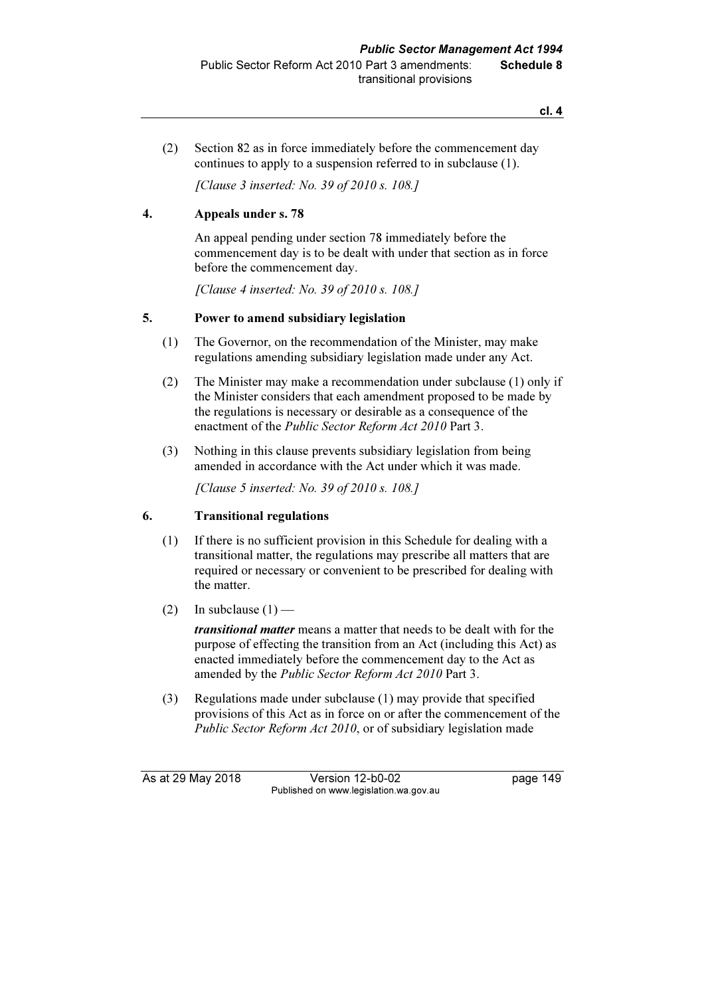cl. 4

 (2) Section 82 as in force immediately before the commencement day continues to apply to a suspension referred to in subclause (1).

[Clause 3 inserted: No. 39 of 2010 s. 108.]

## 4. Appeals under s. 78

 An appeal pending under section 78 immediately before the commencement day is to be dealt with under that section as in force before the commencement day.

[Clause 4 inserted: No. 39 of 2010 s. 108.]

## 5. Power to amend subsidiary legislation

- (1) The Governor, on the recommendation of the Minister, may make regulations amending subsidiary legislation made under any Act.
- (2) The Minister may make a recommendation under subclause (1) only if the Minister considers that each amendment proposed to be made by the regulations is necessary or desirable as a consequence of the enactment of the Public Sector Reform Act 2010 Part 3.
- (3) Nothing in this clause prevents subsidiary legislation from being amended in accordance with the Act under which it was made.

[Clause 5 inserted: No. 39 of 2010 s. 108.]

## 6. Transitional regulations

- (1) If there is no sufficient provision in this Schedule for dealing with a transitional matter, the regulations may prescribe all matters that are required or necessary or convenient to be prescribed for dealing with the matter.
- (2) In subclause  $(1)$  —

transitional matter means a matter that needs to be dealt with for the purpose of effecting the transition from an Act (including this Act) as enacted immediately before the commencement day to the Act as amended by the Public Sector Reform Act 2010 Part 3.

 (3) Regulations made under subclause (1) may provide that specified provisions of this Act as in force on or after the commencement of the Public Sector Reform Act 2010, or of subsidiary legislation made

As at 29 May 2018 Version 12-b0-02 page 149 Published on www.legislation.wa.gov.au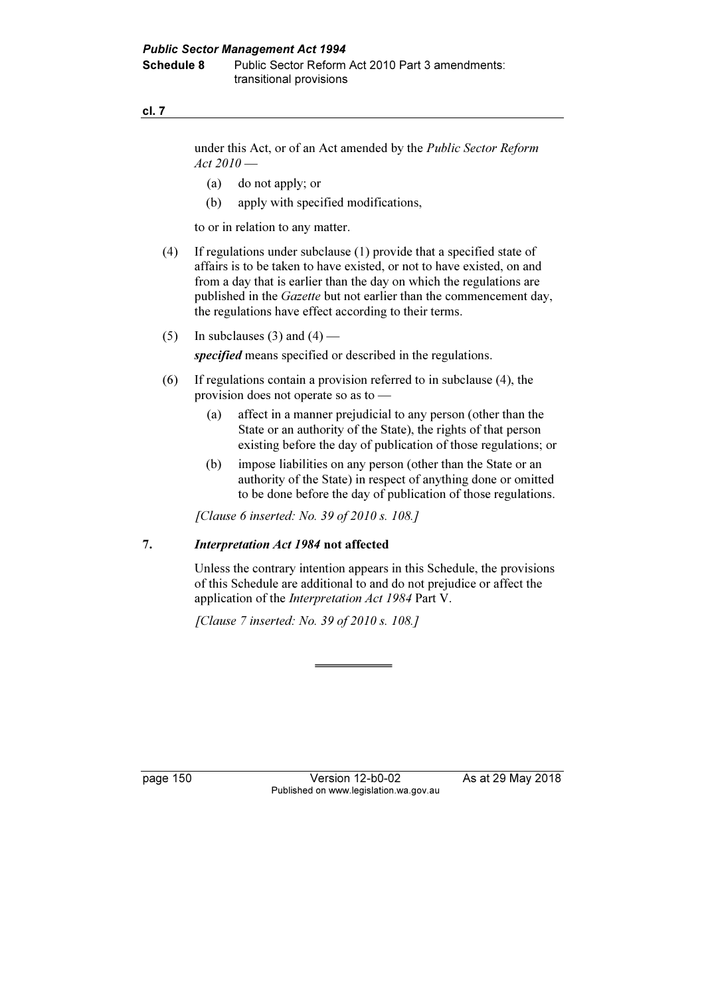under this Act, or of an Act amended by the Public Sector Reform  $Act 2010$  —

- (a) do not apply; or
- (b) apply with specified modifications,

to or in relation to any matter.

- (4) If regulations under subclause (1) provide that a specified state of affairs is to be taken to have existed, or not to have existed, on and from a day that is earlier than the day on which the regulations are published in the Gazette but not earlier than the commencement day, the regulations have effect according to their terms.
- (5) In subclauses (3) and (4) —

specified means specified or described in the regulations.

- (6) If regulations contain a provision referred to in subclause (4), the provision does not operate so as to —
	- (a) affect in a manner prejudicial to any person (other than the State or an authority of the State), the rights of that person existing before the day of publication of those regulations; or
	- (b) impose liabilities on any person (other than the State or an authority of the State) in respect of anything done or omitted to be done before the day of publication of those regulations.

[Clause 6 inserted: No. 39 of 2010 s. 108.]

#### 7. Interpretation Act 1984 not affected

 Unless the contrary intention appears in this Schedule, the provisions of this Schedule are additional to and do not prejudice or affect the application of the *Interpretation Act 1984* Part V.

[Clause 7 inserted: No. 39 of 2010 s. 108.]

page 150 Version 12-b0-02 As at 29 May 2018 Published on www.legislation.wa.gov.au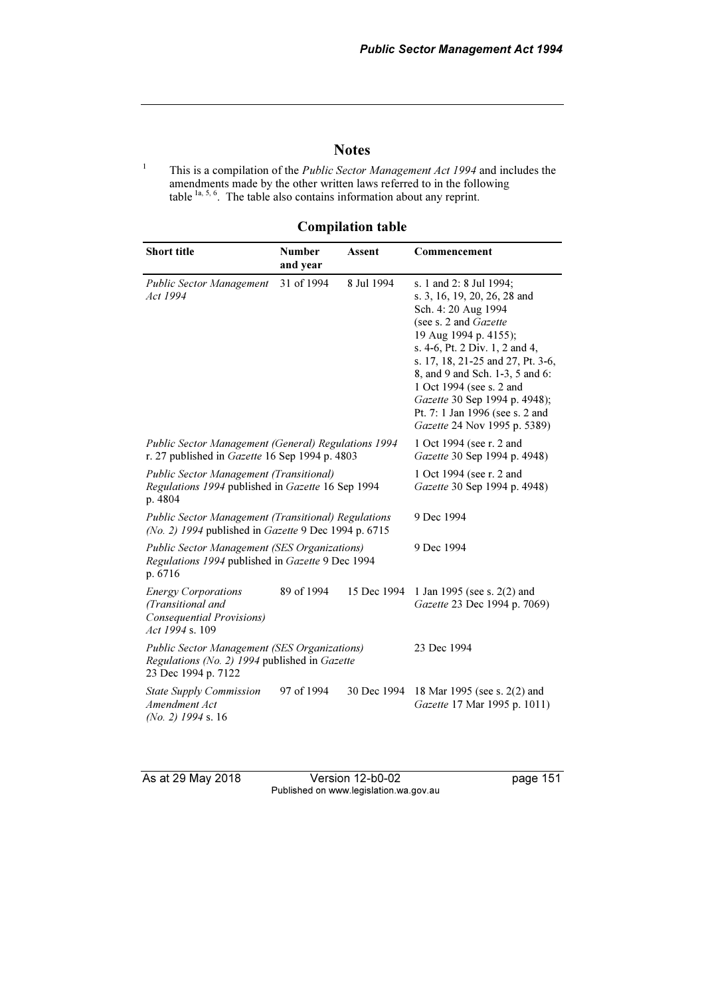## **Notes**

1 This is a compilation of the *Public Sector Management Act 1994* and includes the amendments made by the other written laws referred to in the following table  $1a, 5, 6$ . The table also contains information about any reprint.

# Compilation table

| <b>Short title</b>                                                                                                          | <b>Number</b><br>and year                                | <b>Assent</b> | Commencement                                                                                                                                                                                                                                                                                                                                                               |
|-----------------------------------------------------------------------------------------------------------------------------|----------------------------------------------------------|---------------|----------------------------------------------------------------------------------------------------------------------------------------------------------------------------------------------------------------------------------------------------------------------------------------------------------------------------------------------------------------------------|
| Public Sector Management<br>Act 1994                                                                                        | 31 of 1994                                               | 8 Jul 1994    | s. 1 and 2: 8 Jul 1994;<br>s. 3, 16, 19, 20, 26, 28 and<br>Sch. 4: 20 Aug 1994<br>(see s. 2 and Gazette<br>19 Aug 1994 p. 4155);<br>s. 4-6, Pt. 2 Div. 1, 2 and 4,<br>s. 17, 18, 21-25 and 27, Pt. 3-6,<br>8, and 9 and Sch. 1-3, 5 and 6:<br>1 Oct 1994 (see s. 2 and<br>Gazette 30 Sep 1994 p. 4948);<br>Pt. 7: 1 Jan 1996 (see s. 2 and<br>Gazette 24 Nov 1995 p. 5389) |
| <b>Public Sector Management (General) Regulations 1994</b><br>r. 27 published in Gazette 16 Sep 1994 p. 4803                | 1 Oct 1994 (see r. 2 and<br>Gazette 30 Sep 1994 p. 4948) |               |                                                                                                                                                                                                                                                                                                                                                                            |
| Public Sector Management (Transitional)<br>Regulations 1994 published in Gazette 16 Sep 1994<br>p. 4804                     | 1 Oct 1994 (see r. 2 and<br>Gazette 30 Sep 1994 p. 4948) |               |                                                                                                                                                                                                                                                                                                                                                                            |
| <b>Public Sector Management (Transitional) Regulations</b><br>(No. 2) 1994 published in Gazette 9 Dec 1994 p. 6715          |                                                          |               | 9 Dec 1994                                                                                                                                                                                                                                                                                                                                                                 |
| <b>Public Sector Management (SES Organizations)</b><br>Regulations 1994 published in Gazette 9 Dec 1994<br>p. 6716          |                                                          |               | 9 Dec 1994                                                                                                                                                                                                                                                                                                                                                                 |
| <b>Energy Corporations</b><br>(Transitional and<br>Consequential Provisions)<br>Act 1994 s. 109                             | 89 of 1994                                               | 15 Dec 1994   | 1 Jan 1995 (see s. 2(2) and<br>Gazette 23 Dec 1994 p. 7069)                                                                                                                                                                                                                                                                                                                |
| <b>Public Sector Management (SES Organizations)</b><br>Regulations (No. 2) 1994 published in Gazette<br>23 Dec 1994 p. 7122 |                                                          |               | 23 Dec 1994                                                                                                                                                                                                                                                                                                                                                                |
| <b>State Supply Commission</b><br>Amendment Act<br>$(No. 2)$ 1994 s. 16                                                     | 97 of 1994                                               | 30 Dec 1994   | 18 Mar 1995 (see s. 2(2) and<br>Gazette 17 Mar 1995 p. 1011)                                                                                                                                                                                                                                                                                                               |

As at 29 May 2018 Version 12-b0-02 page 151 Published on www.legislation.wa.gov.au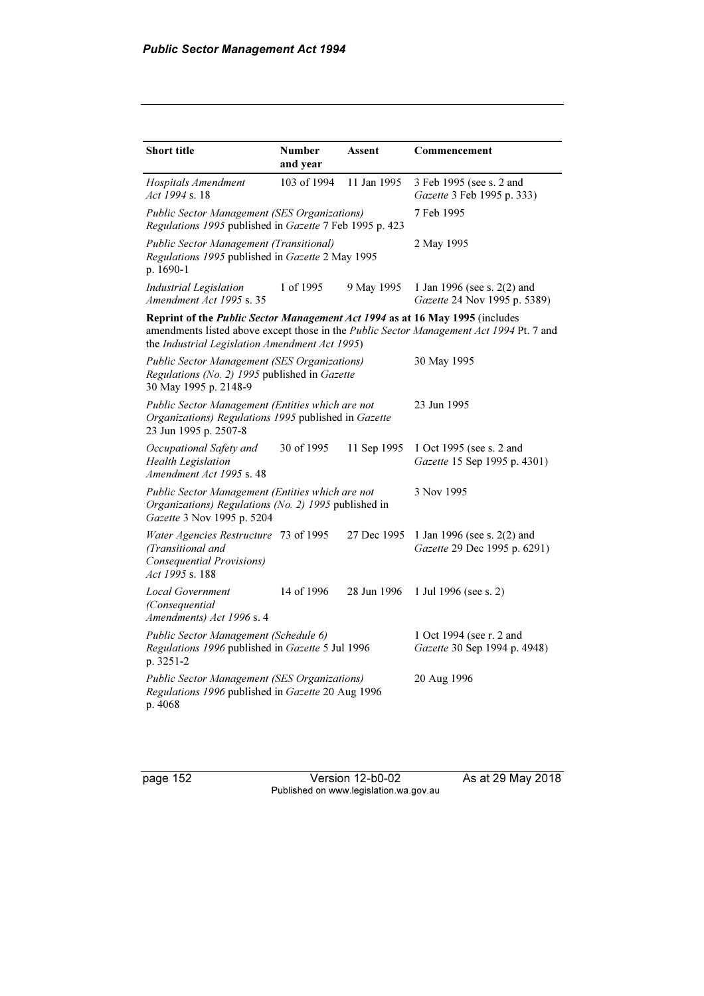| <b>Short title</b>                                                                                                                     | <b>Number</b> | Assent      | Commencement                                                                            |
|----------------------------------------------------------------------------------------------------------------------------------------|---------------|-------------|-----------------------------------------------------------------------------------------|
|                                                                                                                                        | and year      |             |                                                                                         |
| <b>Hospitals Amendment</b><br>Act 1994 s. 18                                                                                           | 103 of 1994   | 11 Jan 1995 | 3 Feb 1995 (see s. 2 and<br>Gazette 3 Feb 1995 p. 333)                                  |
| <b>Public Sector Management (SES Organizations)</b><br>Regulations 1995 published in Gazette 7 Feb 1995 p. 423                         |               |             | 7 Feb 1995                                                                              |
| Public Sector Management (Transitional)<br>Regulations 1995 published in Gazette 2 May 1995<br>p. 1690-1                               |               |             | 2 May 1995                                                                              |
| <b>Industrial Legislation</b><br>Amendment Act 1995 s. 35                                                                              | 1 of 1995     | 9 May 1995  | 1 Jan 1996 (see s. 2(2) and<br>Gazette 24 Nov 1995 p. 5389)                             |
| Reprint of the Public Sector Management Act 1994 as at 16 May 1995 (includes<br>the Industrial Legislation Amendment Act 1995)         |               |             | amendments listed above except those in the Public Sector Management Act 1994 Pt. 7 and |
| <b>Public Sector Management (SES Organizations)</b><br>Regulations (No. 2) 1995 published in Gazette<br>30 May 1995 p. 2148-9          |               |             | 30 May 1995                                                                             |
| Public Sector Management (Entities which are not<br>Organizations) Regulations 1995 published in Gazette<br>23 Jun 1995 p. 2507-8      |               |             | 23 Jun 1995                                                                             |
| Occupational Safety and<br><b>Health Legislation</b><br>Amendment Act 1995 s. 48                                                       | 30 of 1995    | 11 Sep 1995 | 1 Oct 1995 (see s. 2 and<br>Gazette 15 Sep 1995 p. 4301)                                |
| Public Sector Management (Entities which are not<br>Organizations) Regulations (No. 2) 1995 published in<br>Gazette 3 Nov 1995 p. 5204 |               |             | 3 Nov 1995                                                                              |
| Water Agencies Restructure 73 of 1995<br>(Transitional and<br>Consequential Provisions)<br>Act 1995 s. 188                             |               | 27 Dec 1995 | 1 Jan 1996 (see s. 2(2) and<br>Gazette 29 Dec 1995 p. 6291)                             |
| <b>Local Government</b><br>(Consequential)<br>Amendments) Act 1996 s. 4                                                                | 14 of 1996    | 28 Jun 1996 | 1 Jul 1996 (see s. 2)                                                                   |
| Public Sector Management (Schedule 6)<br>Regulations 1996 published in Gazette 5 Jul 1996<br>p. 3251-2                                 |               |             | 1 Oct 1994 (see r. 2 and<br>Gazette 30 Sep 1994 p. 4948)                                |
| <b>Public Sector Management (SES Organizations)</b><br>Regulations 1996 published in Gazette 20 Aug 1996<br>p. 4068                    |               |             | 20 Aug 1996                                                                             |

page 152 Version 12-b0-02 As at 29 May 2018 Published on www.legislation.wa.gov.au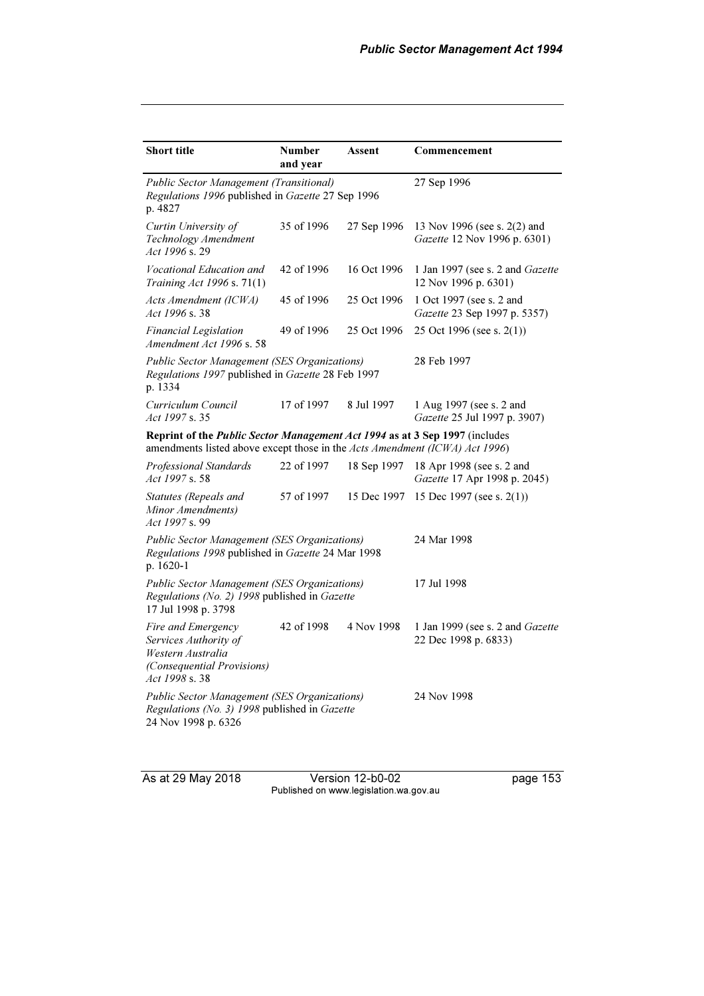| <b>Short title</b>                                                                                                                                         | <b>Number</b><br>and year | Assent      | Commencement                                                 |
|------------------------------------------------------------------------------------------------------------------------------------------------------------|---------------------------|-------------|--------------------------------------------------------------|
| Public Sector Management (Transitional)<br>Regulations 1996 published in Gazette 27 Sep 1996<br>p. 4827                                                    |                           |             | 27 Sep 1996                                                  |
| Curtin University of<br>Technology Amendment<br>Act 1996 s. 29                                                                                             | 35 of 1996                | 27 Sep 1996 | 13 Nov 1996 (see s. 2(2) and<br>Gazette 12 Nov 1996 p. 6301) |
| Vocational Education and<br>Training Act 1996 s. 71(1)                                                                                                     | 42 of 1996                | 16 Oct 1996 | 1 Jan 1997 (see s. 2 and Gazette<br>12 Nov 1996 p. 6301)     |
| Acts Amendment (ICWA)<br>Act 1996 s. 38                                                                                                                    | 45 of 1996                | 25 Oct 1996 | 1 Oct 1997 (see s. 2 and<br>Gazette 23 Sep 1997 p. 5357)     |
| <b>Financial Legislation</b><br>Amendment Act 1996 s. 58                                                                                                   | 49 of 1996                | 25 Oct 1996 | 25 Oct 1996 (see s. $2(1)$ )                                 |
| <b>Public Sector Management (SES Organizations)</b><br>Regulations 1997 published in Gazette 28 Feb 1997<br>p. 1334                                        |                           |             | 28 Feb 1997                                                  |
| Curriculum Council<br>Act 1997 s.35                                                                                                                        | 17 of 1997                | 8 Jul 1997  | 1 Aug 1997 (see s. 2 and<br>Gazette 25 Jul 1997 p. 3907)     |
| Reprint of the Public Sector Management Act 1994 as at 3 Sep 1997 (includes<br>amendments listed above except those in the Acts Amendment (ICWA) Act 1996) |                           |             |                                                              |
| Professional Standards<br>Act 1997 s. 58                                                                                                                   | 22 of 1997                | 18 Sep 1997 | 18 Apr 1998 (see s. 2 and<br>Gazette 17 Apr 1998 p. 2045)    |
| Statutes (Repeals and<br>Minor Amendments)<br>Act 1997 s. 99                                                                                               | 57 of 1997                | 15 Dec 1997 | 15 Dec 1997 (see s. 2(1))                                    |
| <b>Public Sector Management (SES Organizations)</b><br>Regulations 1998 published in Gazette 24 Mar 1998<br>p. 1620-1                                      |                           |             | 24 Mar 1998                                                  |
| <b>Public Sector Management (SES Organizations)</b><br>Regulations (No. 2) 1998 published in Gazette<br>17 Jul 1998 p. 3798                                | 17 Jul 1998               |             |                                                              |
| Fire and Emergency<br>Services Authority of<br>Western Australia<br>(Consequential Provisions)<br>Act 1998 s.38                                            | 42 of 1998                | 4 Nov 1998  | 1 Jan 1999 (see s. 2 and Gazette<br>22 Dec 1998 p. 6833)     |
| <b>Public Sector Management (SES Organizations)</b><br>Regulations (No. 3) 1998 published in Gazette<br>24 Nov 1998 p. 6326                                |                           |             | 24 Nov 1998                                                  |

As at 29 May 2018 Version 12-b0-02 page 153 Published on www.legislation.wa.gov.au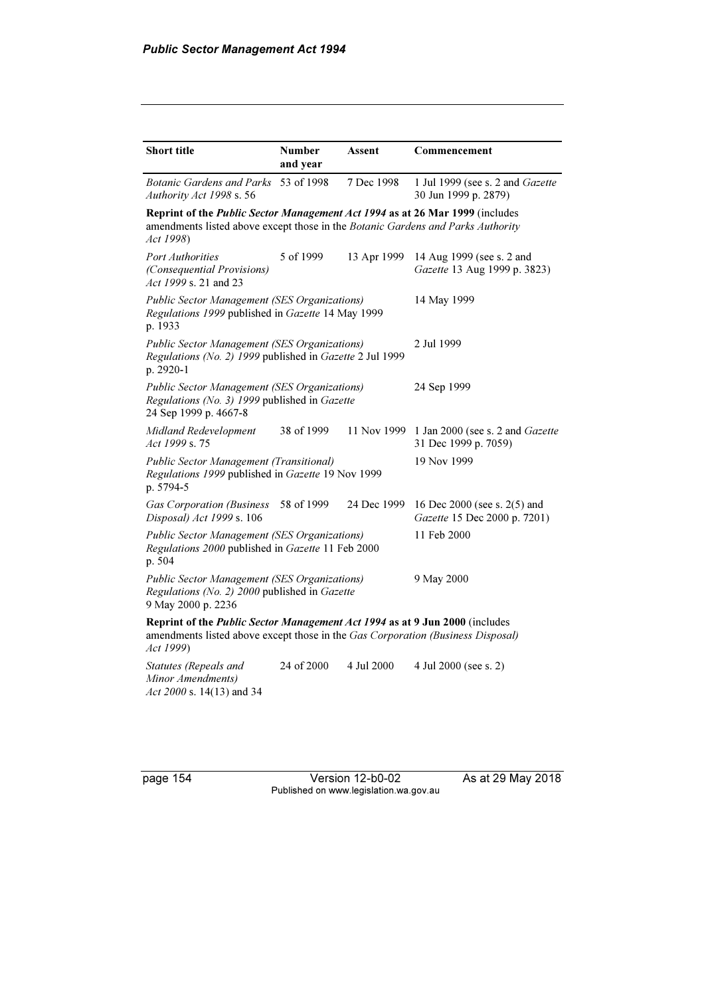| <b>Short title</b>                                                                                                                                                           | <b>Number</b><br>and year | Assent      | Commencement                                                 |
|------------------------------------------------------------------------------------------------------------------------------------------------------------------------------|---------------------------|-------------|--------------------------------------------------------------|
| <b>Botanic Gardens and Parks</b><br>Authority Act 1998 s. 56                                                                                                                 | 53 of 1998                | 7 Dec 1998  | 1 Jul 1999 (see s. 2 and Gazette<br>30 Jun 1999 p. 2879)     |
| Reprint of the Public Sector Management Act 1994 as at 26 Mar 1999 (includes<br>amendments listed above except those in the Botanic Gardens and Parks Authority<br>Act 1998) |                           |             |                                                              |
| <b>Port Authorities</b><br>(Consequential Provisions)<br>Act 1999 s. 21 and 23                                                                                               | 5 of 1999                 | 13 Apr 1999 | 14 Aug 1999 (see s. 2 and<br>Gazette 13 Aug 1999 p. 3823)    |
| Public Sector Management (SES Organizations)<br>Regulations 1999 published in Gazette 14 May 1999<br>p. 1933                                                                 |                           |             | 14 May 1999                                                  |
| <b>Public Sector Management (SES Organizations)</b><br>Regulations (No. 2) 1999 published in Gazette 2 Jul 1999<br>p. 2920-1                                                 |                           |             | 2 Jul 1999                                                   |
| <b>Public Sector Management (SES Organizations)</b><br>Regulations (No. 3) 1999 published in Gazette<br>24 Sep 1999 p. 4667-8                                                |                           |             | 24 Sep 1999                                                  |
| Midland Redevelopment<br>Act 1999 s.75                                                                                                                                       | 38 of 1999                | 11 Nov 1999 | 1 Jan 2000 (see s. 2 and Gazette<br>31 Dec 1999 p. 7059)     |
| Public Sector Management (Transitional)<br>Regulations 1999 published in Gazette 19 Nov 1999<br>p. 5794-5                                                                    |                           |             | 19 Nov 1999                                                  |
| <b>Gas Corporation (Business</b><br>Disposal) Act 1999 s. 106                                                                                                                | 58 of 1999                | 24 Dec 1999 | 16 Dec 2000 (see s. 2(5) and<br>Gazette 15 Dec 2000 p. 7201) |
| <b>Public Sector Management (SES Organizations)</b><br>Regulations 2000 published in Gazette 11 Feb 2000<br>p. 504                                                           |                           |             | 11 Feb 2000                                                  |
| <b>Public Sector Management (SES Organizations)</b><br>Regulations (No. 2) 2000 published in Gazette<br>9 May 2000 p. 2236                                                   |                           |             | 9 May 2000                                                   |
| Reprint of the Public Sector Management Act 1994 as at 9 Jun 2000 (includes<br>amendments listed above except those in the Gas Corporation (Business Disposal)<br>Act 1999)  |                           |             |                                                              |
| Statutes (Repeals and<br>Minor Amendments)<br>Act 2000 s. 14(13) and 34                                                                                                      | 24 of 2000                | 4 Jul 2000  | 4 Jul 2000 (see s. 2)                                        |

page 154 Version 12-b0-02 As at 29 May 2018 Published on www.legislation.wa.gov.au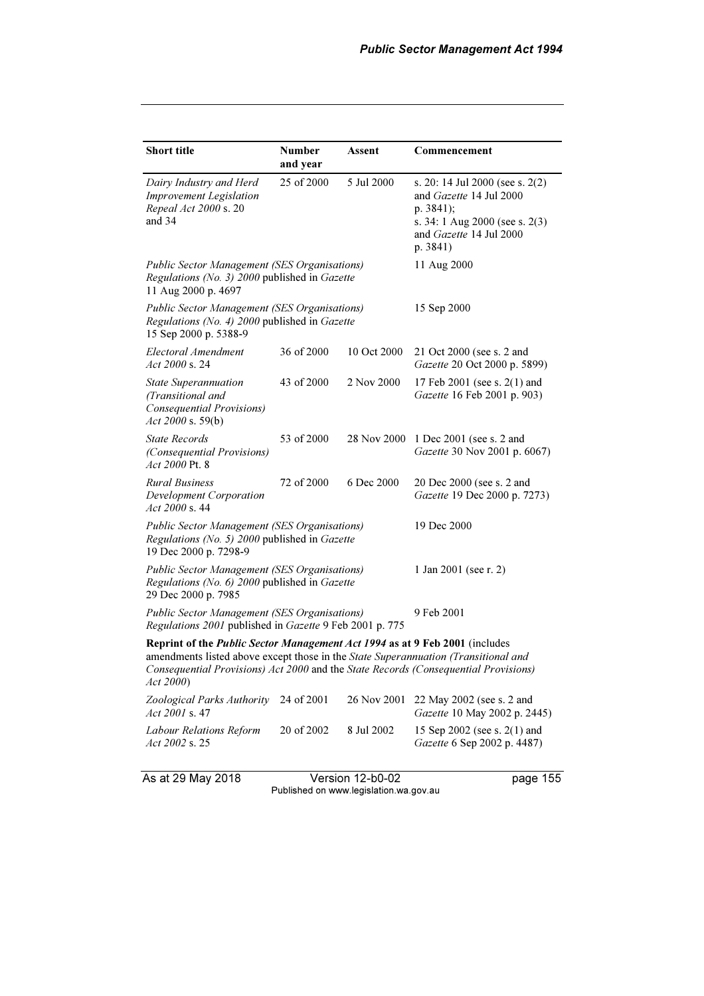| <b>Short title</b>                                                                                                                                                                                                                                                           | <b>Number</b><br>and year | Assent      | Commencement                                                                                                                                                  |
|------------------------------------------------------------------------------------------------------------------------------------------------------------------------------------------------------------------------------------------------------------------------------|---------------------------|-------------|---------------------------------------------------------------------------------------------------------------------------------------------------------------|
| Dairy Industry and Herd<br><b>Improvement Legislation</b><br>Repeal Act 2000 s. 20<br>and 34                                                                                                                                                                                 | 25 of 2000                | 5 Jul 2000  | s. 20: 14 Jul 2000 (see s. $2(2)$ )<br>and Gazette 14 Jul 2000<br>p. $3841$ ;<br>s. 34: 1 Aug 2000 (see s. 2(3)<br>and <i>Gazette</i> 14 Jul 2000<br>p. 3841) |
| <b>Public Sector Management (SES Organisations)</b><br>Regulations (No. 3) 2000 published in Gazette<br>11 Aug 2000 p. 4697                                                                                                                                                  |                           |             | 11 Aug 2000                                                                                                                                                   |
| <b>Public Sector Management (SES Organisations)</b><br>Regulations (No. 4) 2000 published in Gazette<br>15 Sep 2000 p. 5388-9                                                                                                                                                |                           |             | 15 Sep 2000                                                                                                                                                   |
| Electoral Amendment<br>Act 2000 s. 24                                                                                                                                                                                                                                        | 36 of 2000                | 10 Oct 2000 | 21 Oct 2000 (see s. 2 and<br>Gazette 20 Oct 2000 p. 5899)                                                                                                     |
| <b>State Superannuation</b><br>(Transitional and<br><b>Consequential Provisions)</b><br>Act 2000 s. 59(b)                                                                                                                                                                    | 43 of 2000                | 2 Nov 2000  | 17 Feb 2001 (see s. 2(1) and<br>Gazette 16 Feb 2001 p. 903)                                                                                                   |
| <b>State Records</b><br><i>(Consequential Provisions)</i><br>Act 2000 Pt. 8                                                                                                                                                                                                  | 53 of 2000                | 28 Nov 2000 | 1 Dec 2001 (see s. 2 and<br>Gazette 30 Nov 2001 p. 6067)                                                                                                      |
| <b>Rural Business</b><br><b>Development Corporation</b><br>Act 2000 s. 44                                                                                                                                                                                                    | 72 of 2000                | 6 Dec 2000  | 20 Dec 2000 (see s. 2 and<br>Gazette 19 Dec 2000 p. 7273)                                                                                                     |
| <b>Public Sector Management (SES Organisations)</b><br>Regulations (No. 5) 2000 published in Gazette<br>19 Dec 2000 p. 7298-9                                                                                                                                                |                           |             | 19 Dec 2000                                                                                                                                                   |
| <b>Public Sector Management (SES Organisations)</b><br>Regulations (No. 6) 2000 published in Gazette<br>29 Dec 2000 p. 7985                                                                                                                                                  |                           |             | 1 Jan 2001 (see r. 2)                                                                                                                                         |
| <b>Public Sector Management (SES Organisations)</b><br>Regulations 2001 published in Gazette 9 Feb 2001 p. 775                                                                                                                                                               |                           |             | 9 Feb 2001                                                                                                                                                    |
| Reprint of the <i>Public Sector Management Act 1994</i> as at 9 Feb 2001 (includes<br>amendments listed above except those in the State Superannuation (Transitional and<br>Consequential Provisions) Act 2000 and the State Records (Consequential Provisions)<br>Act 2000) |                           |             |                                                                                                                                                               |
| Zoological Parks Authority<br>Act 2001 s. 47                                                                                                                                                                                                                                 | 24 of 2001                | 26 Nov 2001 | 22 May 2002 (see s. 2 and<br>Gazette 10 May 2002 p. 2445)                                                                                                     |
| Labour Relations Reform<br>Act 2002 s. 25                                                                                                                                                                                                                                    | 20 of 2002                | 8 Jul 2002  | 15 Sep 2002 (see s. 2(1) and<br>Gazette 6 Sep 2002 p. 4487)                                                                                                   |

As at 29 May 2018 Version 12-b0-02 page 155 Published on www.legislation.wa.gov.au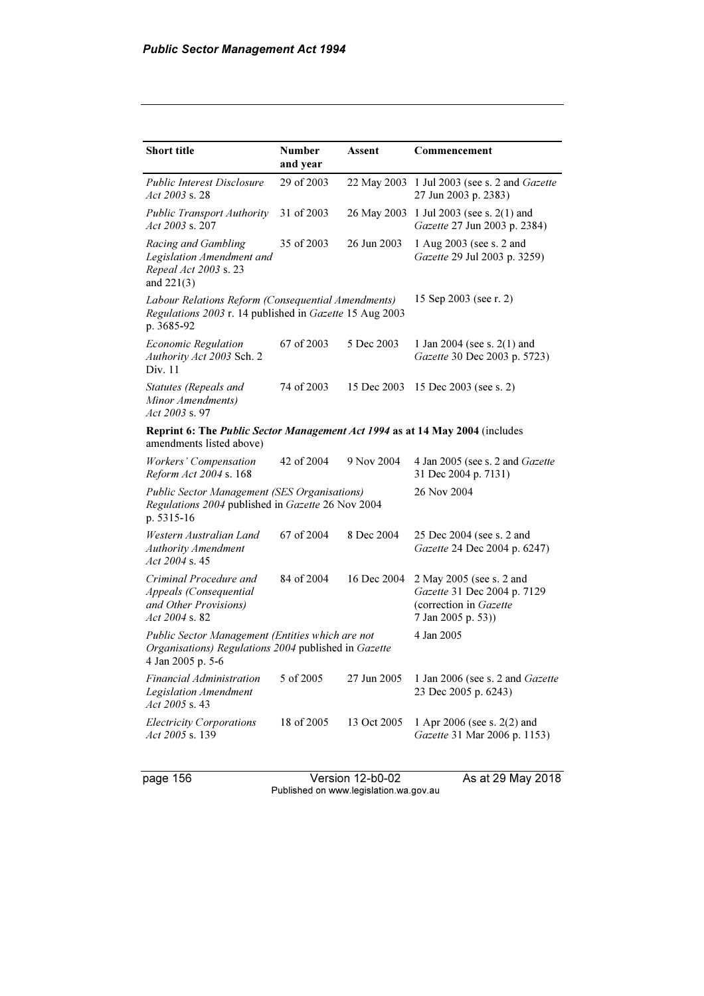| <b>Short title</b>                                                                                                            | <b>Number</b><br>and year | Assent      | Commencement                                                                                            |
|-------------------------------------------------------------------------------------------------------------------------------|---------------------------|-------------|---------------------------------------------------------------------------------------------------------|
| <b>Public Interest Disclosure</b><br>Act 2003 s. 28                                                                           | 29 of 2003                |             | 22 May 2003 1 Jul 2003 (see s. 2 and Gazette<br>27 Jun 2003 p. 2383)                                    |
| <b>Public Transport Authority</b><br>Act 2003 s. 207                                                                          | 31 of 2003                | 26 May 2003 | 1 Jul 2003 (see s. $2(1)$ and<br>Gazette 27 Jun 2003 p. 2384)                                           |
| Racing and Gambling<br>Legislation Amendment and<br>Repeal Act 2003 s. 23<br>and $221(3)$                                     | 35 of 2003                | 26 Jun 2003 | 1 Aug 2003 (see s. 2 and<br><i>Gazette</i> 29 Jul 2003 p. 3259)                                         |
| Labour Relations Reform (Consequential Amendments)<br>Regulations 2003 r. 14 published in Gazette 15 Aug 2003<br>p. 3685-92   |                           |             | 15 Sep 2003 (see r. 2)                                                                                  |
| <b>Economic Regulation</b><br>Authority Act 2003 Sch. 2<br>Div. 11                                                            | 67 of 2003                | 5 Dec 2003  | 1 Jan 2004 (see s. $2(1)$ and<br>Gazette 30 Dec 2003 p. 5723)                                           |
| Statutes (Repeals and<br>Minor Amendments)<br>$Act\,2003\,$ s. 97                                                             | 74 of 2003                | 15 Dec 2003 | 15 Dec 2003 (see s. 2)                                                                                  |
| Reprint 6: The Public Sector Management Act 1994 as at 14 May 2004 (includes<br>amendments listed above)                      |                           |             |                                                                                                         |
| Workers' Compensation<br>Reform Act 2004 s. 168                                                                               | 42 of 2004                | 9 Nov 2004  | 4 Jan 2005 (see s. 2 and <i>Gazette</i><br>31 Dec 2004 p. 7131)                                         |
| <b>Public Sector Management (SES Organisations)</b><br>Regulations 2004 published in Gazette 26 Nov 2004<br>p. 5315-16        |                           |             | 26 Nov 2004                                                                                             |
| Western Australian Land<br><b>Authority Amendment</b><br>Act $2004$ s. 45                                                     | 67 of 2004                | 8 Dec 2004  | 25 Dec 2004 (see s. 2 and<br>Gazette 24 Dec 2004 p. 6247)                                               |
| Criminal Procedure and<br>Appeals (Consequential<br>and Other Provisions)<br>Act 2004 s. 82                                   | 84 of 2004                | 16 Dec 2004 | 2 May 2005 (see s. 2 and<br>Gazette 31 Dec 2004 p. 7129<br>(correction in Gazette<br>7 Jan 2005 p. 53)) |
| Public Sector Management (Entities which are not<br>Organisations) Regulations 2004 published in Gazette<br>4 Jan 2005 p. 5-6 |                           |             | 4 Jan 2005                                                                                              |
| Financial Administration<br>Legislation Amendment<br>Act 2005 s.43                                                            | 5 of 2005                 | 27 Jun 2005 | 1 Jan 2006 (see s. 2 and <i>Gazette</i><br>23 Dec 2005 p. 6243)                                         |
| <b>Electricity Corporations</b><br>Act 2005 s. 139                                                                            | 18 of 2005                | 13 Oct 2005 | 1 Apr 2006 (see s. $2(2)$ and<br>Gazette 31 Mar 2006 p. 1153)                                           |

page 156 **Version 12-b0-02** As at 29 May 2018 Published on www.legislation.wa.gov.au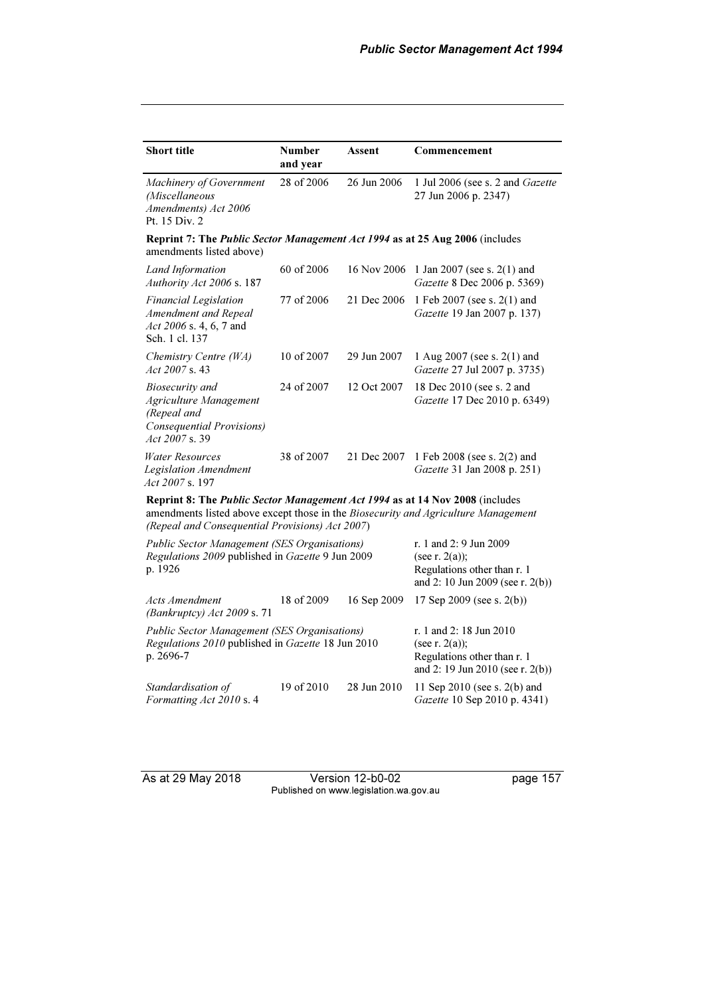| <b>Short title</b>                                                                                                                                                                                                           | <b>Number</b><br>and year | Assent      | Commencement                                                 |  |
|------------------------------------------------------------------------------------------------------------------------------------------------------------------------------------------------------------------------------|---------------------------|-------------|--------------------------------------------------------------|--|
| Machinery of Government<br>(Miscellaneous<br>Amendments) Act 2006<br>Pt. 15 Div. 2                                                                                                                                           | 28 of 2006                | 26 Jun 2006 | 1 Jul 2006 (see s. 2 and Gazette<br>27 Jun 2006 p. 2347)     |  |
| <b>Reprint 7: The Public Sector Management Act 1994 as at 25 Aug 2006 (includes)</b><br>amendments listed above)                                                                                                             |                           |             |                                                              |  |
| Land Information<br>Authority Act 2006 s. 187                                                                                                                                                                                | 60 of 2006                | 16 Nov 2006 | 1 Jan 2007 (see s. $2(1)$ and<br>Gazette 8 Dec 2006 p. 5369) |  |
| <b>Financial Legislation</b><br>Amendment and Repeal<br>Act 2006 s. 4, 6, 7 and<br>Sch. 1 cl. 137                                                                                                                            | 77 of 2006                | 21 Dec 2006 | 1 Feb 2007 (see s. 2(1) and<br>Gazette 19 Jan 2007 p. 137)   |  |
| Chemistry Centre (WA)<br>Act $2007$ s. 43                                                                                                                                                                                    | 10 of 2007                | 29 Jun 2007 | 1 Aug 2007 (see s. 2(1) and<br>Gazette 27 Jul 2007 p. 3735)  |  |
| Biosecurity and<br>Agriculture Management<br>(Repeal and<br>Consequential Provisions)<br>Act 2007 s.39                                                                                                                       | 24 of 2007                | 12 Oct 2007 | 18 Dec 2010 (see s. 2 and<br>Gazette 17 Dec 2010 p. 6349)    |  |
| Water Resources<br><b>Legislation Amendment</b><br>Act 2007 s. 197                                                                                                                                                           | 38 of 2007                | 21 Dec 2007 | 1 Feb 2008 (see s. 2(2) and<br>Gazette 31 Jan 2008 p. 251)   |  |
| <b>Reprint 8: The Public Sector Management Act 1994 as at 14 Nov 2008 (includes</b><br>amendments listed above except those in the Biosecurity and Agriculture Management<br>(Repeal and Consequential Provisions) Act 2007) |                           |             |                                                              |  |
| Public Sector Management (SES Organisations)<br>$\sim$ $\sim$ $\sim$ $\sim$ $\sim$ $\sim$                                                                                                                                    |                           |             | r. 1 and 2: 9 Jun 2009                                       |  |

| Regulations 2009 published in Gazette 9 Jun 2009<br>p. 1926                                                             |                                                                                                                 |             | (see r. 2(a));<br>Regulations other than r. 1<br>and 2: 10 Jun 2009 (see r. $2(b)$ ) |
|-------------------------------------------------------------------------------------------------------------------------|-----------------------------------------------------------------------------------------------------------------|-------------|--------------------------------------------------------------------------------------|
| Acts Amendment<br>(Bankruptcy) $Act$ 2009 s. 71                                                                         | 18 of 2009                                                                                                      | 16 Sep 2009 | 17 Sep 2009 (see s. $2(b)$ )                                                         |
| <b>Public Sector Management (SES Organisations)</b><br>Regulations 2010 published in Gazette 18 Jun 2010<br>p. $2696-7$ | r. 1 and 2: 18 Jun 2010<br>(see r. 2(a));<br>Regulations other than r. 1<br>and 2: 19 Jun 2010 (see r. $2(b)$ ) |             |                                                                                      |
| Standardisation of<br>Formatting Act 2010 s. 4                                                                          | 19 of 2010                                                                                                      | 28 Jun 2010 | 11 Sep 2010 (see s. $2(b)$ and<br>Gazette 10 Sep 2010 p. 4341)                       |

As at 29 May 2018 Version 12-b0-02 page 157 Published on www.legislation.wa.gov.au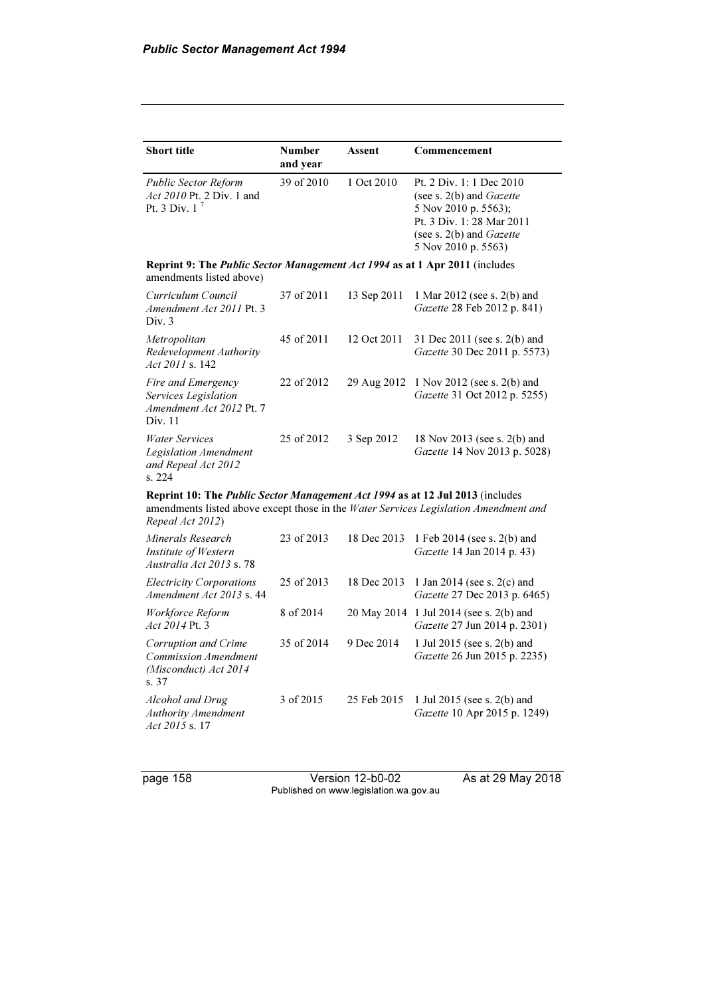| <b>Short title</b>                                                                                      | <b>Number</b> | Assent      | Commencement                                                                                                                                                                  |
|---------------------------------------------------------------------------------------------------------|---------------|-------------|-------------------------------------------------------------------------------------------------------------------------------------------------------------------------------|
|                                                                                                         | and year      |             |                                                                                                                                                                               |
| Public Sector Reform<br><i>Act 2010 Pt. 2 Div. 1 and</i><br>Pt. 3 Div. $1^7$                            | 39 of 2010    | 1 Oct 2010  | Pt. 2 Div. 1: 1 Dec 2010<br>(see s. $2(b)$ and <i>Gazette</i><br>5 Nov 2010 p. 5563);<br>Pt. 3 Div. 1:28 Mar 2011<br>(see s. $2(b)$ and <i>Gazette</i><br>5 Nov 2010 p. 5563) |
| Reprint 9: The Public Sector Management Act 1994 as at 1 Apr 2011 (includes<br>amendments listed above) |               |             |                                                                                                                                                                               |
| Curriculum Council<br>Amendment Act 2011 Pt. 3<br>Div. 3                                                | 37 of 2011    | 13 Sep 2011 | 1 Mar 2012 (see s. 2(b) and<br>Gazette 28 Feb 2012 p. 841)                                                                                                                    |
| Metropolitan<br>Redevelopment Authority<br>Act 2011 s. 142                                              | 45 of 2011    | 12 Oct 2011 | 31 Dec 2011 (see s. 2(b) and<br>Gazette 30 Dec 2011 p. 5573)                                                                                                                  |
| Fire and Emergency<br>Services Legislation<br>Amendment Act 2012 Pt. 7<br>Div. 11                       | 22 of 2012    | 29 Aug 2012 | 1 Nov 2012 (see s. $2(b)$ and<br>Gazette 31 Oct 2012 p. 5255)                                                                                                                 |
| <b>Water Services</b><br>Legislation Amendment<br>and Repeal Act 2012<br>s. 224                         | 25 of 2012    | 3 Sep 2012  | 18 Nov 2013 (see s. 2(b) and<br>Gazette 14 Nov 2013 p. 5028)                                                                                                                  |
| Reprint 10: The Public Sector Management Act 1994 as at 12 Jul 2013 (includes<br>Repeal Act 2012)       |               |             | amendments listed above except those in the Water Services Legislation Amendment and                                                                                          |
| Minerals Research<br>Institute of Western<br>Australia Act 2013 s. 78                                   | 23 of 2013    | 18 Dec 2013 | 1 Feb 2014 (see s. 2(b) and<br>Gazette 14 Jan 2014 p. 43)                                                                                                                     |
| <b>Electricity Corporations</b><br>Amendment Act 2013 s. 44                                             | 25 of 2013    | 18 Dec 2013 | 1 Jan 2014 (see s. $2(c)$ and<br>Gazette 27 Dec 2013 p. 6465)                                                                                                                 |
| Workforce Reform<br>Act 2014 Pt. 3                                                                      | 8 of 2014     | 20 May 2014 | 1 Jul 2014 (see s. 2(b) and<br>Gazette 27 Jun 2014 p. 2301)                                                                                                                   |
| Corruption and Crime<br><b>Commission Amendment</b><br>(Misconduct) Act 2014<br>s. 37                   | 35 of 2014    | 9 Dec 2014  | 1 Jul 2015 (see s. 2(b) and<br>Gazette 26 Jun 2015 p. 2235)                                                                                                                   |
| Alcohol and Drug<br><b>Authority Amendment</b><br>Act 2015 s. 17                                        | 3 of 2015     | 25 Feb 2015 | 1 Jul 2015 (see s. 2(b) and<br>Gazette 10 Apr 2015 p. 1249)                                                                                                                   |

page 158 Version 12-b0-02 As at 29 May 2018 Published on www.legislation.wa.gov.au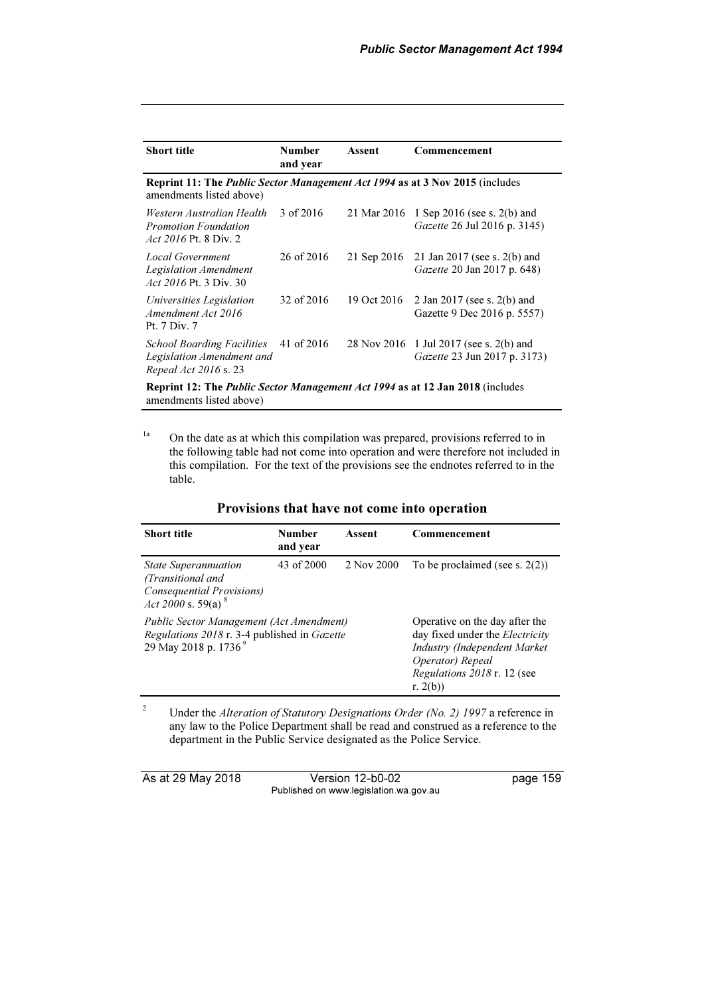| <b>Short title</b>                                                                                              | <b>Number</b><br>and year | Assent      | Commencement                                                            |  |
|-----------------------------------------------------------------------------------------------------------------|---------------------------|-------------|-------------------------------------------------------------------------|--|
| <b>Reprint 11: The Public Sector Management Act 1994 as at 3 Nov 2015 (includes</b><br>amendments listed above) |                           |             |                                                                         |  |
| Western Australian Health<br><b>Promotion Foundation</b><br><i>Act 2016</i> Pt. 8 Div. 2                        | 3 of 2016                 | 21 Mar 2016 | 1 Sep 2016 (see s. $2(b)$ and<br>Gazette 26 Jul 2016 p. 3145)           |  |
| Local Government<br>Legislation Amendment<br><i>Act 2016</i> Pt. 3 Div. 30                                      | 26 of 2016                | 21 Sep 2016 | 21 Jan 2017 (see s. $2(b)$ and<br>Gazette 20 Jan 2017 p. 648)           |  |
| Universities Legislation<br>Amendment Act 2016<br>Pt. 7 Div. 7                                                  | 32 of 2016                | 19 Oct 2016 | 2 Jan 2017 (see s. 2(b) and<br>Gazette 9 Dec 2016 p. 5557)              |  |
| <b>School Boarding Facilities</b><br>Legislation Amendment and<br>Repeal Act 2016 s. 23                         | 41 of 2016                |             | 28 Nov 2016 1 Jul 2017 (see s. 2(b) and<br>Gazette 23 Jun 2017 p. 3173) |  |
| <b>Reprint 12: The Public Sector Management Act 1994 as at 12 Jan 2018</b> (includes                            |                           |             |                                                                         |  |

amendments listed above)

<sup>1a</sup> On the date as at which this compilation was prepared, provisions referred to in the following table had not come into operation and were therefore not included in this compilation. For the text of the provisions see the endnotes referred to in the table.

| <b>Short title</b>                                                                                                                 | <b>Number</b><br>and year | Assent                                                                                                                                                                     | Commencement |
|------------------------------------------------------------------------------------------------------------------------------------|---------------------------|----------------------------------------------------------------------------------------------------------------------------------------------------------------------------|--------------|
| 43 of 2000<br>2 Nov 2000<br><b>State Superannuation</b><br>(Transitional and<br>Consequential Provisions)<br>Act 2000 s. 59(a) $8$ |                           | To be proclaimed (see s. $2(2)$ )                                                                                                                                          |              |
| Public Sector Management (Act Amendment)<br>Regulations 2018 r. 3-4 published in Gazette<br>29 May 2018 p. 1736 <sup>9</sup>       |                           | Operative on the day after the<br>day fixed under the <i>Electricity</i><br>Industry (Independent Market<br>Operator) Repeal<br>Regulations 2018 r. 12 (see<br>r. $2(b)$ ) |              |

#### Provisions that have not come into operation

2 Under the Alteration of Statutory Designations Order (No. 2) 1997 a reference in any law to the Police Department shall be read and construed as a reference to the department in the Public Service designated as the Police Service.

| As at 29 May 2018 | Version 12-b0-02                       | page 159 |
|-------------------|----------------------------------------|----------|
|                   | Published on www.legislation.wa.gov.au |          |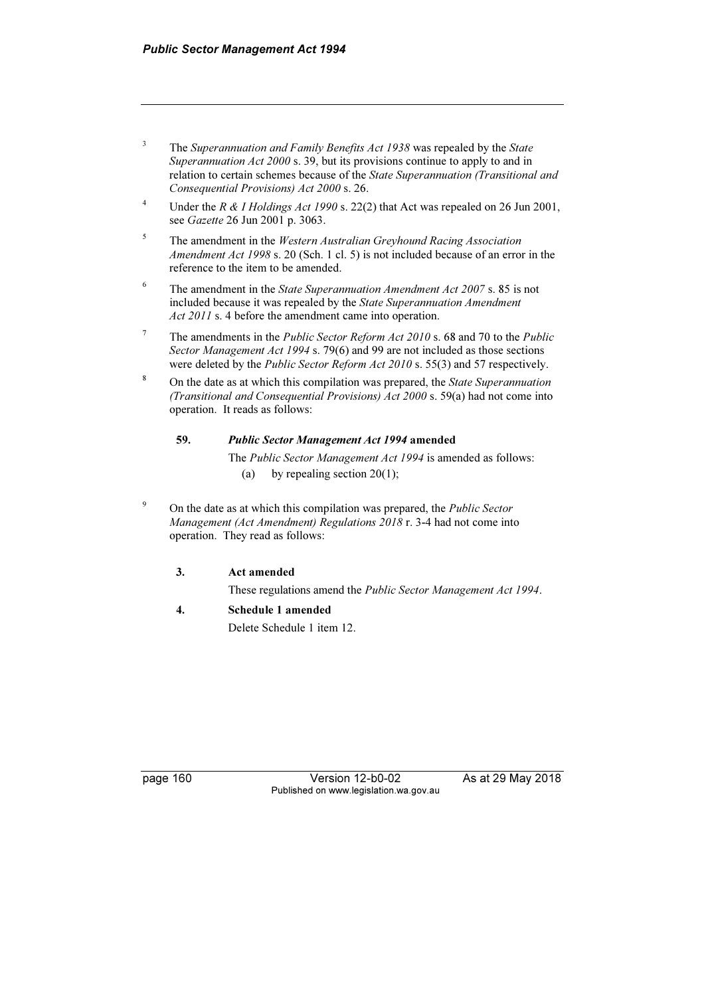- 3 The Superannuation and Family Benefits Act 1938 was repealed by the State Superannuation Act 2000 s. 39, but its provisions continue to apply to and in relation to certain schemes because of the State Superannuation (Transitional and Consequential Provisions) Act 2000 s. 26.
- 4 Under the R & I Holdings Act 1990 s. 22(2) that Act was repealed on 26 Jun 2001, see Gazette 26 Jun 2001 p. 3063.
- 5 The amendment in the Western Australian Greyhound Racing Association Amendment Act 1998 s. 20 (Sch. 1 cl. 5) is not included because of an error in the reference to the item to be amended.
- <sup>6</sup> The amendment in the *State Superannuation Amendment Act 2007* s. 85 is not included because it was repealed by the State Superannuation Amendment Act 2011 s. 4 before the amendment came into operation.
- <sup>7</sup> The amendments in the *Public Sector Reform Act 2010* s. 68 and 70 to the *Public* Sector Management Act 1994 s. 79(6) and 99 are not included as those sections were deleted by the *Public Sector Reform Act 2010* s. 55(3) and 57 respectively.
- 8 On the date as at which this compilation was prepared, the State Superannuation (Transitional and Consequential Provisions) Act 2000 s. 59(a) had not come into operation. It reads as follows:

#### 59. Public Sector Management Act 1994 amended

 The Public Sector Management Act 1994 is amended as follows: (a) by repealing section  $20(1)$ ;

9 On the date as at which this compilation was prepared, the Public Sector Management (Act Amendment) Regulations 2018 r. 3-4 had not come into operation. They read as follows:

#### 3. Act amended

These regulations amend the Public Sector Management Act 1994.

#### 4. Schedule 1 amended

Delete Schedule 1 item 12.

page 160 **Version 12-b0-02** As at 29 May 2018 Published on www.legislation.wa.gov.au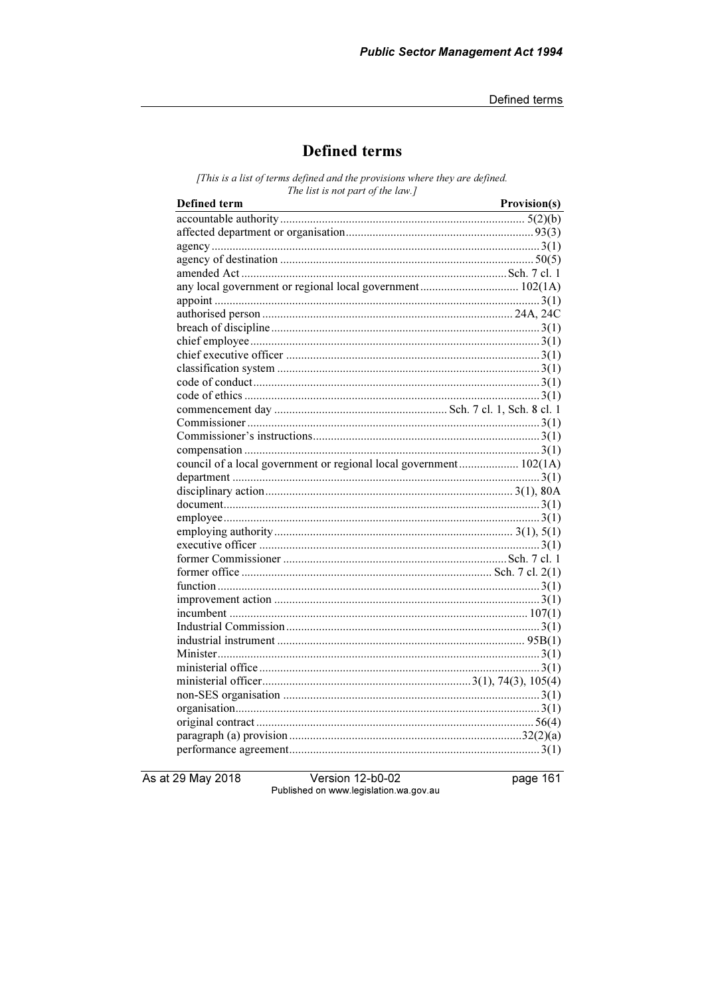# **Defined terms**

[This is a list of terms defined and the provisions where they are defined. The list is not part of the law.]

| <b>Defined</b> term                                                | Provision(s) |
|--------------------------------------------------------------------|--------------|
|                                                                    |              |
|                                                                    |              |
|                                                                    |              |
|                                                                    |              |
|                                                                    |              |
|                                                                    |              |
|                                                                    |              |
|                                                                    |              |
|                                                                    |              |
|                                                                    |              |
|                                                                    |              |
|                                                                    |              |
|                                                                    |              |
|                                                                    |              |
|                                                                    |              |
|                                                                    |              |
|                                                                    |              |
|                                                                    |              |
| council of a local government or regional local government 102(1A) |              |
|                                                                    |              |
|                                                                    |              |
|                                                                    |              |
|                                                                    |              |
|                                                                    |              |
|                                                                    |              |
|                                                                    |              |
|                                                                    |              |
|                                                                    |              |
|                                                                    |              |
|                                                                    |              |
|                                                                    |              |
|                                                                    |              |
|                                                                    |              |
|                                                                    |              |
|                                                                    |              |
|                                                                    |              |
|                                                                    |              |
|                                                                    |              |
|                                                                    |              |
|                                                                    |              |

As at 29 May 2018

Version 12-b0-02 Published on www.legislation.wa.gov.au page 161